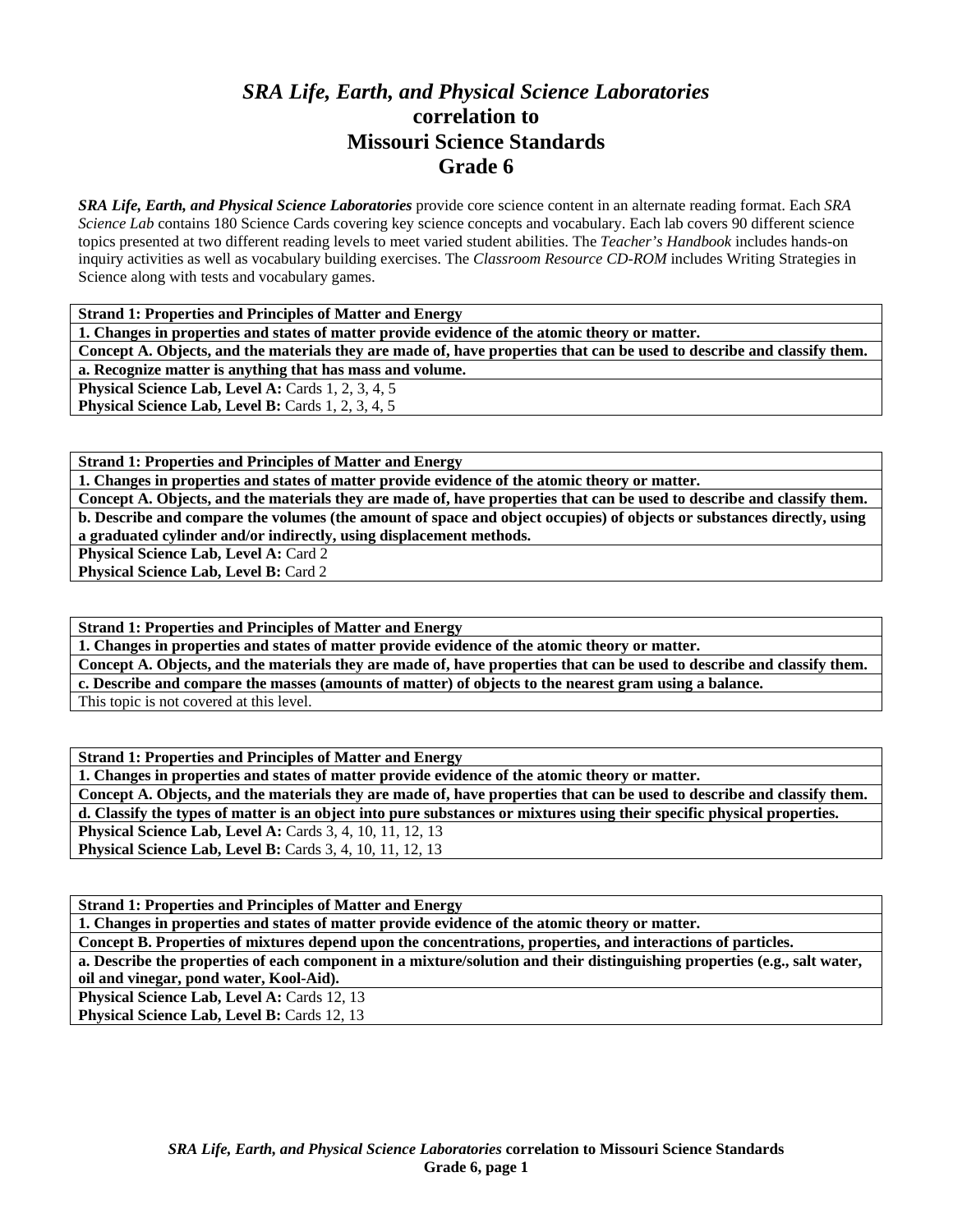## *SRA Life, Earth, and Physical Science Laboratories*  **correlation to Missouri Science Standards Grade 6**

*SRA Life, Earth, and Physical Science Laboratories* provide core science content in an alternate reading format. Each *SRA Science Lab* contains 180 Science Cards covering key science concepts and vocabulary. Each lab covers 90 different science topics presented at two different reading levels to meet varied student abilities. The *Teacher's Handbook* includes hands-on inquiry activities as well as vocabulary building exercises. The *Classroom Resource CD-ROM* includes Writing Strategies in Science along with tests and vocabulary games.

| <b>Strand 1: Properties and Principles of Matter and Energy</b>                                                         |
|-------------------------------------------------------------------------------------------------------------------------|
| 1. Changes in properties and states of matter provide evidence of the atomic theory or matter.                          |
| Concept A. Objects, and the materials they are made of, have properties that can be used to describe and classify them. |
| a. Recognize matter is anything that has mass and volume.                                                               |
| <b>Physical Science Lab, Level A: Cards 1, 2, 3, 4, 5</b>                                                               |
| <b>Physical Science Lab, Level B:</b> Cards 1, 2, 3, 4, 5                                                               |

**Strand 1: Properties and Principles of Matter and Energy** 

**1. Changes in properties and states of matter provide evidence of the atomic theory or matter.** 

**Concept A. Objects, and the materials they are made of, have properties that can be used to describe and classify them. b. Describe and compare the volumes (the amount of space and object occupies) of objects or substances directly, using a graduated cylinder and/or indirectly, using displacement methods.** 

**Physical Science Lab, Level A: Card 2** 

Physical Science Lab, Level B: Card 2

**Strand 1: Properties and Principles of Matter and Energy** 

**1. Changes in properties and states of matter provide evidence of the atomic theory or matter.** 

**Concept A. Objects, and the materials they are made of, have properties that can be used to describe and classify them.** 

**c. Describe and compare the masses (amounts of matter) of objects to the nearest gram using a balance.** 

This topic is not covered at this level.

**Strand 1: Properties and Principles of Matter and Energy** 

**1. Changes in properties and states of matter provide evidence of the atomic theory or matter.** 

**Concept A. Objects, and the materials they are made of, have properties that can be used to describe and classify them. d. Classify the types of matter is an object into pure substances or mixtures using their specific physical properties.** 

**Physical Science Lab, Level A: Cards 3, 4, 10, 11, 12, 13** 

**Physical Science Lab, Level B:** Cards 3, 4, 10, 11, 12, 13

**Strand 1: Properties and Principles of Matter and Energy** 

**1. Changes in properties and states of matter provide evidence of the atomic theory or matter.** 

**Concept B. Properties of mixtures depend upon the concentrations, properties, and interactions of particles.** 

**a. Describe the properties of each component in a mixture/solution and their distinguishing properties (e.g., salt water,** 

**oil and vinegar, pond water, Kool-Aid).** 

Physical Science Lab, Level A: Cards 12, 13 **Physical Science Lab, Level B: Cards 12, 13**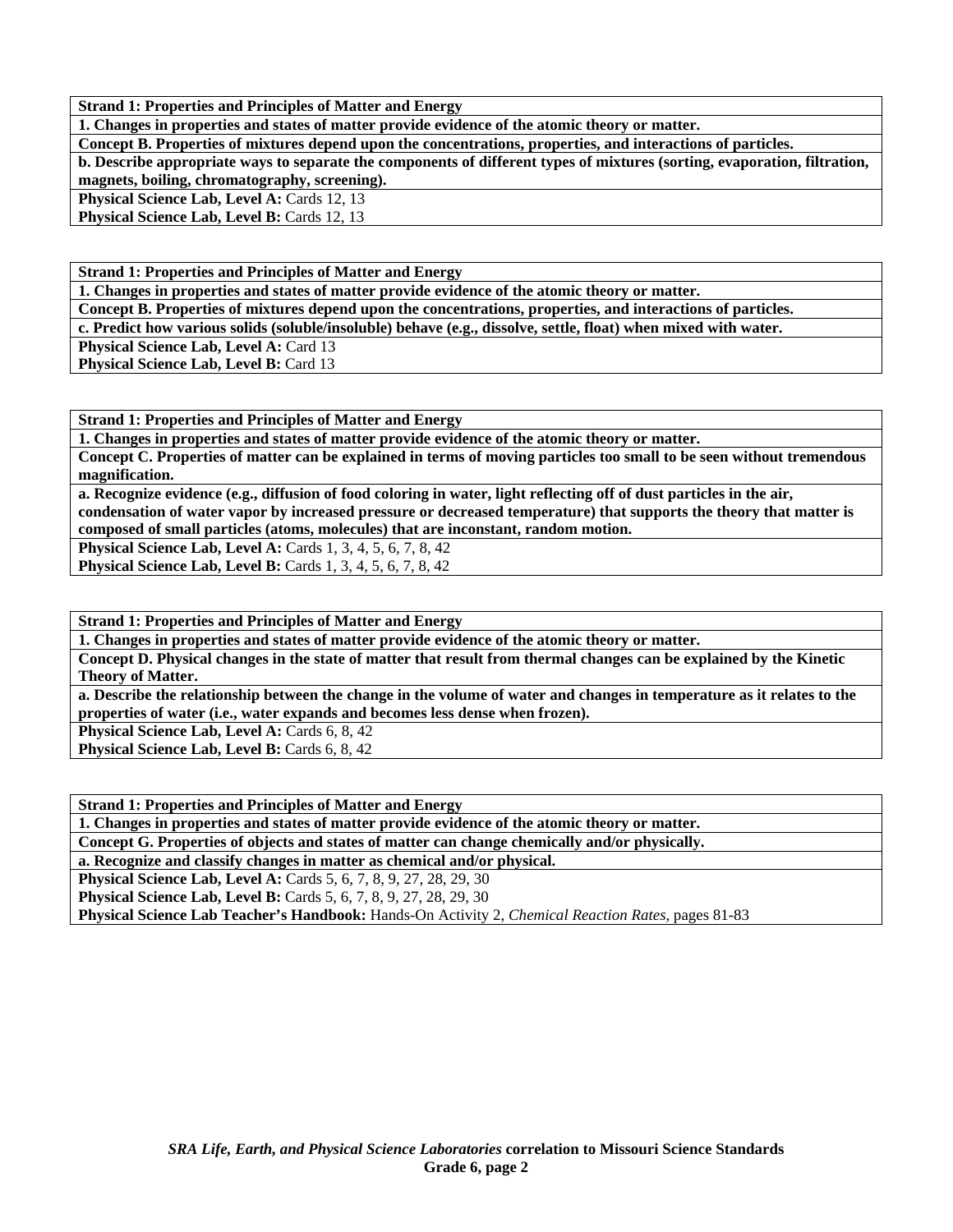**1. Changes in properties and states of matter provide evidence of the atomic theory or matter.** 

**Concept B. Properties of mixtures depend upon the concentrations, properties, and interactions of particles.** 

**b. Describe appropriate ways to separate the components of different types of mixtures (sorting, evaporation, filtration, magnets, boiling, chromatography, screening).** 

Physical Science Lab, Level A: Cards 12, 13

**Physical Science Lab, Level B: Cards 12, 13** 

**Strand 1: Properties and Principles of Matter and Energy** 

**1. Changes in properties and states of matter provide evidence of the atomic theory or matter.** 

**Concept B. Properties of mixtures depend upon the concentrations, properties, and interactions of particles.** 

**c. Predict how various solids (soluble/insoluble) behave (e.g., dissolve, settle, float) when mixed with water.** 

**Physical Science Lab, Level A: Card 13** 

**Physical Science Lab, Level B: Card 13** 

**Strand 1: Properties and Principles of Matter and Energy** 

**1. Changes in properties and states of matter provide evidence of the atomic theory or matter.** 

**Concept C. Properties of matter can be explained in terms of moving particles too small to be seen without tremendous magnification.** 

**a. Recognize evidence (e.g., diffusion of food coloring in water, light reflecting off of dust particles in the air, condensation of water vapor by increased pressure or decreased temperature) that supports the theory that matter is composed of small particles (atoms, molecules) that are inconstant, random motion.** 

**Physical Science Lab, Level A: Cards 1, 3, 4, 5, 6, 7, 8, 42** 

**Physical Science Lab, Level B:** Cards 1, 3, 4, 5, 6, 7, 8, 42

**Strand 1: Properties and Principles of Matter and Energy** 

**1. Changes in properties and states of matter provide evidence of the atomic theory or matter.** 

**Concept D. Physical changes in the state of matter that result from thermal changes can be explained by the Kinetic Theory of Matter.** 

**a. Describe the relationship between the change in the volume of water and changes in temperature as it relates to the properties of water (i.e., water expands and becomes less dense when frozen).** 

**Physical Science Lab, Level A: Cards 6, 8, 42** 

**Physical Science Lab, Level B: Cards 6, 8, 42** 

**Strand 1: Properties and Principles of Matter and Energy** 

**1. Changes in properties and states of matter provide evidence of the atomic theory or matter.** 

**Concept G. Properties of objects and states of matter can change chemically and/or physically.** 

**a. Recognize and classify changes in matter as chemical and/or physical.** 

**Physical Science Lab, Level A: Cards 5, 6, 7, 8, 9, 27, 28, 29, 30** 

**Physical Science Lab, Level B:** Cards 5, 6, 7, 8, 9, 27, 28, 29, 30

**Physical Science Lab Teacher's Handbook:** Hands-On Activity 2, *Chemical Reaction Rates,* pages 81-83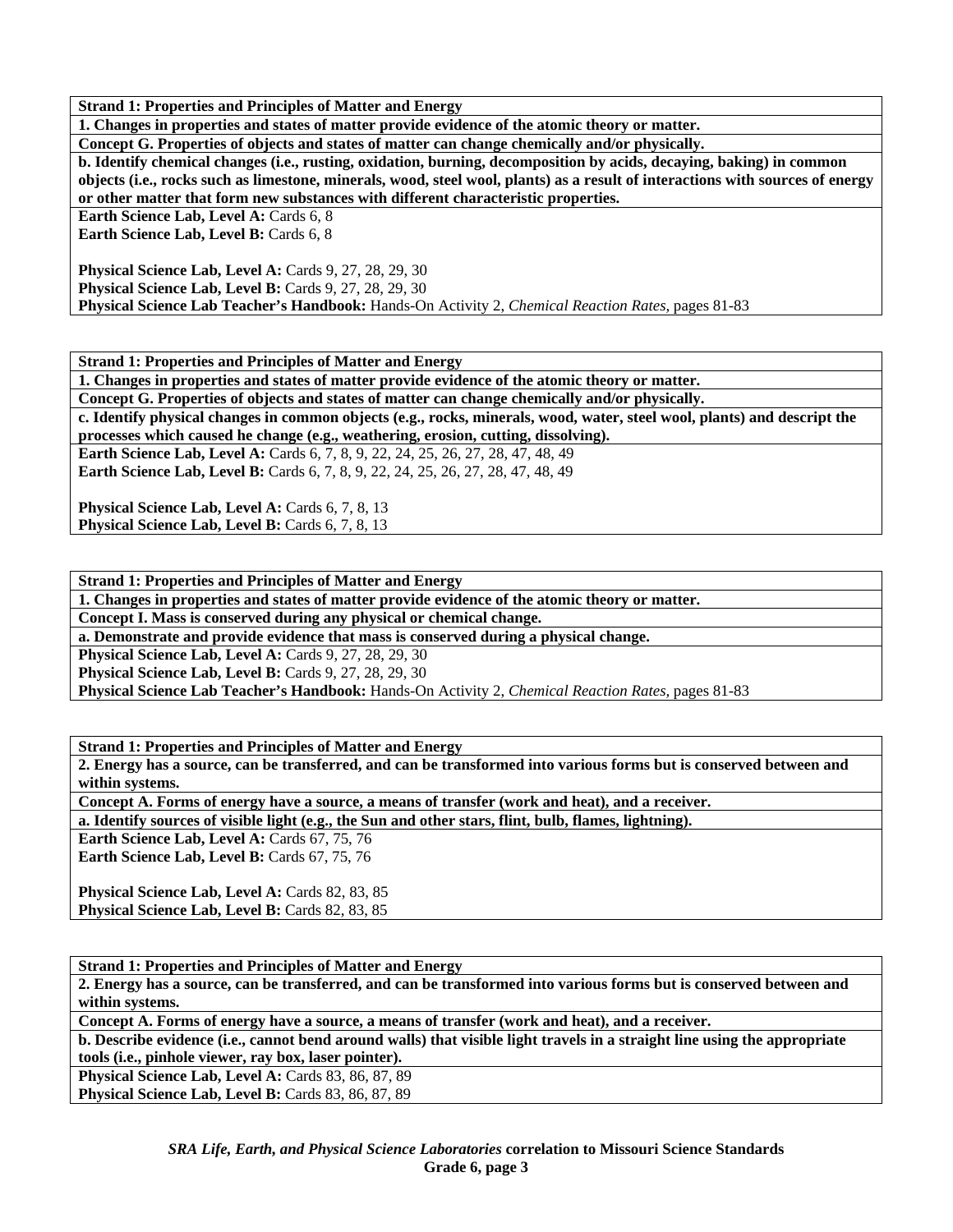**1. Changes in properties and states of matter provide evidence of the atomic theory or matter.** 

**Concept G. Properties of objects and states of matter can change chemically and/or physically.** 

**b. Identify chemical changes (i.e., rusting, oxidation, burning, decomposition by acids, decaying, baking) in common objects (i.e., rocks such as limestone, minerals, wood, steel wool, plants) as a result of interactions with sources of energy or other matter that form new substances with different characteristic properties.** 

**Earth Science Lab, Level A: Cards 6, 8** 

**Earth Science Lab, Level B: Cards 6, 8** 

**Physical Science Lab, Level A: Cards 9, 27, 28, 29, 30 Physical Science Lab, Level B: Cards 9, 27, 28, 29, 30 Physical Science Lab Teacher's Handbook:** Hands-On Activity 2, *Chemical Reaction Rates,* pages 81-83

**Strand 1: Properties and Principles of Matter and Energy** 

**1. Changes in properties and states of matter provide evidence of the atomic theory or matter.** 

**Concept G. Properties of objects and states of matter can change chemically and/or physically.** 

**c. Identify physical changes in common objects (e.g., rocks, minerals, wood, water, steel wool, plants) and descript the processes which caused he change (e.g., weathering, erosion, cutting, dissolving).** 

**Earth Science Lab, Level A:** Cards 6, 7, 8, 9, 22, 24, 25, 26, 27, 28, 47, 48, 49

**Earth Science Lab, Level B:** Cards 6, 7, 8, 9, 22, 24, 25, 26, 27, 28, 47, 48, 49

**Physical Science Lab, Level A: Cards 6, 7, 8, 13 Physical Science Lab, Level B:** Cards 6, 7, 8, 13

**Strand 1: Properties and Principles of Matter and Energy** 

**1. Changes in properties and states of matter provide evidence of the atomic theory or matter.** 

**Concept I. Mass is conserved during any physical or chemical change.** 

**a. Demonstrate and provide evidence that mass is conserved during a physical change.** 

**Physical Science Lab, Level A: Cards 9, 27, 28, 29, 30** 

**Physical Science Lab, Level B: Cards 9, 27, 28, 29, 30** 

**Physical Science Lab Teacher's Handbook:** Hands-On Activity 2, *Chemical Reaction Rates,* pages 81-83

**Strand 1: Properties and Principles of Matter and Energy** 

**2. Energy has a source, can be transferred, and can be transformed into various forms but is conserved between and within systems.** 

**Concept A. Forms of energy have a source, a means of transfer (work and heat), and a receiver.** 

**a. Identify sources of visible light (e.g., the Sun and other stars, flint, bulb, flames, lightning).** 

**Earth Science Lab, Level A: Cards 67, 75, 76** 

Earth Science Lab, Level B: Cards 67, 75, 76

Physical Science Lab, Level A: Cards 82, 83, 85 Physical Science Lab, Level B: Cards 82, 83, 85

**Strand 1: Properties and Principles of Matter and Energy** 

**2. Energy has a source, can be transferred, and can be transformed into various forms but is conserved between and within systems.** 

**Concept A. Forms of energy have a source, a means of transfer (work and heat), and a receiver.** 

**b. Describe evidence (i.e., cannot bend around walls) that visible light travels in a straight line using the appropriate tools (i.e., pinhole viewer, ray box, laser pointer).** 

Physical Science Lab, Level A: Cards 83, 86, 87, 89 Physical Science Lab, Level B: Cards 83, 86, 87, 89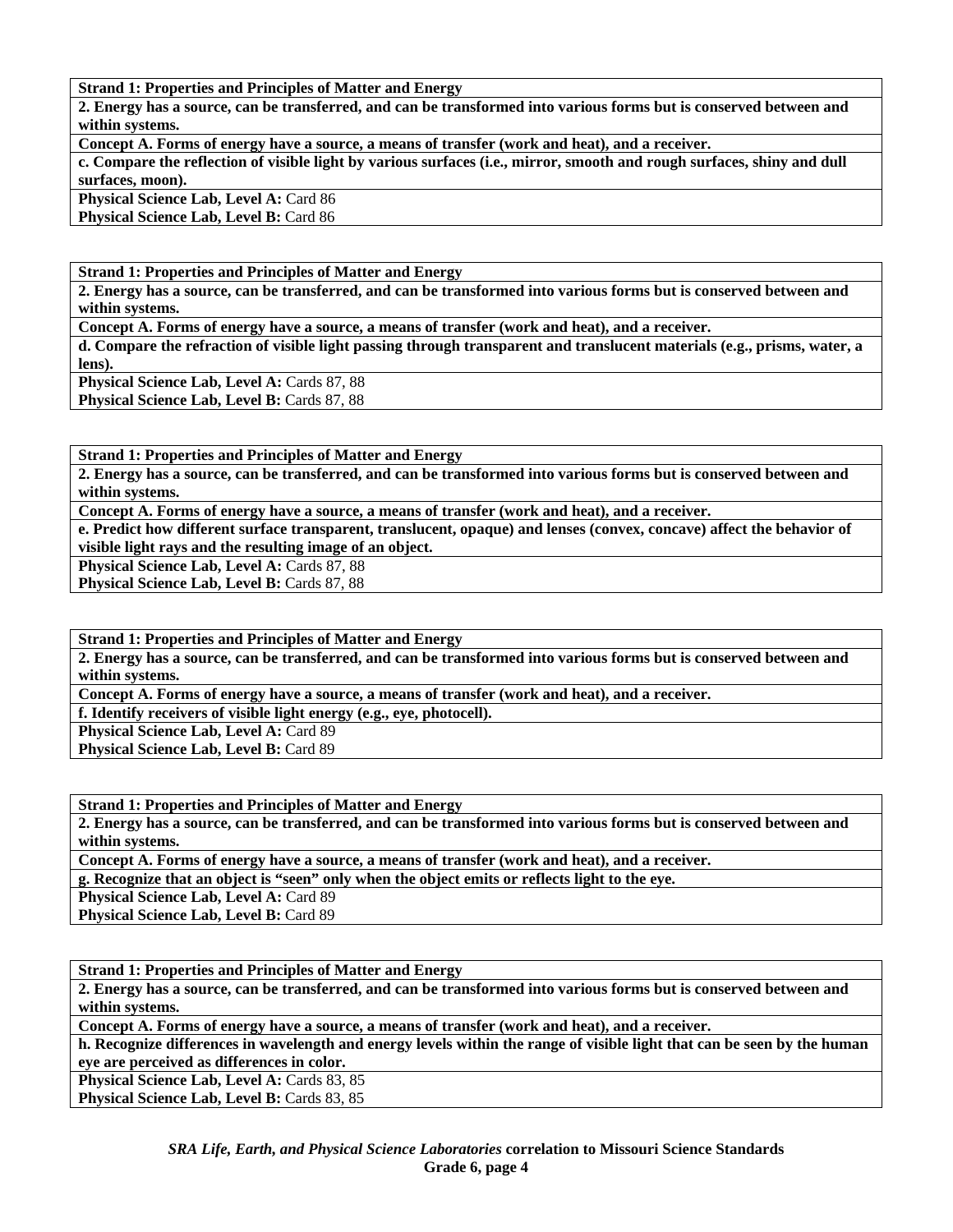**2. Energy has a source, can be transferred, and can be transformed into various forms but is conserved between and within systems.** 

**Concept A. Forms of energy have a source, a means of transfer (work and heat), and a receiver.** 

**c. Compare the reflection of visible light by various surfaces (i.e., mirror, smooth and rough surfaces, shiny and dull surfaces, moon).** 

**Physical Science Lab, Level A: Card 86 Physical Science Lab, Level B: Card 86** 

**Strand 1: Properties and Principles of Matter and Energy** 

**2. Energy has a source, can be transferred, and can be transformed into various forms but is conserved between and within systems.** 

**Concept A. Forms of energy have a source, a means of transfer (work and heat), and a receiver.** 

**d. Compare the refraction of visible light passing through transparent and translucent materials (e.g., prisms, water, a lens).** 

**Physical Science Lab, Level A: Cards 87, 88** Physical Science Lab, Level B: Cards 87, 88

**Strand 1: Properties and Principles of Matter and Energy** 

**2. Energy has a source, can be transferred, and can be transformed into various forms but is conserved between and within systems.** 

**Concept A. Forms of energy have a source, a means of transfer (work and heat), and a receiver.** 

**e. Predict how different surface transparent, translucent, opaque) and lenses (convex, concave) affect the behavior of visible light rays and the resulting image of an object.** 

Physical Science Lab, Level A: Cards 87, 88

Physical Science Lab, Level B: Cards 87, 88

**Strand 1: Properties and Principles of Matter and Energy** 

**2. Energy has a source, can be transferred, and can be transformed into various forms but is conserved between and within systems.** 

**Concept A. Forms of energy have a source, a means of transfer (work and heat), and a receiver.** 

**f. Identify receivers of visible light energy (e.g., eye, photocell).** 

**Physical Science Lab, Level A: Card 89** 

Physical Science Lab, Level B: Card 89

**Strand 1: Properties and Principles of Matter and Energy** 

**2. Energy has a source, can be transferred, and can be transformed into various forms but is conserved between and within systems.** 

**Concept A. Forms of energy have a source, a means of transfer (work and heat), and a receiver.** 

**g. Recognize that an object is "seen" only when the object emits or reflects light to the eye.** 

Physical Science Lab, Level A: Card 89

Physical Science Lab, Level B: Card 89

**Strand 1: Properties and Principles of Matter and Energy** 

**2. Energy has a source, can be transferred, and can be transformed into various forms but is conserved between and within systems.** 

**Concept A. Forms of energy have a source, a means of transfer (work and heat), and a receiver.** 

**h. Recognize differences in wavelength and energy levels within the range of visible light that can be seen by the human eye are perceived as differences in color.** 

**Physical Science Lab, Level A: Cards 83, 85** Physical Science Lab, Level B: Cards 83, 85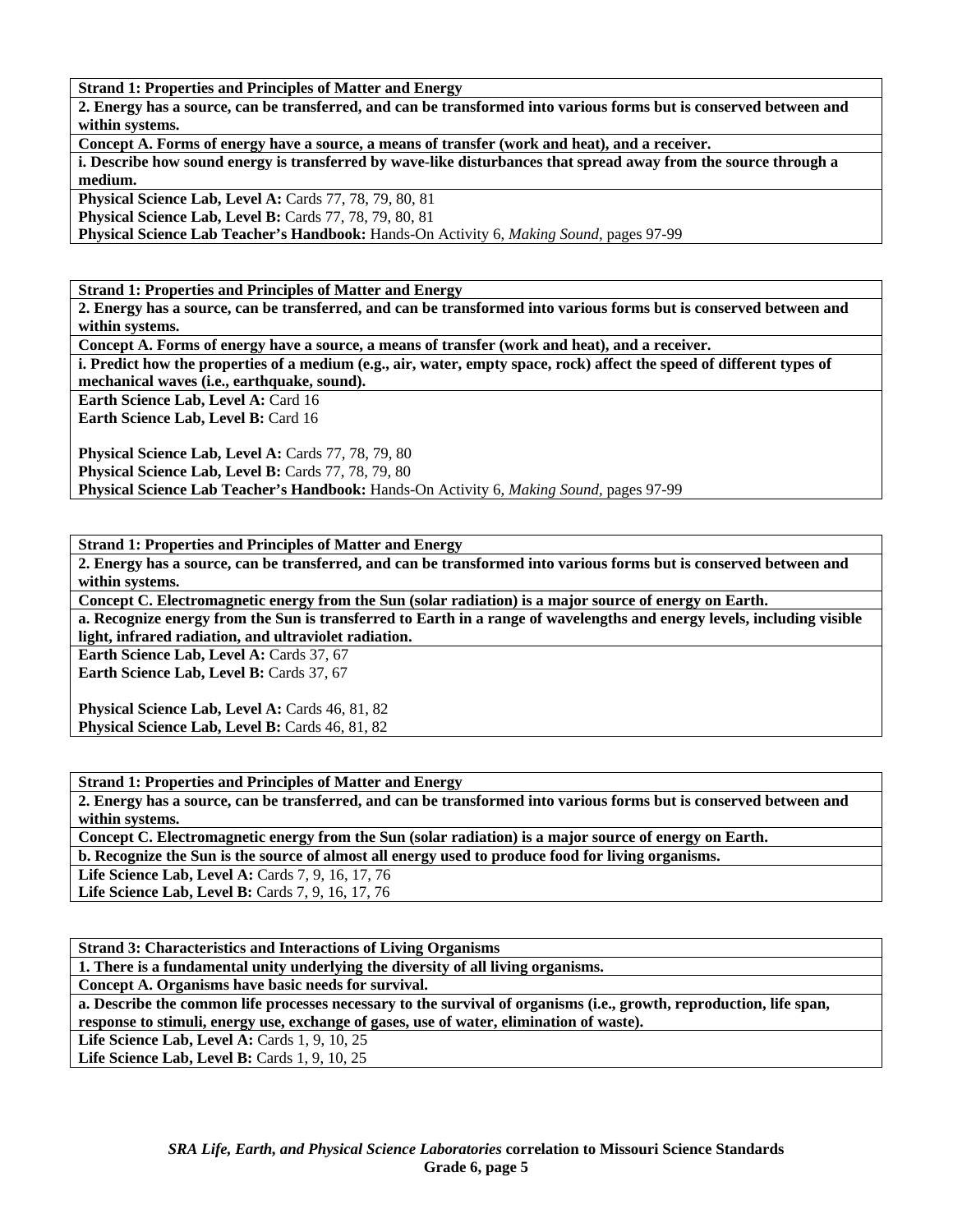**2. Energy has a source, can be transferred, and can be transformed into various forms but is conserved between and within systems.** 

**Concept A. Forms of energy have a source, a means of transfer (work and heat), and a receiver.** 

**i. Describe how sound energy is transferred by wave-like disturbances that spread away from the source through a medium.** 

**Physical Science Lab, Level A: Cards 77, 78, 79, 80, 81** 

**Physical Science Lab, Level B:** Cards 77, 78, 79, 80, 81

**Physical Science Lab Teacher's Handbook:** Hands-On Activity 6, *Making Sound,* pages 97-99

**Strand 1: Properties and Principles of Matter and Energy** 

**2. Energy has a source, can be transferred, and can be transformed into various forms but is conserved between and within systems.** 

**Concept A. Forms of energy have a source, a means of transfer (work and heat), and a receiver.** 

**i. Predict how the properties of a medium (e.g., air, water, empty space, rock) affect the speed of different types of mechanical waves (i.e., earthquake, sound).** 

**Earth Science Lab, Level A: Card 16** 

Earth Science Lab, Level B: Card 16

Physical Science Lab, Level A: Cards 77, 78, 79, 80 Physical Science Lab, Level B: Cards 77, 78, 79, 80

**Physical Science Lab Teacher's Handbook:** Hands-On Activity 6, *Making Sound,* pages 97-99

**Strand 1: Properties and Principles of Matter and Energy** 

**2. Energy has a source, can be transferred, and can be transformed into various forms but is conserved between and within systems.** 

**Concept C. Electromagnetic energy from the Sun (solar radiation) is a major source of energy on Earth. a. Recognize energy from the Sun is transferred to Earth in a range of wavelengths and energy levels, including visible light, infrared radiation, and ultraviolet radiation.** 

**Earth Science Lab, Level A: Cards 37, 67 Earth Science Lab, Level B: Cards 37, 67** 

Physical Science Lab, Level A: Cards 46, 81, 82 **Physical Science Lab, Level B: Cards 46, 81, 82** 

**Strand 1: Properties and Principles of Matter and Energy** 

**2. Energy has a source, can be transferred, and can be transformed into various forms but is conserved between and within systems.** 

**Concept C. Electromagnetic energy from the Sun (solar radiation) is a major source of energy on Earth.** 

**b. Recognize the Sun is the source of almost all energy used to produce food for living organisms.** 

Life Science Lab, Level A: Cards 7, 9, 16, 17, 76

**Life Science Lab, Level B: Cards 7, 9, 16, 17, 76** 

**Strand 3: Characteristics and Interactions of Living Organisms** 

**1. There is a fundamental unity underlying the diversity of all living organisms.** 

**Concept A. Organisms have basic needs for survival.** 

**a. Describe the common life processes necessary to the survival of organisms (i.e., growth, reproduction, life span, response to stimuli, energy use, exchange of gases, use of water, elimination of waste).** 

Life Science Lab, Level A: Cards 1, 9, 10, 25

Life Science Lab, Level B: Cards 1, 9, 10, 25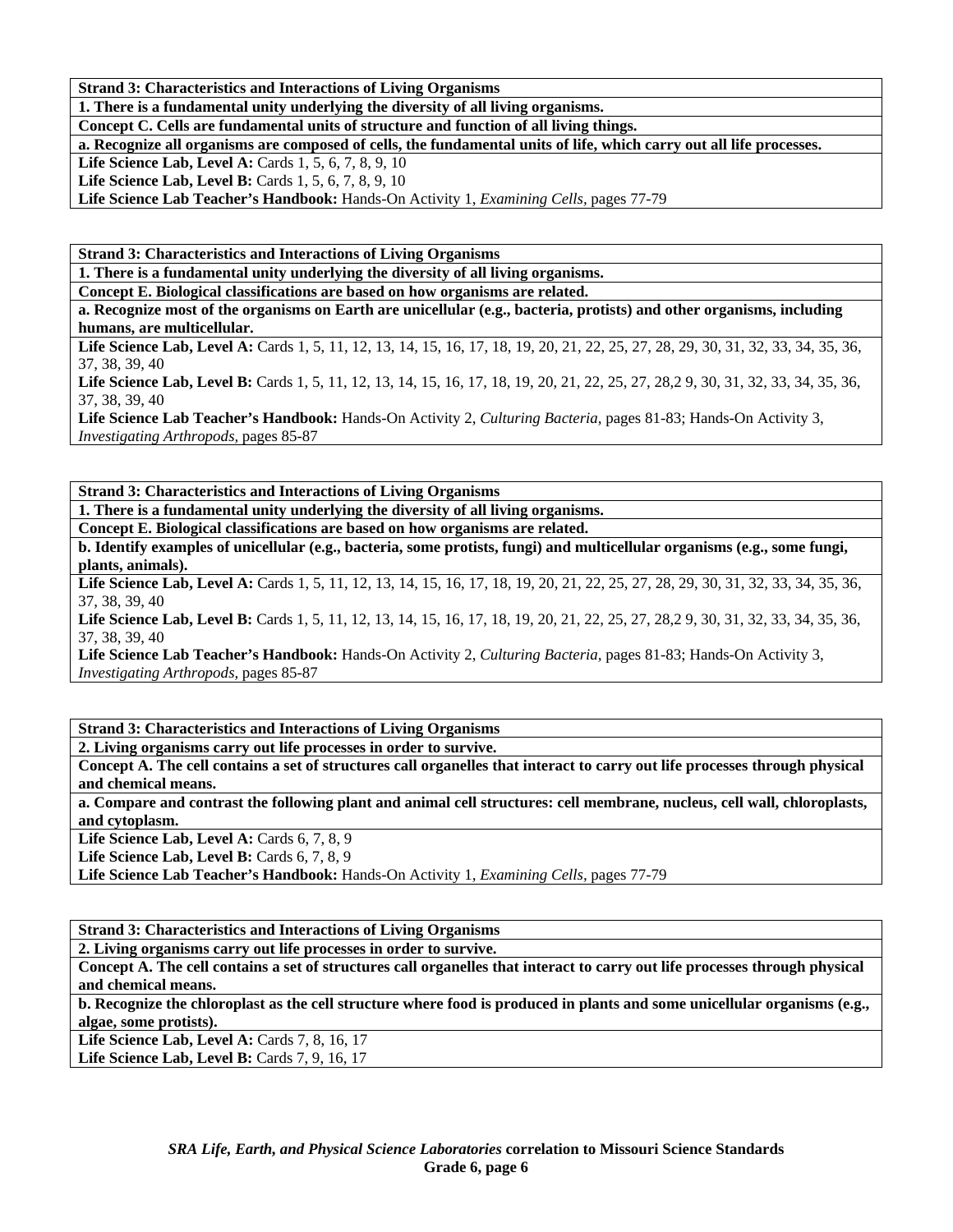**Strand 3: Characteristics and Interactions of Living Organisms** 

**1. There is a fundamental unity underlying the diversity of all living organisms.** 

**Concept C. Cells are fundamental units of structure and function of all living things.** 

**a. Recognize all organisms are composed of cells, the fundamental units of life, which carry out all life processes.** 

**Life Science Lab, Level A: Cards 1, 5, 6, 7, 8, 9, 10** 

**Life Science Lab, Level B: Cards 1, 5, 6, 7, 8, 9, 10** 

**Life Science Lab Teacher's Handbook:** Hands-On Activity 1, *Examining Cells,* pages 77-79

**Strand 3: Characteristics and Interactions of Living Organisms** 

**1. There is a fundamental unity underlying the diversity of all living organisms.** 

**Concept E. Biological classifications are based on how organisms are related.** 

**a. Recognize most of the organisms on Earth are unicellular (e.g., bacteria, protists) and other organisms, including humans, are multicellular.** 

Life Science Lab, Level A: Cards 1, 5, 11, 12, 13, 14, 15, 16, 17, 18, 19, 20, 21, 22, 25, 27, 28, 29, 30, 31, 32, 33, 34, 35, 36, 37, 38, 39, 40

Life Science Lab, Level B: Cards 1, 5, 11, 12, 13, 14, 15, 16, 17, 18, 19, 20, 21, 22, 25, 27, 28, 29, 30, 31, 32, 33, 34, 35, 36, 37, 38, 39, 40

**Life Science Lab Teacher's Handbook:** Hands-On Activity 2, *Culturing Bacteria,* pages 81-83; Hands-On Activity 3, *Investigating Arthropods,* pages 85-87

**Strand 3: Characteristics and Interactions of Living Organisms** 

**1. There is a fundamental unity underlying the diversity of all living organisms.** 

**Concept E. Biological classifications are based on how organisms are related.** 

**b. Identify examples of unicellular (e.g., bacteria, some protists, fungi) and multicellular organisms (e.g., some fungi, plants, animals).** 

Life Science Lab, Level A: Cards 1, 5, 11, 12, 13, 14, 15, 16, 17, 18, 19, 20, 21, 22, 25, 27, 28, 29, 30, 31, 32, 33, 34, 35, 36, 37, 38, 39, 40

Life Science Lab, Level B: Cards 1, 5, 11, 12, 13, 14, 15, 16, 17, 18, 19, 20, 21, 22, 25, 27, 28, 29, 30, 31, 32, 33, 34, 35, 36, 37, 38, 39, 40

**Life Science Lab Teacher's Handbook:** Hands-On Activity 2, *Culturing Bacteria,* pages 81-83; Hands-On Activity 3, *Investigating Arthropods,* pages 85-87

**Strand 3: Characteristics and Interactions of Living Organisms** 

**2. Living organisms carry out life processes in order to survive.** 

**Concept A. The cell contains a set of structures call organelles that interact to carry out life processes through physical and chemical means.** 

**a. Compare and contrast the following plant and animal cell structures: cell membrane, nucleus, cell wall, chloroplasts, and cytoplasm.** 

Life Science Lab, Level A: Cards 6, 7, 8, 9

Life Science Lab, Level B: Cards 6, 7, 8, 9

**Life Science Lab Teacher's Handbook:** Hands-On Activity 1, *Examining Cells,* pages 77-79

**Strand 3: Characteristics and Interactions of Living Organisms** 

**2. Living organisms carry out life processes in order to survive.** 

**Concept A. The cell contains a set of structures call organelles that interact to carry out life processes through physical and chemical means.** 

**b. Recognize the chloroplast as the cell structure where food is produced in plants and some unicellular organisms (e.g., algae, some protists).** 

**Life Science Lab, Level A: Cards 7, 8, 16, 17 Life Science Lab, Level B:** Cards 7, 9, 16, 17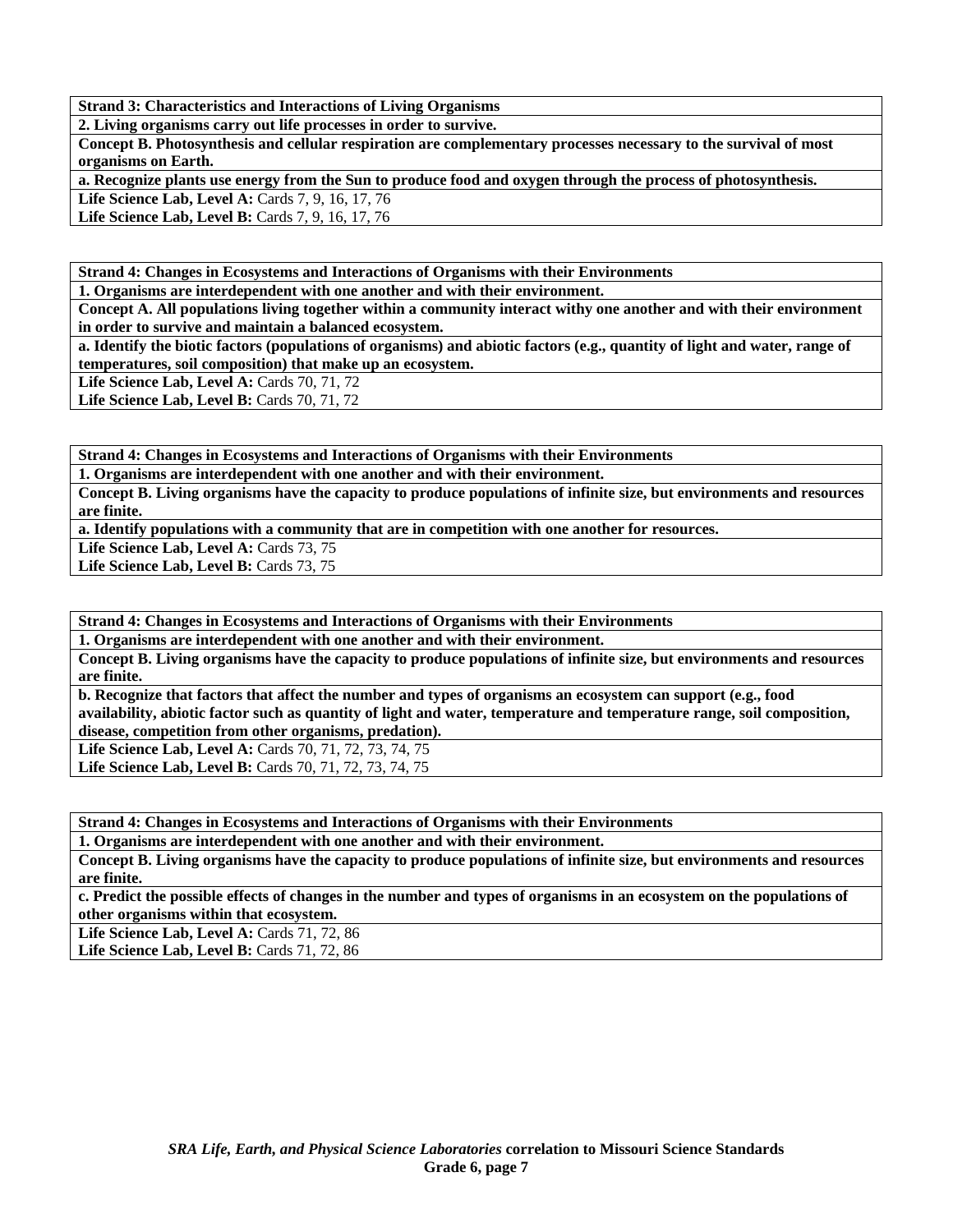**Strand 3: Characteristics and Interactions of Living Organisms** 

**2. Living organisms carry out life processes in order to survive.** 

**Concept B. Photosynthesis and cellular respiration are complementary processes necessary to the survival of most organisms on Earth.** 

**a. Recognize plants use energy from the Sun to produce food and oxygen through the process of photosynthesis.** 

Life Science Lab, Level A: Cards 7, 9, 16, 17, 76 Life Science Lab, Level B: Cards 7, 9, 16, 17, 76

**Strand 4: Changes in Ecosystems and Interactions of Organisms with their Environments** 

**1. Organisms are interdependent with one another and with their environment.** 

**Concept A. All populations living together within a community interact withy one another and with their environment in order to survive and maintain a balanced ecosystem.** 

**a. Identify the biotic factors (populations of organisms) and abiotic factors (e.g., quantity of light and water, range of temperatures, soil composition) that make up an ecosystem.** 

**Life Science Lab, Level A: Cards 70, 71, 72** 

**Life Science Lab, Level B: Cards 70, 71, 72** 

**Strand 4: Changes in Ecosystems and Interactions of Organisms with their Environments** 

**1. Organisms are interdependent with one another and with their environment.** 

**Concept B. Living organisms have the capacity to produce populations of infinite size, but environments and resources are finite.** 

**a. Identify populations with a community that are in competition with one another for resources.** 

Life Science Lab, Level A: Cards 73, 75

Life Science Lab, Level B: Cards 73, 75

**Strand 4: Changes in Ecosystems and Interactions of Organisms with their Environments** 

**1. Organisms are interdependent with one another and with their environment.** 

**Concept B. Living organisms have the capacity to produce populations of infinite size, but environments and resources are finite.** 

**b. Recognize that factors that affect the number and types of organisms an ecosystem can support (e.g., food availability, abiotic factor such as quantity of light and water, temperature and temperature range, soil composition, disease, competition from other organisms, predation).** 

Life Science Lab, Level A: Cards 70, 71, 72, 73, 74, 75 Life Science Lab, Level B: Cards 70, 71, 72, 73, 74, 75

**Strand 4: Changes in Ecosystems and Interactions of Organisms with their Environments** 

**1. Organisms are interdependent with one another and with their environment.** 

**Concept B. Living organisms have the capacity to produce populations of infinite size, but environments and resources are finite.** 

**c. Predict the possible effects of changes in the number and types of organisms in an ecosystem on the populations of other organisms within that ecosystem.** 

**Life Science Lab, Level A: Cards 71, 72, 86** 

**Life Science Lab, Level B:** Cards 71, 72, 86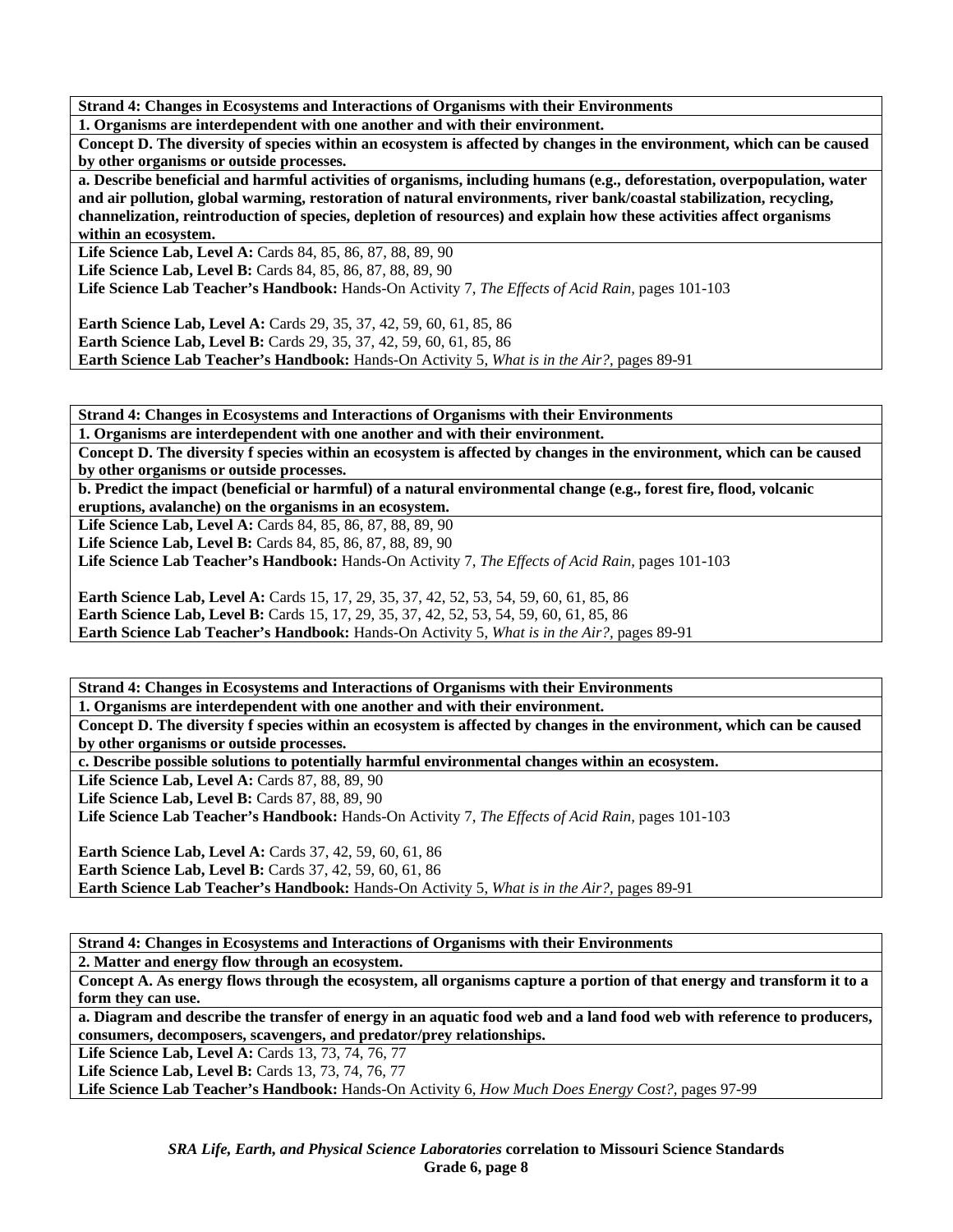**Strand 4: Changes in Ecosystems and Interactions of Organisms with their Environments** 

**1. Organisms are interdependent with one another and with their environment.** 

**Concept D. The diversity of species within an ecosystem is affected by changes in the environment, which can be caused by other organisms or outside processes.** 

**a. Describe beneficial and harmful activities of organisms, including humans (e.g., deforestation, overpopulation, water and air pollution, global warming, restoration of natural environments, river bank/coastal stabilization, recycling, channelization, reintroduction of species, depletion of resources) and explain how these activities affect organisms within an ecosystem.** 

**Life Science Lab, Level A:** Cards 84, 85, 86, 87, 88, 89, 90 **Life Science Lab, Level B:** Cards 84, 85, 86, 87, 88, 89, 90 **Life Science Lab Teacher's Handbook:** Hands-On Activity 7, *The Effects of Acid Rain,* pages 101-103

**Earth Science Lab, Level A:** Cards 29, 35, 37, 42, 59, 60, 61, 85, 86 **Earth Science Lab, Level B:** Cards 29, 35, 37, 42, 59, 60, 61, 85, 86 **Earth Science Lab Teacher's Handbook:** Hands-On Activity 5, *What is in the Air?,* pages 89-91

**Strand 4: Changes in Ecosystems and Interactions of Organisms with their Environments** 

**1. Organisms are interdependent with one another and with their environment.** 

**Concept D. The diversity f species within an ecosystem is affected by changes in the environment, which can be caused by other organisms or outside processes.** 

**b. Predict the impact (beneficial or harmful) of a natural environmental change (e.g., forest fire, flood, volcanic eruptions, avalanche) on the organisms in an ecosystem.** 

**Life Science Lab, Level A:** Cards 84, 85, 86, 87, 88, 89, 90

**Life Science Lab, Level B:** Cards 84, 85, 86, 87, 88, 89, 90

**Life Science Lab Teacher's Handbook:** Hands-On Activity 7, *The Effects of Acid Rain,* pages 101-103

**Earth Science Lab, Level A:** Cards 15, 17, 29, 35, 37, 42, 52, 53, 54, 59, 60, 61, 85, 86 Earth Science Lab, Level B: Cards 15, 17, 29, 35, 37, 42, 52, 53, 54, 59, 60, 61, 85, 86 **Earth Science Lab Teacher's Handbook:** Hands-On Activity 5, *What is in the Air?,* pages 89-91

**Strand 4: Changes in Ecosystems and Interactions of Organisms with their Environments** 

**1. Organisms are interdependent with one another and with their environment.** 

**Concept D. The diversity f species within an ecosystem is affected by changes in the environment, which can be caused by other organisms or outside processes.** 

**c. Describe possible solutions to potentially harmful environmental changes within an ecosystem.** 

**Life Science Lab, Level A: Cards 87, 88, 89, 90** 

Life Science Lab, Level B: Cards 87, 88, 89, 90

**Life Science Lab Teacher's Handbook:** Hands-On Activity 7, *The Effects of Acid Rain,* pages 101-103

**Earth Science Lab, Level A: Cards 37, 42, 59, 60, 61, 86 Earth Science Lab, Level B:** Cards 37, 42, 59, 60, 61, 86 **Earth Science Lab Teacher's Handbook:** Hands-On Activity 5, *What is in the Air?,* pages 89-91

**Strand 4: Changes in Ecosystems and Interactions of Organisms with their Environments 2. Matter and energy flow through an ecosystem.** 

**Concept A. As energy flows through the ecosystem, all organisms capture a portion of that energy and transform it to a form they can use.** 

**a. Diagram and describe the transfer of energy in an aquatic food web and a land food web with reference to producers, consumers, decomposers, scavengers, and predator/prey relationships.** 

Life Science Lab, Level A: Cards 13, 73, 74, 76, 77

Life Science Lab, Level B: Cards 13, 73, 74, 76, 77

**Life Science Lab Teacher's Handbook:** Hands-On Activity 6, *How Much Does Energy Cost?,* pages 97-99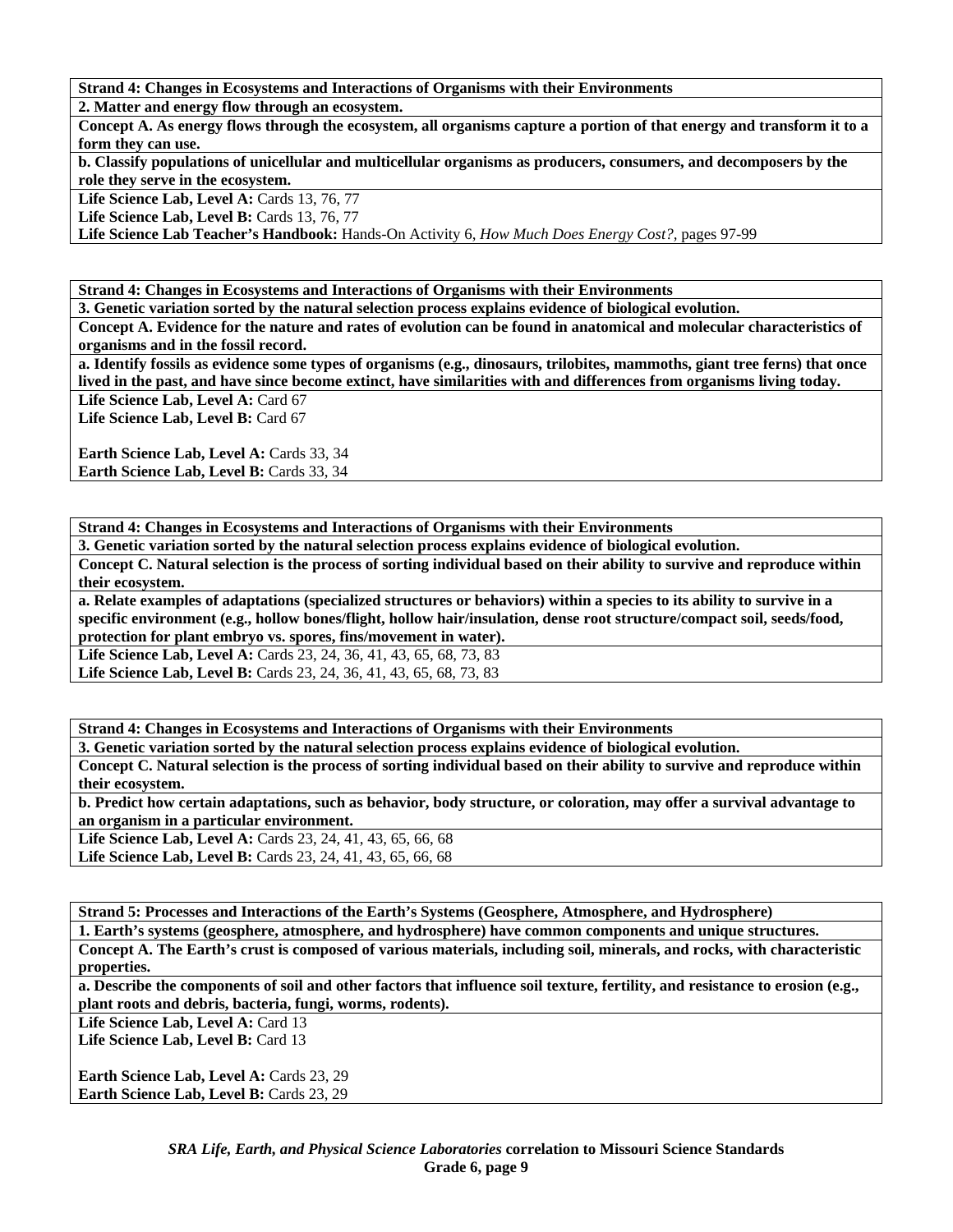**Strand 4: Changes in Ecosystems and Interactions of Organisms with their Environments** 

**2. Matter and energy flow through an ecosystem.** 

**Concept A. As energy flows through the ecosystem, all organisms capture a portion of that energy and transform it to a form they can use.** 

**b. Classify populations of unicellular and multicellular organisms as producers, consumers, and decomposers by the role they serve in the ecosystem.** 

**Life Science Lab, Level A: Cards 13, 76, 77** 

**Life Science Lab, Level B: Cards 13, 76, 77** 

**Life Science Lab Teacher's Handbook:** Hands-On Activity 6, *How Much Does Energy Cost?,* pages 97-99

**Strand 4: Changes in Ecosystems and Interactions of Organisms with their Environments** 

**3. Genetic variation sorted by the natural selection process explains evidence of biological evolution.** 

**Concept A. Evidence for the nature and rates of evolution can be found in anatomical and molecular characteristics of organisms and in the fossil record.** 

**a. Identify fossils as evidence some types of organisms (e.g., dinosaurs, trilobites, mammoths, giant tree ferns) that once lived in the past, and have since become extinct, have similarities with and differences from organisms living today.**  Life Science Lab, Level A: Card 67

Life Science Lab, Level B: Card 67

Earth Science Lab, Level A: Cards 33, 34 Earth Science Lab, Level B: Cards 33, 34

**Strand 4: Changes in Ecosystems and Interactions of Organisms with their Environments** 

**3. Genetic variation sorted by the natural selection process explains evidence of biological evolution.** 

**Concept C. Natural selection is the process of sorting individual based on their ability to survive and reproduce within their ecosystem.** 

**a. Relate examples of adaptations (specialized structures or behaviors) within a species to its ability to survive in a specific environment (e.g., hollow bones/flight, hollow hair/insulation, dense root structure/compact soil, seeds/food, protection for plant embryo vs. spores, fins/movement in water).** 

Life Science Lab, Level A: Cards 23, 24, 36, 41, 43, 65, 68, 73, 83 Life Science Lab, Level B: Cards 23, 24, 36, 41, 43, 65, 68, 73, 83

**Strand 4: Changes in Ecosystems and Interactions of Organisms with their Environments** 

**3. Genetic variation sorted by the natural selection process explains evidence of biological evolution.** 

**Concept C. Natural selection is the process of sorting individual based on their ability to survive and reproduce within their ecosystem.** 

**b. Predict how certain adaptations, such as behavior, body structure, or coloration, may offer a survival advantage to an organism in a particular environment.** 

**Life Science Lab, Level A:** Cards 23, 24, 41, 43, 65, 66, 68

**Life Science Lab, Level B:** Cards 23, 24, 41, 43, 65, 66, 68

**Strand 5: Processes and Interactions of the Earth's Systems (Geosphere, Atmosphere, and Hydrosphere)** 

**1. Earth's systems (geosphere, atmosphere, and hydrosphere) have common components and unique structures.** 

**Concept A. The Earth's crust is composed of various materials, including soil, minerals, and rocks, with characteristic properties.** 

**a. Describe the components of soil and other factors that influence soil texture, fertility, and resistance to erosion (e.g., plant roots and debris, bacteria, fungi, worms, rodents).** 

Life Science Lab, Level A: Card 13

Life Science Lab, Level B: Card 13

Earth Science Lab, Level A: Cards 23, 29 Earth Science Lab, Level B: Cards 23, 29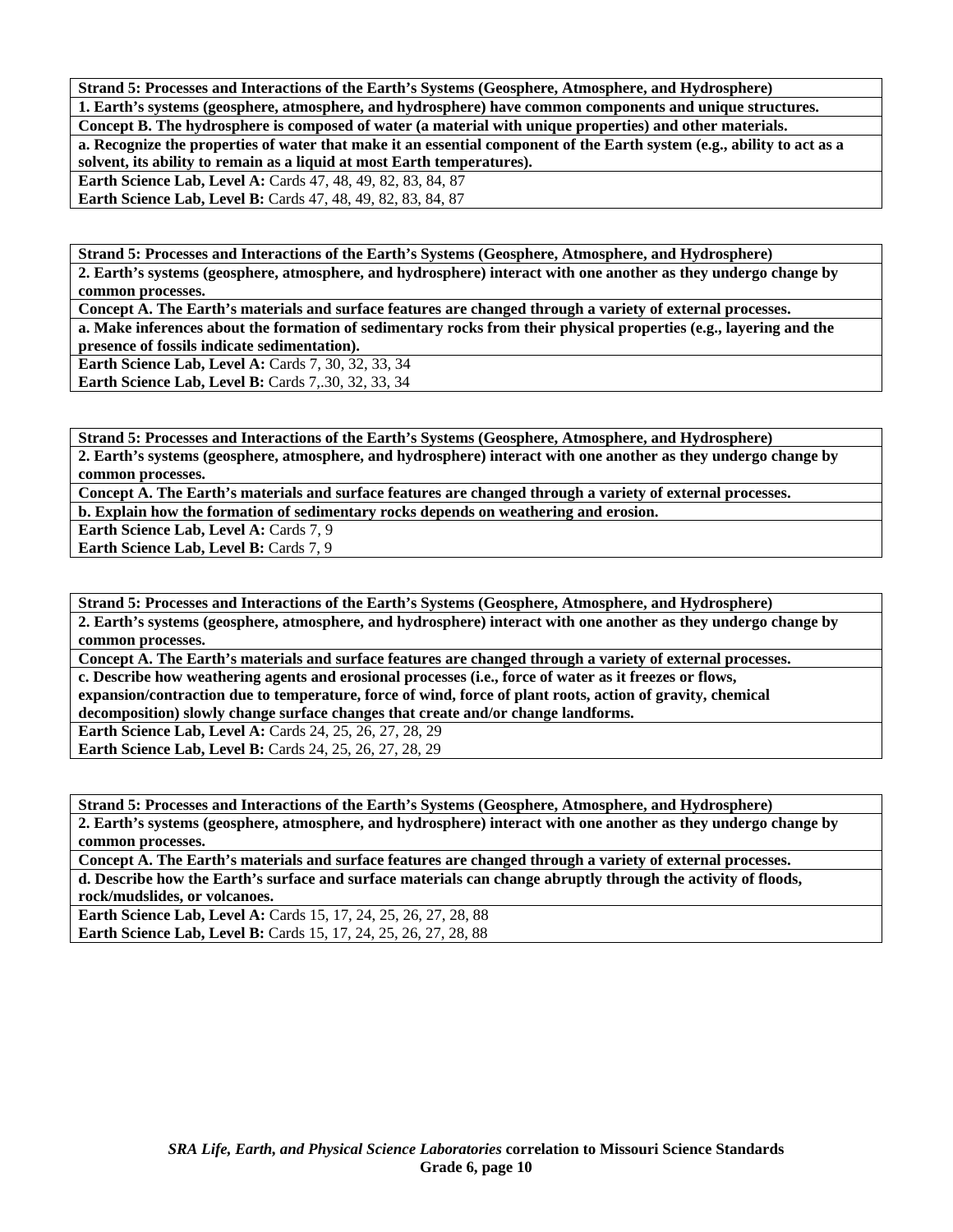**Strand 5: Processes and Interactions of the Earth's Systems (Geosphere, Atmosphere, and Hydrosphere)** 

**1. Earth's systems (geosphere, atmosphere, and hydrosphere) have common components and unique structures. Concept B. The hydrosphere is composed of water (a material with unique properties) and other materials.** 

**a. Recognize the properties of water that make it an essential component of the Earth system (e.g., ability to act as a solvent, its ability to remain as a liquid at most Earth temperatures).** 

**Earth Science Lab, Level A:** Cards 47, 48, 49, 82, 83, 84, 87 **Earth Science Lab, Level B:** Cards 47, 48, 49, 82, 83, 84, 87

**Strand 5: Processes and Interactions of the Earth's Systems (Geosphere, Atmosphere, and Hydrosphere) 2. Earth's systems (geosphere, atmosphere, and hydrosphere) interact with one another as they undergo change by common processes.** 

**Concept A. The Earth's materials and surface features are changed through a variety of external processes. a. Make inferences about the formation of sedimentary rocks from their physical properties (e.g., layering and the presence of fossils indicate sedimentation).** 

**Earth Science Lab, Level A: Cards 7, 30, 32, 33, 34 Earth Science Lab, Level B: Cards 7, 30, 32, 33, 34** 

**Strand 5: Processes and Interactions of the Earth's Systems (Geosphere, Atmosphere, and Hydrosphere) 2. Earth's systems (geosphere, atmosphere, and hydrosphere) interact with one another as they undergo change by common processes.** 

**Concept A. The Earth's materials and surface features are changed through a variety of external processes.** 

**b. Explain how the formation of sedimentary rocks depends on weathering and erosion.** 

**Earth Science Lab, Level A: Cards 7, 9** 

Earth Science Lab, Level B: Cards 7, 9

**Strand 5: Processes and Interactions of the Earth's Systems (Geosphere, Atmosphere, and Hydrosphere) 2. Earth's systems (geosphere, atmosphere, and hydrosphere) interact with one another as they undergo change by common processes.** 

**Concept A. The Earth's materials and surface features are changed through a variety of external processes.** 

**c. Describe how weathering agents and erosional processes (i.e., force of water as it freezes or flows, expansion/contraction due to temperature, force of wind, force of plant roots, action of gravity, chemical decomposition) slowly change surface changes that create and/or change landforms.** 

**Earth Science Lab, Level A: Cards 24, 25, 26, 27, 28, 29** 

**Earth Science Lab, Level B:** Cards 24, 25, 26, 27, 28, 29

**Strand 5: Processes and Interactions of the Earth's Systems (Geosphere, Atmosphere, and Hydrosphere)** 

**2. Earth's systems (geosphere, atmosphere, and hydrosphere) interact with one another as they undergo change by common processes.** 

**Concept A. The Earth's materials and surface features are changed through a variety of external processes. d. Describe how the Earth's surface and surface materials can change abruptly through the activity of floods, rock/mudslides, or volcanoes.** 

**Earth Science Lab, Level A:** Cards 15, 17, 24, 25, 26, 27, 28, 88 **Earth Science Lab, Level B:** Cards 15, 17, 24, 25, 26, 27, 28, 88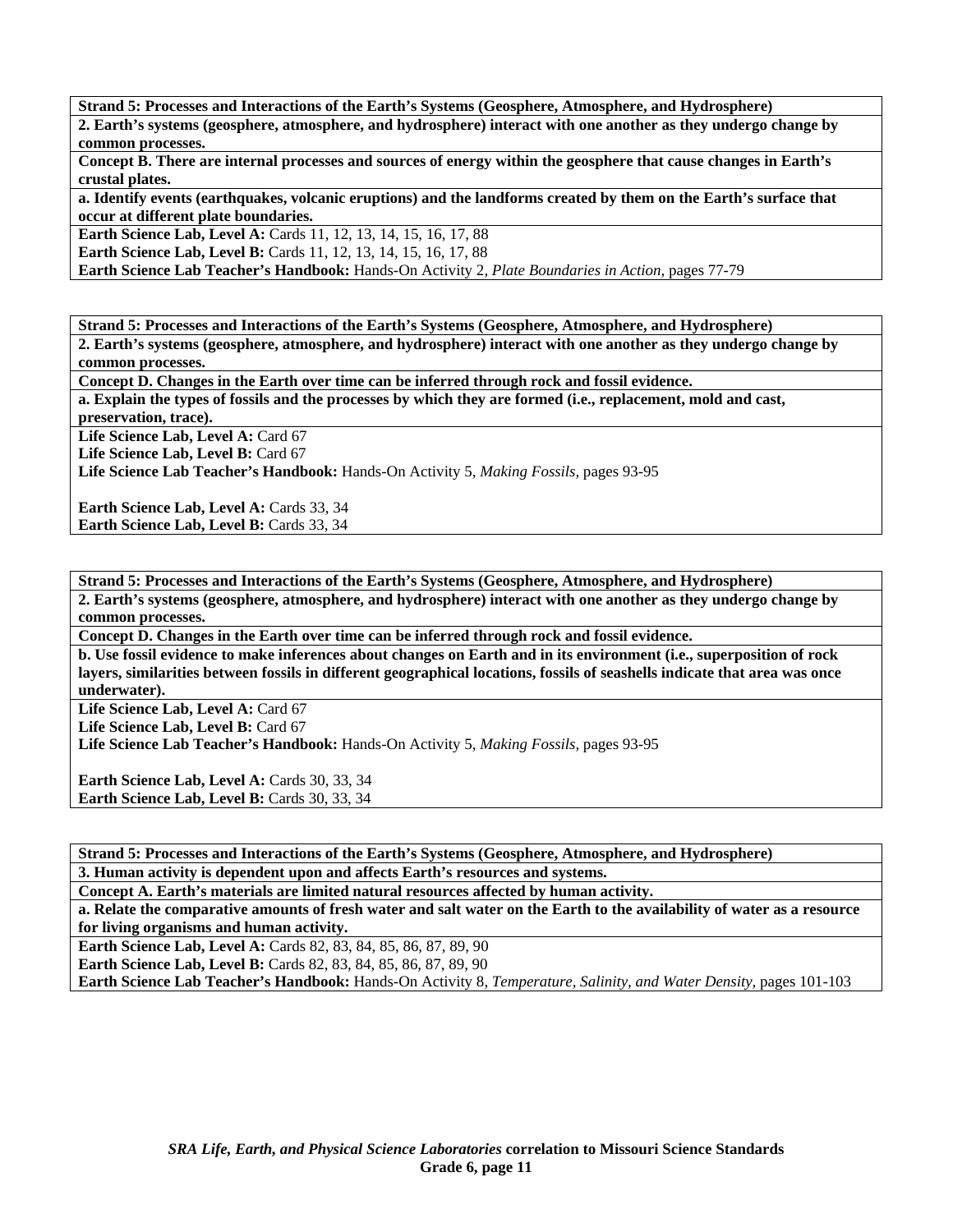**Strand 5: Processes and Interactions of the Earth's Systems (Geosphere, Atmosphere, and Hydrosphere)** 

**2. Earth's systems (geosphere, atmosphere, and hydrosphere) interact with one another as they undergo change by common processes.** 

**Concept B. There are internal processes and sources of energy within the geosphere that cause changes in Earth's crustal plates.** 

**a. Identify events (earthquakes, volcanic eruptions) and the landforms created by them on the Earth's surface that occur at different plate boundaries.** 

**Earth Science Lab, Level A:** Cards 11, 12, 13, 14, 15, 16, 17, 88

**Earth Science Lab, Level B:** Cards 11, 12, 13, 14, 15, 16, 17, 88

**Earth Science Lab Teacher's Handbook:** Hands-On Activity 2, *Plate Boundaries in Action,* pages 77-79

**Strand 5: Processes and Interactions of the Earth's Systems (Geosphere, Atmosphere, and Hydrosphere)** 

**2. Earth's systems (geosphere, atmosphere, and hydrosphere) interact with one another as they undergo change by common processes.** 

**Concept D. Changes in the Earth over time can be inferred through rock and fossil evidence.** 

**a. Explain the types of fossils and the processes by which they are formed (i.e., replacement, mold and cast,** 

**preservation, trace).** 

Life Science Lab, Level A: Card 67

Life Science Lab, Level B: Card 67

**Life Science Lab Teacher's Handbook:** Hands-On Activity 5, *Making Fossils,* pages 93-95

Earth Science Lab, Level A: Cards 33, 34 **Earth Science Lab, Level B: Cards 33, 34** 

**Strand 5: Processes and Interactions of the Earth's Systems (Geosphere, Atmosphere, and Hydrosphere) 2. Earth's systems (geosphere, atmosphere, and hydrosphere) interact with one another as they undergo change by common processes.** 

**Concept D. Changes in the Earth over time can be inferred through rock and fossil evidence.** 

**b. Use fossil evidence to make inferences about changes on Earth and in its environment (i.e., superposition of rock layers, similarities between fossils in different geographical locations, fossils of seashells indicate that area was once underwater).** 

Life Science Lab, Level A: Card 67 Life Science Lab, Level B: Card 67

**Life Science Lab Teacher's Handbook:** Hands-On Activity 5, *Making Fossils,* pages 93-95

Earth Science Lab, Level A: Cards 30, 33, 34 Earth Science Lab, Level B: Cards 30, 33, 34

**Strand 5: Processes and Interactions of the Earth's Systems (Geosphere, Atmosphere, and Hydrosphere) 3. Human activity is dependent upon and affects Earth's resources and systems.** 

**Concept A. Earth's materials are limited natural resources affected by human activity.** 

**a. Relate the comparative amounts of fresh water and salt water on the Earth to the availability of water as a resource for living organisms and human activity.** 

**Earth Science Lab, Level A:** Cards 82, 83, 84, 85, 86, 87, 89, 90

**Earth Science Lab, Level B:** Cards 82, 83, 84, 85, 86, 87, 89, 90 **Earth Science Lab Teacher's Handbook:** Hands-On Activity 8, *Temperature, Salinity, and Water Density,* pages 101-103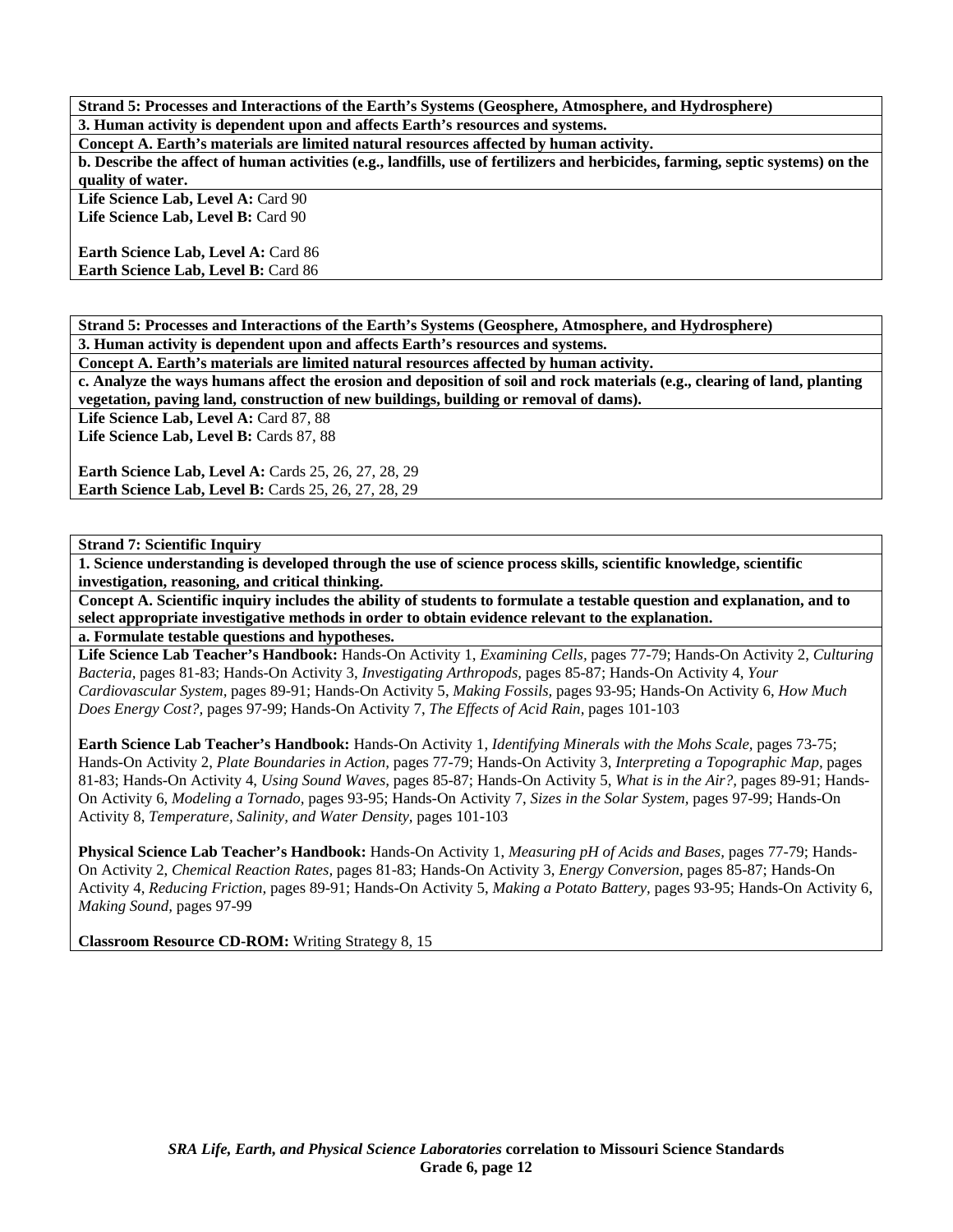**Strand 5: Processes and Interactions of the Earth's Systems (Geosphere, Atmosphere, and Hydrosphere) 3. Human activity is dependent upon and affects Earth's resources and systems.** 

**Concept A. Earth's materials are limited natural resources affected by human activity.** 

**b. Describe the affect of human activities (e.g., landfills, use of fertilizers and herbicides, farming, septic systems) on the quality of water.** 

Life Science Lab, Level A: Card 90 Life Science Lab, Level B: Card 90

**Earth Science Lab, Level A: Card 86 Earth Science Lab, Level B: Card 86** 

**Strand 5: Processes and Interactions of the Earth's Systems (Geosphere, Atmosphere, and Hydrosphere)** 

**3. Human activity is dependent upon and affects Earth's resources and systems.** 

**Concept A. Earth's materials are limited natural resources affected by human activity.** 

**c. Analyze the ways humans affect the erosion and deposition of soil and rock materials (e.g., clearing of land, planting vegetation, paving land, construction of new buildings, building or removal of dams).** 

Life Science Lab, Level A: Card 87, 88

Life Science Lab, Level B: Cards 87, 88

**Earth Science Lab, Level A: Cards 25, 26, 27, 28, 29 Earth Science Lab, Level B: Cards 25, 26, 27, 28, 29** 

**Strand 7: Scientific Inquiry** 

**1. Science understanding is developed through the use of science process skills, scientific knowledge, scientific investigation, reasoning, and critical thinking.** 

**Concept A. Scientific inquiry includes the ability of students to formulate a testable question and explanation, and to select appropriate investigative methods in order to obtain evidence relevant to the explanation.** 

**a. Formulate testable questions and hypotheses.** 

**Life Science Lab Teacher's Handbook:** Hands-On Activity 1, *Examining Cells,* pages 77-79; Hands-On Activity 2, *Culturing Bacteria,* pages 81-83; Hands-On Activity 3, *Investigating Arthropods,* pages 85-87; Hands-On Activity 4, *Your Cardiovascular System,* pages 89-91; Hands-On Activity 5, *Making Fossils,* pages 93-95; Hands-On Activity 6, *How Much Does Energy Cost?,* pages 97-99; Hands-On Activity 7, *The Effects of Acid Rain,* pages 101-103

**Earth Science Lab Teacher's Handbook:** Hands-On Activity 1, *Identifying Minerals with the Mohs Scale,* pages 73-75; Hands-On Activity 2, *Plate Boundaries in Action,* pages 77-79; Hands-On Activity 3, *Interpreting a Topographic Map,* pages 81-83; Hands-On Activity 4, *Using Sound Waves,* pages 85-87; Hands-On Activity 5, *What is in the Air?,* pages 89-91; Hands-On Activity 6, *Modeling a Tornado,* pages 93-95; Hands-On Activity 7, *Sizes in the Solar System,* pages 97-99; Hands-On Activity 8, *Temperature, Salinity, and Water Density,* pages 101-103

**Physical Science Lab Teacher's Handbook:** Hands-On Activity 1, *Measuring pH of Acids and Bases,* pages 77-79; Hands-On Activity 2, *Chemical Reaction Rates,* pages 81-83; Hands-On Activity 3, *Energy Conversion,* pages 85-87; Hands-On Activity 4, *Reducing Friction,* pages 89-91; Hands-On Activity 5, *Making a Potato Battery,* pages 93-95; Hands-On Activity 6, *Making Sound,* pages 97-99

**Classroom Resource CD-ROM:** Writing Strategy 8, 15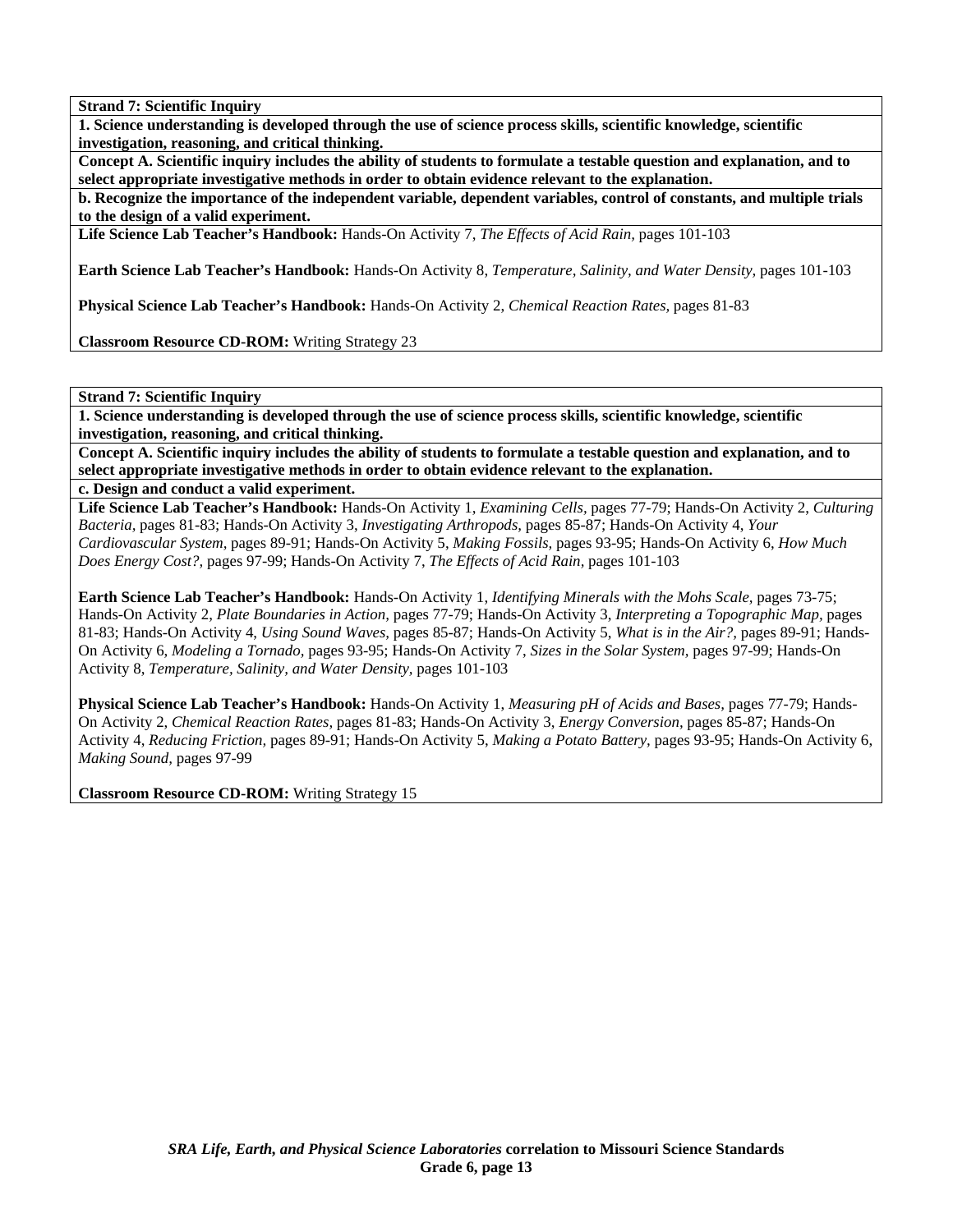**1. Science understanding is developed through the use of science process skills, scientific knowledge, scientific investigation, reasoning, and critical thinking.** 

**Concept A. Scientific inquiry includes the ability of students to formulate a testable question and explanation, and to select appropriate investigative methods in order to obtain evidence relevant to the explanation.** 

**b. Recognize the importance of the independent variable, dependent variables, control of constants, and multiple trials to the design of a valid experiment.** 

**Life Science Lab Teacher's Handbook:** Hands-On Activity 7, *The Effects of Acid Rain,* pages 101-103

**Earth Science Lab Teacher's Handbook:** Hands-On Activity 8, *Temperature, Salinity, and Water Density,* pages 101-103

**Physical Science Lab Teacher's Handbook:** Hands-On Activity 2, *Chemical Reaction Rates,* pages 81-83

**Classroom Resource CD-ROM:** Writing Strategy 23

**Strand 7: Scientific Inquiry** 

**1. Science understanding is developed through the use of science process skills, scientific knowledge, scientific investigation, reasoning, and critical thinking.** 

**Concept A. Scientific inquiry includes the ability of students to formulate a testable question and explanation, and to select appropriate investigative methods in order to obtain evidence relevant to the explanation.** 

**c. Design and conduct a valid experiment.** 

**Life Science Lab Teacher's Handbook:** Hands-On Activity 1, *Examining Cells,* pages 77-79; Hands-On Activity 2, *Culturing Bacteria,* pages 81-83; Hands-On Activity 3, *Investigating Arthropods,* pages 85-87; Hands-On Activity 4, *Your Cardiovascular System,* pages 89-91; Hands-On Activity 5, *Making Fossils,* pages 93-95; Hands-On Activity 6, *How Much Does Energy Cost?,* pages 97-99; Hands-On Activity 7, *The Effects of Acid Rain,* pages 101-103

**Earth Science Lab Teacher's Handbook:** Hands-On Activity 1, *Identifying Minerals with the Mohs Scale,* pages 73-75; Hands-On Activity 2, *Plate Boundaries in Action,* pages 77-79; Hands-On Activity 3, *Interpreting a Topographic Map,* pages 81-83; Hands-On Activity 4, *Using Sound Waves,* pages 85-87; Hands-On Activity 5, *What is in the Air?,* pages 89-91; Hands-On Activity 6, *Modeling a Tornado,* pages 93-95; Hands-On Activity 7, *Sizes in the Solar System,* pages 97-99; Hands-On Activity 8, *Temperature, Salinity, and Water Density,* pages 101-103

**Physical Science Lab Teacher's Handbook:** Hands-On Activity 1, *Measuring pH of Acids and Bases,* pages 77-79; Hands-On Activity 2, *Chemical Reaction Rates,* pages 81-83; Hands-On Activity 3, *Energy Conversion,* pages 85-87; Hands-On Activity 4, *Reducing Friction,* pages 89-91; Hands-On Activity 5, *Making a Potato Battery,* pages 93-95; Hands-On Activity 6, *Making Sound,* pages 97-99

**Classroom Resource CD-ROM:** Writing Strategy 15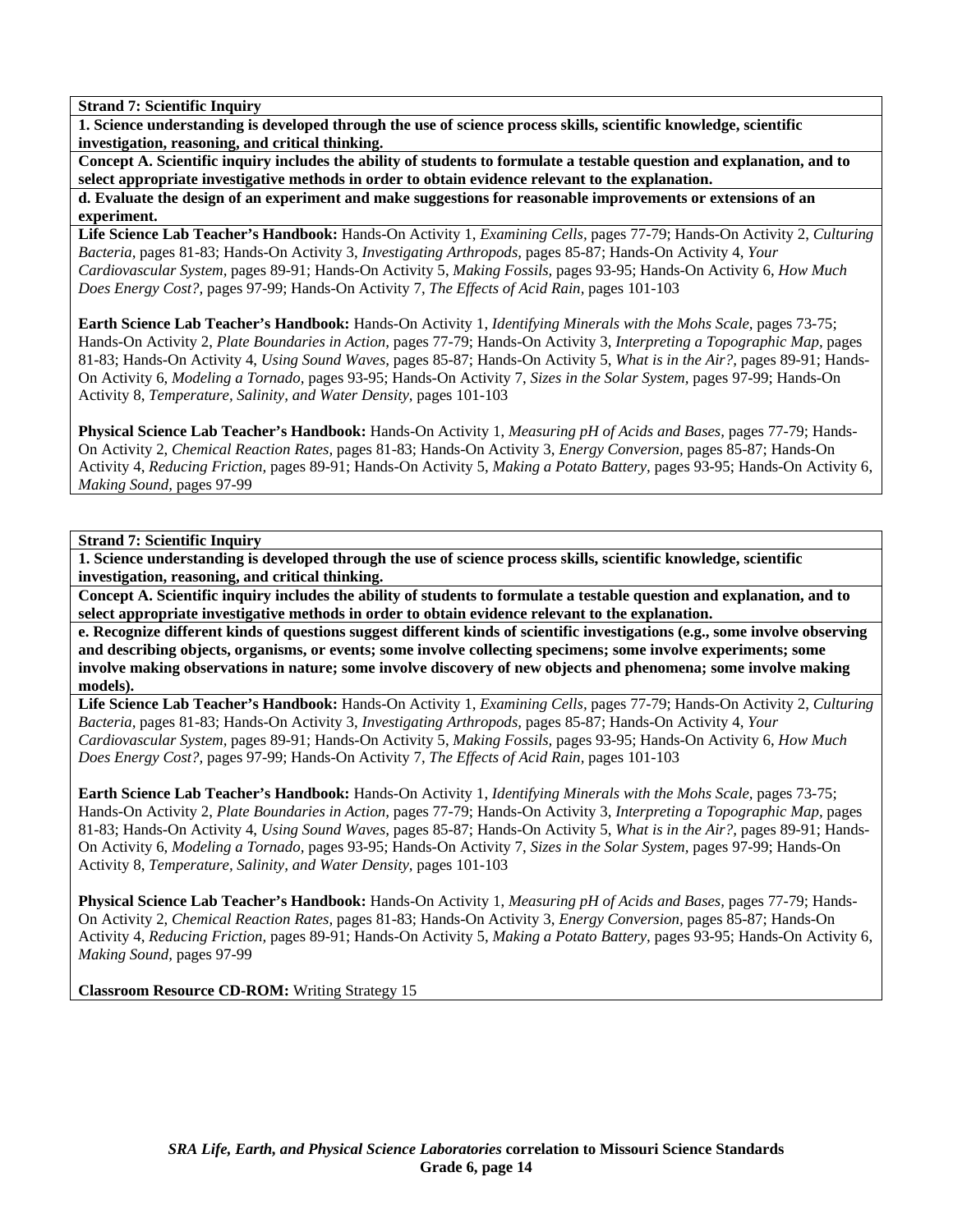**1. Science understanding is developed through the use of science process skills, scientific knowledge, scientific investigation, reasoning, and critical thinking.** 

**Concept A. Scientific inquiry includes the ability of students to formulate a testable question and explanation, and to select appropriate investigative methods in order to obtain evidence relevant to the explanation.** 

**d. Evaluate the design of an experiment and make suggestions for reasonable improvements or extensions of an experiment.** 

**Life Science Lab Teacher's Handbook:** Hands-On Activity 1, *Examining Cells,* pages 77-79; Hands-On Activity 2, *Culturing Bacteria,* pages 81-83; Hands-On Activity 3, *Investigating Arthropods,* pages 85-87; Hands-On Activity 4, *Your Cardiovascular System,* pages 89-91; Hands-On Activity 5, *Making Fossils,* pages 93-95; Hands-On Activity 6, *How Much Does Energy Cost?,* pages 97-99; Hands-On Activity 7, *The Effects of Acid Rain,* pages 101-103

**Earth Science Lab Teacher's Handbook:** Hands-On Activity 1, *Identifying Minerals with the Mohs Scale,* pages 73-75; Hands-On Activity 2, *Plate Boundaries in Action,* pages 77-79; Hands-On Activity 3, *Interpreting a Topographic Map,* pages 81-83; Hands-On Activity 4, *Using Sound Waves,* pages 85-87; Hands-On Activity 5, *What is in the Air?,* pages 89-91; Hands-On Activity 6, *Modeling a Tornado,* pages 93-95; Hands-On Activity 7, *Sizes in the Solar System,* pages 97-99; Hands-On Activity 8, *Temperature, Salinity, and Water Density,* pages 101-103

**Physical Science Lab Teacher's Handbook:** Hands-On Activity 1, *Measuring pH of Acids and Bases,* pages 77-79; Hands-On Activity 2, *Chemical Reaction Rates,* pages 81-83; Hands-On Activity 3, *Energy Conversion,* pages 85-87; Hands-On Activity 4, *Reducing Friction,* pages 89-91; Hands-On Activity 5, *Making a Potato Battery,* pages 93-95; Hands-On Activity 6, *Making Sound,* pages 97-99

**Strand 7: Scientific Inquiry** 

**1. Science understanding is developed through the use of science process skills, scientific knowledge, scientific investigation, reasoning, and critical thinking.** 

**Concept A. Scientific inquiry includes the ability of students to formulate a testable question and explanation, and to select appropriate investigative methods in order to obtain evidence relevant to the explanation.** 

**e. Recognize different kinds of questions suggest different kinds of scientific investigations (e.g., some involve observing and describing objects, organisms, or events; some involve collecting specimens; some involve experiments; some involve making observations in nature; some involve discovery of new objects and phenomena; some involve making models).** 

**Life Science Lab Teacher's Handbook:** Hands-On Activity 1, *Examining Cells,* pages 77-79; Hands-On Activity 2, *Culturing Bacteria,* pages 81-83; Hands-On Activity 3, *Investigating Arthropods,* pages 85-87; Hands-On Activity 4, *Your Cardiovascular System,* pages 89-91; Hands-On Activity 5, *Making Fossils,* pages 93-95; Hands-On Activity 6, *How Much Does Energy Cost?,* pages 97-99; Hands-On Activity 7, *The Effects of Acid Rain,* pages 101-103

**Earth Science Lab Teacher's Handbook:** Hands-On Activity 1, *Identifying Minerals with the Mohs Scale,* pages 73-75; Hands-On Activity 2, *Plate Boundaries in Action,* pages 77-79; Hands-On Activity 3, *Interpreting a Topographic Map,* pages 81-83; Hands-On Activity 4, *Using Sound Waves,* pages 85-87; Hands-On Activity 5, *What is in the Air?,* pages 89-91; Hands-On Activity 6, *Modeling a Tornado,* pages 93-95; Hands-On Activity 7, *Sizes in the Solar System,* pages 97-99; Hands-On Activity 8, *Temperature, Salinity, and Water Density,* pages 101-103

**Physical Science Lab Teacher's Handbook:** Hands-On Activity 1, *Measuring pH of Acids and Bases,* pages 77-79; Hands-On Activity 2, *Chemical Reaction Rates,* pages 81-83; Hands-On Activity 3, *Energy Conversion,* pages 85-87; Hands-On Activity 4, *Reducing Friction,* pages 89-91; Hands-On Activity 5, *Making a Potato Battery,* pages 93-95; Hands-On Activity 6, *Making Sound,* pages 97-99

**Classroom Resource CD-ROM:** Writing Strategy 15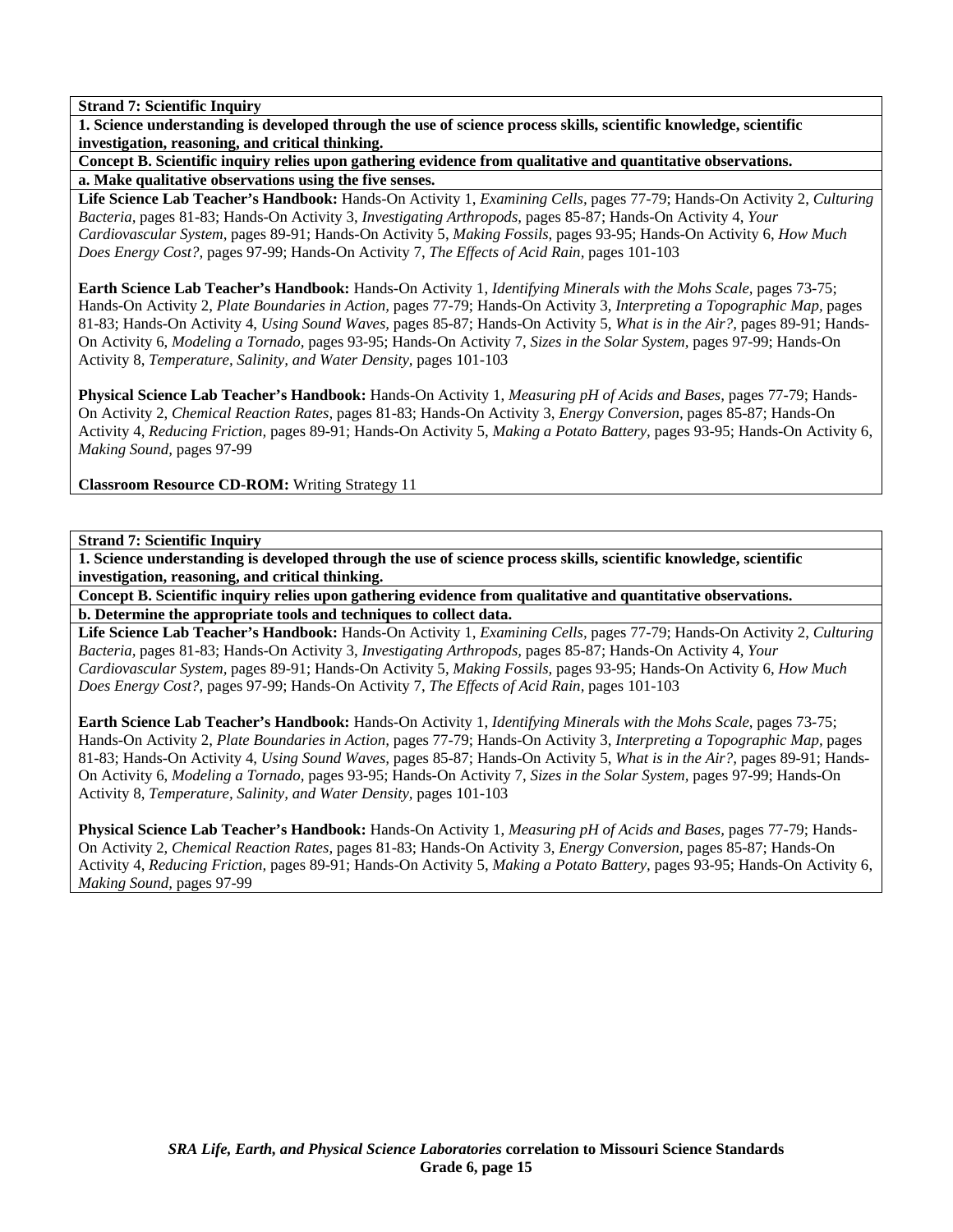**1. Science understanding is developed through the use of science process skills, scientific knowledge, scientific investigation, reasoning, and critical thinking.** 

**Concept B. Scientific inquiry relies upon gathering evidence from qualitative and quantitative observations. a. Make qualitative observations using the five senses.** 

**Life Science Lab Teacher's Handbook:** Hands-On Activity 1, *Examining Cells,* pages 77-79; Hands-On Activity 2, *Culturing Bacteria,* pages 81-83; Hands-On Activity 3, *Investigating Arthropods,* pages 85-87; Hands-On Activity 4, *Your Cardiovascular System,* pages 89-91; Hands-On Activity 5, *Making Fossils,* pages 93-95; Hands-On Activity 6, *How Much Does Energy Cost?,* pages 97-99; Hands-On Activity 7, *The Effects of Acid Rain,* pages 101-103

**Earth Science Lab Teacher's Handbook:** Hands-On Activity 1, *Identifying Minerals with the Mohs Scale,* pages 73-75; Hands-On Activity 2, *Plate Boundaries in Action,* pages 77-79; Hands-On Activity 3, *Interpreting a Topographic Map,* pages 81-83; Hands-On Activity 4, *Using Sound Waves,* pages 85-87; Hands-On Activity 5, *What is in the Air?,* pages 89-91; Hands-On Activity 6, *Modeling a Tornado,* pages 93-95; Hands-On Activity 7, *Sizes in the Solar System,* pages 97-99; Hands-On Activity 8, *Temperature, Salinity, and Water Density,* pages 101-103

**Physical Science Lab Teacher's Handbook:** Hands-On Activity 1, *Measuring pH of Acids and Bases,* pages 77-79; Hands-On Activity 2, *Chemical Reaction Rates,* pages 81-83; Hands-On Activity 3, *Energy Conversion,* pages 85-87; Hands-On Activity 4, *Reducing Friction,* pages 89-91; Hands-On Activity 5, *Making a Potato Battery,* pages 93-95; Hands-On Activity 6, *Making Sound,* pages 97-99

**Classroom Resource CD-ROM:** Writing Strategy 11

**Strand 7: Scientific Inquiry** 

**1. Science understanding is developed through the use of science process skills, scientific knowledge, scientific investigation, reasoning, and critical thinking.** 

**Concept B. Scientific inquiry relies upon gathering evidence from qualitative and quantitative observations. b. Determine the appropriate tools and techniques to collect data.** 

**Life Science Lab Teacher's Handbook:** Hands-On Activity 1, *Examining Cells,* pages 77-79; Hands-On Activity 2, *Culturing Bacteria,* pages 81-83; Hands-On Activity 3, *Investigating Arthropods,* pages 85-87; Hands-On Activity 4, *Your Cardiovascular System,* pages 89-91; Hands-On Activity 5, *Making Fossils,* pages 93-95; Hands-On Activity 6, *How Much Does Energy Cost?,* pages 97-99; Hands-On Activity 7, *The Effects of Acid Rain,* pages 101-103

**Earth Science Lab Teacher's Handbook:** Hands-On Activity 1, *Identifying Minerals with the Mohs Scale,* pages 73-75; Hands-On Activity 2, *Plate Boundaries in Action,* pages 77-79; Hands-On Activity 3, *Interpreting a Topographic Map,* pages 81-83; Hands-On Activity 4, *Using Sound Waves,* pages 85-87; Hands-On Activity 5, *What is in the Air?,* pages 89-91; Hands-On Activity 6, *Modeling a Tornado,* pages 93-95; Hands-On Activity 7, *Sizes in the Solar System,* pages 97-99; Hands-On Activity 8, *Temperature, Salinity, and Water Density,* pages 101-103

**Physical Science Lab Teacher's Handbook:** Hands-On Activity 1, *Measuring pH of Acids and Bases,* pages 77-79; Hands-On Activity 2, *Chemical Reaction Rates,* pages 81-83; Hands-On Activity 3, *Energy Conversion,* pages 85-87; Hands-On Activity 4, *Reducing Friction,* pages 89-91; Hands-On Activity 5, *Making a Potato Battery,* pages 93-95; Hands-On Activity 6, *Making Sound,* pages 97-99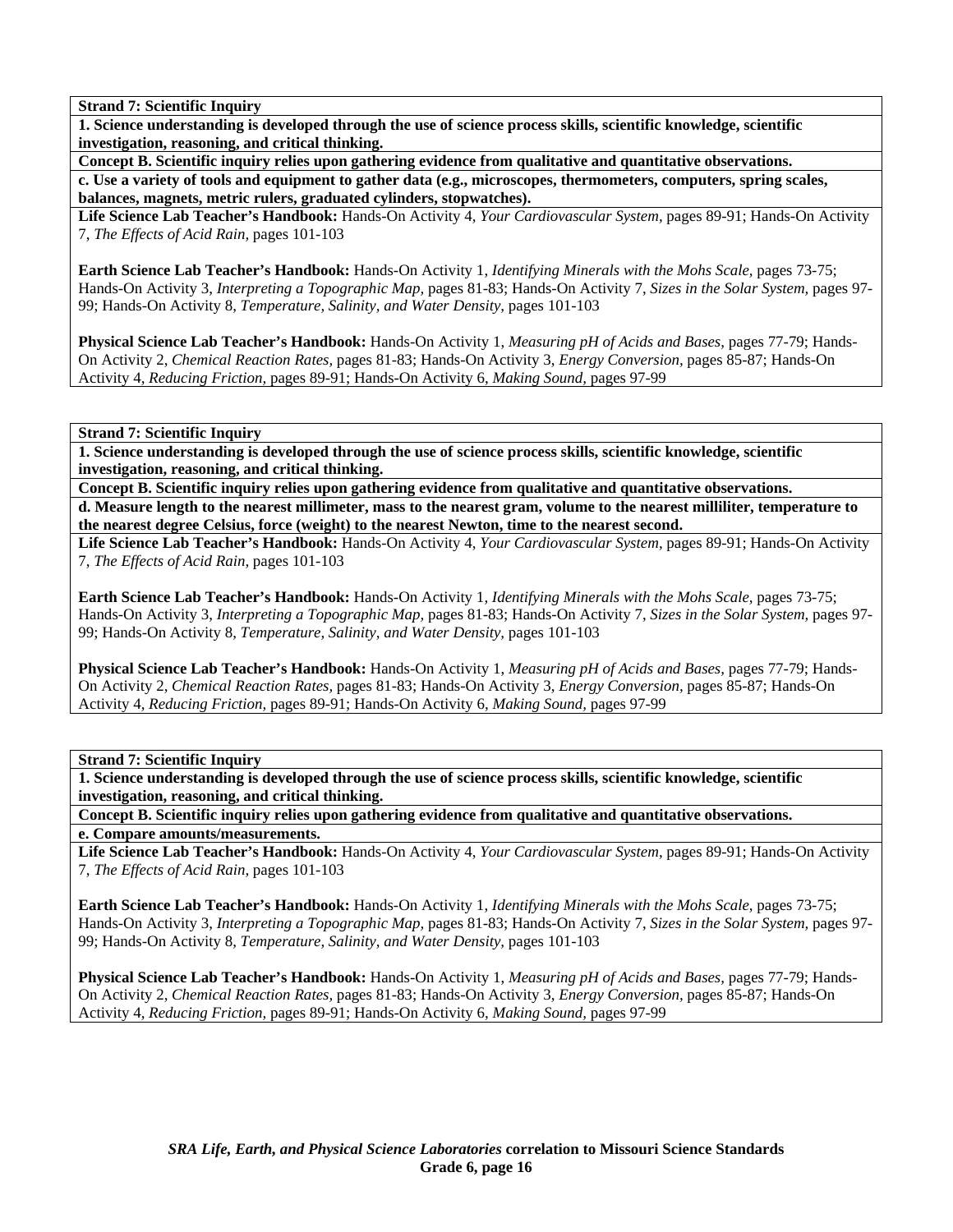**1. Science understanding is developed through the use of science process skills, scientific knowledge, scientific investigation, reasoning, and critical thinking.** 

**Concept B. Scientific inquiry relies upon gathering evidence from qualitative and quantitative observations.** 

**c. Use a variety of tools and equipment to gather data (e.g., microscopes, thermometers, computers, spring scales, balances, magnets, metric rulers, graduated cylinders, stopwatches).** 

**Life Science Lab Teacher's Handbook:** Hands-On Activity 4, *Your Cardiovascular System,* pages 89-91; Hands-On Activity 7, *The Effects of Acid Rain,* pages 101-103

**Earth Science Lab Teacher's Handbook:** Hands-On Activity 1, *Identifying Minerals with the Mohs Scale,* pages 73-75; Hands-On Activity 3, *Interpreting a Topographic Map,* pages 81-83; Hands-On Activity 7, *Sizes in the Solar System,* pages 97- 99; Hands-On Activity 8, *Temperature, Salinity, and Water Density,* pages 101-103

**Physical Science Lab Teacher's Handbook:** Hands-On Activity 1, *Measuring pH of Acids and Bases,* pages 77-79; Hands-On Activity 2, *Chemical Reaction Rates,* pages 81-83; Hands-On Activity 3, *Energy Conversion,* pages 85-87; Hands-On Activity 4, *Reducing Friction,* pages 89-91; Hands-On Activity 6, *Making Sound,* pages 97-99

**Strand 7: Scientific Inquiry** 

**1. Science understanding is developed through the use of science process skills, scientific knowledge, scientific investigation, reasoning, and critical thinking.** 

**Concept B. Scientific inquiry relies upon gathering evidence from qualitative and quantitative observations. d. Measure length to the nearest millimeter, mass to the nearest gram, volume to the nearest milliliter, temperature to the nearest degree Celsius, force (weight) to the nearest Newton, time to the nearest second.** 

**Life Science Lab Teacher's Handbook:** Hands-On Activity 4, *Your Cardiovascular System,* pages 89-91; Hands-On Activity 7, *The Effects of Acid Rain,* pages 101-103

**Earth Science Lab Teacher's Handbook:** Hands-On Activity 1, *Identifying Minerals with the Mohs Scale,* pages 73-75; Hands-On Activity 3, *Interpreting a Topographic Map,* pages 81-83; Hands-On Activity 7, *Sizes in the Solar System,* pages 97- 99; Hands-On Activity 8, *Temperature, Salinity, and Water Density,* pages 101-103

**Physical Science Lab Teacher's Handbook:** Hands-On Activity 1, *Measuring pH of Acids and Bases,* pages 77-79; Hands-On Activity 2, *Chemical Reaction Rates,* pages 81-83; Hands-On Activity 3, *Energy Conversion,* pages 85-87; Hands-On Activity 4, *Reducing Friction,* pages 89-91; Hands-On Activity 6, *Making Sound,* pages 97-99

**Strand 7: Scientific Inquiry** 

**1. Science understanding is developed through the use of science process skills, scientific knowledge, scientific investigation, reasoning, and critical thinking.** 

**Concept B. Scientific inquiry relies upon gathering evidence from qualitative and quantitative observations. e. Compare amounts/measurements.** 

**Life Science Lab Teacher's Handbook:** Hands-On Activity 4, *Your Cardiovascular System,* pages 89-91; Hands-On Activity 7, *The Effects of Acid Rain,* pages 101-103

**Earth Science Lab Teacher's Handbook:** Hands-On Activity 1, *Identifying Minerals with the Mohs Scale,* pages 73-75; Hands-On Activity 3, *Interpreting a Topographic Map,* pages 81-83; Hands-On Activity 7, *Sizes in the Solar System,* pages 97- 99; Hands-On Activity 8, *Temperature, Salinity, and Water Density,* pages 101-103

**Physical Science Lab Teacher's Handbook:** Hands-On Activity 1, *Measuring pH of Acids and Bases,* pages 77-79; Hands-On Activity 2, *Chemical Reaction Rates,* pages 81-83; Hands-On Activity 3, *Energy Conversion,* pages 85-87; Hands-On Activity 4, *Reducing Friction,* pages 89-91; Hands-On Activity 6, *Making Sound,* pages 97-99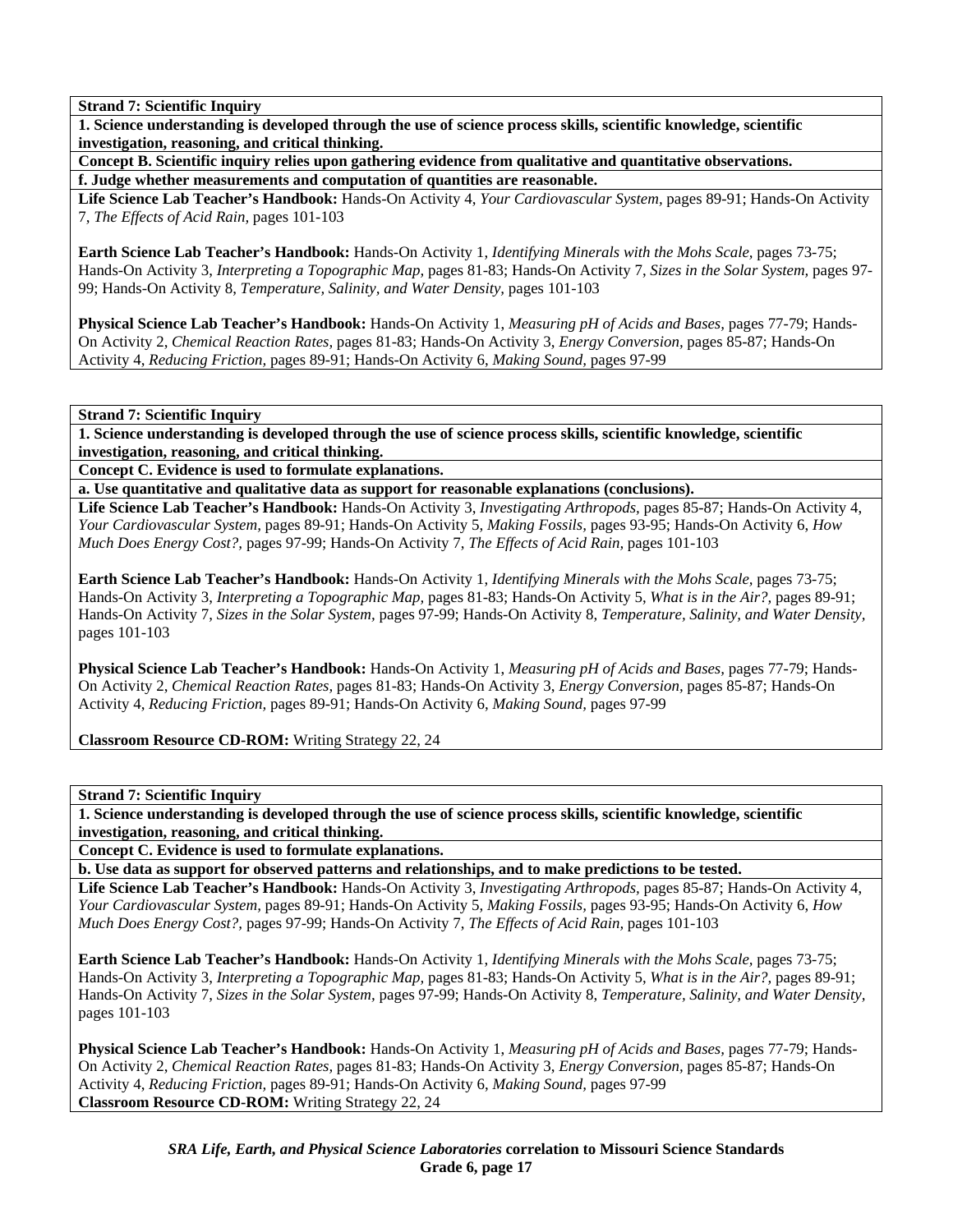**1. Science understanding is developed through the use of science process skills, scientific knowledge, scientific investigation, reasoning, and critical thinking.** 

**Concept B. Scientific inquiry relies upon gathering evidence from qualitative and quantitative observations. f. Judge whether measurements and computation of quantities are reasonable.** 

**Life Science Lab Teacher's Handbook:** Hands-On Activity 4, *Your Cardiovascular System,* pages 89-91; Hands-On Activity 7, *The Effects of Acid Rain,* pages 101-103

**Earth Science Lab Teacher's Handbook:** Hands-On Activity 1, *Identifying Minerals with the Mohs Scale,* pages 73-75; Hands-On Activity 3, *Interpreting a Topographic Map,* pages 81-83; Hands-On Activity 7, *Sizes in the Solar System,* pages 97- 99; Hands-On Activity 8, *Temperature, Salinity, and Water Density,* pages 101-103

**Physical Science Lab Teacher's Handbook:** Hands-On Activity 1, *Measuring pH of Acids and Bases,* pages 77-79; Hands-On Activity 2, *Chemical Reaction Rates,* pages 81-83; Hands-On Activity 3, *Energy Conversion,* pages 85-87; Hands-On Activity 4, *Reducing Friction,* pages 89-91; Hands-On Activity 6, *Making Sound,* pages 97-99

**Strand 7: Scientific Inquiry** 

**1. Science understanding is developed through the use of science process skills, scientific knowledge, scientific investigation, reasoning, and critical thinking.** 

**Concept C. Evidence is used to formulate explanations.** 

**a. Use quantitative and qualitative data as support for reasonable explanations (conclusions).** 

**Life Science Lab Teacher's Handbook:** Hands-On Activity 3, *Investigating Arthropods,* pages 85-87; Hands-On Activity 4, *Your Cardiovascular System,* pages 89-91; Hands-On Activity 5, *Making Fossils,* pages 93-95; Hands-On Activity 6, *How Much Does Energy Cost?,* pages 97-99; Hands-On Activity 7, *The Effects of Acid Rain,* pages 101-103

**Earth Science Lab Teacher's Handbook:** Hands-On Activity 1, *Identifying Minerals with the Mohs Scale,* pages 73-75; Hands-On Activity 3, *Interpreting a Topographic Map,* pages 81-83; Hands-On Activity 5, *What is in the Air?,* pages 89-91; Hands-On Activity 7, *Sizes in the Solar System,* pages 97-99; Hands-On Activity 8, *Temperature, Salinity, and Water Density,* pages 101-103

**Physical Science Lab Teacher's Handbook:** Hands-On Activity 1, *Measuring pH of Acids and Bases,* pages 77-79; Hands-On Activity 2, *Chemical Reaction Rates,* pages 81-83; Hands-On Activity 3, *Energy Conversion,* pages 85-87; Hands-On Activity 4, *Reducing Friction,* pages 89-91; Hands-On Activity 6, *Making Sound,* pages 97-99

**Classroom Resource CD-ROM:** Writing Strategy 22, 24

**Strand 7: Scientific Inquiry** 

**1. Science understanding is developed through the use of science process skills, scientific knowledge, scientific investigation, reasoning, and critical thinking.** 

**Concept C. Evidence is used to formulate explanations.** 

**b. Use data as support for observed patterns and relationships, and to make predictions to be tested.** 

**Life Science Lab Teacher's Handbook:** Hands-On Activity 3, *Investigating Arthropods,* pages 85-87; Hands-On Activity 4, *Your Cardiovascular System,* pages 89-91; Hands-On Activity 5, *Making Fossils,* pages 93-95; Hands-On Activity 6, *How Much Does Energy Cost?,* pages 97-99; Hands-On Activity 7, *The Effects of Acid Rain,* pages 101-103

**Earth Science Lab Teacher's Handbook:** Hands-On Activity 1, *Identifying Minerals with the Mohs Scale,* pages 73-75; Hands-On Activity 3, *Interpreting a Topographic Map,* pages 81-83; Hands-On Activity 5, *What is in the Air?,* pages 89-91; Hands-On Activity 7, *Sizes in the Solar System,* pages 97-99; Hands-On Activity 8, *Temperature, Salinity, and Water Density,* pages 101-103

**Physical Science Lab Teacher's Handbook:** Hands-On Activity 1, *Measuring pH of Acids and Bases,* pages 77-79; Hands-On Activity 2, *Chemical Reaction Rates,* pages 81-83; Hands-On Activity 3, *Energy Conversion,* pages 85-87; Hands-On Activity 4, *Reducing Friction,* pages 89-91; Hands-On Activity 6, *Making Sound,* pages 97-99 **Classroom Resource CD-ROM:** Writing Strategy 22, 24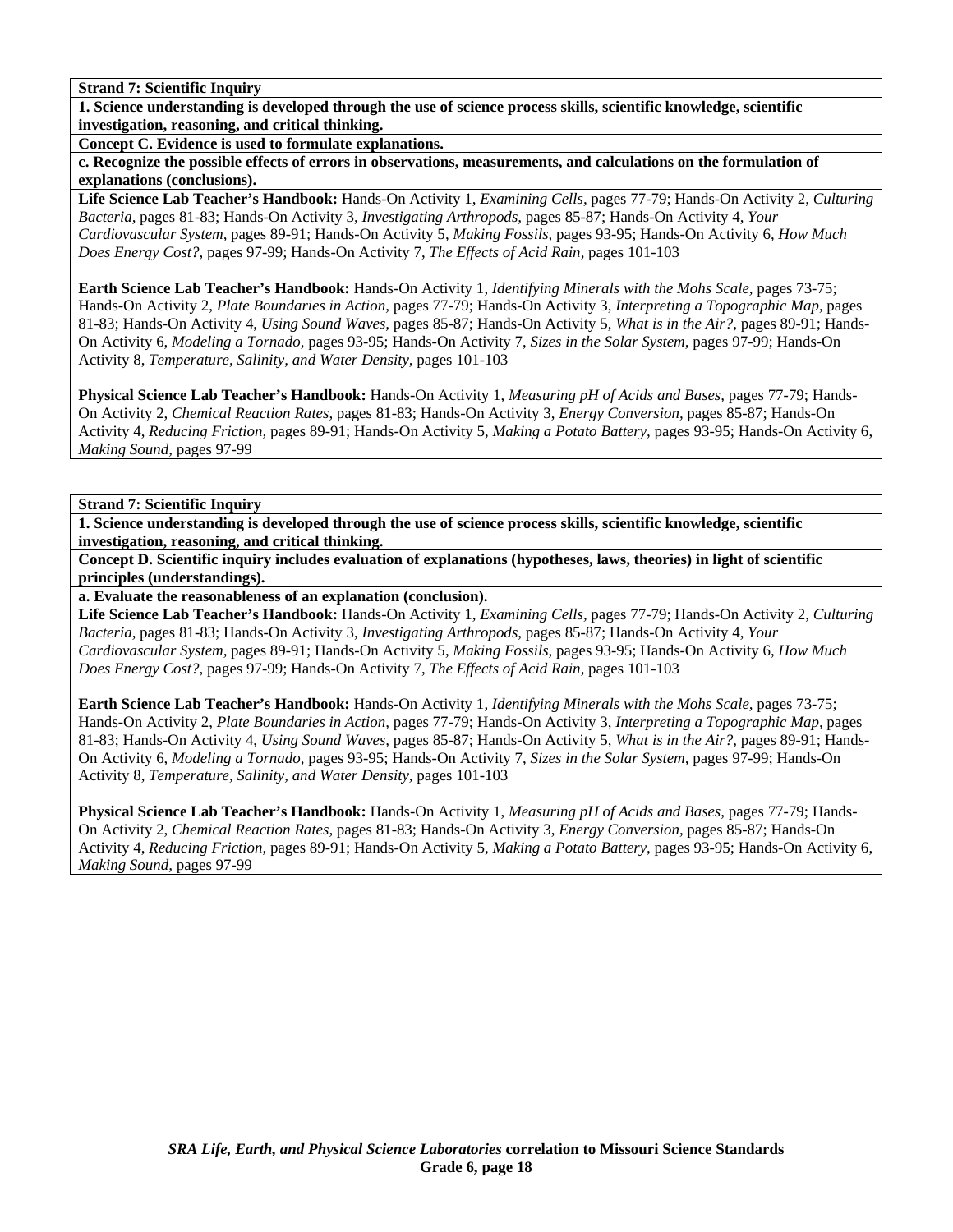**1. Science understanding is developed through the use of science process skills, scientific knowledge, scientific investigation, reasoning, and critical thinking.** 

**Concept C. Evidence is used to formulate explanations.** 

**c. Recognize the possible effects of errors in observations, measurements, and calculations on the formulation of explanations (conclusions).** 

**Life Science Lab Teacher's Handbook:** Hands-On Activity 1, *Examining Cells,* pages 77-79; Hands-On Activity 2, *Culturing Bacteria,* pages 81-83; Hands-On Activity 3, *Investigating Arthropods,* pages 85-87; Hands-On Activity 4, *Your Cardiovascular System,* pages 89-91; Hands-On Activity 5, *Making Fossils,* pages 93-95; Hands-On Activity 6, *How Much Does Energy Cost?,* pages 97-99; Hands-On Activity 7, *The Effects of Acid Rain,* pages 101-103

**Earth Science Lab Teacher's Handbook:** Hands-On Activity 1, *Identifying Minerals with the Mohs Scale,* pages 73-75; Hands-On Activity 2, *Plate Boundaries in Action,* pages 77-79; Hands-On Activity 3, *Interpreting a Topographic Map,* pages 81-83; Hands-On Activity 4, *Using Sound Waves,* pages 85-87; Hands-On Activity 5, *What is in the Air?,* pages 89-91; Hands-On Activity 6, *Modeling a Tornado,* pages 93-95; Hands-On Activity 7, *Sizes in the Solar System,* pages 97-99; Hands-On Activity 8, *Temperature, Salinity, and Water Density,* pages 101-103

**Physical Science Lab Teacher's Handbook:** Hands-On Activity 1, *Measuring pH of Acids and Bases,* pages 77-79; Hands-On Activity 2, *Chemical Reaction Rates,* pages 81-83; Hands-On Activity 3, *Energy Conversion,* pages 85-87; Hands-On Activity 4, *Reducing Friction,* pages 89-91; Hands-On Activity 5, *Making a Potato Battery,* pages 93-95; Hands-On Activity 6, *Making Sound,* pages 97-99

**Strand 7: Scientific Inquiry** 

**1. Science understanding is developed through the use of science process skills, scientific knowledge, scientific investigation, reasoning, and critical thinking.** 

**Concept D. Scientific inquiry includes evaluation of explanations (hypotheses, laws, theories) in light of scientific principles (understandings).** 

**a. Evaluate the reasonableness of an explanation (conclusion).** 

**Life Science Lab Teacher's Handbook:** Hands-On Activity 1, *Examining Cells,* pages 77-79; Hands-On Activity 2, *Culturing Bacteria,* pages 81-83; Hands-On Activity 3, *Investigating Arthropods,* pages 85-87; Hands-On Activity 4, *Your Cardiovascular System,* pages 89-91; Hands-On Activity 5, *Making Fossils,* pages 93-95; Hands-On Activity 6, *How Much Does Energy Cost?,* pages 97-99; Hands-On Activity 7, *The Effects of Acid Rain,* pages 101-103

**Earth Science Lab Teacher's Handbook:** Hands-On Activity 1, *Identifying Minerals with the Mohs Scale,* pages 73-75; Hands-On Activity 2, *Plate Boundaries in Action,* pages 77-79; Hands-On Activity 3, *Interpreting a Topographic Map,* pages 81-83; Hands-On Activity 4, *Using Sound Waves,* pages 85-87; Hands-On Activity 5, *What is in the Air?,* pages 89-91; Hands-On Activity 6, *Modeling a Tornado,* pages 93-95; Hands-On Activity 7, *Sizes in the Solar System,* pages 97-99; Hands-On Activity 8, *Temperature, Salinity, and Water Density,* pages 101-103

**Physical Science Lab Teacher's Handbook:** Hands-On Activity 1, *Measuring pH of Acids and Bases,* pages 77-79; Hands-On Activity 2, *Chemical Reaction Rates,* pages 81-83; Hands-On Activity 3, *Energy Conversion,* pages 85-87; Hands-On Activity 4, *Reducing Friction,* pages 89-91; Hands-On Activity 5, *Making a Potato Battery,* pages 93-95; Hands-On Activity 6, *Making Sound,* pages 97-99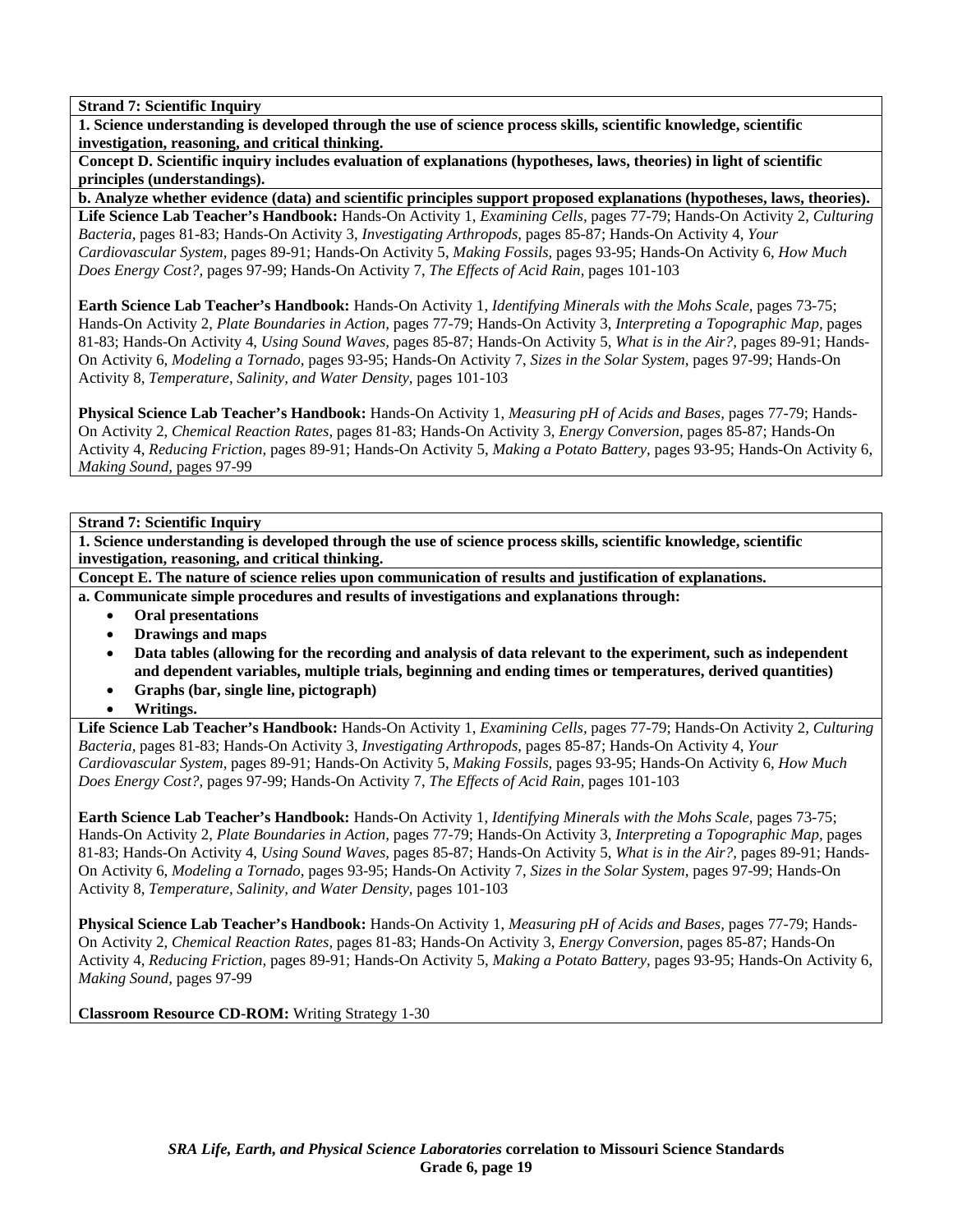**1. Science understanding is developed through the use of science process skills, scientific knowledge, scientific investigation, reasoning, and critical thinking.** 

**Concept D. Scientific inquiry includes evaluation of explanations (hypotheses, laws, theories) in light of scientific principles (understandings).** 

**b. Analyze whether evidence (data) and scientific principles support proposed explanations (hypotheses, laws, theories).** 

**Life Science Lab Teacher's Handbook:** Hands-On Activity 1, *Examining Cells,* pages 77-79; Hands-On Activity 2, *Culturing Bacteria,* pages 81-83; Hands-On Activity 3, *Investigating Arthropods,* pages 85-87; Hands-On Activity 4, *Your Cardiovascular System,* pages 89-91; Hands-On Activity 5, *Making Fossils,* pages 93-95; Hands-On Activity 6, *How Much Does Energy Cost?,* pages 97-99; Hands-On Activity 7, *The Effects of Acid Rain,* pages 101-103

**Earth Science Lab Teacher's Handbook:** Hands-On Activity 1, *Identifying Minerals with the Mohs Scale,* pages 73-75; Hands-On Activity 2, *Plate Boundaries in Action,* pages 77-79; Hands-On Activity 3, *Interpreting a Topographic Map,* pages 81-83; Hands-On Activity 4, *Using Sound Waves,* pages 85-87; Hands-On Activity 5, *What is in the Air?,* pages 89-91; Hands-On Activity 6, *Modeling a Tornado,* pages 93-95; Hands-On Activity 7, *Sizes in the Solar System,* pages 97-99; Hands-On Activity 8, *Temperature, Salinity, and Water Density,* pages 101-103

**Physical Science Lab Teacher's Handbook:** Hands-On Activity 1, *Measuring pH of Acids and Bases,* pages 77-79; Hands-On Activity 2, *Chemical Reaction Rates,* pages 81-83; Hands-On Activity 3, *Energy Conversion,* pages 85-87; Hands-On Activity 4, *Reducing Friction,* pages 89-91; Hands-On Activity 5, *Making a Potato Battery,* pages 93-95; Hands-On Activity 6, *Making Sound,* pages 97-99

## **Strand 7: Scientific Inquiry**

**1. Science understanding is developed through the use of science process skills, scientific knowledge, scientific investigation, reasoning, and critical thinking.** 

**Concept E. The nature of science relies upon communication of results and justification of explanations.** 

**a. Communicate simple procedures and results of investigations and explanations through:** 

- **Oral presentations**
- **Drawings and maps**
- **Data tables (allowing for the recording and analysis of data relevant to the experiment, such as independent and dependent variables, multiple trials, beginning and ending times or temperatures, derived quantities)**
- **Graphs (bar, single line, pictograph)**
- **Writings.**

**Life Science Lab Teacher's Handbook:** Hands-On Activity 1, *Examining Cells,* pages 77-79; Hands-On Activity 2, *Culturing Bacteria,* pages 81-83; Hands-On Activity 3, *Investigating Arthropods,* pages 85-87; Hands-On Activity 4, *Your Cardiovascular System,* pages 89-91; Hands-On Activity 5, *Making Fossils,* pages 93-95; Hands-On Activity 6, *How Much Does Energy Cost?,* pages 97-99; Hands-On Activity 7, *The Effects of Acid Rain,* pages 101-103

**Earth Science Lab Teacher's Handbook:** Hands-On Activity 1, *Identifying Minerals with the Mohs Scale,* pages 73-75; Hands-On Activity 2, *Plate Boundaries in Action,* pages 77-79; Hands-On Activity 3, *Interpreting a Topographic Map,* pages 81-83; Hands-On Activity 4, *Using Sound Waves,* pages 85-87; Hands-On Activity 5, *What is in the Air?,* pages 89-91; Hands-On Activity 6, *Modeling a Tornado,* pages 93-95; Hands-On Activity 7, *Sizes in the Solar System,* pages 97-99; Hands-On Activity 8, *Temperature, Salinity, and Water Density,* pages 101-103

**Physical Science Lab Teacher's Handbook:** Hands-On Activity 1, *Measuring pH of Acids and Bases,* pages 77-79; Hands-On Activity 2, *Chemical Reaction Rates,* pages 81-83; Hands-On Activity 3, *Energy Conversion,* pages 85-87; Hands-On Activity 4, *Reducing Friction,* pages 89-91; Hands-On Activity 5, *Making a Potato Battery,* pages 93-95; Hands-On Activity 6, *Making Sound,* pages 97-99

**Classroom Resource CD-ROM:** Writing Strategy 1-30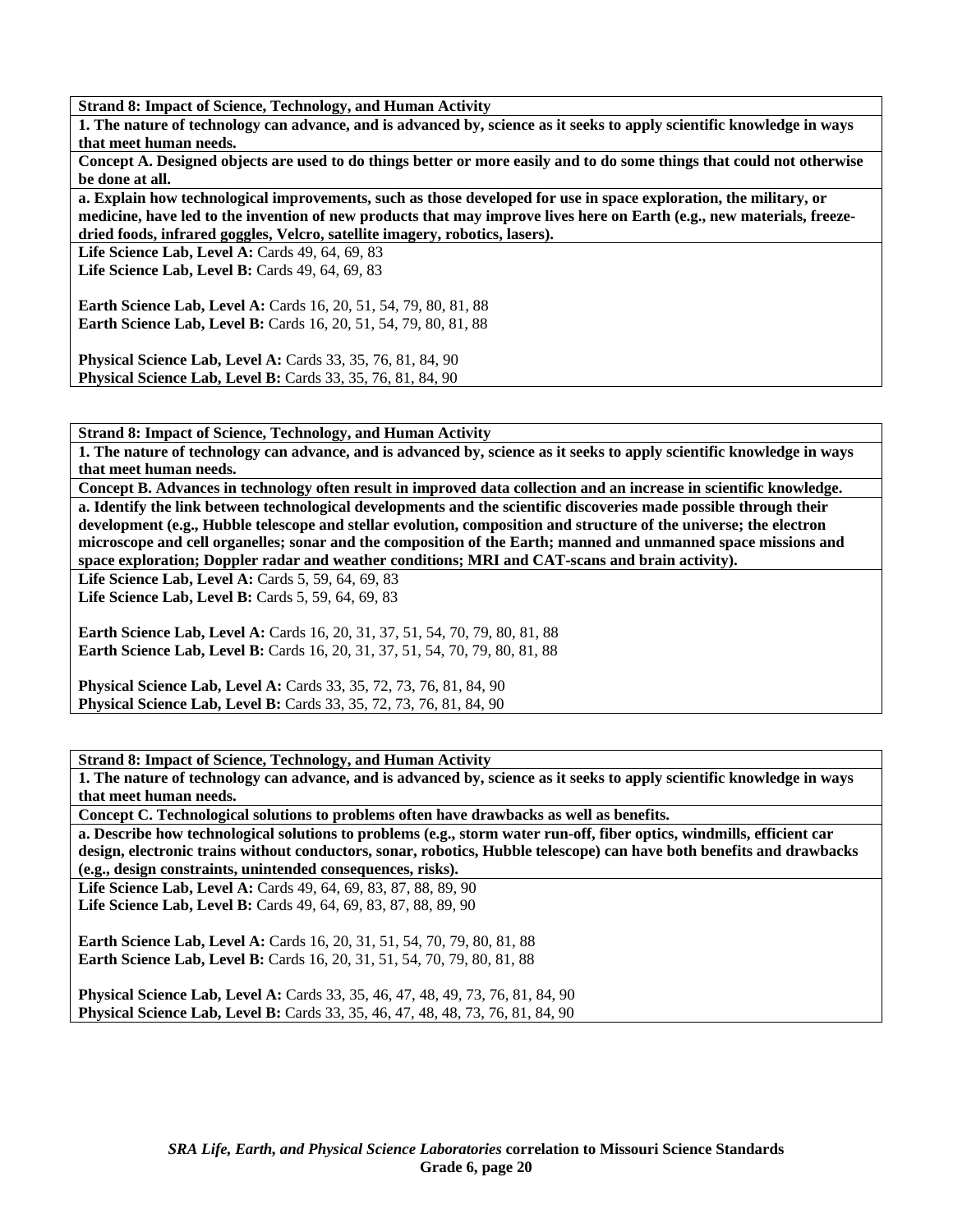**Strand 8: Impact of Science, Technology, and Human Activity** 

**1. The nature of technology can advance, and is advanced by, science as it seeks to apply scientific knowledge in ways that meet human needs.** 

**Concept A. Designed objects are used to do things better or more easily and to do some things that could not otherwise be done at all.** 

**a. Explain how technological improvements, such as those developed for use in space exploration, the military, or medicine, have led to the invention of new products that may improve lives here on Earth (e.g., new materials, freezedried foods, infrared goggles, Velcro, satellite imagery, robotics, lasers).** 

Life Science Lab, Level A: Cards 49, 64, 69, 83 **Life Science Lab, Level B:** Cards 49, 64, 69, 83

**Earth Science Lab, Level A:** Cards 16, 20, 51, 54, 79, 80, 81, 88 **Earth Science Lab, Level B:** Cards 16, 20, 51, 54, 79, 80, 81, 88

**Physical Science Lab, Level A: Cards 33, 35, 76, 81, 84, 90 Physical Science Lab, Level B:** Cards 33, 35, 76, 81, 84, 90

**Strand 8: Impact of Science, Technology, and Human Activity** 

**1. The nature of technology can advance, and is advanced by, science as it seeks to apply scientific knowledge in ways that meet human needs.** 

**Concept B. Advances in technology often result in improved data collection and an increase in scientific knowledge. a. Identify the link between technological developments and the scientific discoveries made possible through their development (e.g., Hubble telescope and stellar evolution, composition and structure of the universe; the electron microscope and cell organelles; sonar and the composition of the Earth; manned and unmanned space missions and space exploration; Doppler radar and weather conditions; MRI and CAT-scans and brain activity).** 

**Life Science Lab, Level A: Cards 5, 59, 64, 69, 83** 

**Life Science Lab, Level B: Cards 5, 59, 64, 69, 83** 

**Earth Science Lab, Level A: Cards 16, 20, 31, 37, 51, 54, 70, 79, 80, 81, 88 Earth Science Lab, Level B:** Cards 16, 20, 31, 37, 51, 54, 70, 79, 80, 81, 88

**Physical Science Lab, Level A: Cards 33, 35, 72, 73, 76, 81, 84, 90 Physical Science Lab, Level B:** Cards 33, 35, 72, 73, 76, 81, 84, 90

**Strand 8: Impact of Science, Technology, and Human Activity** 

**1. The nature of technology can advance, and is advanced by, science as it seeks to apply scientific knowledge in ways that meet human needs.** 

**Concept C. Technological solutions to problems often have drawbacks as well as benefits.** 

**a. Describe how technological solutions to problems (e.g., storm water run-off, fiber optics, windmills, efficient car design, electronic trains without conductors, sonar, robotics, Hubble telescope) can have both benefits and drawbacks (e.g., design constraints, unintended consequences, risks).** 

**Life Science Lab, Level A:** Cards 49, 64, 69, 83, 87, 88, 89, 90 **Life Science Lab, Level B:** Cards 49, 64, 69, 83, 87, 88, 89, 90

**Earth Science Lab, Level A: Cards 16, 20, 31, 51, 54, 70, 79, 80, 81, 88 Earth Science Lab, Level B:** Cards 16, 20, 31, 51, 54, 70, 79, 80, 81, 88

**Physical Science Lab, Level A: Cards 33, 35, 46, 47, 48, 49, 73, 76, 81, 84, 90 Physical Science Lab, Level B:** Cards 33, 35, 46, 47, 48, 48, 73, 76, 81, 84, 90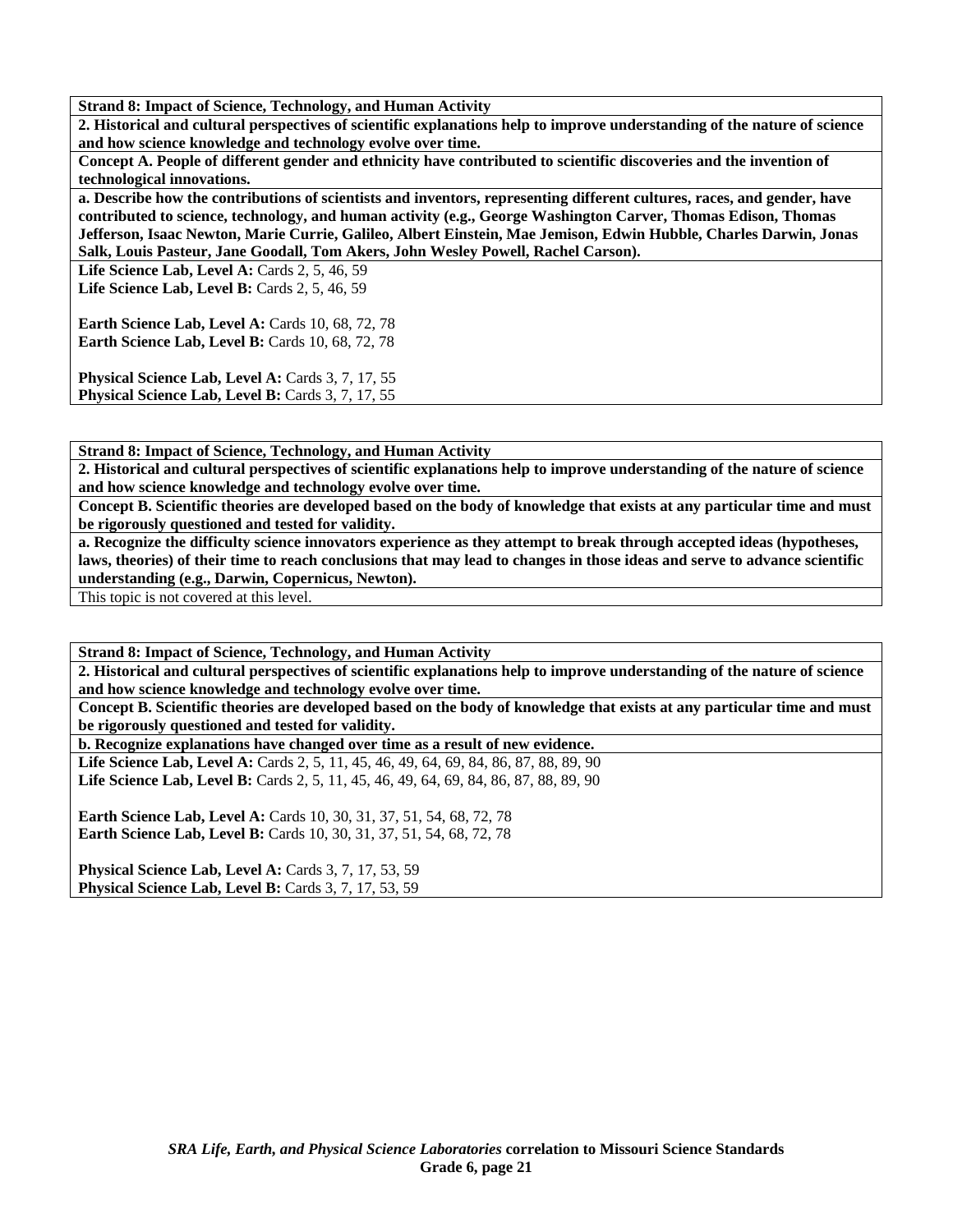**Strand 8: Impact of Science, Technology, and Human Activity** 

**2. Historical and cultural perspectives of scientific explanations help to improve understanding of the nature of science and how science knowledge and technology evolve over time.** 

**Concept A. People of different gender and ethnicity have contributed to scientific discoveries and the invention of technological innovations.** 

**a. Describe how the contributions of scientists and inventors, representing different cultures, races, and gender, have contributed to science, technology, and human activity (e.g., George Washington Carver, Thomas Edison, Thomas Jefferson, Isaac Newton, Marie Currie, Galileo, Albert Einstein, Mae Jemison, Edwin Hubble, Charles Darwin, Jonas Salk, Louis Pasteur, Jane Goodall, Tom Akers, John Wesley Powell, Rachel Carson).** 

**Life Science Lab, Level A:** Cards 2, 5, 46, 59 Life Science Lab, Level B: Cards 2, 5, 46, 59

**Earth Science Lab, Level A: Cards 10, 68, 72, 78 Earth Science Lab, Level B: Cards 10, 68, 72, 78** 

Physical Science Lab, Level A: Cards 3, 7, 17, 55 Physical Science Lab, Level B: Cards 3, 7, 17, 55

**Strand 8: Impact of Science, Technology, and Human Activity** 

**2. Historical and cultural perspectives of scientific explanations help to improve understanding of the nature of science and how science knowledge and technology evolve over time.** 

**Concept B. Scientific theories are developed based on the body of knowledge that exists at any particular time and must be rigorously questioned and tested for validity.** 

**a. Recognize the difficulty science innovators experience as they attempt to break through accepted ideas (hypotheses, laws, theories) of their time to reach conclusions that may lead to changes in those ideas and serve to advance scientific understanding (e.g., Darwin, Copernicus, Newton).** 

This topic is not covered at this level.

**Strand 8: Impact of Science, Technology, and Human Activity** 

**2. Historical and cultural perspectives of scientific explanations help to improve understanding of the nature of science and how science knowledge and technology evolve over time.** 

**Concept B. Scientific theories are developed based on the body of knowledge that exists at any particular time and must be rigorously questioned and tested for validity.** 

**b. Recognize explanations have changed over time as a result of new evidence.** 

Life Science Lab, Level A: Cards 2, 5, 11, 45, 46, 49, 64, 69, 84, 86, 87, 88, 89, 90 Life Science Lab, Level B: Cards 2, 5, 11, 45, 46, 49, 64, 69, 84, 86, 87, 88, 89, 90

**Earth Science Lab, Level A: Cards 10, 30, 31, 37, 51, 54, 68, 72, 78 Earth Science Lab, Level B:** Cards 10, 30, 31, 37, 51, 54, 68, 72, 78

**Physical Science Lab, Level A: Cards 3, 7, 17, 53, 59 Physical Science Lab, Level B: Cards 3, 7, 17, 53, 59**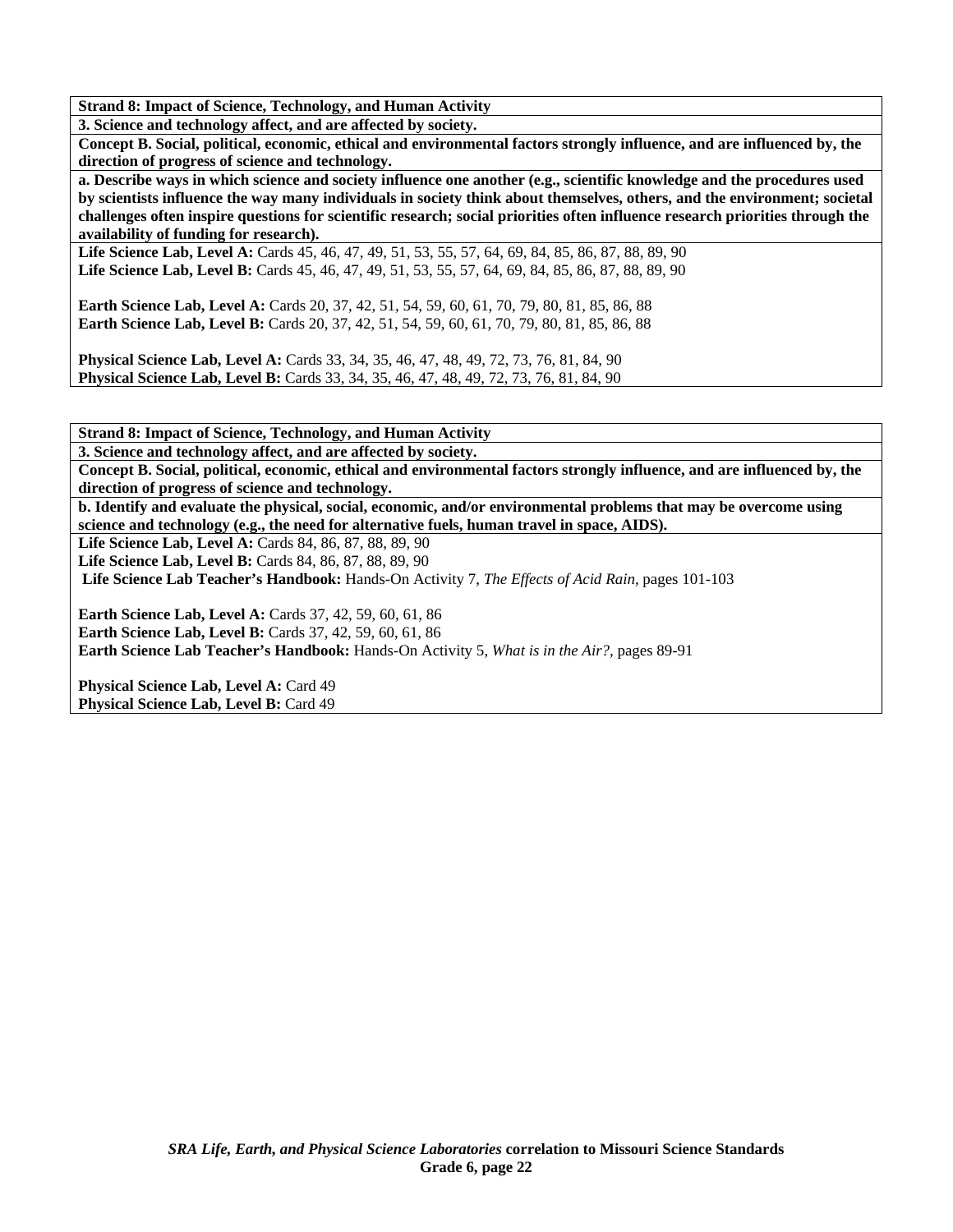**Strand 8: Impact of Science, Technology, and Human Activity** 

**3. Science and technology affect, and are affected by society.** 

**Concept B. Social, political, economic, ethical and environmental factors strongly influence, and are influenced by, the direction of progress of science and technology.** 

**a. Describe ways in which science and society influence one another (e.g., scientific knowledge and the procedures used by scientists influence the way many individuals in society think about themselves, others, and the environment; societal challenges often inspire questions for scientific research; social priorities often influence research priorities through the availability of funding for research).** 

**Life Science Lab, Level A:** Cards 45, 46, 47, 49, 51, 53, 55, 57, 64, 69, 84, 85, 86, 87, 88, 89, 90 **Life Science Lab, Level B:** Cards 45, 46, 47, 49, 51, 53, 55, 57, 64, 69, 84, 85, 86, 87, 88, 89, 90

**Earth Science Lab, Level A:** Cards 20, 37, 42, 51, 54, 59, 60, 61, 70, 79, 80, 81, 85, 86, 88 **Earth Science Lab, Level B:** Cards 20, 37, 42, 51, 54, 59, 60, 61, 70, 79, 80, 81, 85, 86, 88

**Physical Science Lab, Level A:** Cards 33, 34, 35, 46, 47, 48, 49, 72, 73, 76, 81, 84, 90 **Physical Science Lab, Level B:** Cards 33, 34, 35, 46, 47, 48, 49, 72, 73, 76, 81, 84, 90

**Strand 8: Impact of Science, Technology, and Human Activity** 

**3. Science and technology affect, and are affected by society.** 

**Concept B. Social, political, economic, ethical and environmental factors strongly influence, and are influenced by, the direction of progress of science and technology.** 

**b. Identify and evaluate the physical, social, economic, and/or environmental problems that may be overcome using science and technology (e.g., the need for alternative fuels, human travel in space, AIDS).** 

**Life Science Lab, Level A: Cards 84, 86, 87, 88, 89, 90 Life Science Lab, Level B:** Cards 84, 86, 87, 88, 89, 90

**Life Science Lab Teacher's Handbook:** Hands-On Activity 7, *The Effects of Acid Rain,* pages 101-103

**Earth Science Lab, Level A: Cards 37, 42, 59, 60, 61, 86 Earth Science Lab, Level B:** Cards 37, 42, 59, 60, 61, 86 **Earth Science Lab Teacher's Handbook:** Hands-On Activity 5, *What is in the Air?,* pages 89-91

**Physical Science Lab, Level A: Card 49** Physical Science Lab, Level B: Card 49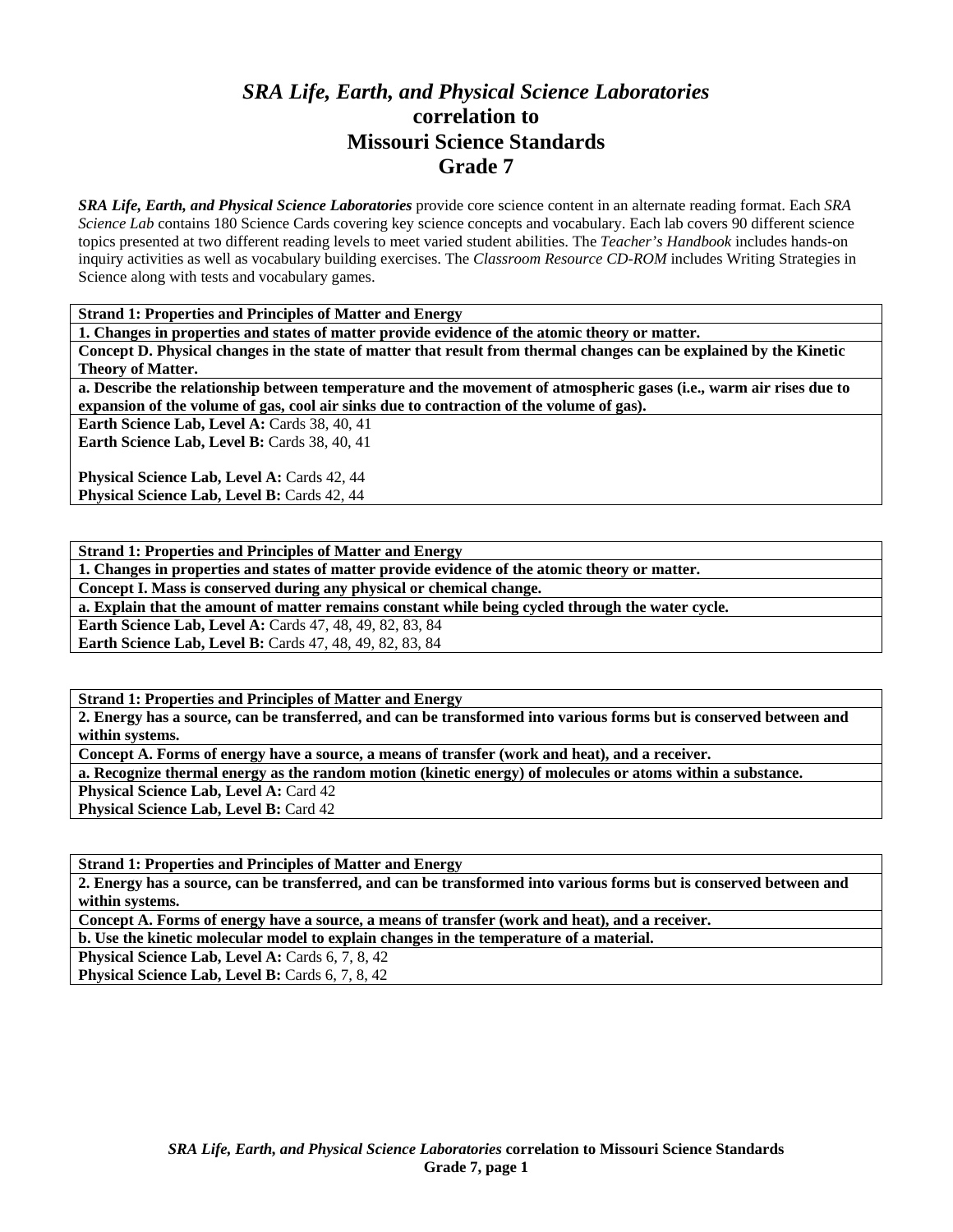## *SRA Life, Earth, and Physical Science Laboratories*  **correlation to Missouri Science Standards Grade 7**

*SRA Life, Earth, and Physical Science Laboratories* provide core science content in an alternate reading format. Each *SRA Science Lab* contains 180 Science Cards covering key science concepts and vocabulary. Each lab covers 90 different science topics presented at two different reading levels to meet varied student abilities. The *Teacher's Handbook* includes hands-on inquiry activities as well as vocabulary building exercises. The *Classroom Resource CD-ROM* includes Writing Strategies in Science along with tests and vocabulary games.

**Strand 1: Properties and Principles of Matter and Energy** 

**1. Changes in properties and states of matter provide evidence of the atomic theory or matter.** 

**Concept D. Physical changes in the state of matter that result from thermal changes can be explained by the Kinetic Theory of Matter.** 

**a. Describe the relationship between temperature and the movement of atmospheric gases (i.e., warm air rises due to expansion of the volume of gas, cool air sinks due to contraction of the volume of gas).** 

**Earth Science Lab, Level A: Cards 38, 40, 41** Earth Science Lab, Level B: Cards 38, 40, 41

Physical Science Lab, Level A: Cards 42, 44 Physical Science Lab, Level B: Cards 42, 44

**Strand 1: Properties and Principles of Matter and Energy** 

**1. Changes in properties and states of matter provide evidence of the atomic theory or matter.** 

**Concept I. Mass is conserved during any physical or chemical change.** 

**a. Explain that the amount of matter remains constant while being cycled through the water cycle.** 

**Earth Science Lab, Level A: Cards 47, 48, 49, 82, 83, 84** 

**Earth Science Lab, Level B:** Cards 47, 48, 49, 82, 83, 84

**Strand 1: Properties and Principles of Matter and Energy** 

**2. Energy has a source, can be transferred, and can be transformed into various forms but is conserved between and within systems.** 

**Concept A. Forms of energy have a source, a means of transfer (work and heat), and a receiver.** 

**a. Recognize thermal energy as the random motion (kinetic energy) of molecules or atoms within a substance.** 

**Physical Science Lab, Level A: Card 42 Physical Science Lab, Level B: Card 42** 

**Strand 1: Properties and Principles of Matter and Energy** 

**2. Energy has a source, can be transferred, and can be transformed into various forms but is conserved between and within systems.** 

**Concept A. Forms of energy have a source, a means of transfer (work and heat), and a receiver.** 

**b. Use the kinetic molecular model to explain changes in the temperature of a material.** 

**Physical Science Lab, Level A: Cards 6, 7, 8, 42** 

Physical Science Lab, Level B: Cards 6, 7, 8, 42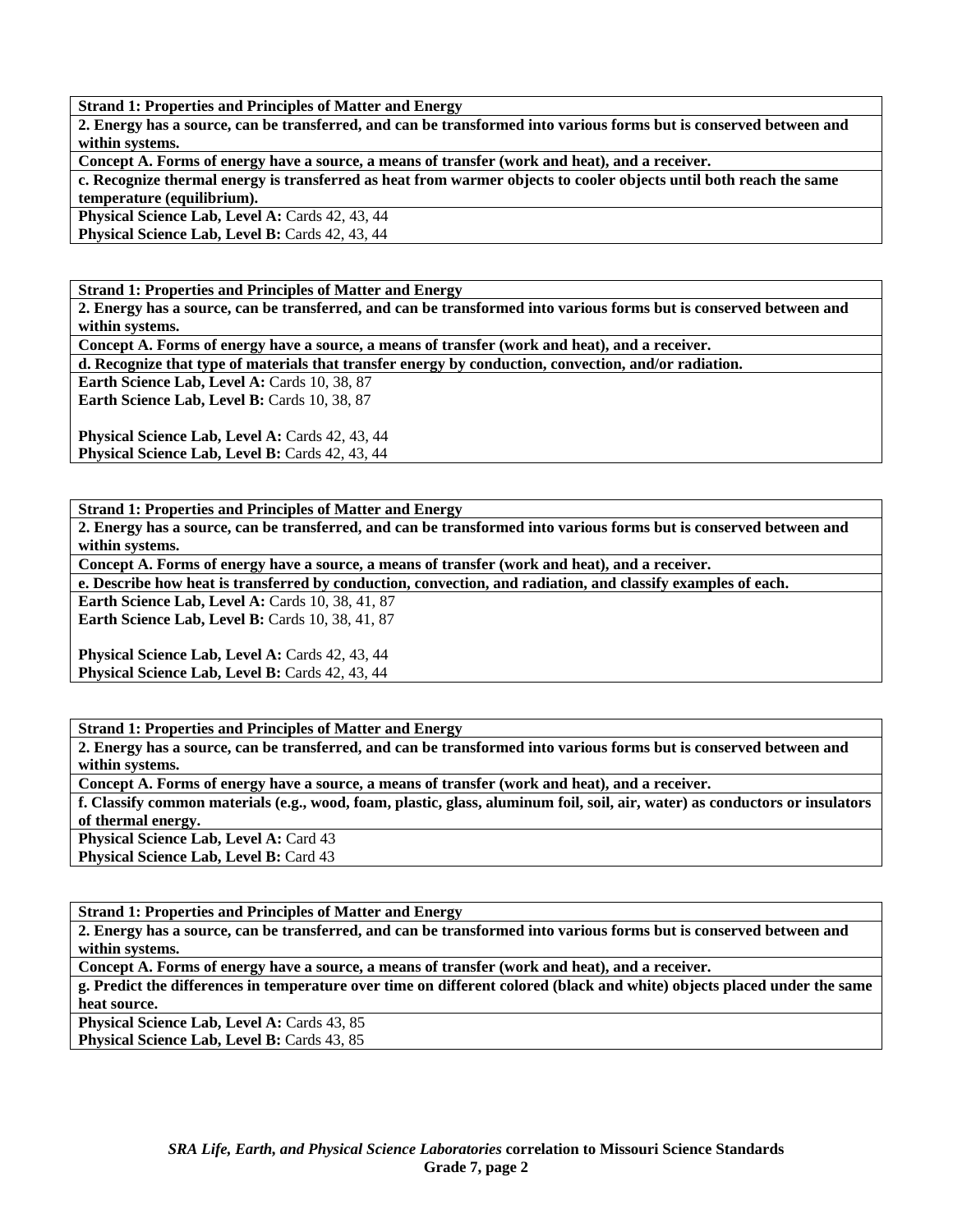**2. Energy has a source, can be transferred, and can be transformed into various forms but is conserved between and within systems.** 

**Concept A. Forms of energy have a source, a means of transfer (work and heat), and a receiver.** 

**c. Recognize thermal energy is transferred as heat from warmer objects to cooler objects until both reach the same temperature (equilibrium).** 

**Physical Science Lab, Level A: Cards 42, 43, 44** 

**Physical Science Lab, Level B: Cards 42, 43, 44** 

**Strand 1: Properties and Principles of Matter and Energy** 

**2. Energy has a source, can be transferred, and can be transformed into various forms but is conserved between and within systems.** 

**Concept A. Forms of energy have a source, a means of transfer (work and heat), and a receiver.** 

**d. Recognize that type of materials that transfer energy by conduction, convection, and/or radiation.** 

**Earth Science Lab, Level A: Cards 10, 38, 87** Earth Science Lab, Level B: Cards 10, 38, 87

Physical Science Lab, Level A: Cards 42, 43, 44 Physical Science Lab, Level B: Cards 42, 43, 44

**Strand 1: Properties and Principles of Matter and Energy** 

**2. Energy has a source, can be transferred, and can be transformed into various forms but is conserved between and within systems.** 

**Concept A. Forms of energy have a source, a means of transfer (work and heat), and a receiver.** 

**e. Describe how heat is transferred by conduction, convection, and radiation, and classify examples of each.** 

**Earth Science Lab, Level A: Cards 10, 38, 41, 87 Earth Science Lab, Level B: Cards 10, 38, 41, 87** 

**Physical Science Lab, Level A: Cards 42, 43, 44 Physical Science Lab, Level B: Cards 42, 43, 44** 

**Strand 1: Properties and Principles of Matter and Energy** 

**2. Energy has a source, can be transferred, and can be transformed into various forms but is conserved between and within systems.** 

**Concept A. Forms of energy have a source, a means of transfer (work and heat), and a receiver.** 

**f. Classify common materials (e.g., wood, foam, plastic, glass, aluminum foil, soil, air, water) as conductors or insulators of thermal energy.** 

**Physical Science Lab, Level A: Card 43 Physical Science Lab, Level B: Card 43** 

**Strand 1: Properties and Principles of Matter and Energy** 

**2. Energy has a source, can be transferred, and can be transformed into various forms but is conserved between and within systems.** 

**Concept A. Forms of energy have a source, a means of transfer (work and heat), and a receiver.** 

**g. Predict the differences in temperature over time on different colored (black and white) objects placed under the same heat source.** 

**Physical Science Lab, Level A: Cards 43, 85** Physical Science Lab, Level B: Cards 43, 85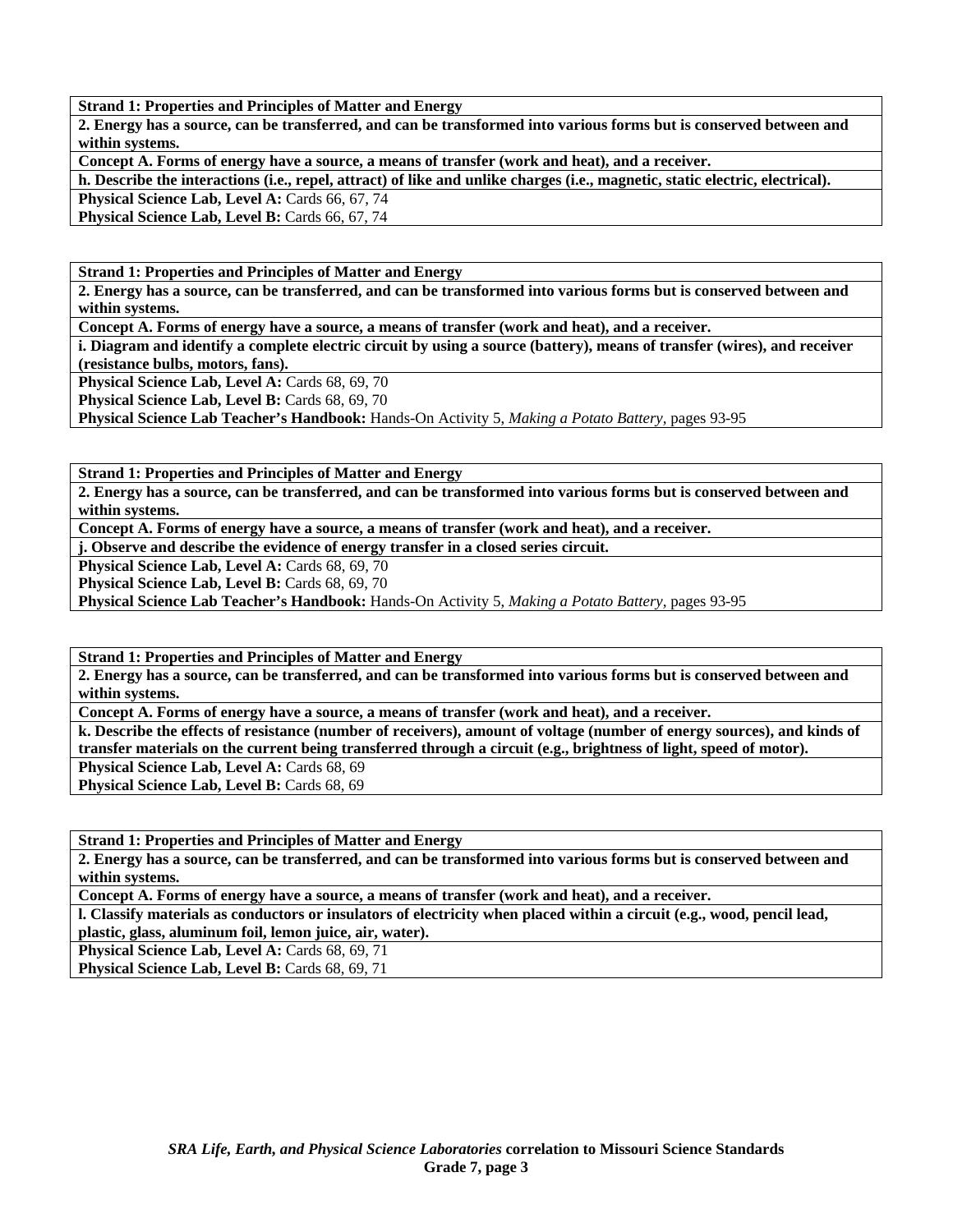**2. Energy has a source, can be transferred, and can be transformed into various forms but is conserved between and within systems.** 

**Concept A. Forms of energy have a source, a means of transfer (work and heat), and a receiver.** 

**h. Describe the interactions (i.e., repel, attract) of like and unlike charges (i.e., magnetic, static electric, electrical).** 

Physical Science Lab, Level A: Cards 66, 67, 74

**Physical Science Lab, Level B: Cards 66, 67, 74** 

**Strand 1: Properties and Principles of Matter and Energy** 

**2. Energy has a source, can be transferred, and can be transformed into various forms but is conserved between and within systems.** 

**Concept A. Forms of energy have a source, a means of transfer (work and heat), and a receiver.** 

**i. Diagram and identify a complete electric circuit by using a source (battery), means of transfer (wires), and receiver (resistance bulbs, motors, fans).** 

**Physical Science Lab, Level A: Cards 68, 69, 70** 

Physical Science Lab, Level B: Cards 68, 69, 70

**Physical Science Lab Teacher's Handbook:** Hands-On Activity 5, *Making a Potato Battery,* pages 93-95

**Strand 1: Properties and Principles of Matter and Energy** 

**2. Energy has a source, can be transferred, and can be transformed into various forms but is conserved between and within systems.** 

**Concept A. Forms of energy have a source, a means of transfer (work and heat), and a receiver.** 

**j. Observe and describe the evidence of energy transfer in a closed series circuit.** 

Physical Science Lab, Level A: Cards 68, 69, 70

Physical Science Lab, Level B: Cards 68, 69, 70

**Physical Science Lab Teacher's Handbook:** Hands-On Activity 5, *Making a Potato Battery,* pages 93-95

**Strand 1: Properties and Principles of Matter and Energy** 

**2. Energy has a source, can be transferred, and can be transformed into various forms but is conserved between and within systems.** 

**Concept A. Forms of energy have a source, a means of transfer (work and heat), and a receiver.** 

**k. Describe the effects of resistance (number of receivers), amount of voltage (number of energy sources), and kinds of transfer materials on the current being transferred through a circuit (e.g., brightness of light, speed of motor).** 

**Physical Science Lab, Level A: Cards 68, 69** Physical Science Lab, Level B: Cards 68, 69

**Strand 1: Properties and Principles of Matter and Energy** 

**2. Energy has a source, can be transferred, and can be transformed into various forms but is conserved between and within systems.** 

**Concept A. Forms of energy have a source, a means of transfer (work and heat), and a receiver.** 

**l. Classify materials as conductors or insulators of electricity when placed within a circuit (e.g., wood, pencil lead, plastic, glass, aluminum foil, lemon juice, air, water).** 

Physical Science Lab, Level A: Cards 68, 69, 71

**Physical Science Lab, Level B: Cards 68, 69, 71**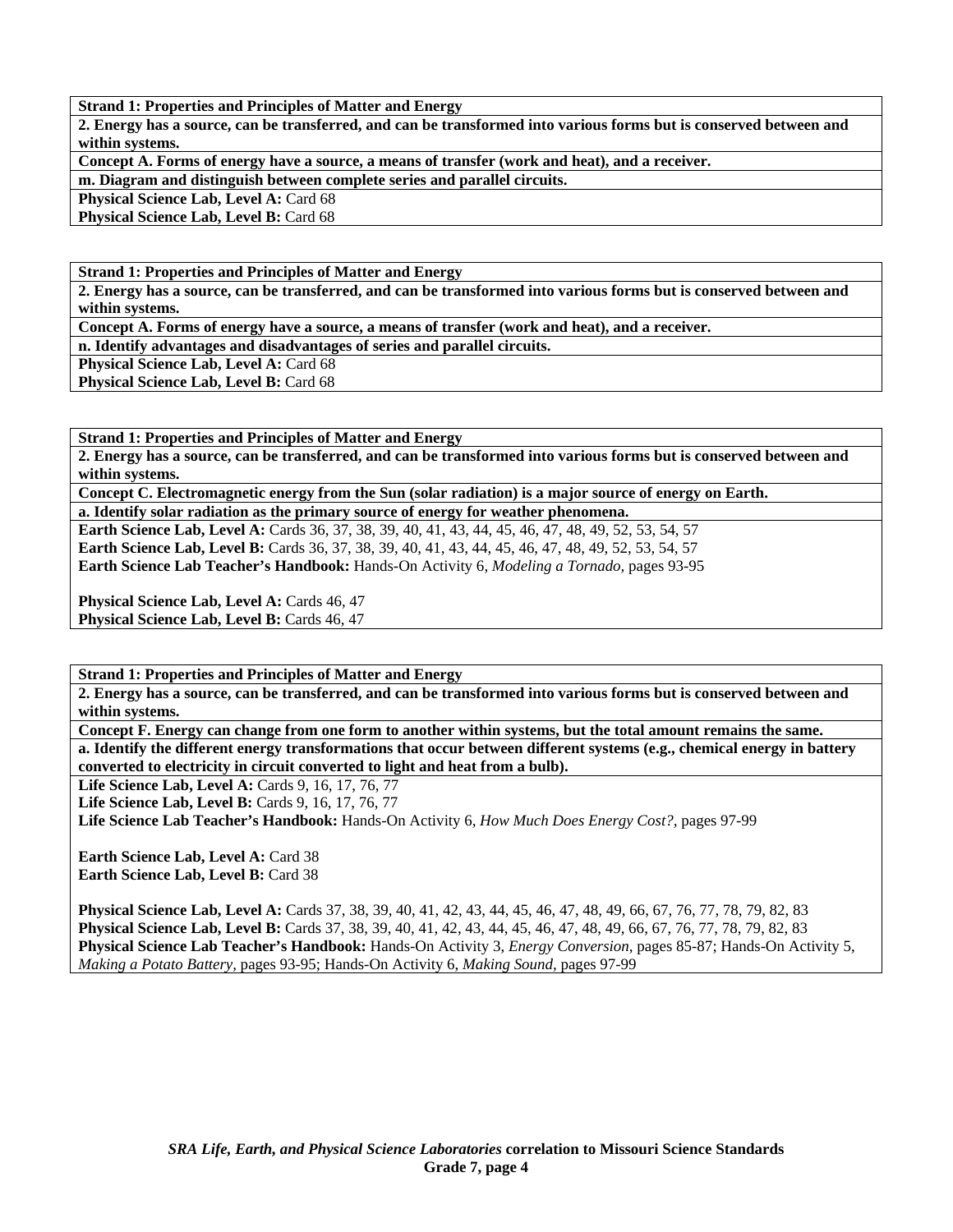**2. Energy has a source, can be transferred, and can be transformed into various forms but is conserved between and within systems.** 

**Concept A. Forms of energy have a source, a means of transfer (work and heat), and a receiver.** 

**m. Diagram and distinguish between complete series and parallel circuits.** 

**Physical Science Lab, Level A: Card 68** 

**Physical Science Lab, Level B: Card 68** 

**Strand 1: Properties and Principles of Matter and Energy** 

**2. Energy has a source, can be transferred, and can be transformed into various forms but is conserved between and within systems.** 

**Concept A. Forms of energy have a source, a means of transfer (work and heat), and a receiver.** 

**n. Identify advantages and disadvantages of series and parallel circuits.** 

**Physical Science Lab, Level A: Card 68** 

**Physical Science Lab, Level B: Card 68** 

**Strand 1: Properties and Principles of Matter and Energy** 

**2. Energy has a source, can be transferred, and can be transformed into various forms but is conserved between and within systems.** 

**Concept C. Electromagnetic energy from the Sun (solar radiation) is a major source of energy on Earth.** 

**a. Identify solar radiation as the primary source of energy for weather phenomena. Earth Science Lab, Level A:** Cards 36, 37, 38, 39, 40, 41, 43, 44, 45, 46, 47, 48, 49, 52, 53, 54, 57 **Earth Science Lab, Level B:** Cards 36, 37, 38, 39, 40, 41, 43, 44, 45, 46, 47, 48, 49, 52, 53, 54, 57 **Earth Science Lab Teacher's Handbook:** Hands-On Activity 6, *Modeling a Tornado,* pages 93-95

Physical Science Lab, Level A: Cards 46, 47 **Physical Science Lab, Level B: Cards 46, 47** 

**Strand 1: Properties and Principles of Matter and Energy** 

**2. Energy has a source, can be transferred, and can be transformed into various forms but is conserved between and within systems.** 

**Concept F. Energy can change from one form to another within systems, but the total amount remains the same. a. Identify the different energy transformations that occur between different systems (e.g., chemical energy in battery converted to electricity in circuit converted to light and heat from a bulb).** 

**Life Science Lab, Level A:** Cards 9, 16, 17, 76, 77

Life Science Lab, Level B: Cards 9, 16, 17, 76, 77

**Life Science Lab Teacher's Handbook:** Hands-On Activity 6, *How Much Does Energy Cost?,* pages 97-99

**Earth Science Lab, Level A: Card 38 Earth Science Lab, Level B:** Card 38

**Physical Science Lab, Level A:** Cards 37, 38, 39, 40, 41, 42, 43, 44, 45, 46, 47, 48, 49, 66, 67, 76, 77, 78, 79, 82, 83 **Physical Science Lab, Level B:** Cards 37, 38, 39, 40, 41, 42, 43, 44, 45, 46, 47, 48, 49, 66, 67, 76, 77, 78, 79, 82, 83 **Physical Science Lab Teacher's Handbook:** Hands-On Activity 3, *Energy Conversion,* pages 85-87; Hands-On Activity 5, *Making a Potato Battery,* pages 93-95; Hands-On Activity 6, *Making Sound,* pages 97-99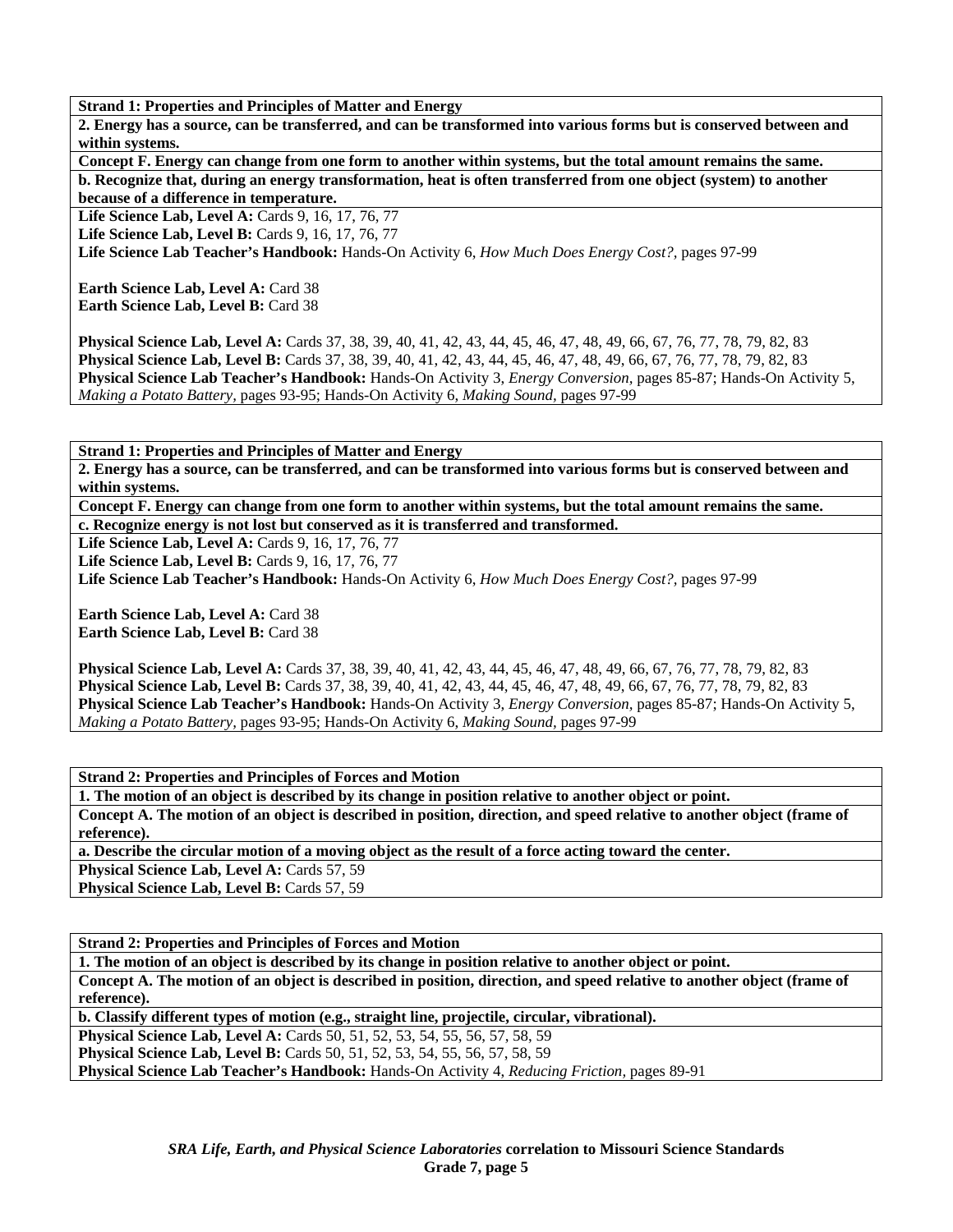**2. Energy has a source, can be transferred, and can be transformed into various forms but is conserved between and within systems.** 

**Concept F. Energy can change from one form to another within systems, but the total amount remains the same. b. Recognize that, during an energy transformation, heat is often transferred from one object (system) to another because of a difference in temperature.** 

**Life Science Lab, Level A: Cards 9, 16, 17, 76, 77** 

**Life Science Lab, Level B: Cards 9, 16, 17, 76, 77** 

**Life Science Lab Teacher's Handbook:** Hands-On Activity 6, *How Much Does Energy Cost?,* pages 97-99

**Earth Science Lab, Level A: Card 38 Earth Science Lab, Level B:** Card 38

**Physical Science Lab, Level A:** Cards 37, 38, 39, 40, 41, 42, 43, 44, 45, 46, 47, 48, 49, 66, 67, 76, 77, 78, 79, 82, 83 **Physical Science Lab, Level B:** Cards 37, 38, 39, 40, 41, 42, 43, 44, 45, 46, 47, 48, 49, 66, 67, 76, 77, 78, 79, 82, 83 **Physical Science Lab Teacher's Handbook:** Hands-On Activity 3, *Energy Conversion,* pages 85-87; Hands-On Activity 5, *Making a Potato Battery,* pages 93-95; Hands-On Activity 6, *Making Sound,* pages 97-99

**Strand 1: Properties and Principles of Matter and Energy** 

**2. Energy has a source, can be transferred, and can be transformed into various forms but is conserved between and within systems.** 

**Concept F. Energy can change from one form to another within systems, but the total amount remains the same. c. Recognize energy is not lost but conserved as it is transferred and transformed.** 

**Life Science Lab, Level A: Cards 9, 16, 17, 76, 77** 

**Life Science Lab, Level B: Cards 9, 16, 17, 76, 77** 

**Life Science Lab Teacher's Handbook:** Hands-On Activity 6, *How Much Does Energy Cost?,* pages 97-99

**Earth Science Lab, Level A: Card 38 Earth Science Lab, Level B: Card 38** 

**Physical Science Lab, Level A:** Cards 37, 38, 39, 40, 41, 42, 43, 44, 45, 46, 47, 48, 49, 66, 67, 76, 77, 78, 79, 82, 83 **Physical Science Lab, Level B:** Cards 37, 38, 39, 40, 41, 42, 43, 44, 45, 46, 47, 48, 49, 66, 67, 76, 77, 78, 79, 82, 83 **Physical Science Lab Teacher's Handbook:** Hands-On Activity 3, *Energy Conversion,* pages 85-87; Hands-On Activity 5, *Making a Potato Battery,* pages 93-95; Hands-On Activity 6, *Making Sound,* pages 97-99

**Strand 2: Properties and Principles of Forces and Motion** 

**1. The motion of an object is described by its change in position relative to another object or point. Concept A. The motion of an object is described in position, direction, and speed relative to another object (frame of reference).** 

**a. Describe the circular motion of a moving object as the result of a force acting toward the center.** 

**Physical Science Lab, Level A: Cards 57, 59** 

**Physical Science Lab, Level B: Cards 57, 59** 

**Strand 2: Properties and Principles of Forces and Motion** 

**1. The motion of an object is described by its change in position relative to another object or point.** 

**Concept A. The motion of an object is described in position, direction, and speed relative to another object (frame of reference).** 

**b. Classify different types of motion (e.g., straight line, projectile, circular, vibrational).** 

**Physical Science Lab, Level A: Cards 50, 51, 52, 53, 54, 55, 56, 57, 58, 59** 

**Physical Science Lab, Level B:** Cards 50, 51, 52, 53, 54, 55, 56, 57, 58, 59

**Physical Science Lab Teacher's Handbook:** Hands-On Activity 4, *Reducing Friction,* pages 89-91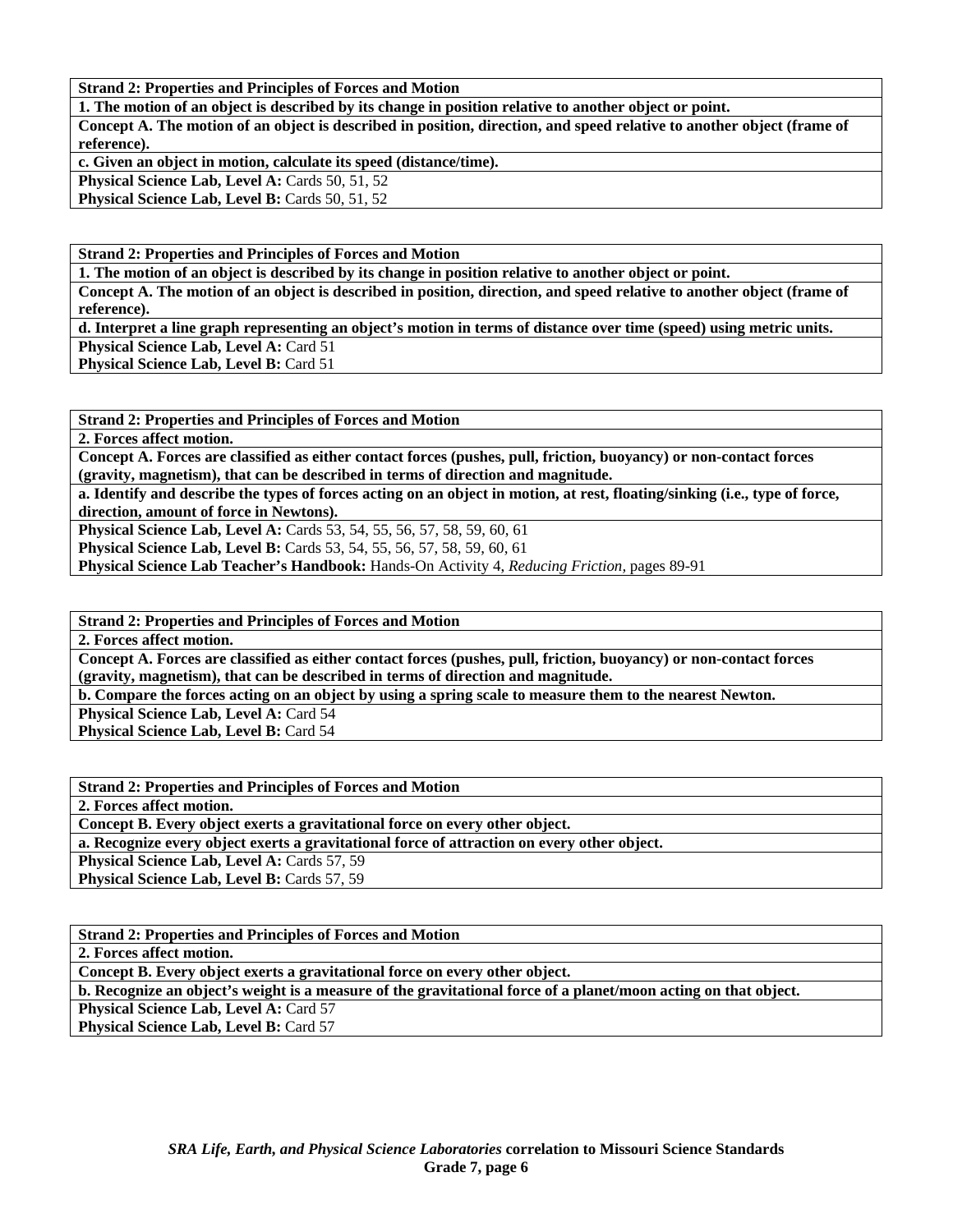**Strand 2: Properties and Principles of Forces and Motion** 

**1. The motion of an object is described by its change in position relative to another object or point.** 

**Concept A. The motion of an object is described in position, direction, and speed relative to another object (frame of reference).** 

**c. Given an object in motion, calculate its speed (distance/time).** 

Physical Science Lab, Level A: Cards 50, 51, 52

Physical Science Lab, Level B: Cards 50, 51, 52

**Strand 2: Properties and Principles of Forces and Motion** 

**1. The motion of an object is described by its change in position relative to another object or point.** 

**Concept A. The motion of an object is described in position, direction, and speed relative to another object (frame of reference).** 

**d. Interpret a line graph representing an object's motion in terms of distance over time (speed) using metric units.** 

**Physical Science Lab, Level A: Card 51** 

**Physical Science Lab, Level B: Card 51** 

**Strand 2: Properties and Principles of Forces and Motion** 

**2. Forces affect motion.** 

**Concept A. Forces are classified as either contact forces (pushes, pull, friction, buoyancy) or non-contact forces (gravity, magnetism), that can be described in terms of direction and magnitude.** 

**a. Identify and describe the types of forces acting on an object in motion, at rest, floating/sinking (i.e., type of force, direction, amount of force in Newtons).** 

**Physical Science Lab, Level A: Cards 53, 54, 55, 56, 57, 58, 59, 60, 61** 

**Physical Science Lab, Level B:** Cards 53, 54, 55, 56, 57, 58, 59, 60, 61

**Physical Science Lab Teacher's Handbook:** Hands-On Activity 4, *Reducing Friction,* pages 89-91

**Strand 2: Properties and Principles of Forces and Motion** 

**2. Forces affect motion.** 

**Concept A. Forces are classified as either contact forces (pushes, pull, friction, buoyancy) or non-contact forces (gravity, magnetism), that can be described in terms of direction and magnitude.** 

**b. Compare the forces acting on an object by using a spring scale to measure them to the nearest Newton.** 

**Physical Science Lab, Level A: Card 54** 

**Physical Science Lab, Level B: Card 54** 

**Strand 2: Properties and Principles of Forces and Motion** 

**2. Forces affect motion.** 

**Concept B. Every object exerts a gravitational force on every other object.** 

**a. Recognize every object exerts a gravitational force of attraction on every other object.** 

Physical Science Lab, Level A: Cards 57, 59

**Physical Science Lab, Level B: Cards 57, 59** 

**Strand 2: Properties and Principles of Forces and Motion** 

**2. Forces affect motion.** 

**Concept B. Every object exerts a gravitational force on every other object.** 

**b. Recognize an object's weight is a measure of the gravitational force of a planet/moon acting on that object.** 

**Physical Science Lab, Level A: Card 57** 

**Physical Science Lab, Level B: Card 57**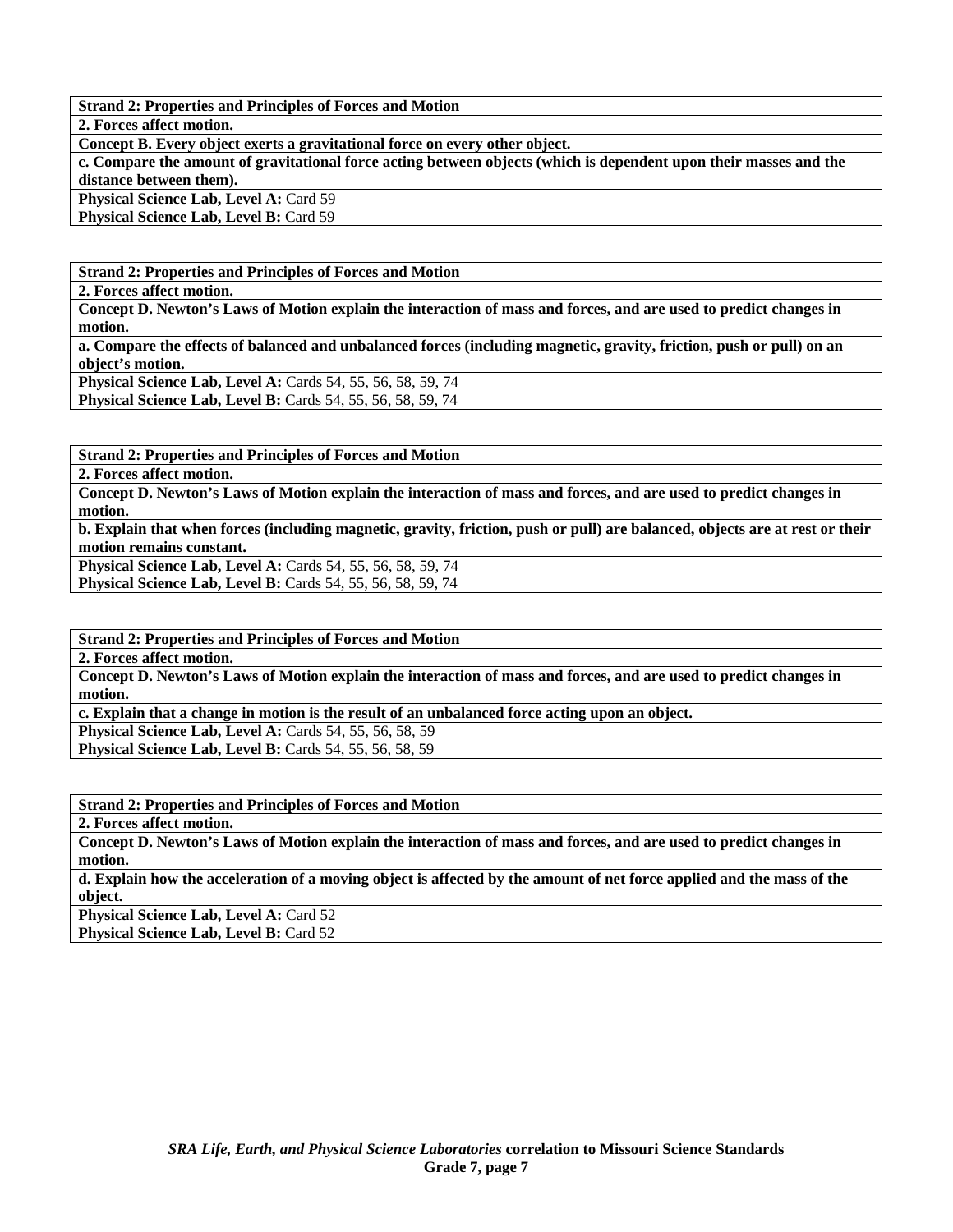**Strand 2: Properties and Principles of Forces and Motion** 

**2. Forces affect motion.** 

**Concept B. Every object exerts a gravitational force on every other object.** 

**c. Compare the amount of gravitational force acting between objects (which is dependent upon their masses and the distance between them).** 

**Physical Science Lab, Level A: Card 59** Physical Science Lab, Level B: Card 59

**Strand 2: Properties and Principles of Forces and Motion** 

**2. Forces affect motion.** 

**Concept D. Newton's Laws of Motion explain the interaction of mass and forces, and are used to predict changes in motion.** 

**a. Compare the effects of balanced and unbalanced forces (including magnetic, gravity, friction, push or pull) on an object's motion.** 

**Physical Science Lab, Level A: Cards 54, 55, 56, 58, 59, 74 Physical Science Lab, Level B:** Cards 54, 55, 56, 58, 59, 74

**Strand 2: Properties and Principles of Forces and Motion** 

**2. Forces affect motion.** 

**Concept D. Newton's Laws of Motion explain the interaction of mass and forces, and are used to predict changes in motion.** 

**b. Explain that when forces (including magnetic, gravity, friction, push or pull) are balanced, objects are at rest or their motion remains constant.** 

**Physical Science Lab, Level A: Cards 54, 55, 56, 58, 59, 74 Physical Science Lab, Level B: Cards 54, 55, 56, 58, 59, 74** 

**Strand 2: Properties and Principles of Forces and Motion** 

**2. Forces affect motion.** 

**Concept D. Newton's Laws of Motion explain the interaction of mass and forces, and are used to predict changes in motion.** 

**c. Explain that a change in motion is the result of an unbalanced force acting upon an object.** 

**Physical Science Lab, Level A: Cards 54, 55, 56, 58, 59** 

**Physical Science Lab, Level B: Cards 54, 55, 56, 58, 59** 

**Strand 2: Properties and Principles of Forces and Motion** 

**2. Forces affect motion.** 

**Concept D. Newton's Laws of Motion explain the interaction of mass and forces, and are used to predict changes in motion.** 

**d. Explain how the acceleration of a moving object is affected by the amount of net force applied and the mass of the object.** 

**Physical Science Lab, Level A: Card 52 Physical Science Lab, Level B: Card 52**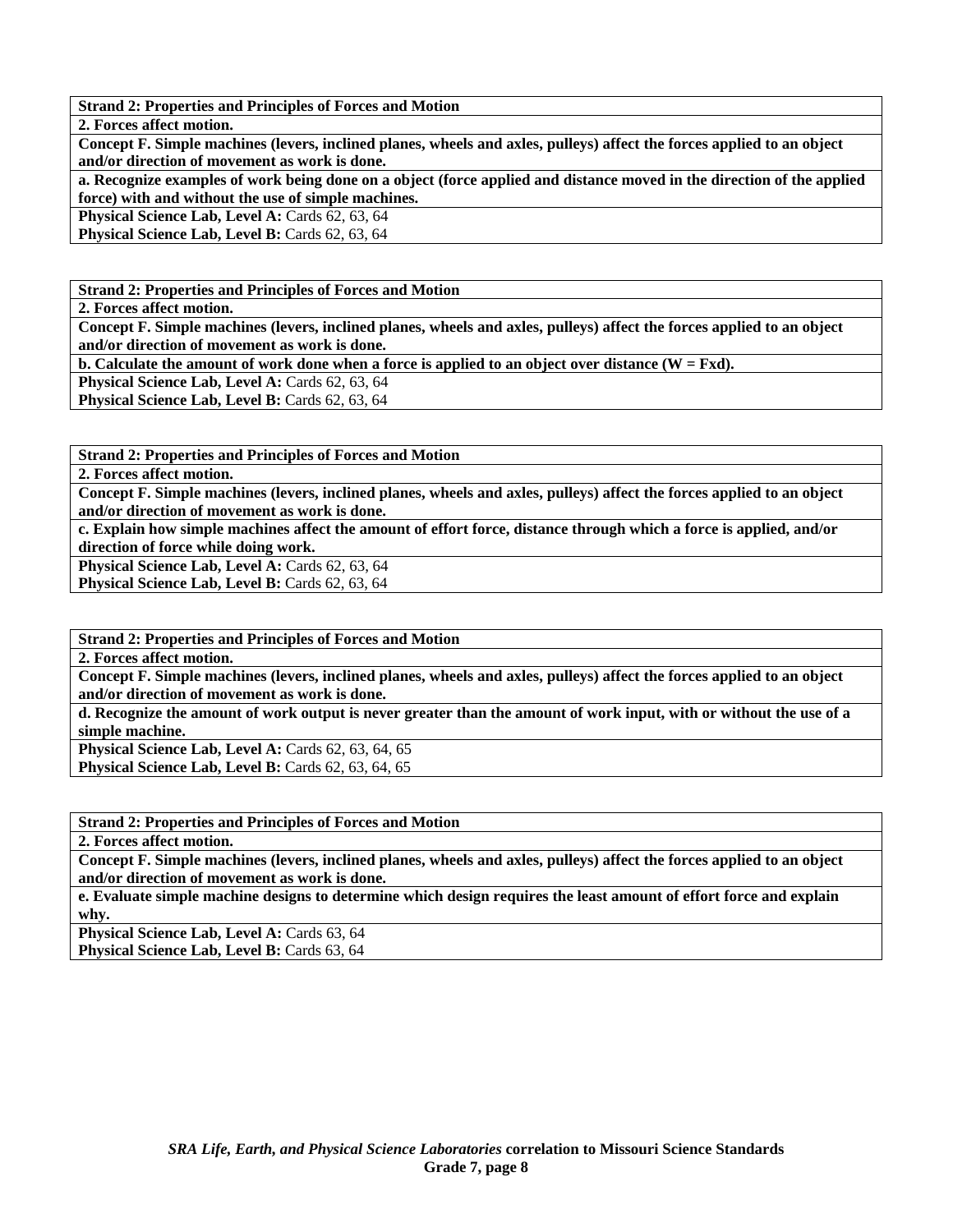**Strand 2: Properties and Principles of Forces and Motion** 

**2. Forces affect motion.** 

**Concept F. Simple machines (levers, inclined planes, wheels and axles, pulleys) affect the forces applied to an object and/or direction of movement as work is done.** 

**a. Recognize examples of work being done on a object (force applied and distance moved in the direction of the applied force) with and without the use of simple machines.** 

**Physical Science Lab, Level A: Cards 62, 63, 64** 

**Physical Science Lab, Level B: Cards 62, 63, 64** 

**Strand 2: Properties and Principles of Forces and Motion** 

**2. Forces affect motion.** 

**Concept F. Simple machines (levers, inclined planes, wheels and axles, pulleys) affect the forces applied to an object and/or direction of movement as work is done.** 

**b.** Calculate the amount of work done when a force is applied to an object over distance  $(W = Fxd)$ .

**Physical Science Lab, Level A: Cards 62, 63, 64** 

**Physical Science Lab, Level B: Cards 62, 63, 64** 

**Strand 2: Properties and Principles of Forces and Motion** 

**2. Forces affect motion.** 

**Concept F. Simple machines (levers, inclined planes, wheels and axles, pulleys) affect the forces applied to an object and/or direction of movement as work is done.** 

**c. Explain how simple machines affect the amount of effort force, distance through which a force is applied, and/or direction of force while doing work.** 

Physical Science Lab, Level A: Cards 62, 63, 64 **Physical Science Lab, Level B: Cards 62, 63, 64** 

**Strand 2: Properties and Principles of Forces and Motion** 

**2. Forces affect motion.** 

**Concept F. Simple machines (levers, inclined planes, wheels and axles, pulleys) affect the forces applied to an object and/or direction of movement as work is done.** 

**d. Recognize the amount of work output is never greater than the amount of work input, with or without the use of a simple machine.** 

**Physical Science Lab, Level A: Cards 62, 63, 64, 65 Physical Science Lab, Level B: Cards 62, 63, 64, 65** 

**Strand 2: Properties and Principles of Forces and Motion** 

**2. Forces affect motion.** 

**Concept F. Simple machines (levers, inclined planes, wheels and axles, pulleys) affect the forces applied to an object and/or direction of movement as work is done.** 

**e. Evaluate simple machine designs to determine which design requires the least amount of effort force and explain why.** 

Physical Science Lab, Level A: Cards 63, 64

Physical Science Lab, Level B: Cards 63, 64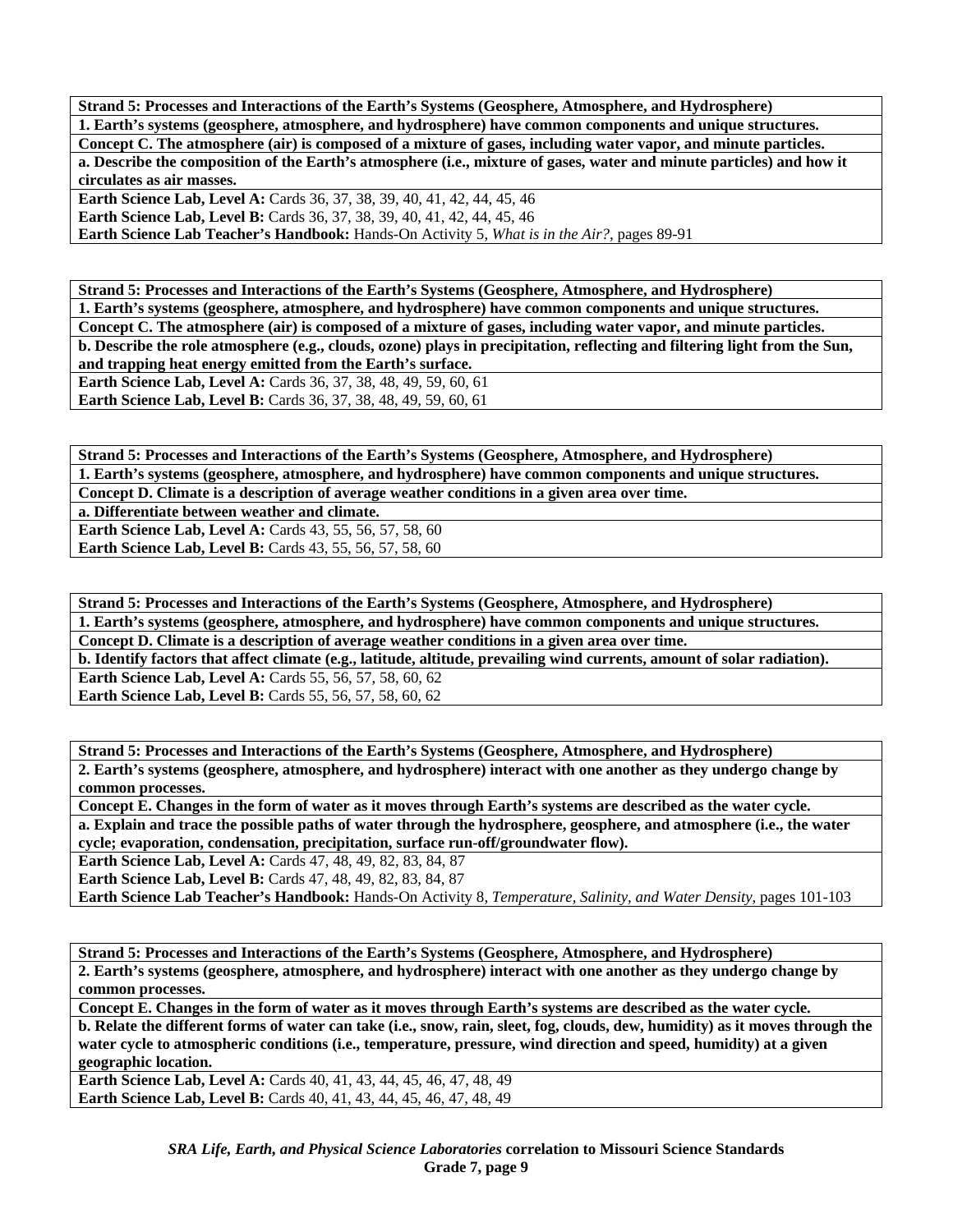**Strand 5: Processes and Interactions of the Earth's Systems (Geosphere, Atmosphere, and Hydrosphere) 1. Earth's systems (geosphere, atmosphere, and hydrosphere) have common components and unique structures. Concept C. The atmosphere (air) is composed of a mixture of gases, including water vapor, and minute particles. a. Describe the composition of the Earth's atmosphere (i.e., mixture of gases, water and minute particles) and how it circulates as air masses.** 

Earth Science Lab, Level A: Cards 36, 37, 38, 39, 40, 41, 42, 44, 45, 46 **Earth Science Lab, Level B:** Cards 36, 37, 38, 39, 40, 41, 42, 44, 45, 46

**Earth Science Lab Teacher's Handbook:** Hands-On Activity 5, *What is in the Air?,* pages 89-91

**Strand 5: Processes and Interactions of the Earth's Systems (Geosphere, Atmosphere, and Hydrosphere) 1. Earth's systems (geosphere, atmosphere, and hydrosphere) have common components and unique structures. Concept C. The atmosphere (air) is composed of a mixture of gases, including water vapor, and minute particles. b. Describe the role atmosphere (e.g., clouds, ozone) plays in precipitation, reflecting and filtering light from the Sun, and trapping heat energy emitted from the Earth's surface. Earth Science Lab, Level A:** Cards 36, 37, 38, 48, 49, 59, 60, 61

**Earth Science Lab, Level B:** Cards 36, 37, 38, 48, 49, 59, 60, 61

**Strand 5: Processes and Interactions of the Earth's Systems (Geosphere, Atmosphere, and Hydrosphere) 1. Earth's systems (geosphere, atmosphere, and hydrosphere) have common components and unique structures. Concept D. Climate is a description of average weather conditions in a given area over time.** 

**a. Differentiate between weather and climate.** 

**Earth Science Lab, Level A: Cards 43, 55, 56, 57, 58, 60 Earth Science Lab, Level B:** Cards 43, 55, 56, 57, 58, 60

**Strand 5: Processes and Interactions of the Earth's Systems (Geosphere, Atmosphere, and Hydrosphere) 1. Earth's systems (geosphere, atmosphere, and hydrosphere) have common components and unique structures. Concept D. Climate is a description of average weather conditions in a given area over time. b. Identify factors that affect climate (e.g., latitude, altitude, prevailing wind currents, amount of solar radiation). Earth Science Lab, Level A: Cards 55, 56, 57, 58, 60, 62 Earth Science Lab, Level B:** Cards 55, 56, 57, 58, 60, 62

**Strand 5: Processes and Interactions of the Earth's Systems (Geosphere, Atmosphere, and Hydrosphere) 2. Earth's systems (geosphere, atmosphere, and hydrosphere) interact with one another as they undergo change by common processes.** 

**Concept E. Changes in the form of water as it moves through Earth's systems are described as the water cycle. a. Explain and trace the possible paths of water through the hydrosphere, geosphere, and atmosphere (i.e., the water cycle; evaporation, condensation, precipitation, surface run-off/groundwater flow).** 

**Earth Science Lab, Level A:** Cards 47, 48, 49, 82, 83, 84, 87

**Earth Science Lab, Level B:** Cards 47, 48, 49, 82, 83, 84, 87

**Earth Science Lab Teacher's Handbook:** Hands-On Activity 8, *Temperature, Salinity, and Water Density,* pages 101-103

**Strand 5: Processes and Interactions of the Earth's Systems (Geosphere, Atmosphere, and Hydrosphere) 2. Earth's systems (geosphere, atmosphere, and hydrosphere) interact with one another as they undergo change by common processes.** 

**Concept E. Changes in the form of water as it moves through Earth's systems are described as the water cycle.** 

**b. Relate the different forms of water can take (i.e., snow, rain, sleet, fog, clouds, dew, humidity) as it moves through the water cycle to atmospheric conditions (i.e., temperature, pressure, wind direction and speed, humidity) at a given geographic location.** 

**Earth Science Lab, Level A: Cards 40, 41, 43, 44, 45, 46, 47, 48, 49 Earth Science Lab, Level B:** Cards 40, 41, 43, 44, 45, 46, 47, 48, 49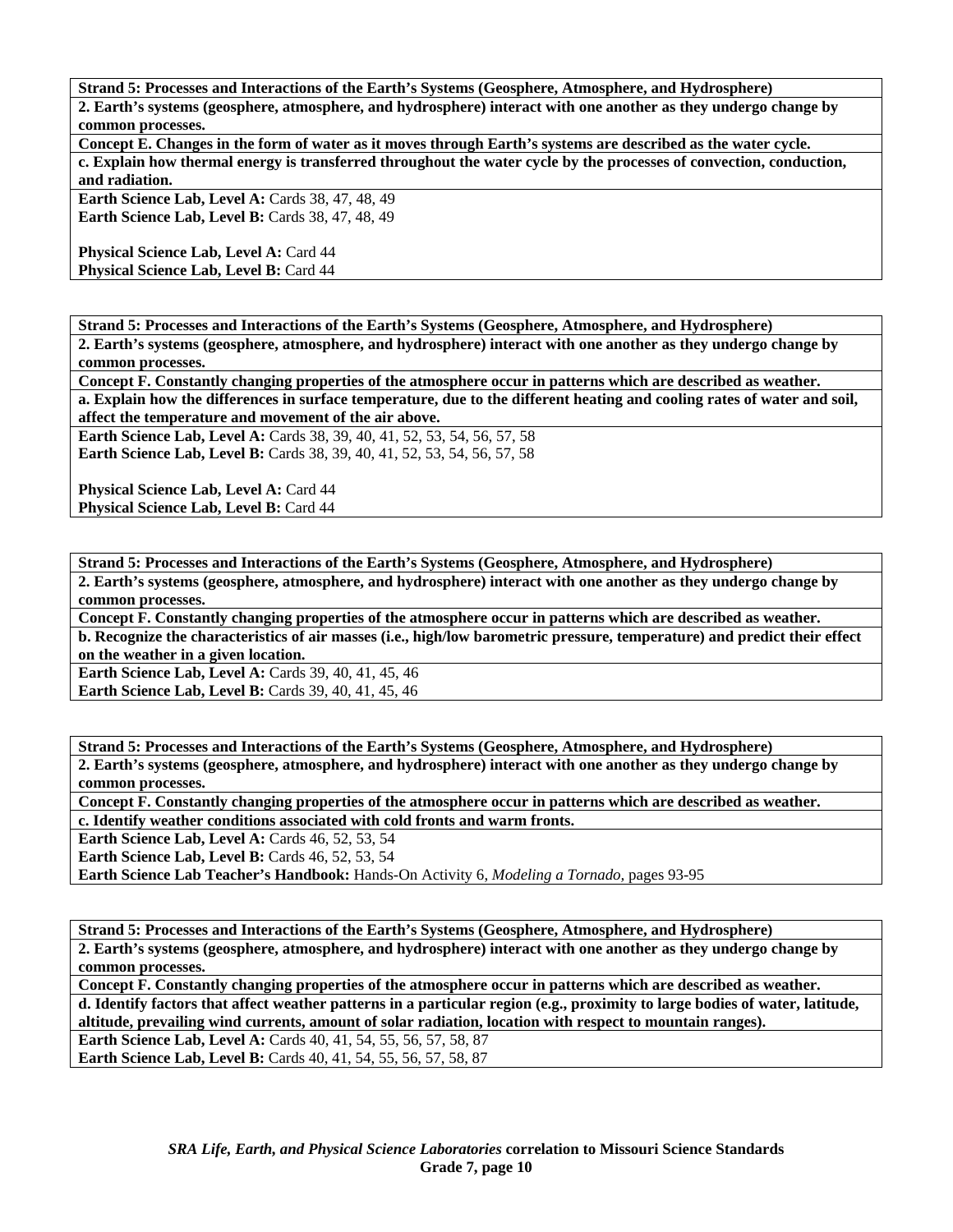**Strand 5: Processes and Interactions of the Earth's Systems (Geosphere, Atmosphere, and Hydrosphere)** 

**2. Earth's systems (geosphere, atmosphere, and hydrosphere) interact with one another as they undergo change by common processes.** 

**Concept E. Changes in the form of water as it moves through Earth's systems are described as the water cycle. c. Explain how thermal energy is transferred throughout the water cycle by the processes of convection, conduction, and radiation.** 

**Earth Science Lab, Level A: Cards 38, 47, 48, 49 Earth Science Lab, Level B: Cards 38, 47, 48, 49** 

**Physical Science Lab, Level A: Card 44 Physical Science Lab, Level B: Card 44** 

**Strand 5: Processes and Interactions of the Earth's Systems (Geosphere, Atmosphere, and Hydrosphere)** 

**2. Earth's systems (geosphere, atmosphere, and hydrosphere) interact with one another as they undergo change by common processes.** 

**Concept F. Constantly changing properties of the atmosphere occur in patterns which are described as weather.** 

**a. Explain how the differences in surface temperature, due to the different heating and cooling rates of water and soil, affect the temperature and movement of the air above.** 

**Earth Science Lab, Level A: Cards 38, 39, 40, 41, 52, 53, 54, 56, 57, 58 Earth Science Lab, Level B:** Cards 38, 39, 40, 41, 52, 53, 54, 56, 57, 58

Physical Science Lab, Level A: Card 44 **Physical Science Lab, Level B: Card 44** 

**Strand 5: Processes and Interactions of the Earth's Systems (Geosphere, Atmosphere, and Hydrosphere) 2. Earth's systems (geosphere, atmosphere, and hydrosphere) interact with one another as they undergo change by common processes.** 

**Concept F. Constantly changing properties of the atmosphere occur in patterns which are described as weather. b. Recognize the characteristics of air masses (i.e., high/low barometric pressure, temperature) and predict their effect on the weather in a given location.** 

**Earth Science Lab, Level A: Cards 39, 40, 41, 45, 46 Earth Science Lab, Level B: Cards 39, 40, 41, 45, 46** 

**Strand 5: Processes and Interactions of the Earth's Systems (Geosphere, Atmosphere, and Hydrosphere) 2. Earth's systems (geosphere, atmosphere, and hydrosphere) interact with one another as they undergo change by common processes.** 

**Concept F. Constantly changing properties of the atmosphere occur in patterns which are described as weather. c. Identify weather conditions associated with cold fronts and warm fronts.** 

**Earth Science Lab, Level A: Cards 46, 52, 53, 54** 

**Earth Science Lab, Level B: Cards 46, 52, 53, 54** 

**Earth Science Lab Teacher's Handbook:** Hands-On Activity 6, *Modeling a Tornado,* pages 93-95

**Strand 5: Processes and Interactions of the Earth's Systems (Geosphere, Atmosphere, and Hydrosphere) 2. Earth's systems (geosphere, atmosphere, and hydrosphere) interact with one another as they undergo change by common processes.** 

**Concept F. Constantly changing properties of the atmosphere occur in patterns which are described as weather. d. Identify factors that affect weather patterns in a particular region (e.g., proximity to large bodies of water, latitude, altitude, prevailing wind currents, amount of solar radiation, location with respect to mountain ranges).** 

**Earth Science Lab, Level A:** Cards 40, 41, 54, 55, 56, 57, 58, 87 **Earth Science Lab, Level B:** Cards 40, 41, 54, 55, 56, 57, 58, 87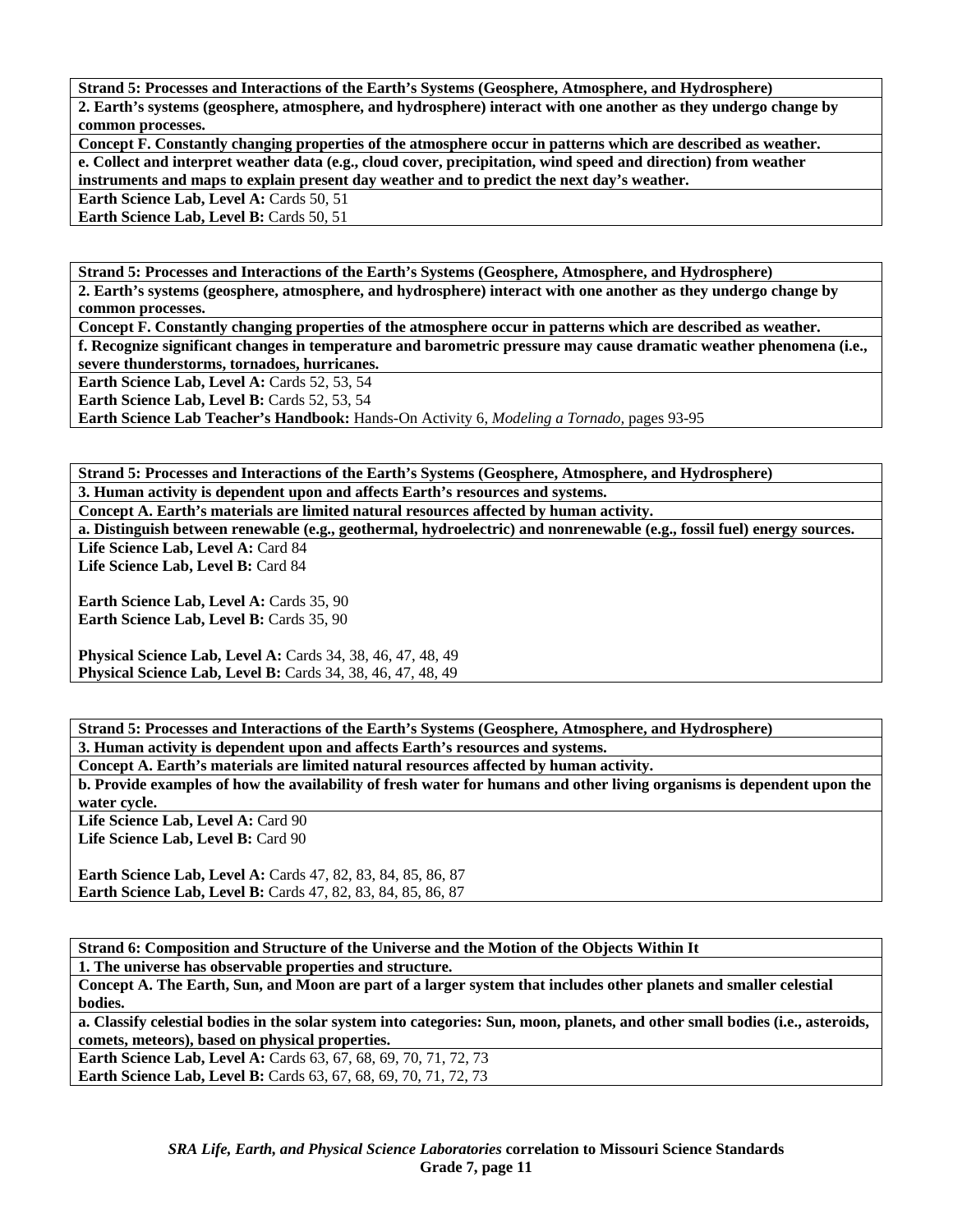**Strand 5: Processes and Interactions of the Earth's Systems (Geosphere, Atmosphere, and Hydrosphere) 2. Earth's systems (geosphere, atmosphere, and hydrosphere) interact with one another as they undergo change by common processes.** 

**Concept F. Constantly changing properties of the atmosphere occur in patterns which are described as weather. e. Collect and interpret weather data (e.g., cloud cover, precipitation, wind speed and direction) from weather instruments and maps to explain present day weather and to predict the next day's weather.** 

**Earth Science Lab, Level A: Cards 50, 51** 

**Earth Science Lab, Level B: Cards 50, 51** 

**Strand 5: Processes and Interactions of the Earth's Systems (Geosphere, Atmosphere, and Hydrosphere) 2. Earth's systems (geosphere, atmosphere, and hydrosphere) interact with one another as they undergo change by common processes.** 

**Concept F. Constantly changing properties of the atmosphere occur in patterns which are described as weather.** 

**f. Recognize significant changes in temperature and barometric pressure may cause dramatic weather phenomena (i.e., severe thunderstorms, tornadoes, hurricanes.** 

**Earth Science Lab, Level A: Cards 52, 53, 54** 

**Earth Science Lab, Level B: Cards 52, 53, 54** 

**Earth Science Lab Teacher's Handbook:** Hands-On Activity 6, *Modeling a Tornado,* pages 93-95

**Strand 5: Processes and Interactions of the Earth's Systems (Geosphere, Atmosphere, and Hydrosphere) 3. Human activity is dependent upon and affects Earth's resources and systems.** 

**Concept A. Earth's materials are limited natural resources affected by human activity.** 

**a. Distinguish between renewable (e.g., geothermal, hydroelectric) and nonrenewable (e.g., fossil fuel) energy sources.**  Life Science Lab. Level A: Card 84

Life Science Lab, Level B: Card 84

Earth Science Lab, Level A: Cards 35, 90 **Earth Science Lab, Level B: Cards 35, 90** 

**Physical Science Lab, Level A:** Cards 34, 38, 46, 47, 48, 49 **Physical Science Lab, Level B:** Cards 34, 38, 46, 47, 48, 49

**Strand 5: Processes and Interactions of the Earth's Systems (Geosphere, Atmosphere, and Hydrosphere) 3. Human activity is dependent upon and affects Earth's resources and systems.** 

**Concept A. Earth's materials are limited natural resources affected by human activity.** 

**b. Provide examples of how the availability of fresh water for humans and other living organisms is dependent upon the water cycle.** 

Life Science Lab, Level A: Card 90 Life Science Lab, Level B: Card 90

**Earth Science Lab, Level A:** Cards 47, 82, 83, 84, 85, 86, 87 **Earth Science Lab, Level B:** Cards 47, 82, 83, 84, 85, 86, 87

**Strand 6: Composition and Structure of the Universe and the Motion of the Objects Within It 1. The universe has observable properties and structure.** 

**Concept A. The Earth, Sun, and Moon are part of a larger system that includes other planets and smaller celestial bodies.** 

**a. Classify celestial bodies in the solar system into categories: Sun, moon, planets, and other small bodies (i.e., asteroids, comets, meteors), based on physical properties.** 

**Earth Science Lab, Level A: Cards 63, 67, 68, 69, 70, 71, 72, 73 Earth Science Lab, Level B:** Cards 63, 67, 68, 69, 70, 71, 72, 73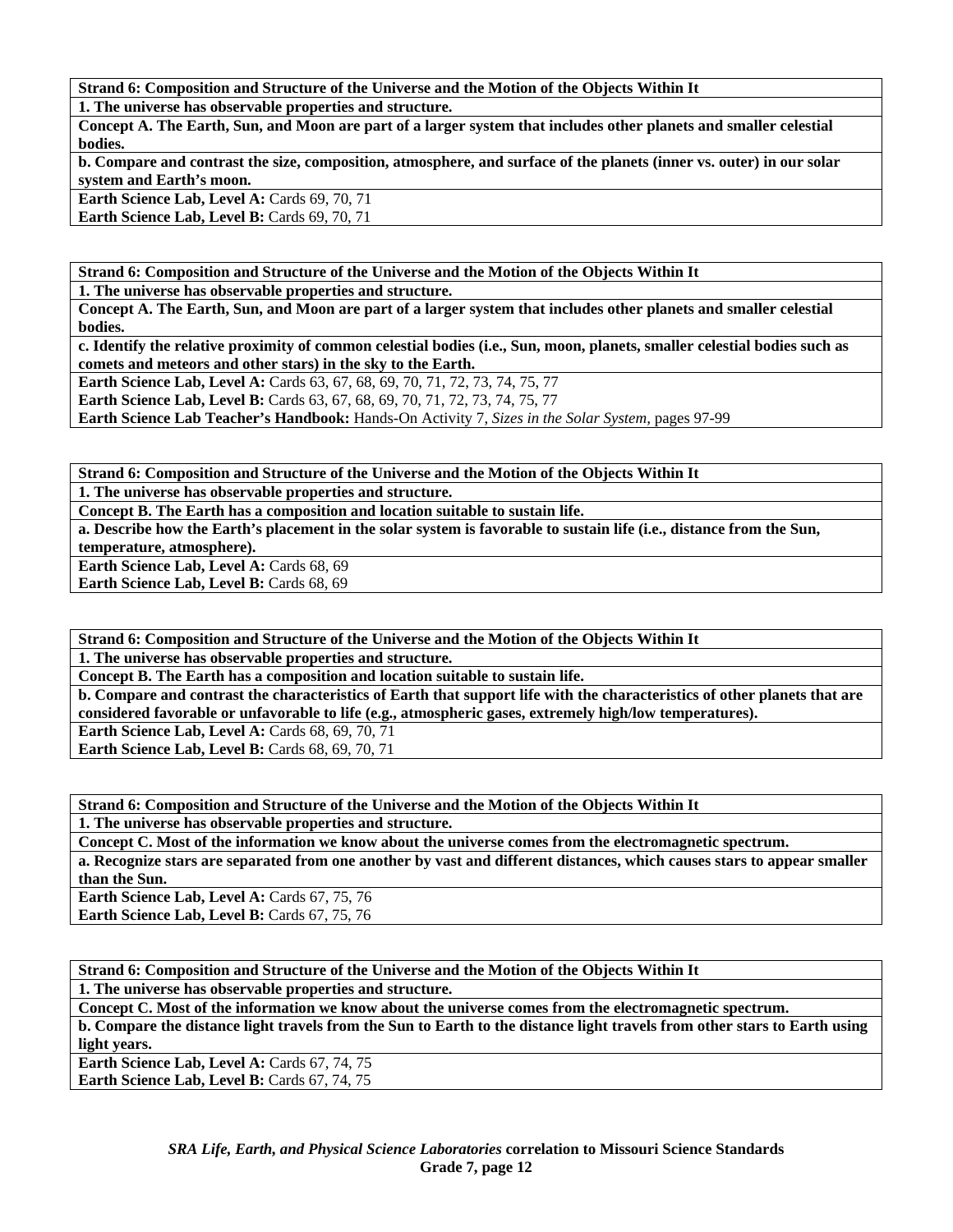**Strand 6: Composition and Structure of the Universe and the Motion of the Objects Within It** 

**1. The universe has observable properties and structure.** 

**Concept A. The Earth, Sun, and Moon are part of a larger system that includes other planets and smaller celestial bodies.** 

**b. Compare and contrast the size, composition, atmosphere, and surface of the planets (inner vs. outer) in our solar system and Earth's moon.** 

Earth Science Lab, Level A: Cards 69, 70, 71

Earth Science Lab, Level B: Cards 69, 70, 71

**Strand 6: Composition and Structure of the Universe and the Motion of the Objects Within It** 

**1. The universe has observable properties and structure.** 

**Concept A. The Earth, Sun, and Moon are part of a larger system that includes other planets and smaller celestial bodies.** 

**c. Identify the relative proximity of common celestial bodies (i.e., Sun, moon, planets, smaller celestial bodies such as comets and meteors and other stars) in the sky to the Earth.** 

**Earth Science Lab, Level A: Cards 63, 67, 68, 69, 70, 71, 72, 73, 74, 75, 77 Earth Science Lab, Level B:** Cards 63, 67, 68, 69, 70, 71, 72, 73, 74, 75, 77

**Earth Science Lab Teacher's Handbook:** Hands-On Activity 7, *Sizes in the Solar System,* pages 97-99

**Strand 6: Composition and Structure of the Universe and the Motion of the Objects Within It** 

**1. The universe has observable properties and structure.** 

**Concept B. The Earth has a composition and location suitable to sustain life.** 

**a. Describe how the Earth's placement in the solar system is favorable to sustain life (i.e., distance from the Sun, temperature, atmosphere).** 

Earth Science Lab, Level A: Cards 68, 69

Earth Science Lab, Level B: Cards 68, 69

**Strand 6: Composition and Structure of the Universe and the Motion of the Objects Within It** 

**1. The universe has observable properties and structure.** 

**Concept B. The Earth has a composition and location suitable to sustain life.** 

**b. Compare and contrast the characteristics of Earth that support life with the characteristics of other planets that are considered favorable or unfavorable to life (e.g., atmospheric gases, extremely high/low temperatures). Earth Science Lab, Level A: Cards 68, 69, 70, 71** 

**Earth Science Lab, Level B: Cards 68, 69, 70, 71** 

**Strand 6: Composition and Structure of the Universe and the Motion of the Objects Within It** 

**1. The universe has observable properties and structure.** 

**Concept C. Most of the information we know about the universe comes from the electromagnetic spectrum. a. Recognize stars are separated from one another by vast and different distances, which causes stars to appear smaller than the Sun.** 

Earth Science Lab, Level A: Cards 67, 75, 76 Earth Science Lab, Level B: Cards 67, 75, 76

**Strand 6: Composition and Structure of the Universe and the Motion of the Objects Within It** 

**1. The universe has observable properties and structure.** 

**Concept C. Most of the information we know about the universe comes from the electromagnetic spectrum. b. Compare the distance light travels from the Sun to Earth to the distance light travels from other stars to Earth using light years.** 

Earth Science Lab, Level A: Cards 67, 74, 75 Earth Science Lab, Level B: Cards 67, 74, 75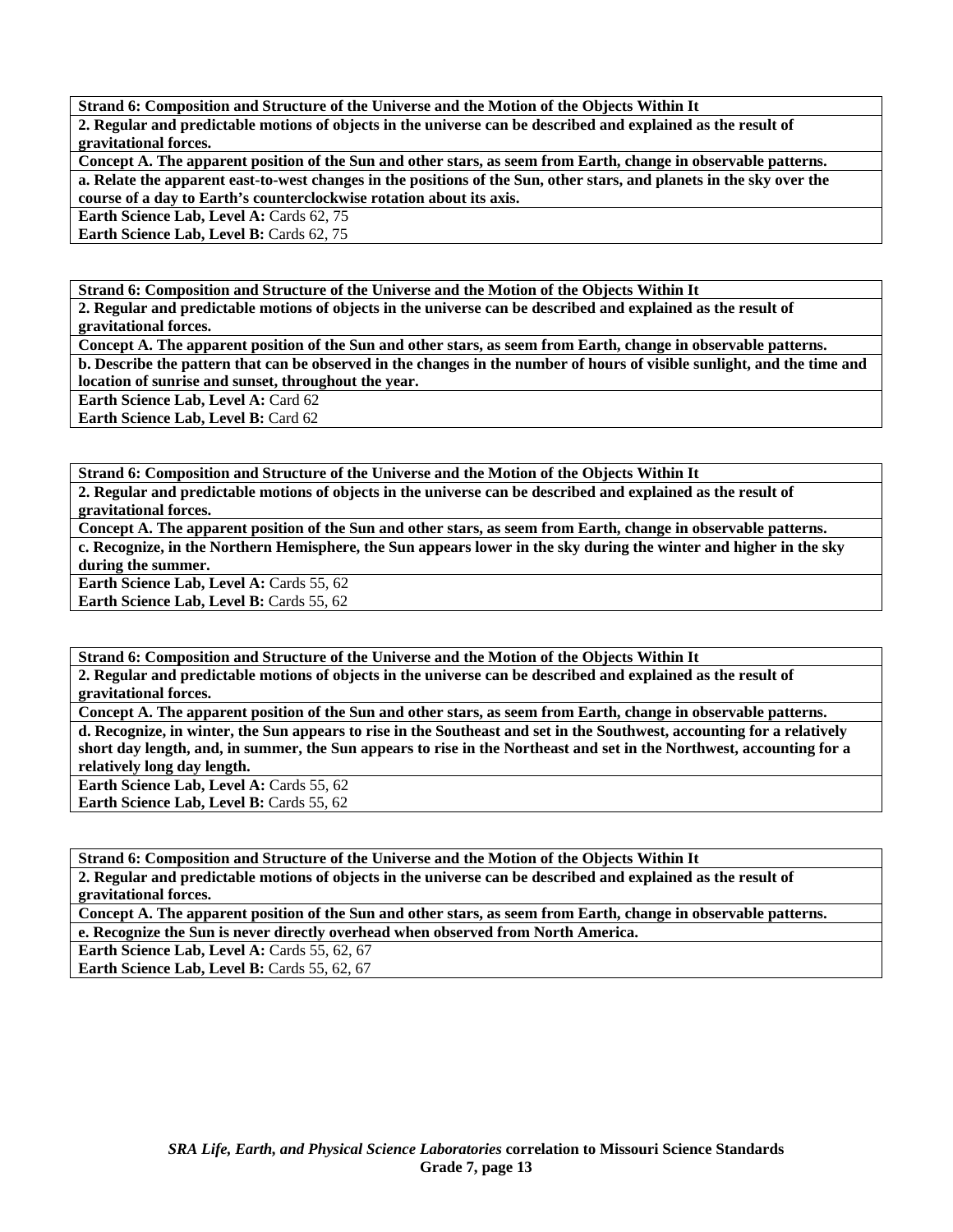**Strand 6: Composition and Structure of the Universe and the Motion of the Objects Within It 2. Regular and predictable motions of objects in the universe can be described and explained as the result of gravitational forces.** 

**Concept A. The apparent position of the Sun and other stars, as seem from Earth, change in observable patterns. a. Relate the apparent east-to-west changes in the positions of the Sun, other stars, and planets in the sky over the course of a day to Earth's counterclockwise rotation about its axis.** 

**Earth Science Lab, Level A: Cards 62, 75** 

**Earth Science Lab, Level B: Cards 62, 75** 

**Strand 6: Composition and Structure of the Universe and the Motion of the Objects Within It** 

**2. Regular and predictable motions of objects in the universe can be described and explained as the result of gravitational forces.** 

**Concept A. The apparent position of the Sun and other stars, as seem from Earth, change in observable patterns. b. Describe the pattern that can be observed in the changes in the number of hours of visible sunlight, and the time and location of sunrise and sunset, throughout the year.** 

**Earth Science Lab, Level A: Card 62** 

**Earth Science Lab, Level B: Card 62** 

**Strand 6: Composition and Structure of the Universe and the Motion of the Objects Within It** 

**2. Regular and predictable motions of objects in the universe can be described and explained as the result of gravitational forces.** 

**Concept A. The apparent position of the Sun and other stars, as seem from Earth, change in observable patterns. c. Recognize, in the Northern Hemisphere, the Sun appears lower in the sky during the winter and higher in the sky during the summer.** 

Earth Science Lab, Level A: Cards 55, 62

**Earth Science Lab, Level B: Cards 55, 62** 

**Strand 6: Composition and Structure of the Universe and the Motion of the Objects Within It 2. Regular and predictable motions of objects in the universe can be described and explained as the result of gravitational forces.** 

**Concept A. The apparent position of the Sun and other stars, as seem from Earth, change in observable patterns. d. Recognize, in winter, the Sun appears to rise in the Southeast and set in the Southwest, accounting for a relatively short day length, and, in summer, the Sun appears to rise in the Northeast and set in the Northwest, accounting for a relatively long day length.** 

**Earth Science Lab, Level A: Cards 55, 62 Earth Science Lab, Level B: Cards 55, 62** 

**Strand 6: Composition and Structure of the Universe and the Motion of the Objects Within It 2. Regular and predictable motions of objects in the universe can be described and explained as the result of gravitational forces.** 

**Concept A. The apparent position of the Sun and other stars, as seem from Earth, change in observable patterns. e. Recognize the Sun is never directly overhead when observed from North America.** 

**Earth Science Lab, Level A: Cards 55, 62, 67** 

Earth Science Lab, Level B: Cards 55, 62, 67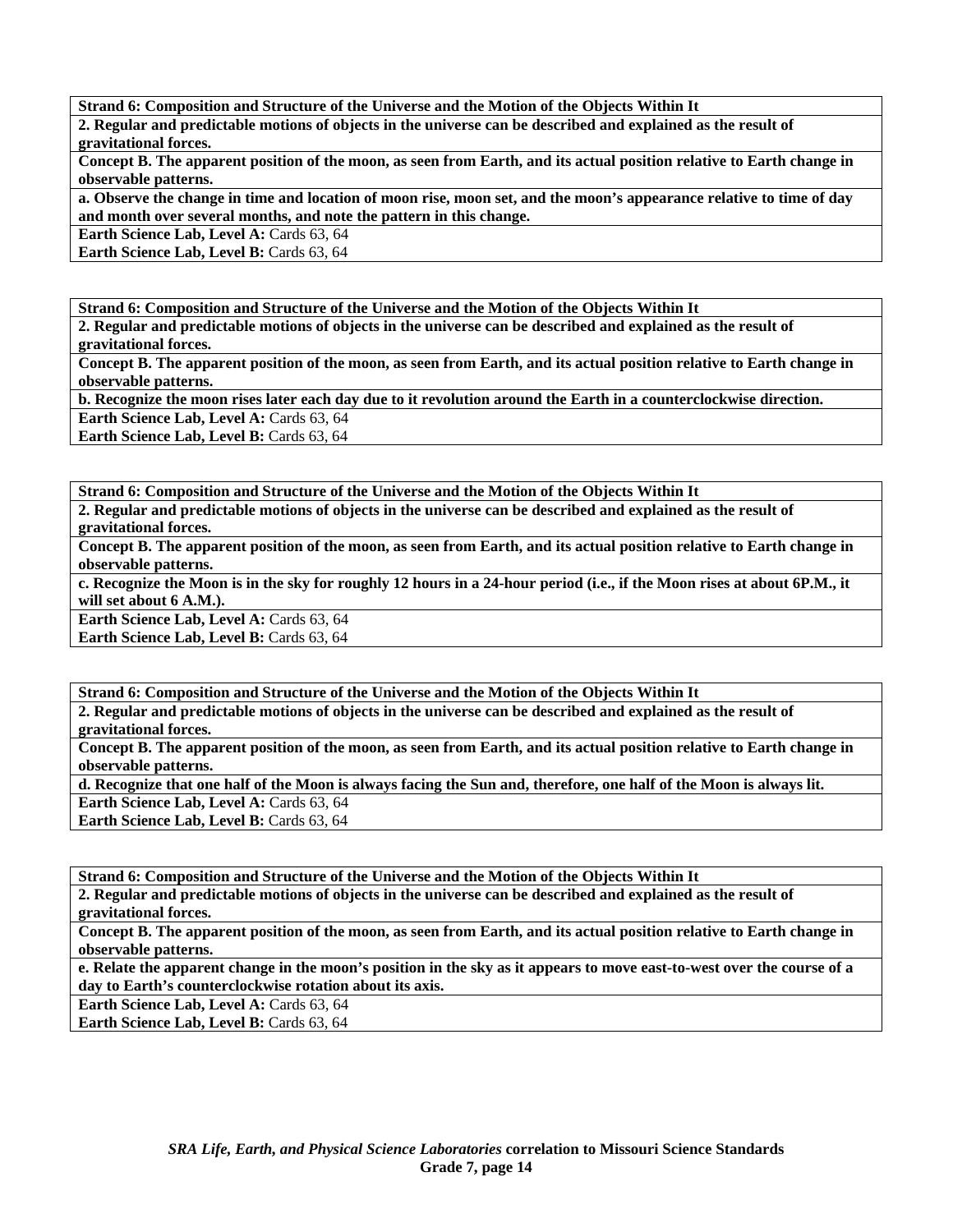**Strand 6: Composition and Structure of the Universe and the Motion of the Objects Within It** 

**2. Regular and predictable motions of objects in the universe can be described and explained as the result of gravitational forces.** 

**Concept B. The apparent position of the moon, as seen from Earth, and its actual position relative to Earth change in observable patterns.** 

**a. Observe the change in time and location of moon rise, moon set, and the moon's appearance relative to time of day and month over several months, and note the pattern in this change.** 

**Earth Science Lab, Level A: Cards 63, 64** 

Earth Science Lab, Level B: Cards 63, 64

**Strand 6: Composition and Structure of the Universe and the Motion of the Objects Within It** 

**2. Regular and predictable motions of objects in the universe can be described and explained as the result of gravitational forces.** 

**Concept B. The apparent position of the moon, as seen from Earth, and its actual position relative to Earth change in observable patterns.** 

**b. Recognize the moon rises later each day due to it revolution around the Earth in a counterclockwise direction.** 

Earth Science Lab, Level A: Cards 63, 64

**Earth Science Lab, Level B: Cards 63, 64** 

**Strand 6: Composition and Structure of the Universe and the Motion of the Objects Within It** 

**2. Regular and predictable motions of objects in the universe can be described and explained as the result of gravitational forces.** 

**Concept B. The apparent position of the moon, as seen from Earth, and its actual position relative to Earth change in observable patterns.** 

**c. Recognize the Moon is in the sky for roughly 12 hours in a 24-hour period (i.e., if the Moon rises at about 6P.M., it will set about 6 A.M.).** 

**Earth Science Lab, Level A: Cards 63, 64 Earth Science Lab, Level B: Cards 63, 64** 

**Strand 6: Composition and Structure of the Universe and the Motion of the Objects Within It 2. Regular and predictable motions of objects in the universe can be described and explained as the result of gravitational forces. Concept B. The apparent position of the moon, as seen from Earth, and its actual position relative to Earth change in** 

**observable patterns.** 

**d. Recognize that one half of the Moon is always facing the Sun and, therefore, one half of the Moon is always lit.**  Earth Science Lab, Level A: Cards 63, 64

**Earth Science Lab, Level B: Cards 63, 64** 

**Strand 6: Composition and Structure of the Universe and the Motion of the Objects Within It 2. Regular and predictable motions of objects in the universe can be described and explained as the result of gravitational forces. Concept B. The apparent position of the moon, as seen from Earth, and its actual position relative to Earth change in observable patterns.** 

**e. Relate the apparent change in the moon's position in the sky as it appears to move east-to-west over the course of a day to Earth's counterclockwise rotation about its axis.** 

**Earth Science Lab, Level A: Cards 63, 64** 

**Earth Science Lab, Level B: Cards 63, 64**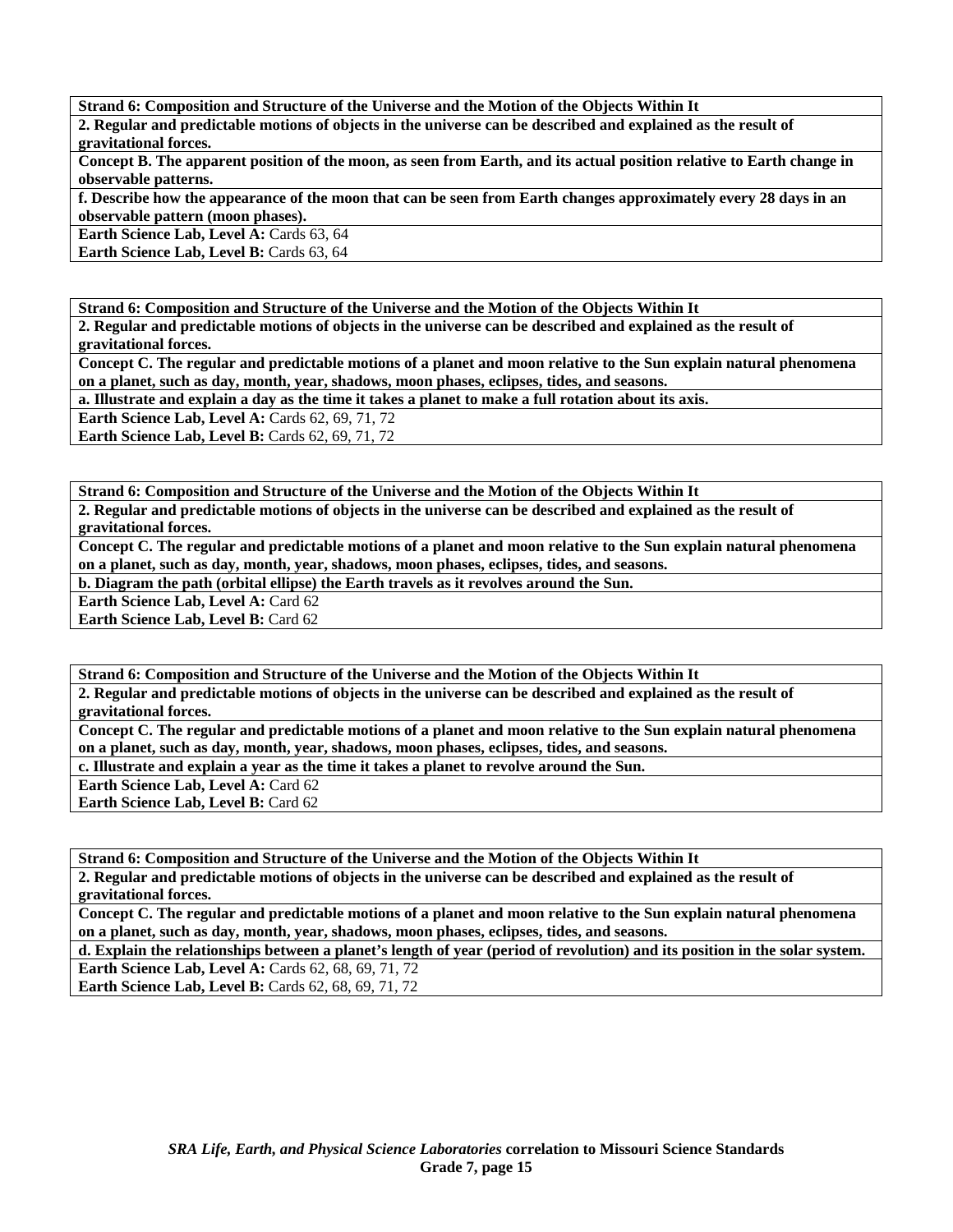**Strand 6: Composition and Structure of the Universe and the Motion of the Objects Within It** 

**2. Regular and predictable motions of objects in the universe can be described and explained as the result of gravitational forces.** 

**Concept B. The apparent position of the moon, as seen from Earth, and its actual position relative to Earth change in observable patterns.** 

**f. Describe how the appearance of the moon that can be seen from Earth changes approximately every 28 days in an observable pattern (moon phases).** 

**Earth Science Lab, Level A: Cards 63, 64** 

Earth Science Lab, Level B: Cards 63, 64

**Strand 6: Composition and Structure of the Universe and the Motion of the Objects Within It** 

**2. Regular and predictable motions of objects in the universe can be described and explained as the result of gravitational forces.** 

**Concept C. The regular and predictable motions of a planet and moon relative to the Sun explain natural phenomena on a planet, such as day, month, year, shadows, moon phases, eclipses, tides, and seasons.** 

**a. Illustrate and explain a day as the time it takes a planet to make a full rotation about its axis.** 

**Earth Science Lab, Level A: Cards 62, 69, 71, 72** 

**Earth Science Lab, Level B: Cards 62, 69, 71, 72** 

**Strand 6: Composition and Structure of the Universe and the Motion of the Objects Within It** 

**2. Regular and predictable motions of objects in the universe can be described and explained as the result of gravitational forces.** 

**Concept C. The regular and predictable motions of a planet and moon relative to the Sun explain natural phenomena on a planet, such as day, month, year, shadows, moon phases, eclipses, tides, and seasons.** 

**b. Diagram the path (orbital ellipse) the Earth travels as it revolves around the Sun.** 

**Earth Science Lab, Level A: Card 62** 

**Earth Science Lab, Level B: Card 62** 

**Strand 6: Composition and Structure of the Universe and the Motion of the Objects Within It** 

**2. Regular and predictable motions of objects in the universe can be described and explained as the result of gravitational forces.** 

**Concept C. The regular and predictable motions of a planet and moon relative to the Sun explain natural phenomena on a planet, such as day, month, year, shadows, moon phases, eclipses, tides, and seasons.** 

**c. Illustrate and explain a year as the time it takes a planet to revolve around the Sun.** 

**Earth Science Lab, Level A: Card 62** 

**Earth Science Lab, Level B: Card 62** 

**Strand 6: Composition and Structure of the Universe and the Motion of the Objects Within It** 

**2. Regular and predictable motions of objects in the universe can be described and explained as the result of gravitational forces.** 

**Concept C. The regular and predictable motions of a planet and moon relative to the Sun explain natural phenomena on a planet, such as day, month, year, shadows, moon phases, eclipses, tides, and seasons.** 

**d. Explain the relationships between a planet's length of year (period of revolution) and its position in the solar system. Earth Science Lab, Level A: Cards 62, 68, 69, 71, 72** 

**Earth Science Lab, Level B:** Cards 62, 68, 69, 71, 72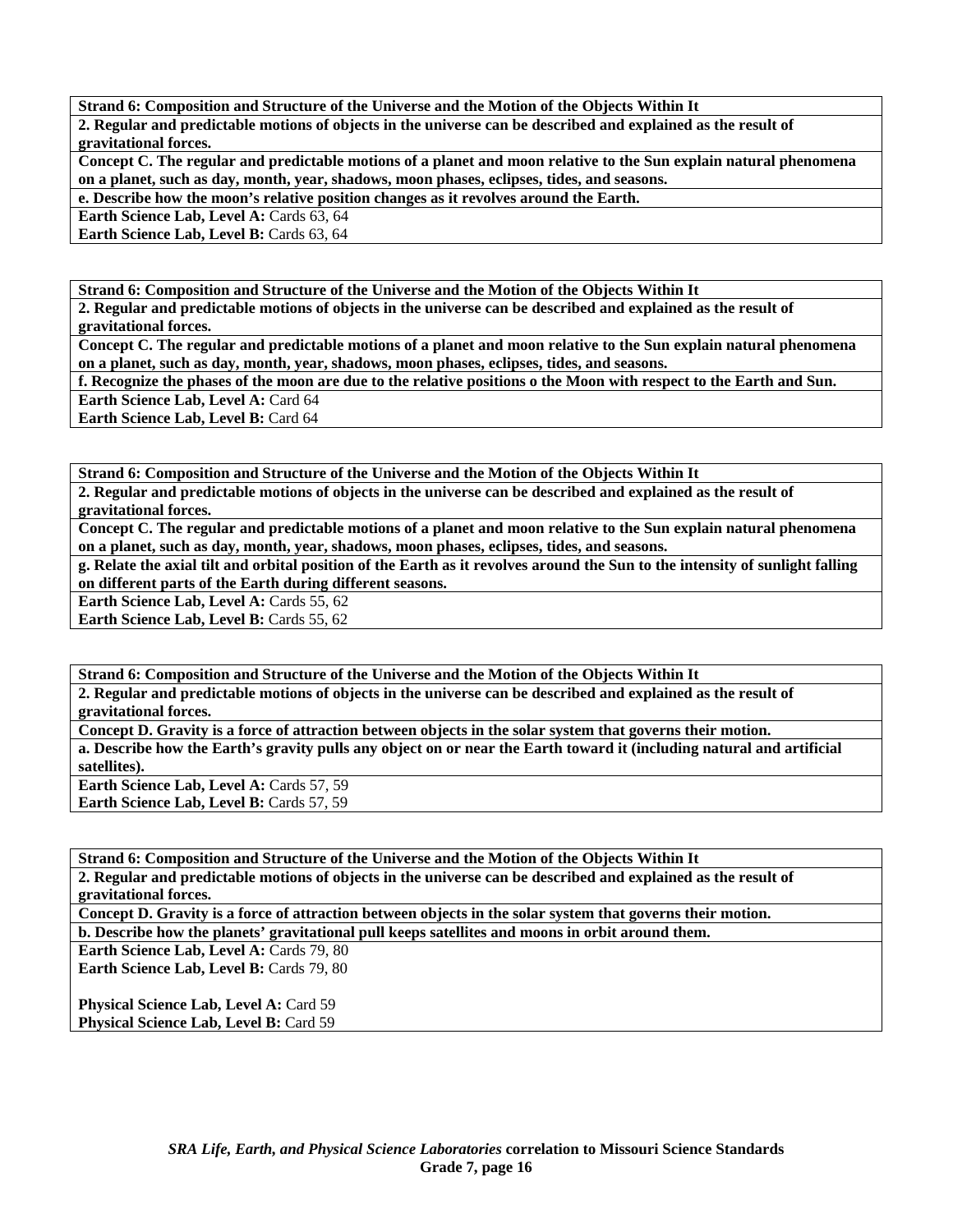**Strand 6: Composition and Structure of the Universe and the Motion of the Objects Within It 2. Regular and predictable motions of objects in the universe can be described and explained as the result of gravitational forces.** 

**Concept C. The regular and predictable motions of a planet and moon relative to the Sun explain natural phenomena on a planet, such as day, month, year, shadows, moon phases, eclipses, tides, and seasons.** 

**e. Describe how the moon's relative position changes as it revolves around the Earth.** 

**Earth Science Lab, Level A: Cards 63, 64** 

**Earth Science Lab, Level B: Cards 63, 64** 

**Strand 6: Composition and Structure of the Universe and the Motion of the Objects Within It** 

**2. Regular and predictable motions of objects in the universe can be described and explained as the result of gravitational forces.** 

**Concept C. The regular and predictable motions of a planet and moon relative to the Sun explain natural phenomena on a planet, such as day, month, year, shadows, moon phases, eclipses, tides, and seasons.** 

**f. Recognize the phases of the moon are due to the relative positions o the Moon with respect to the Earth and Sun. Earth Science Lab, Level A: Card 64** 

**Earth Science Lab, Level B:** Card 64

**Strand 6: Composition and Structure of the Universe and the Motion of the Objects Within It** 

**2. Regular and predictable motions of objects in the universe can be described and explained as the result of gravitational forces.** 

**Concept C. The regular and predictable motions of a planet and moon relative to the Sun explain natural phenomena on a planet, such as day, month, year, shadows, moon phases, eclipses, tides, and seasons.** 

**g. Relate the axial tilt and orbital position of the Earth as it revolves around the Sun to the intensity of sunlight falling on different parts of the Earth during different seasons.** 

**Earth Science Lab, Level A: Cards 55, 62** 

**Earth Science Lab, Level B: Cards 55, 62** 

**Strand 6: Composition and Structure of the Universe and the Motion of the Objects Within It** 

**2. Regular and predictable motions of objects in the universe can be described and explained as the result of gravitational forces.** 

**Concept D. Gravity is a force of attraction between objects in the solar system that governs their motion. a. Describe how the Earth's gravity pulls any object on or near the Earth toward it (including natural and artificial satellites).** 

**Earth Science Lab, Level A: Cards 57, 59** 

Earth Science Lab, Level B: Cards 57, 59

**Strand 6: Composition and Structure of the Universe and the Motion of the Objects Within It 2. Regular and predictable motions of objects in the universe can be described and explained as the result of gravitational forces.** 

**Concept D. Gravity is a force of attraction between objects in the solar system that governs their motion. b. Describe how the planets' gravitational pull keeps satellites and moons in orbit around them.** 

**Earth Science Lab, Level A: Cards 79, 80** 

Earth Science Lab, Level B: Cards 79, 80

**Physical Science Lab, Level A: Card 59 Physical Science Lab, Level B: Card 59**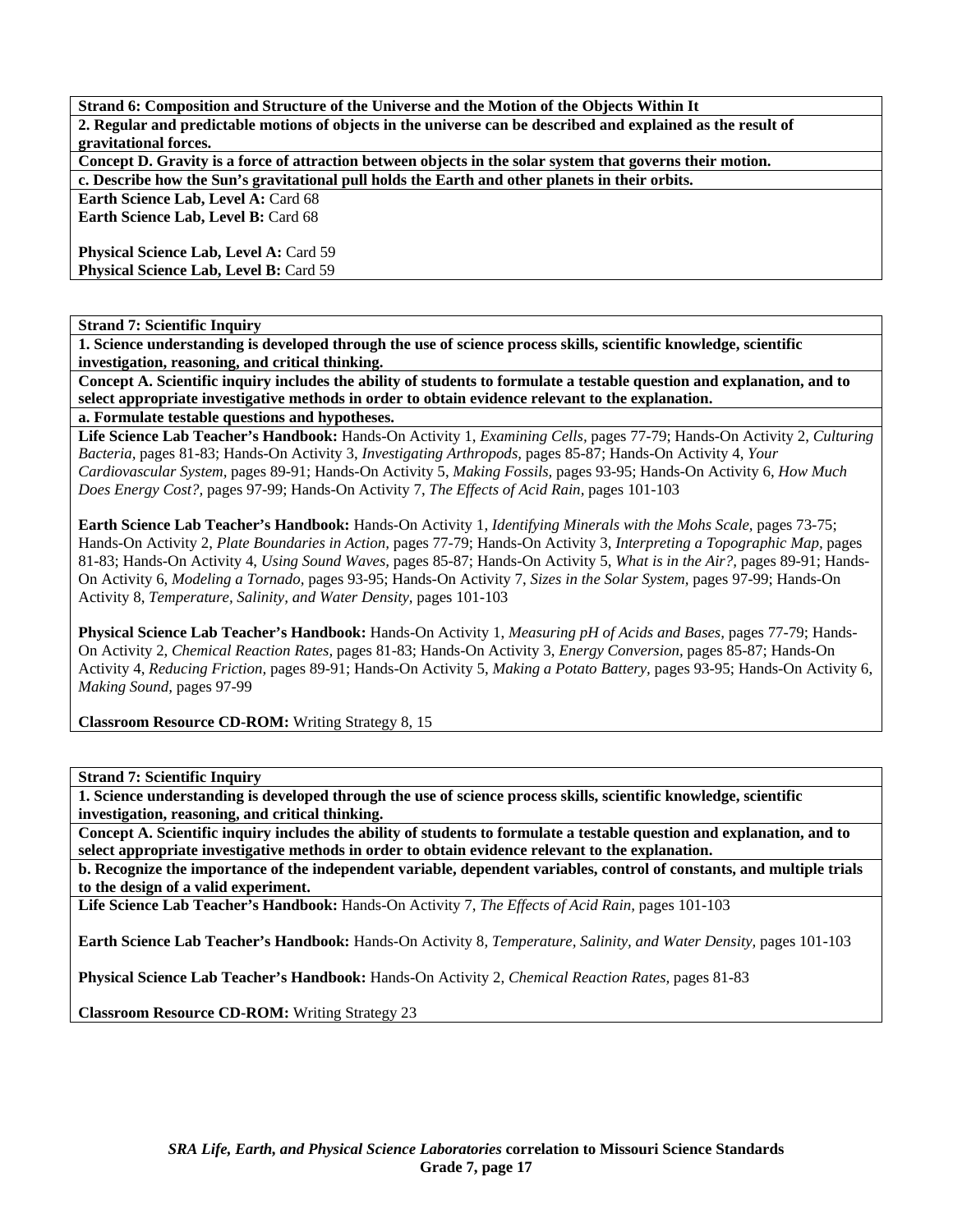**Strand 6: Composition and Structure of the Universe and the Motion of the Objects Within It 2. Regular and predictable motions of objects in the universe can be described and explained as the result of gravitational forces.** 

**Concept D. Gravity is a force of attraction between objects in the solar system that governs their motion.** 

**c. Describe how the Sun's gravitational pull holds the Earth and other planets in their orbits.** 

**Earth Science Lab, Level A: Card 68 Earth Science Lab, Level B: Card 68** 

**Physical Science Lab, Level A: Card 59 Physical Science Lab, Level B: Card 59** 

# **Strand 7: Scientific Inquiry**

**1. Science understanding is developed through the use of science process skills, scientific knowledge, scientific investigation, reasoning, and critical thinking.** 

**Concept A. Scientific inquiry includes the ability of students to formulate a testable question and explanation, and to select appropriate investigative methods in order to obtain evidence relevant to the explanation.** 

**a. Formulate testable questions and hypotheses.** 

**Life Science Lab Teacher's Handbook:** Hands-On Activity 1, *Examining Cells,* pages 77-79; Hands-On Activity 2, *Culturing Bacteria,* pages 81-83; Hands-On Activity 3, *Investigating Arthropods,* pages 85-87; Hands-On Activity 4, *Your Cardiovascular System,* pages 89-91; Hands-On Activity 5, *Making Fossils,* pages 93-95; Hands-On Activity 6, *How Much Does Energy Cost?,* pages 97-99; Hands-On Activity 7, *The Effects of Acid Rain,* pages 101-103

**Earth Science Lab Teacher's Handbook:** Hands-On Activity 1, *Identifying Minerals with the Mohs Scale,* pages 73-75; Hands-On Activity 2, *Plate Boundaries in Action,* pages 77-79; Hands-On Activity 3, *Interpreting a Topographic Map,* pages 81-83; Hands-On Activity 4, *Using Sound Waves,* pages 85-87; Hands-On Activity 5, *What is in the Air?,* pages 89-91; Hands-On Activity 6, *Modeling a Tornado,* pages 93-95; Hands-On Activity 7, *Sizes in the Solar System,* pages 97-99; Hands-On Activity 8, *Temperature, Salinity, and Water Density,* pages 101-103

**Physical Science Lab Teacher's Handbook:** Hands-On Activity 1, *Measuring pH of Acids and Bases,* pages 77-79; Hands-On Activity 2, *Chemical Reaction Rates,* pages 81-83; Hands-On Activity 3, *Energy Conversion,* pages 85-87; Hands-On Activity 4, *Reducing Friction,* pages 89-91; Hands-On Activity 5, *Making a Potato Battery,* pages 93-95; Hands-On Activity 6, *Making Sound,* pages 97-99

**Classroom Resource CD-ROM:** Writing Strategy 8, 15

**Strand 7: Scientific Inquiry** 

**1. Science understanding is developed through the use of science process skills, scientific knowledge, scientific investigation, reasoning, and critical thinking.** 

**Concept A. Scientific inquiry includes the ability of students to formulate a testable question and explanation, and to select appropriate investigative methods in order to obtain evidence relevant to the explanation.** 

**b. Recognize the importance of the independent variable, dependent variables, control of constants, and multiple trials to the design of a valid experiment.** 

**Life Science Lab Teacher's Handbook:** Hands-On Activity 7, *The Effects of Acid Rain,* pages 101-103

**Earth Science Lab Teacher's Handbook:** Hands-On Activity 8, *Temperature, Salinity, and Water Density,* pages 101-103

**Physical Science Lab Teacher's Handbook:** Hands-On Activity 2, *Chemical Reaction Rates,* pages 81-83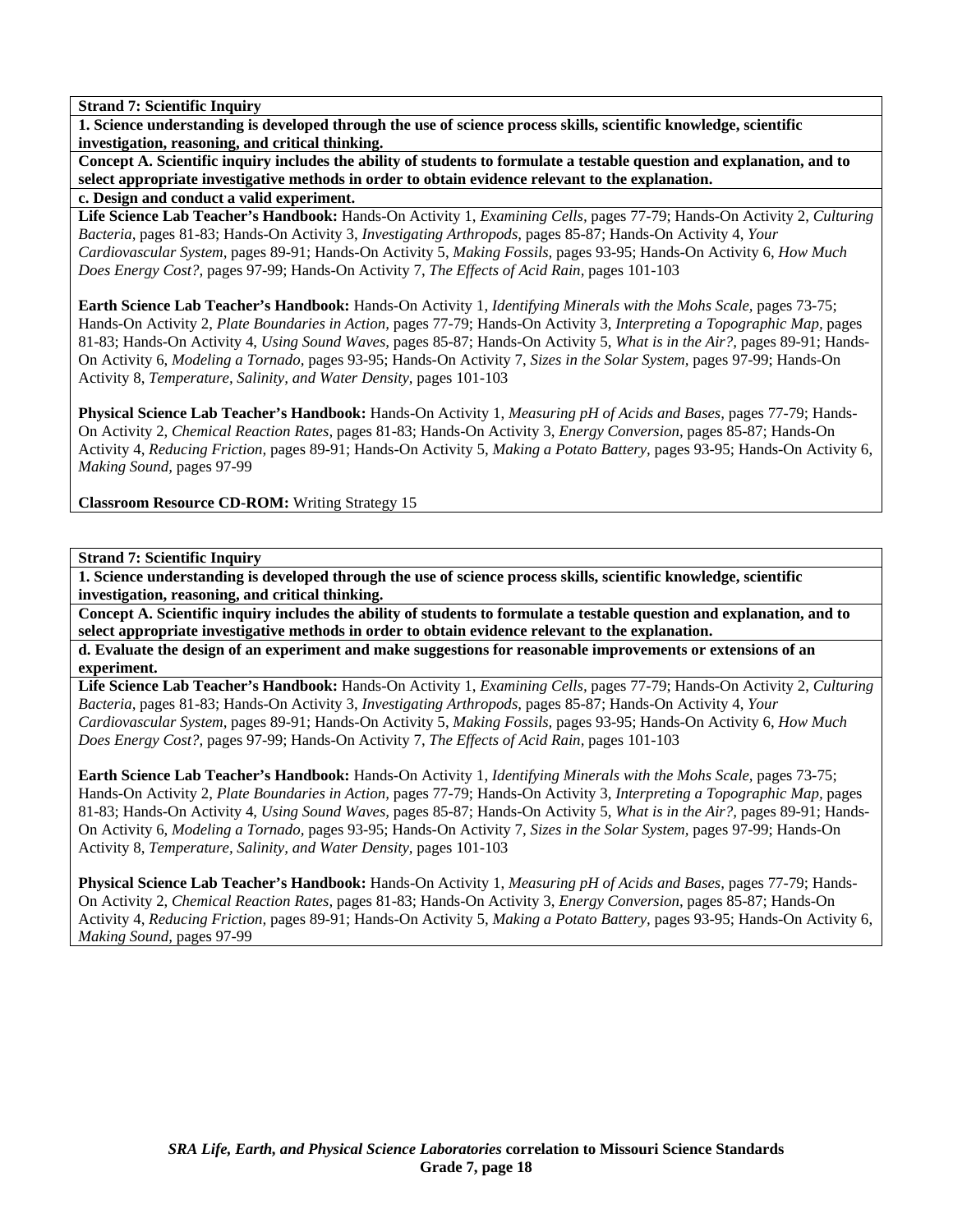**1. Science understanding is developed through the use of science process skills, scientific knowledge, scientific investigation, reasoning, and critical thinking.** 

**Concept A. Scientific inquiry includes the ability of students to formulate a testable question and explanation, and to select appropriate investigative methods in order to obtain evidence relevant to the explanation.** 

**c. Design and conduct a valid experiment.** 

**Life Science Lab Teacher's Handbook:** Hands-On Activity 1, *Examining Cells,* pages 77-79; Hands-On Activity 2, *Culturing Bacteria,* pages 81-83; Hands-On Activity 3, *Investigating Arthropods,* pages 85-87; Hands-On Activity 4, *Your Cardiovascular System,* pages 89-91; Hands-On Activity 5, *Making Fossils,* pages 93-95; Hands-On Activity 6, *How Much Does Energy Cost?,* pages 97-99; Hands-On Activity 7, *The Effects of Acid Rain,* pages 101-103

**Earth Science Lab Teacher's Handbook:** Hands-On Activity 1, *Identifying Minerals with the Mohs Scale,* pages 73-75; Hands-On Activity 2, *Plate Boundaries in Action,* pages 77-79; Hands-On Activity 3, *Interpreting a Topographic Map,* pages 81-83; Hands-On Activity 4, *Using Sound Waves,* pages 85-87; Hands-On Activity 5, *What is in the Air?,* pages 89-91; Hands-On Activity 6, *Modeling a Tornado,* pages 93-95; Hands-On Activity 7, *Sizes in the Solar System,* pages 97-99; Hands-On Activity 8, *Temperature, Salinity, and Water Density,* pages 101-103

**Physical Science Lab Teacher's Handbook:** Hands-On Activity 1, *Measuring pH of Acids and Bases,* pages 77-79; Hands-On Activity 2, *Chemical Reaction Rates,* pages 81-83; Hands-On Activity 3, *Energy Conversion,* pages 85-87; Hands-On Activity 4, *Reducing Friction,* pages 89-91; Hands-On Activity 5, *Making a Potato Battery,* pages 93-95; Hands-On Activity 6, *Making Sound,* pages 97-99

**Classroom Resource CD-ROM:** Writing Strategy 15

**Strand 7: Scientific Inquiry** 

**1. Science understanding is developed through the use of science process skills, scientific knowledge, scientific investigation, reasoning, and critical thinking.** 

**Concept A. Scientific inquiry includes the ability of students to formulate a testable question and explanation, and to select appropriate investigative methods in order to obtain evidence relevant to the explanation.** 

**d. Evaluate the design of an experiment and make suggestions for reasonable improvements or extensions of an experiment.** 

**Life Science Lab Teacher's Handbook:** Hands-On Activity 1, *Examining Cells,* pages 77-79; Hands-On Activity 2, *Culturing Bacteria,* pages 81-83; Hands-On Activity 3, *Investigating Arthropods,* pages 85-87; Hands-On Activity 4, *Your Cardiovascular System,* pages 89-91; Hands-On Activity 5, *Making Fossils,* pages 93-95; Hands-On Activity 6, *How Much Does Energy Cost?,* pages 97-99; Hands-On Activity 7, *The Effects of Acid Rain,* pages 101-103

**Earth Science Lab Teacher's Handbook:** Hands-On Activity 1, *Identifying Minerals with the Mohs Scale,* pages 73-75; Hands-On Activity 2, *Plate Boundaries in Action,* pages 77-79; Hands-On Activity 3, *Interpreting a Topographic Map,* pages 81-83; Hands-On Activity 4, *Using Sound Waves,* pages 85-87; Hands-On Activity 5, *What is in the Air?,* pages 89-91; Hands-On Activity 6, *Modeling a Tornado,* pages 93-95; Hands-On Activity 7, *Sizes in the Solar System,* pages 97-99; Hands-On Activity 8, *Temperature, Salinity, and Water Density,* pages 101-103

**Physical Science Lab Teacher's Handbook:** Hands-On Activity 1, *Measuring pH of Acids and Bases,* pages 77-79; Hands-On Activity 2, *Chemical Reaction Rates,* pages 81-83; Hands-On Activity 3, *Energy Conversion,* pages 85-87; Hands-On Activity 4, *Reducing Friction,* pages 89-91; Hands-On Activity 5, *Making a Potato Battery,* pages 93-95; Hands-On Activity 6, *Making Sound,* pages 97-99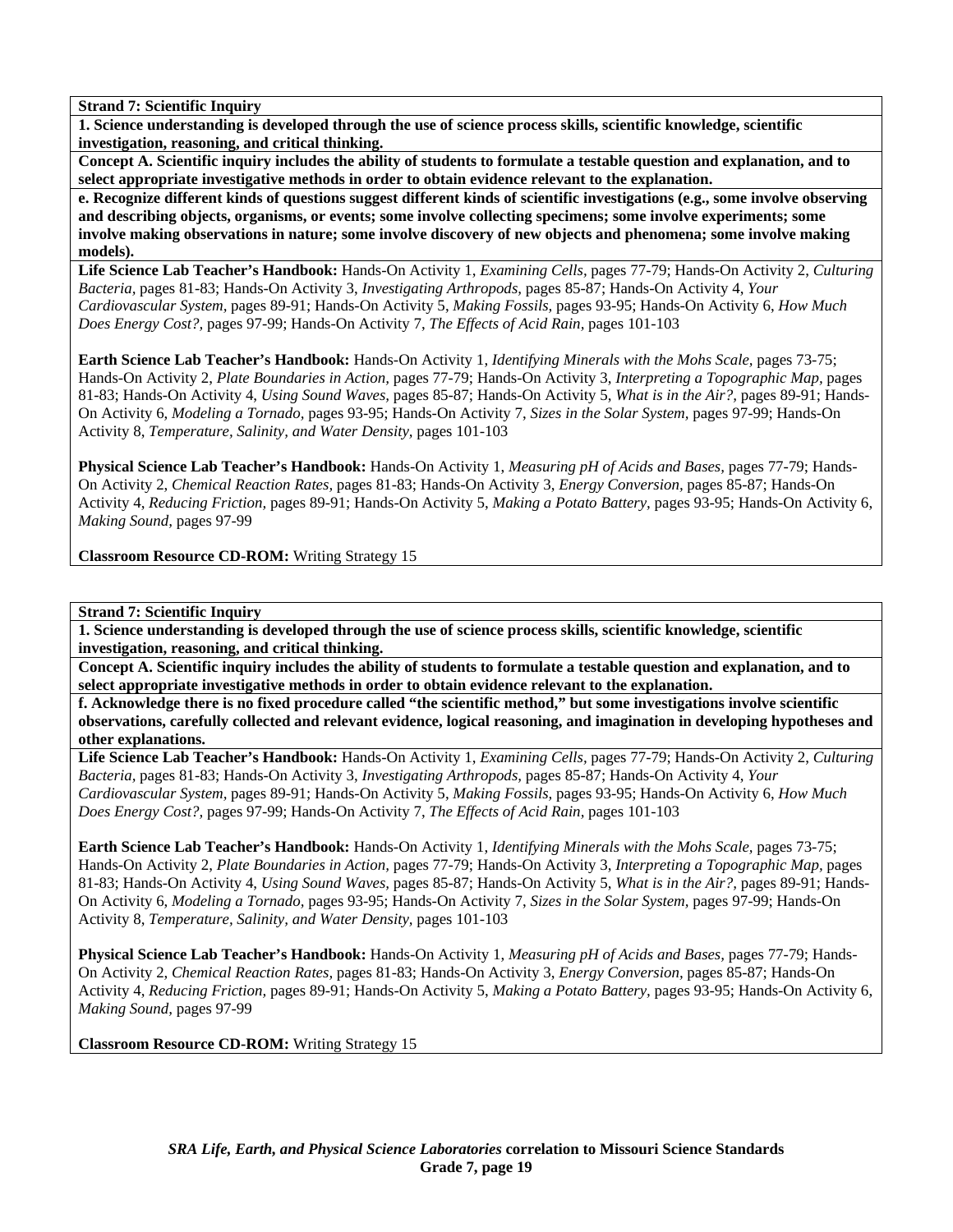**1. Science understanding is developed through the use of science process skills, scientific knowledge, scientific investigation, reasoning, and critical thinking.** 

**Concept A. Scientific inquiry includes the ability of students to formulate a testable question and explanation, and to select appropriate investigative methods in order to obtain evidence relevant to the explanation.** 

**e. Recognize different kinds of questions suggest different kinds of scientific investigations (e.g., some involve observing and describing objects, organisms, or events; some involve collecting specimens; some involve experiments; some involve making observations in nature; some involve discovery of new objects and phenomena; some involve making models).** 

**Life Science Lab Teacher's Handbook:** Hands-On Activity 1, *Examining Cells,* pages 77-79; Hands-On Activity 2, *Culturing Bacteria,* pages 81-83; Hands-On Activity 3, *Investigating Arthropods,* pages 85-87; Hands-On Activity 4, *Your Cardiovascular System,* pages 89-91; Hands-On Activity 5, *Making Fossils,* pages 93-95; Hands-On Activity 6, *How Much Does Energy Cost?,* pages 97-99; Hands-On Activity 7, *The Effects of Acid Rain,* pages 101-103

**Earth Science Lab Teacher's Handbook:** Hands-On Activity 1, *Identifying Minerals with the Mohs Scale,* pages 73-75; Hands-On Activity 2, *Plate Boundaries in Action,* pages 77-79; Hands-On Activity 3, *Interpreting a Topographic Map,* pages 81-83; Hands-On Activity 4, *Using Sound Waves,* pages 85-87; Hands-On Activity 5, *What is in the Air?,* pages 89-91; Hands-On Activity 6, *Modeling a Tornado,* pages 93-95; Hands-On Activity 7, *Sizes in the Solar System,* pages 97-99; Hands-On Activity 8, *Temperature, Salinity, and Water Density,* pages 101-103

**Physical Science Lab Teacher's Handbook:** Hands-On Activity 1, *Measuring pH of Acids and Bases,* pages 77-79; Hands-On Activity 2, *Chemical Reaction Rates,* pages 81-83; Hands-On Activity 3, *Energy Conversion,* pages 85-87; Hands-On Activity 4, *Reducing Friction,* pages 89-91; Hands-On Activity 5, *Making a Potato Battery,* pages 93-95; Hands-On Activity 6, *Making Sound,* pages 97-99

**Classroom Resource CD-ROM:** Writing Strategy 15

**Strand 7: Scientific Inquiry** 

**1. Science understanding is developed through the use of science process skills, scientific knowledge, scientific investigation, reasoning, and critical thinking.** 

**Concept A. Scientific inquiry includes the ability of students to formulate a testable question and explanation, and to select appropriate investigative methods in order to obtain evidence relevant to the explanation.** 

**f. Acknowledge there is no fixed procedure called "the scientific method," but some investigations involve scientific observations, carefully collected and relevant evidence, logical reasoning, and imagination in developing hypotheses and other explanations.** 

**Life Science Lab Teacher's Handbook:** Hands-On Activity 1, *Examining Cells,* pages 77-79; Hands-On Activity 2, *Culturing Bacteria,* pages 81-83; Hands-On Activity 3, *Investigating Arthropods,* pages 85-87; Hands-On Activity 4, *Your Cardiovascular System,* pages 89-91; Hands-On Activity 5, *Making Fossils,* pages 93-95; Hands-On Activity 6, *How Much Does Energy Cost?,* pages 97-99; Hands-On Activity 7, *The Effects of Acid Rain,* pages 101-103

**Earth Science Lab Teacher's Handbook:** Hands-On Activity 1, *Identifying Minerals with the Mohs Scale,* pages 73-75; Hands-On Activity 2, *Plate Boundaries in Action,* pages 77-79; Hands-On Activity 3, *Interpreting a Topographic Map,* pages 81-83; Hands-On Activity 4, *Using Sound Waves,* pages 85-87; Hands-On Activity 5, *What is in the Air?,* pages 89-91; Hands-On Activity 6, *Modeling a Tornado,* pages 93-95; Hands-On Activity 7, *Sizes in the Solar System,* pages 97-99; Hands-On Activity 8, *Temperature, Salinity, and Water Density,* pages 101-103

**Physical Science Lab Teacher's Handbook:** Hands-On Activity 1, *Measuring pH of Acids and Bases,* pages 77-79; Hands-On Activity 2, *Chemical Reaction Rates,* pages 81-83; Hands-On Activity 3, *Energy Conversion,* pages 85-87; Hands-On Activity 4, *Reducing Friction,* pages 89-91; Hands-On Activity 5, *Making a Potato Battery,* pages 93-95; Hands-On Activity 6, *Making Sound,* pages 97-99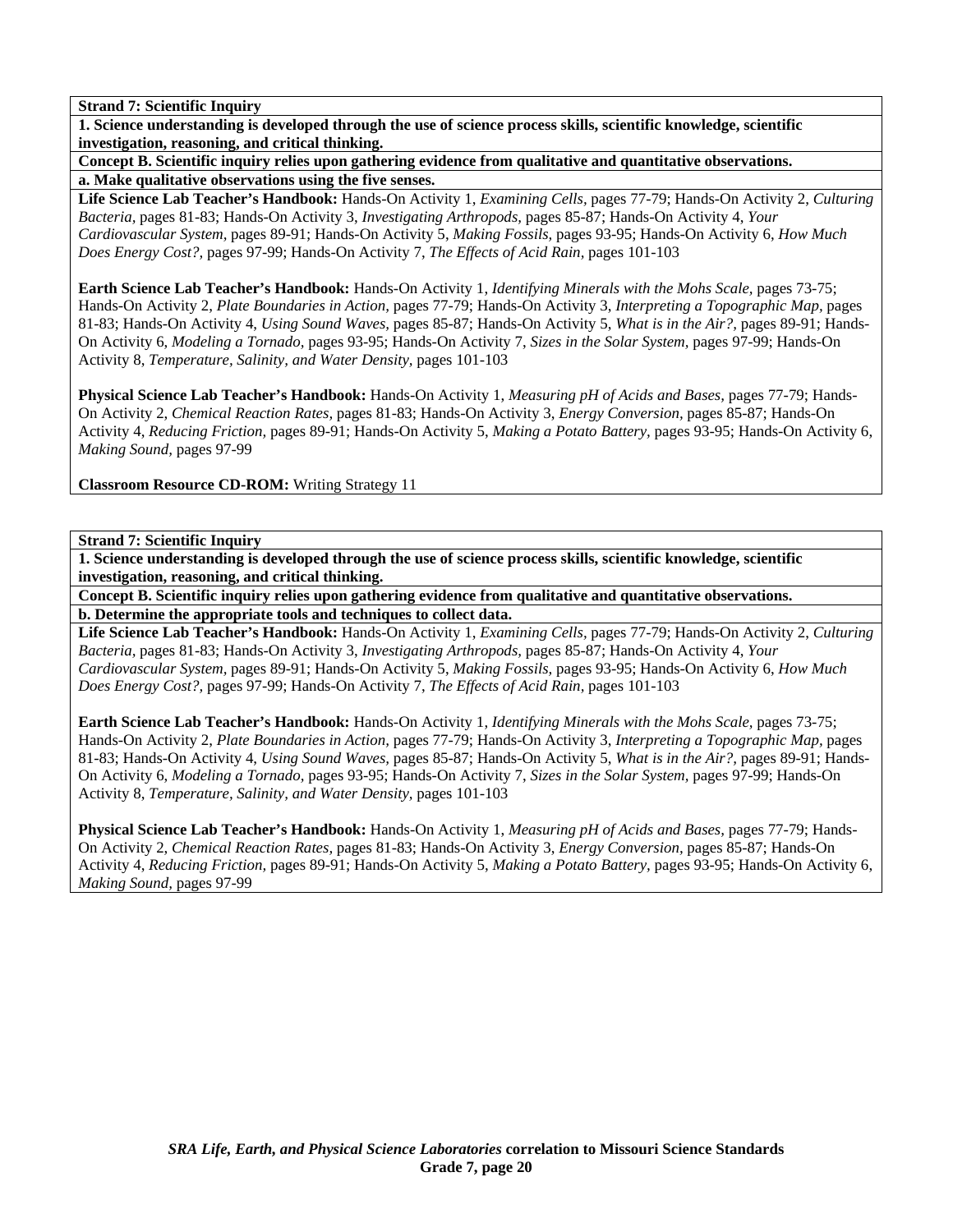**1. Science understanding is developed through the use of science process skills, scientific knowledge, scientific investigation, reasoning, and critical thinking.** 

**Concept B. Scientific inquiry relies upon gathering evidence from qualitative and quantitative observations. a. Make qualitative observations using the five senses.** 

**Life Science Lab Teacher's Handbook:** Hands-On Activity 1, *Examining Cells,* pages 77-79; Hands-On Activity 2, *Culturing Bacteria,* pages 81-83; Hands-On Activity 3, *Investigating Arthropods,* pages 85-87; Hands-On Activity 4, *Your Cardiovascular System,* pages 89-91; Hands-On Activity 5, *Making Fossils,* pages 93-95; Hands-On Activity 6, *How Much Does Energy Cost?,* pages 97-99; Hands-On Activity 7, *The Effects of Acid Rain,* pages 101-103

**Earth Science Lab Teacher's Handbook:** Hands-On Activity 1, *Identifying Minerals with the Mohs Scale,* pages 73-75; Hands-On Activity 2, *Plate Boundaries in Action,* pages 77-79; Hands-On Activity 3, *Interpreting a Topographic Map,* pages 81-83; Hands-On Activity 4, *Using Sound Waves,* pages 85-87; Hands-On Activity 5, *What is in the Air?,* pages 89-91; Hands-On Activity 6, *Modeling a Tornado,* pages 93-95; Hands-On Activity 7, *Sizes in the Solar System,* pages 97-99; Hands-On Activity 8, *Temperature, Salinity, and Water Density,* pages 101-103

**Physical Science Lab Teacher's Handbook:** Hands-On Activity 1, *Measuring pH of Acids and Bases,* pages 77-79; Hands-On Activity 2, *Chemical Reaction Rates,* pages 81-83; Hands-On Activity 3, *Energy Conversion,* pages 85-87; Hands-On Activity 4, *Reducing Friction,* pages 89-91; Hands-On Activity 5, *Making a Potato Battery,* pages 93-95; Hands-On Activity 6, *Making Sound,* pages 97-99

**Classroom Resource CD-ROM:** Writing Strategy 11

**Strand 7: Scientific Inquiry** 

**1. Science understanding is developed through the use of science process skills, scientific knowledge, scientific investigation, reasoning, and critical thinking.** 

**Concept B. Scientific inquiry relies upon gathering evidence from qualitative and quantitative observations. b. Determine the appropriate tools and techniques to collect data.** 

**Life Science Lab Teacher's Handbook:** Hands-On Activity 1, *Examining Cells,* pages 77-79; Hands-On Activity 2, *Culturing Bacteria,* pages 81-83; Hands-On Activity 3, *Investigating Arthropods,* pages 85-87; Hands-On Activity 4, *Your Cardiovascular System,* pages 89-91; Hands-On Activity 5, *Making Fossils,* pages 93-95; Hands-On Activity 6, *How Much Does Energy Cost?,* pages 97-99; Hands-On Activity 7, *The Effects of Acid Rain,* pages 101-103

**Earth Science Lab Teacher's Handbook:** Hands-On Activity 1, *Identifying Minerals with the Mohs Scale,* pages 73-75; Hands-On Activity 2, *Plate Boundaries in Action,* pages 77-79; Hands-On Activity 3, *Interpreting a Topographic Map,* pages 81-83; Hands-On Activity 4, *Using Sound Waves,* pages 85-87; Hands-On Activity 5, *What is in the Air?,* pages 89-91; Hands-On Activity 6, *Modeling a Tornado,* pages 93-95; Hands-On Activity 7, *Sizes in the Solar System,* pages 97-99; Hands-On Activity 8, *Temperature, Salinity, and Water Density,* pages 101-103

**Physical Science Lab Teacher's Handbook:** Hands-On Activity 1, *Measuring pH of Acids and Bases,* pages 77-79; Hands-On Activity 2, *Chemical Reaction Rates,* pages 81-83; Hands-On Activity 3, *Energy Conversion,* pages 85-87; Hands-On Activity 4, *Reducing Friction,* pages 89-91; Hands-On Activity 5, *Making a Potato Battery,* pages 93-95; Hands-On Activity 6, *Making Sound,* pages 97-99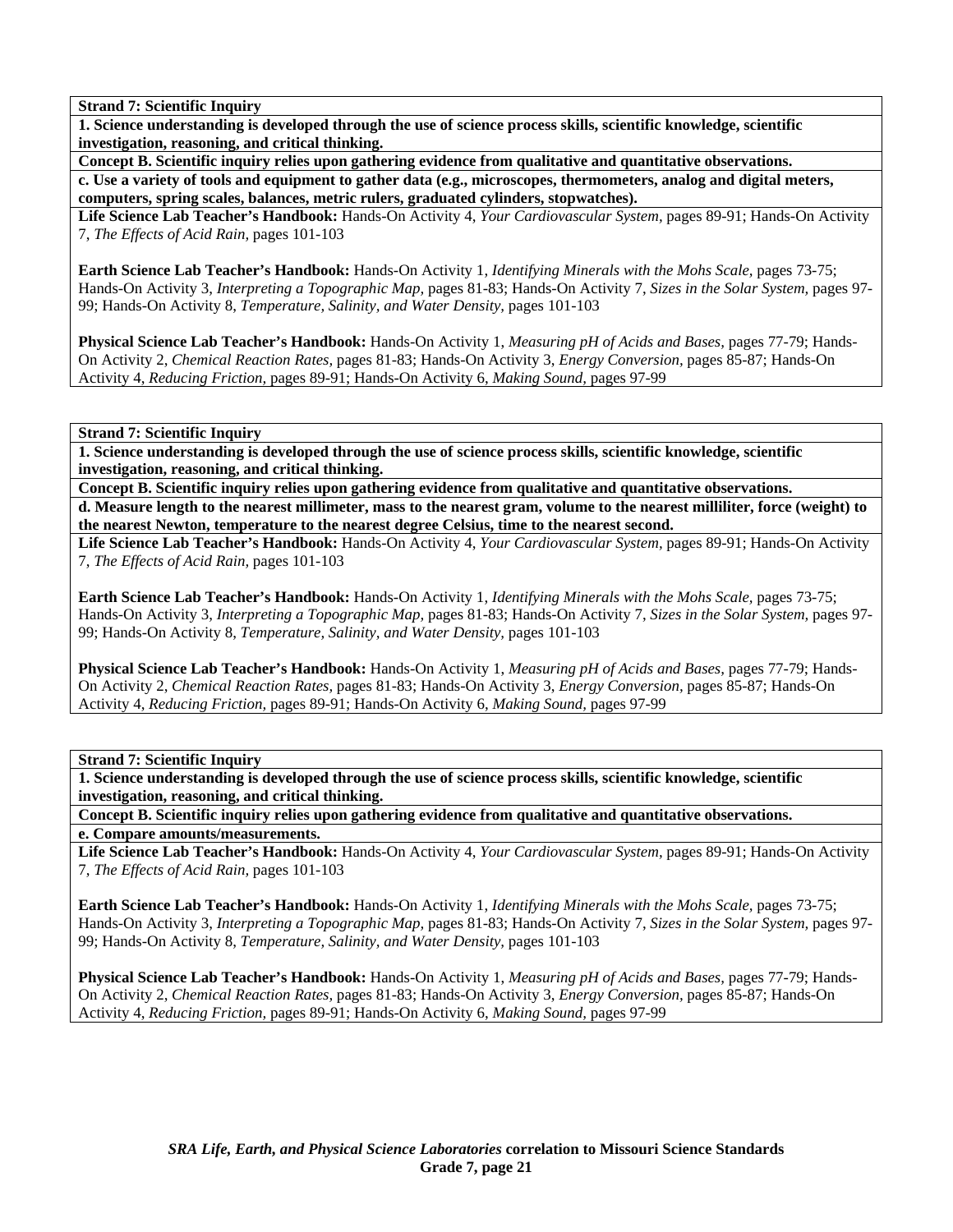**1. Science understanding is developed through the use of science process skills, scientific knowledge, scientific investigation, reasoning, and critical thinking.** 

**Concept B. Scientific inquiry relies upon gathering evidence from qualitative and quantitative observations.** 

**c. Use a variety of tools and equipment to gather data (e.g., microscopes, thermometers, analog and digital meters, computers, spring scales, balances, metric rulers, graduated cylinders, stopwatches).** 

**Life Science Lab Teacher's Handbook:** Hands-On Activity 4, *Your Cardiovascular System,* pages 89-91; Hands-On Activity 7, *The Effects of Acid Rain,* pages 101-103

**Earth Science Lab Teacher's Handbook:** Hands-On Activity 1, *Identifying Minerals with the Mohs Scale,* pages 73-75; Hands-On Activity 3, *Interpreting a Topographic Map,* pages 81-83; Hands-On Activity 7, *Sizes in the Solar System,* pages 97- 99; Hands-On Activity 8, *Temperature, Salinity, and Water Density,* pages 101-103

**Physical Science Lab Teacher's Handbook:** Hands-On Activity 1, *Measuring pH of Acids and Bases,* pages 77-79; Hands-On Activity 2, *Chemical Reaction Rates,* pages 81-83; Hands-On Activity 3, *Energy Conversion,* pages 85-87; Hands-On Activity 4, *Reducing Friction,* pages 89-91; Hands-On Activity 6, *Making Sound,* pages 97-99

**Strand 7: Scientific Inquiry** 

**1. Science understanding is developed through the use of science process skills, scientific knowledge, scientific investigation, reasoning, and critical thinking.** 

**Concept B. Scientific inquiry relies upon gathering evidence from qualitative and quantitative observations. d. Measure length to the nearest millimeter, mass to the nearest gram, volume to the nearest milliliter, force (weight) to the nearest Newton, temperature to the nearest degree Celsius, time to the nearest second.** 

**Life Science Lab Teacher's Handbook:** Hands-On Activity 4, *Your Cardiovascular System,* pages 89-91; Hands-On Activity 7, *The Effects of Acid Rain,* pages 101-103

**Earth Science Lab Teacher's Handbook:** Hands-On Activity 1, *Identifying Minerals with the Mohs Scale,* pages 73-75; Hands-On Activity 3, *Interpreting a Topographic Map,* pages 81-83; Hands-On Activity 7, *Sizes in the Solar System,* pages 97- 99; Hands-On Activity 8, *Temperature, Salinity, and Water Density,* pages 101-103

**Physical Science Lab Teacher's Handbook:** Hands-On Activity 1, *Measuring pH of Acids and Bases,* pages 77-79; Hands-On Activity 2, *Chemical Reaction Rates,* pages 81-83; Hands-On Activity 3, *Energy Conversion,* pages 85-87; Hands-On Activity 4, *Reducing Friction,* pages 89-91; Hands-On Activity 6, *Making Sound,* pages 97-99

**Strand 7: Scientific Inquiry** 

**1. Science understanding is developed through the use of science process skills, scientific knowledge, scientific investigation, reasoning, and critical thinking.** 

**Concept B. Scientific inquiry relies upon gathering evidence from qualitative and quantitative observations. e. Compare amounts/measurements.** 

**Life Science Lab Teacher's Handbook:** Hands-On Activity 4, *Your Cardiovascular System,* pages 89-91; Hands-On Activity 7, *The Effects of Acid Rain,* pages 101-103

**Earth Science Lab Teacher's Handbook:** Hands-On Activity 1, *Identifying Minerals with the Mohs Scale,* pages 73-75; Hands-On Activity 3, *Interpreting a Topographic Map,* pages 81-83; Hands-On Activity 7, *Sizes in the Solar System,* pages 97- 99; Hands-On Activity 8, *Temperature, Salinity, and Water Density,* pages 101-103

**Physical Science Lab Teacher's Handbook:** Hands-On Activity 1, *Measuring pH of Acids and Bases,* pages 77-79; Hands-On Activity 2, *Chemical Reaction Rates,* pages 81-83; Hands-On Activity 3, *Energy Conversion,* pages 85-87; Hands-On Activity 4, *Reducing Friction,* pages 89-91; Hands-On Activity 6, *Making Sound,* pages 97-99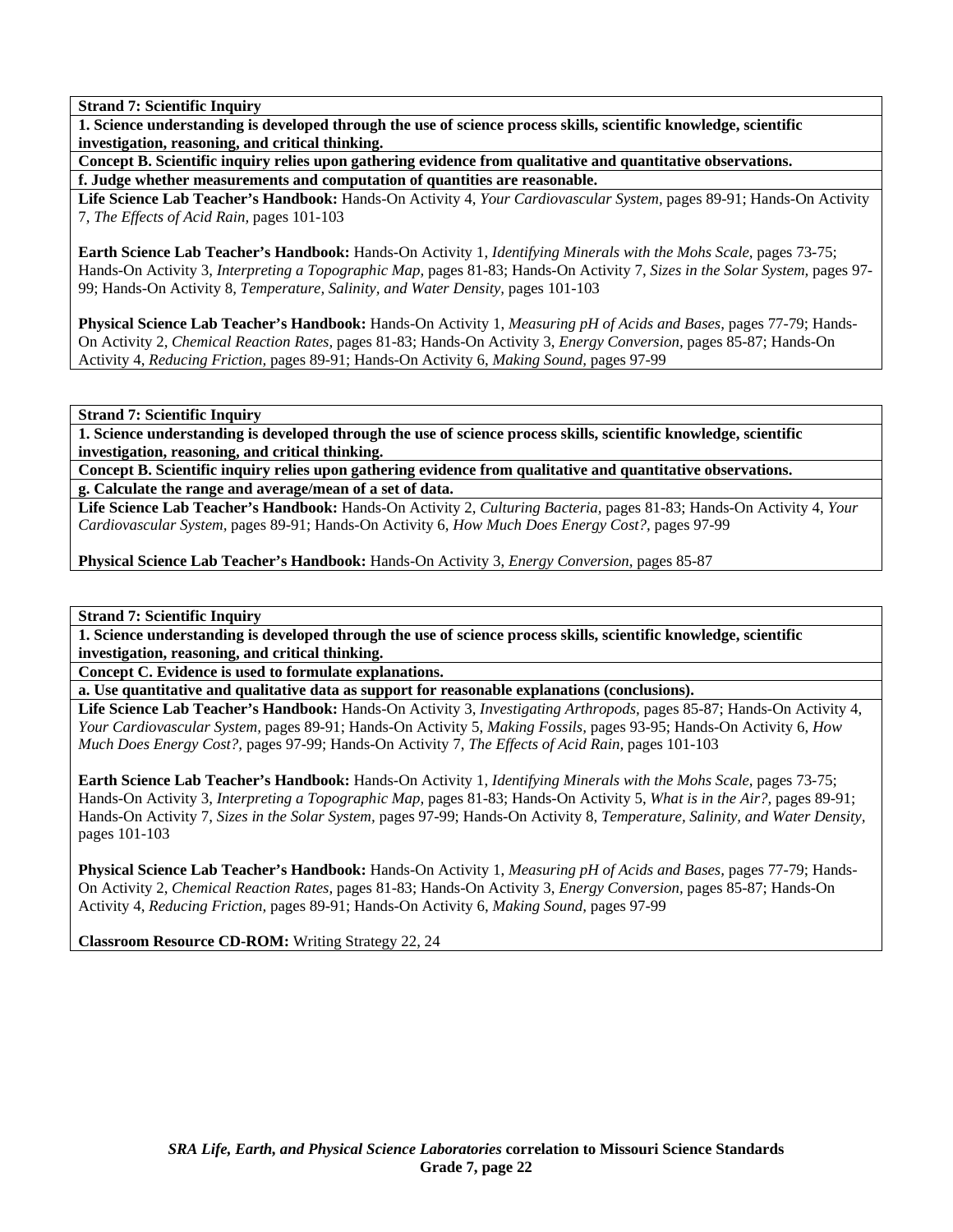**1. Science understanding is developed through the use of science process skills, scientific knowledge, scientific investigation, reasoning, and critical thinking.** 

**Concept B. Scientific inquiry relies upon gathering evidence from qualitative and quantitative observations. f. Judge whether measurements and computation of quantities are reasonable.** 

**Life Science Lab Teacher's Handbook:** Hands-On Activity 4, *Your Cardiovascular System,* pages 89-91; Hands-On Activity 7, *The Effects of Acid Rain,* pages 101-103

**Earth Science Lab Teacher's Handbook:** Hands-On Activity 1, *Identifying Minerals with the Mohs Scale,* pages 73-75; Hands-On Activity 3, *Interpreting a Topographic Map,* pages 81-83; Hands-On Activity 7, *Sizes in the Solar System,* pages 97- 99; Hands-On Activity 8, *Temperature, Salinity, and Water Density,* pages 101-103

**Physical Science Lab Teacher's Handbook:** Hands-On Activity 1, *Measuring pH of Acids and Bases,* pages 77-79; Hands-On Activity 2, *Chemical Reaction Rates,* pages 81-83; Hands-On Activity 3, *Energy Conversion,* pages 85-87; Hands-On Activity 4, *Reducing Friction,* pages 89-91; Hands-On Activity 6, *Making Sound,* pages 97-99

**Strand 7: Scientific Inquiry** 

**1. Science understanding is developed through the use of science process skills, scientific knowledge, scientific investigation, reasoning, and critical thinking.** 

**Concept B. Scientific inquiry relies upon gathering evidence from qualitative and quantitative observations. g. Calculate the range and average/mean of a set of data.** 

**Life Science Lab Teacher's Handbook:** Hands-On Activity 2, *Culturing Bacteria,* pages 81-83; Hands-On Activity 4, *Your Cardiovascular System,* pages 89-91; Hands-On Activity 6, *How Much Does Energy Cost?,* pages 97-99

**Physical Science Lab Teacher's Handbook:** Hands-On Activity 3, *Energy Conversion,* pages 85-87

**Strand 7: Scientific Inquiry** 

**1. Science understanding is developed through the use of science process skills, scientific knowledge, scientific investigation, reasoning, and critical thinking.** 

**Concept C. Evidence is used to formulate explanations.** 

**a. Use quantitative and qualitative data as support for reasonable explanations (conclusions).** 

**Life Science Lab Teacher's Handbook:** Hands-On Activity 3, *Investigating Arthropods,* pages 85-87; Hands-On Activity 4, *Your Cardiovascular System,* pages 89-91; Hands-On Activity 5, *Making Fossils,* pages 93-95; Hands-On Activity 6, *How Much Does Energy Cost?,* pages 97-99; Hands-On Activity 7, *The Effects of Acid Rain,* pages 101-103

**Earth Science Lab Teacher's Handbook:** Hands-On Activity 1, *Identifying Minerals with the Mohs Scale,* pages 73-75; Hands-On Activity 3, *Interpreting a Topographic Map,* pages 81-83; Hands-On Activity 5, *What is in the Air?,* pages 89-91; Hands-On Activity 7, *Sizes in the Solar System,* pages 97-99; Hands-On Activity 8, *Temperature, Salinity, and Water Density,* pages 101-103

**Physical Science Lab Teacher's Handbook:** Hands-On Activity 1, *Measuring pH of Acids and Bases,* pages 77-79; Hands-On Activity 2, *Chemical Reaction Rates,* pages 81-83; Hands-On Activity 3, *Energy Conversion,* pages 85-87; Hands-On Activity 4, *Reducing Friction,* pages 89-91; Hands-On Activity 6, *Making Sound,* pages 97-99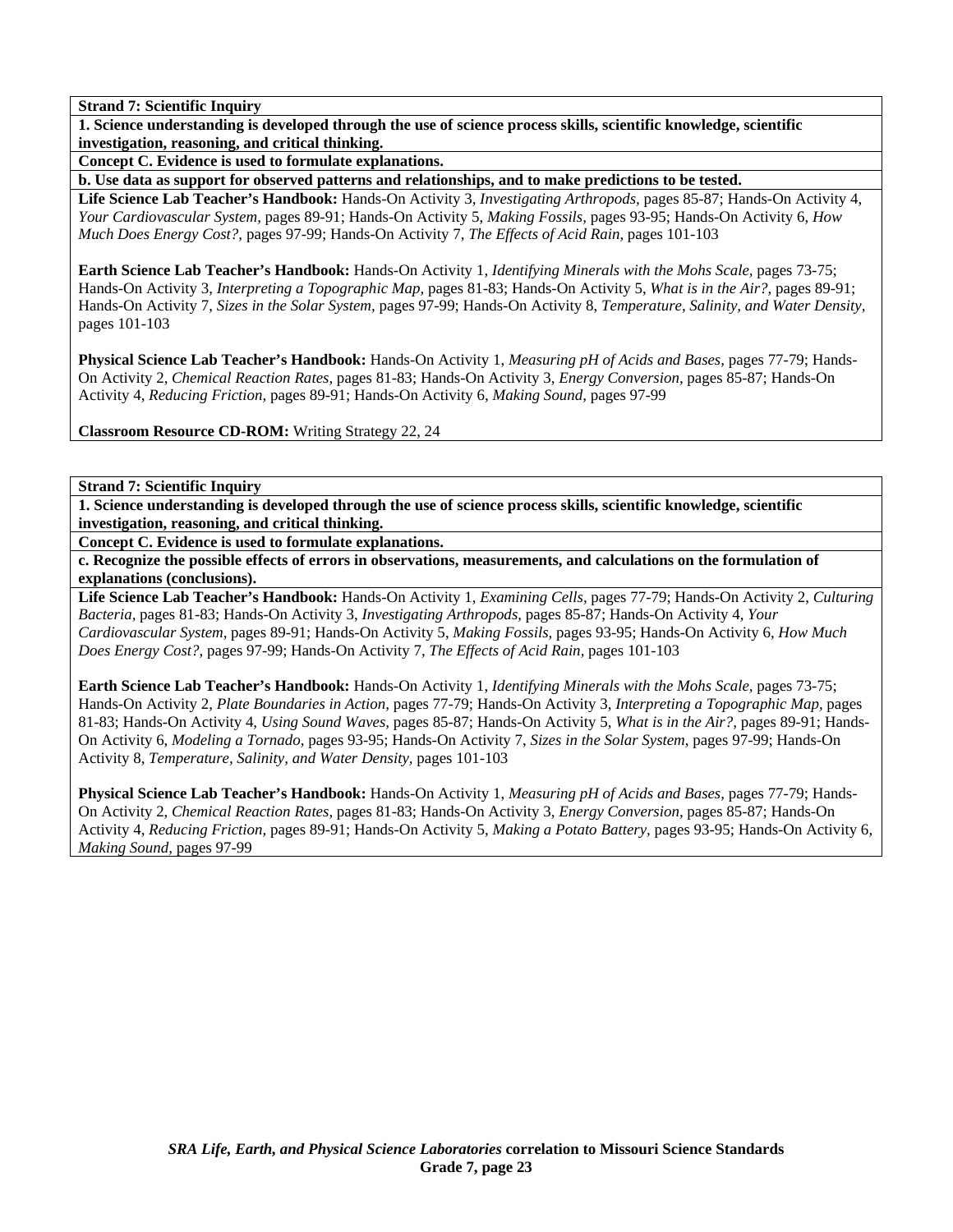**1. Science understanding is developed through the use of science process skills, scientific knowledge, scientific investigation, reasoning, and critical thinking.** 

**Concept C. Evidence is used to formulate explanations.** 

**b. Use data as support for observed patterns and relationships, and to make predictions to be tested.** 

**Life Science Lab Teacher's Handbook:** Hands-On Activity 3, *Investigating Arthropods,* pages 85-87; Hands-On Activity 4, *Your Cardiovascular System,* pages 89-91; Hands-On Activity 5, *Making Fossils,* pages 93-95; Hands-On Activity 6, *How Much Does Energy Cost?,* pages 97-99; Hands-On Activity 7, *The Effects of Acid Rain,* pages 101-103

**Earth Science Lab Teacher's Handbook:** Hands-On Activity 1, *Identifying Minerals with the Mohs Scale,* pages 73-75; Hands-On Activity 3, *Interpreting a Topographic Map,* pages 81-83; Hands-On Activity 5, *What is in the Air?,* pages 89-91; Hands-On Activity 7, *Sizes in the Solar System,* pages 97-99; Hands-On Activity 8, *Temperature, Salinity, and Water Density,* pages 101-103

**Physical Science Lab Teacher's Handbook:** Hands-On Activity 1, *Measuring pH of Acids and Bases,* pages 77-79; Hands-On Activity 2, *Chemical Reaction Rates,* pages 81-83; Hands-On Activity 3, *Energy Conversion,* pages 85-87; Hands-On Activity 4, *Reducing Friction,* pages 89-91; Hands-On Activity 6, *Making Sound,* pages 97-99

**Classroom Resource CD-ROM:** Writing Strategy 22, 24

**Strand 7: Scientific Inquiry** 

**1. Science understanding is developed through the use of science process skills, scientific knowledge, scientific investigation, reasoning, and critical thinking.** 

**Concept C. Evidence is used to formulate explanations.** 

**c. Recognize the possible effects of errors in observations, measurements, and calculations on the formulation of explanations (conclusions).** 

**Life Science Lab Teacher's Handbook:** Hands-On Activity 1, *Examining Cells,* pages 77-79; Hands-On Activity 2, *Culturing Bacteria,* pages 81-83; Hands-On Activity 3, *Investigating Arthropods,* pages 85-87; Hands-On Activity 4, *Your Cardiovascular System,* pages 89-91; Hands-On Activity 5, *Making Fossils,* pages 93-95; Hands-On Activity 6, *How Much Does Energy Cost?,* pages 97-99; Hands-On Activity 7, *The Effects of Acid Rain,* pages 101-103

**Earth Science Lab Teacher's Handbook:** Hands-On Activity 1, *Identifying Minerals with the Mohs Scale,* pages 73-75; Hands-On Activity 2, *Plate Boundaries in Action,* pages 77-79; Hands-On Activity 3, *Interpreting a Topographic Map,* pages 81-83; Hands-On Activity 4, *Using Sound Waves,* pages 85-87; Hands-On Activity 5, *What is in the Air?,* pages 89-91; Hands-On Activity 6, *Modeling a Tornado,* pages 93-95; Hands-On Activity 7, *Sizes in the Solar System,* pages 97-99; Hands-On Activity 8, *Temperature, Salinity, and Water Density,* pages 101-103

**Physical Science Lab Teacher's Handbook:** Hands-On Activity 1, *Measuring pH of Acids and Bases,* pages 77-79; Hands-On Activity 2, *Chemical Reaction Rates,* pages 81-83; Hands-On Activity 3, *Energy Conversion,* pages 85-87; Hands-On Activity 4, *Reducing Friction,* pages 89-91; Hands-On Activity 5, *Making a Potato Battery,* pages 93-95; Hands-On Activity 6, *Making Sound,* pages 97-99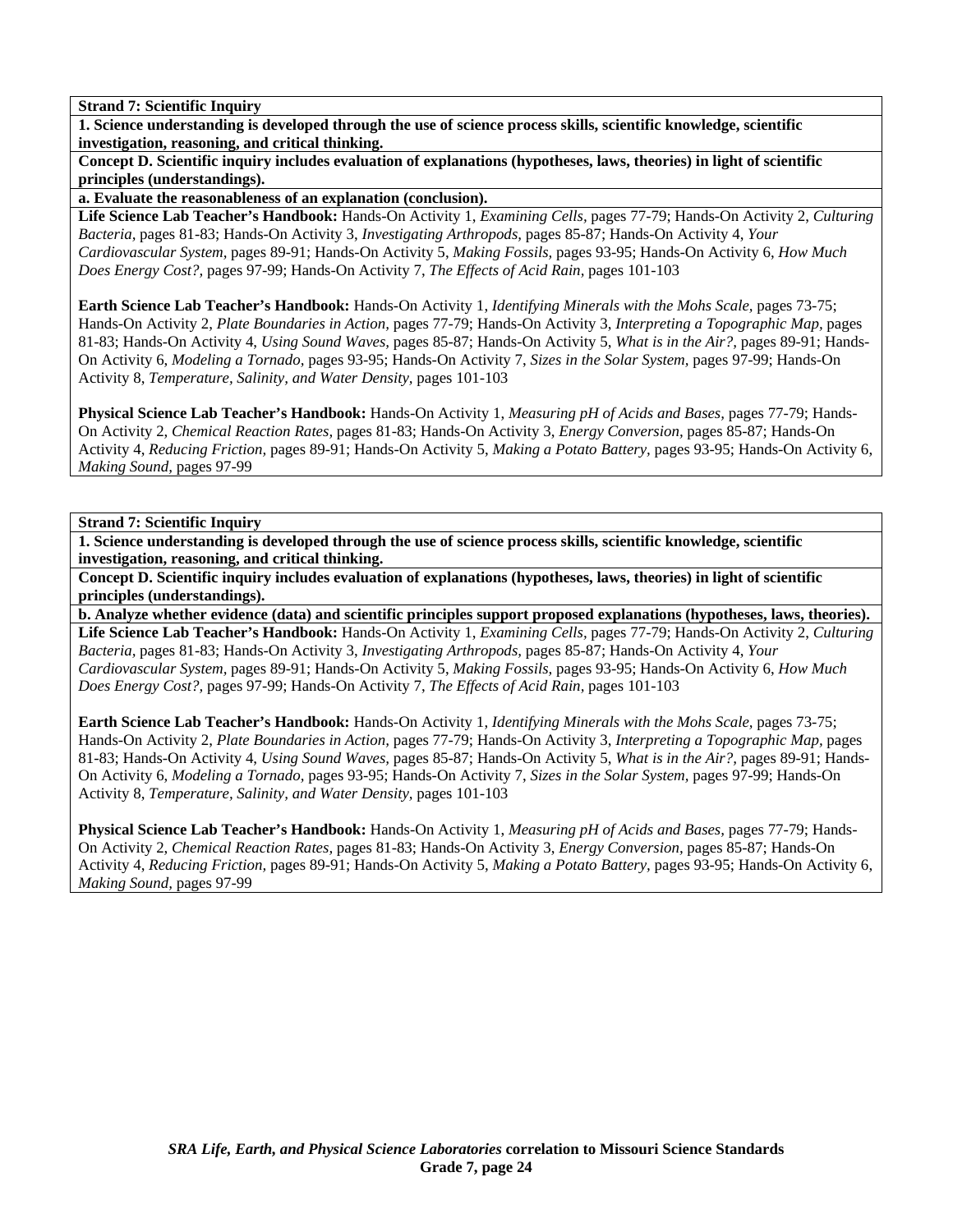**1. Science understanding is developed through the use of science process skills, scientific knowledge, scientific investigation, reasoning, and critical thinking.** 

**Concept D. Scientific inquiry includes evaluation of explanations (hypotheses, laws, theories) in light of scientific principles (understandings).** 

**a. Evaluate the reasonableness of an explanation (conclusion).** 

**Life Science Lab Teacher's Handbook:** Hands-On Activity 1, *Examining Cells,* pages 77-79; Hands-On Activity 2, *Culturing Bacteria,* pages 81-83; Hands-On Activity 3, *Investigating Arthropods,* pages 85-87; Hands-On Activity 4, *Your Cardiovascular System,* pages 89-91; Hands-On Activity 5, *Making Fossils,* pages 93-95; Hands-On Activity 6, *How Much Does Energy Cost?,* pages 97-99; Hands-On Activity 7, *The Effects of Acid Rain,* pages 101-103

**Earth Science Lab Teacher's Handbook:** Hands-On Activity 1, *Identifying Minerals with the Mohs Scale,* pages 73-75; Hands-On Activity 2, *Plate Boundaries in Action,* pages 77-79; Hands-On Activity 3, *Interpreting a Topographic Map,* pages 81-83; Hands-On Activity 4, *Using Sound Waves,* pages 85-87; Hands-On Activity 5, *What is in the Air?,* pages 89-91; Hands-On Activity 6, *Modeling a Tornado,* pages 93-95; Hands-On Activity 7, *Sizes in the Solar System,* pages 97-99; Hands-On Activity 8, *Temperature, Salinity, and Water Density,* pages 101-103

**Physical Science Lab Teacher's Handbook:** Hands-On Activity 1, *Measuring pH of Acids and Bases,* pages 77-79; Hands-On Activity 2, *Chemical Reaction Rates,* pages 81-83; Hands-On Activity 3, *Energy Conversion,* pages 85-87; Hands-On Activity 4, *Reducing Friction,* pages 89-91; Hands-On Activity 5, *Making a Potato Battery,* pages 93-95; Hands-On Activity 6, *Making Sound,* pages 97-99

## **Strand 7: Scientific Inquiry**

**1. Science understanding is developed through the use of science process skills, scientific knowledge, scientific investigation, reasoning, and critical thinking.** 

**Concept D. Scientific inquiry includes evaluation of explanations (hypotheses, laws, theories) in light of scientific principles (understandings).** 

**b. Analyze whether evidence (data) and scientific principles support proposed explanations (hypotheses, laws, theories).** 

**Life Science Lab Teacher's Handbook:** Hands-On Activity 1, *Examining Cells,* pages 77-79; Hands-On Activity 2, *Culturing Bacteria,* pages 81-83; Hands-On Activity 3, *Investigating Arthropods,* pages 85-87; Hands-On Activity 4, *Your Cardiovascular System,* pages 89-91; Hands-On Activity 5, *Making Fossils,* pages 93-95; Hands-On Activity 6, *How Much Does Energy Cost?,* pages 97-99; Hands-On Activity 7, *The Effects of Acid Rain,* pages 101-103

**Earth Science Lab Teacher's Handbook:** Hands-On Activity 1, *Identifying Minerals with the Mohs Scale,* pages 73-75; Hands-On Activity 2, *Plate Boundaries in Action,* pages 77-79; Hands-On Activity 3, *Interpreting a Topographic Map,* pages 81-83; Hands-On Activity 4, *Using Sound Waves,* pages 85-87; Hands-On Activity 5, *What is in the Air?,* pages 89-91; Hands-On Activity 6, *Modeling a Tornado,* pages 93-95; Hands-On Activity 7, *Sizes in the Solar System,* pages 97-99; Hands-On Activity 8, *Temperature, Salinity, and Water Density,* pages 101-103

**Physical Science Lab Teacher's Handbook:** Hands-On Activity 1, *Measuring pH of Acids and Bases,* pages 77-79; Hands-On Activity 2, *Chemical Reaction Rates,* pages 81-83; Hands-On Activity 3, *Energy Conversion,* pages 85-87; Hands-On Activity 4, *Reducing Friction,* pages 89-91; Hands-On Activity 5, *Making a Potato Battery,* pages 93-95; Hands-On Activity 6, *Making Sound,* pages 97-99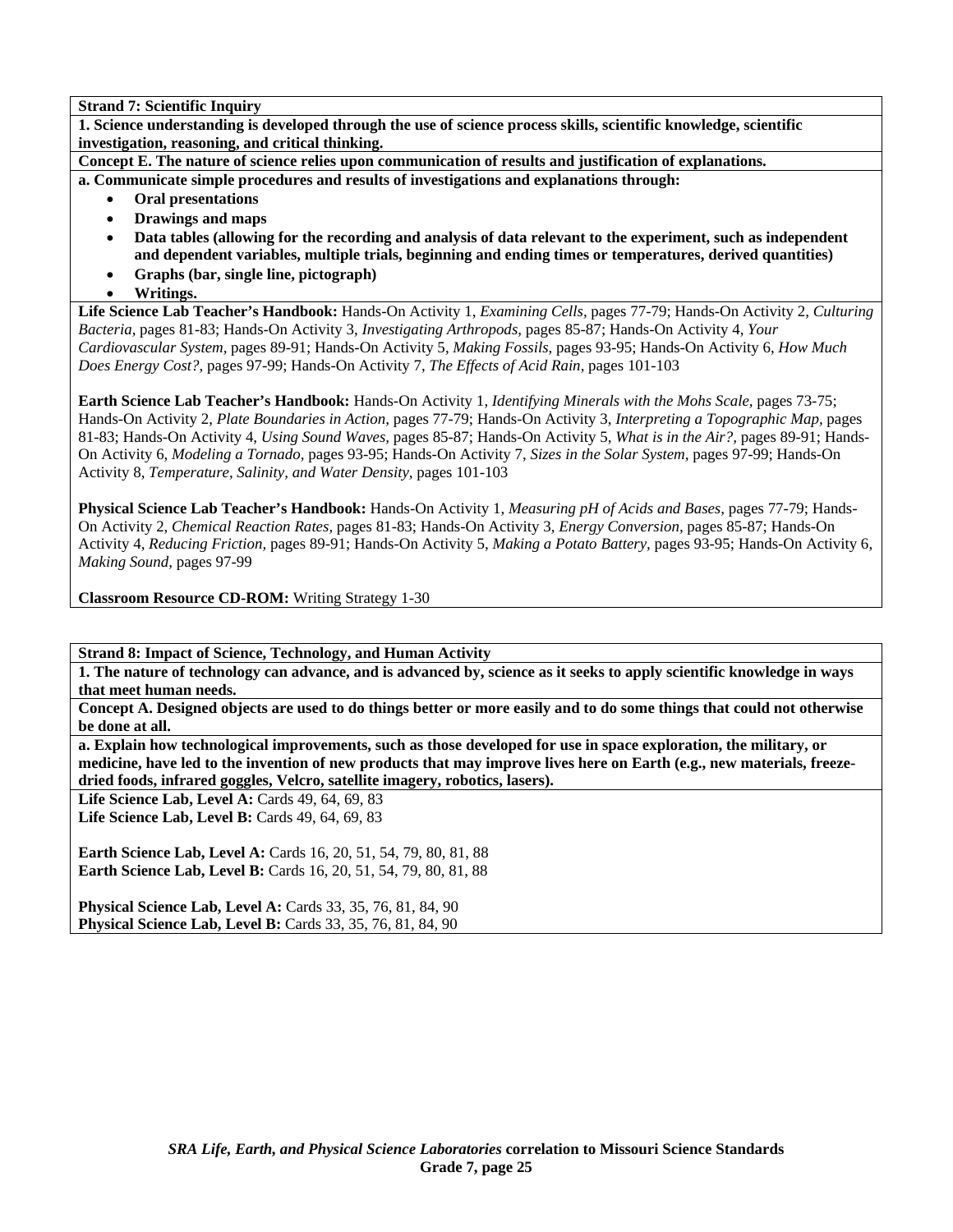**1. Science understanding is developed through the use of science process skills, scientific knowledge, scientific investigation, reasoning, and critical thinking.** 

**Concept E. The nature of science relies upon communication of results and justification of explanations.** 

**a. Communicate simple procedures and results of investigations and explanations through:** 

- **Oral presentations**
- **Drawings and maps**
- **Data tables (allowing for the recording and analysis of data relevant to the experiment, such as independent and dependent variables, multiple trials, beginning and ending times or temperatures, derived quantities)**
- **Graphs (bar, single line, pictograph)**
- **Writings.**

**Life Science Lab Teacher's Handbook:** Hands-On Activity 1, *Examining Cells,* pages 77-79; Hands-On Activity 2, *Culturing Bacteria,* pages 81-83; Hands-On Activity 3, *Investigating Arthropods,* pages 85-87; Hands-On Activity 4, *Your Cardiovascular System,* pages 89-91; Hands-On Activity 5, *Making Fossils,* pages 93-95; Hands-On Activity 6, *How Much Does Energy Cost?,* pages 97-99; Hands-On Activity 7, *The Effects of Acid Rain,* pages 101-103

**Earth Science Lab Teacher's Handbook:** Hands-On Activity 1, *Identifying Minerals with the Mohs Scale,* pages 73-75; Hands-On Activity 2, *Plate Boundaries in Action,* pages 77-79; Hands-On Activity 3, *Interpreting a Topographic Map,* pages 81-83; Hands-On Activity 4, *Using Sound Waves,* pages 85-87; Hands-On Activity 5, *What is in the Air?,* pages 89-91; Hands-On Activity 6, *Modeling a Tornado,* pages 93-95; Hands-On Activity 7, *Sizes in the Solar System,* pages 97-99; Hands-On Activity 8, *Temperature, Salinity, and Water Density,* pages 101-103

**Physical Science Lab Teacher's Handbook:** Hands-On Activity 1, *Measuring pH of Acids and Bases,* pages 77-79; Hands-On Activity 2, *Chemical Reaction Rates,* pages 81-83; Hands-On Activity 3, *Energy Conversion,* pages 85-87; Hands-On Activity 4, *Reducing Friction,* pages 89-91; Hands-On Activity 5, *Making a Potato Battery,* pages 93-95; Hands-On Activity 6, *Making Sound,* pages 97-99

**Classroom Resource CD-ROM:** Writing Strategy 1-30

**Strand 8: Impact of Science, Technology, and Human Activity** 

**1. The nature of technology can advance, and is advanced by, science as it seeks to apply scientific knowledge in ways that meet human needs.** 

**Concept A. Designed objects are used to do things better or more easily and to do some things that could not otherwise be done at all.** 

**a. Explain how technological improvements, such as those developed for use in space exploration, the military, or medicine, have led to the invention of new products that may improve lives here on Earth (e.g., new materials, freezedried foods, infrared goggles, Velcro, satellite imagery, robotics, lasers).** 

**Life Science Lab, Level A: Cards 49, 64, 69, 83** 

**Life Science Lab, Level B: Cards 49, 64, 69, 83** 

**Earth Science Lab, Level A:** Cards 16, 20, 51, 54, 79, 80, 81, 88 **Earth Science Lab, Level B:** Cards 16, 20, 51, 54, 79, 80, 81, 88

**Physical Science Lab, Level A: Cards 33, 35, 76, 81, 84, 90 Physical Science Lab, Level B:** Cards 33, 35, 76, 81, 84, 90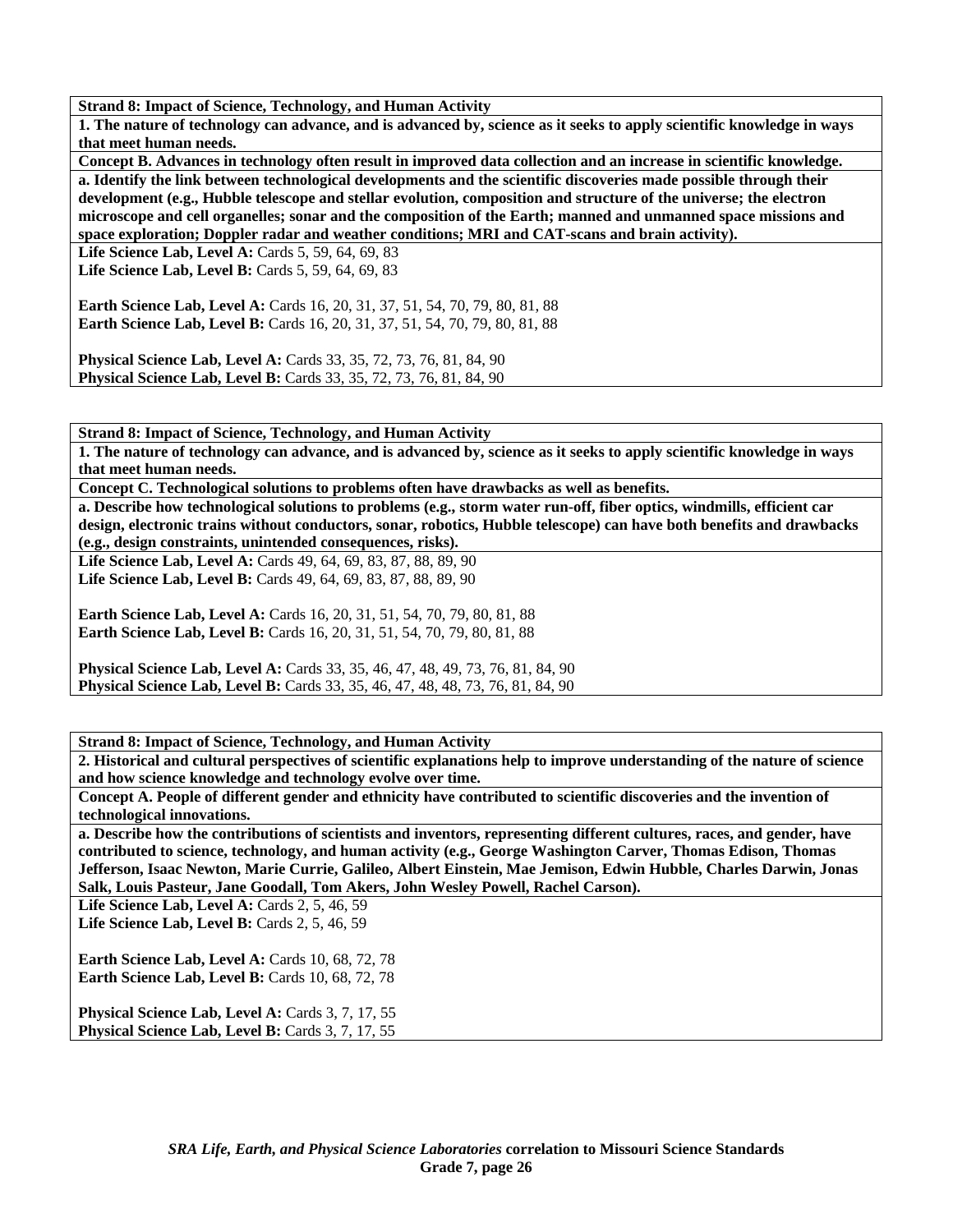**1. The nature of technology can advance, and is advanced by, science as it seeks to apply scientific knowledge in ways that meet human needs.** 

**Concept B. Advances in technology often result in improved data collection and an increase in scientific knowledge. a. Identify the link between technological developments and the scientific discoveries made possible through their development (e.g., Hubble telescope and stellar evolution, composition and structure of the universe; the electron microscope and cell organelles; sonar and the composition of the Earth; manned and unmanned space missions and space exploration; Doppler radar and weather conditions; MRI and CAT-scans and brain activity).** 

Life Science Lab, Level A: Cards 5, 59, 64, 69, 83 **Life Science Lab, Level B: Cards 5, 59, 64, 69, 83** 

**Earth Science Lab, Level A: Cards 16, 20, 31, 37, 51, 54, 70, 79, 80, 81, 88 Earth Science Lab, Level B:** Cards 16, 20, 31, 37, 51, 54, 70, 79, 80, 81, 88

**Physical Science Lab, Level A:** Cards 33, 35, 72, 73, 76, 81, 84, 90 **Physical Science Lab, Level B:** Cards 33, 35, 72, 73, 76, 81, 84, 90

**Strand 8: Impact of Science, Technology, and Human Activity** 

**1. The nature of technology can advance, and is advanced by, science as it seeks to apply scientific knowledge in ways that meet human needs.** 

**Concept C. Technological solutions to problems often have drawbacks as well as benefits.** 

**a. Describe how technological solutions to problems (e.g., storm water run-off, fiber optics, windmills, efficient car design, electronic trains without conductors, sonar, robotics, Hubble telescope) can have both benefits and drawbacks (e.g., design constraints, unintended consequences, risks).** 

**Life Science Lab, Level A:** Cards 49, 64, 69, 83, 87, 88, 89, 90 **Life Science Lab, Level B:** Cards 49, 64, 69, 83, 87, 88, 89, 90

**Earth Science Lab, Level A: Cards 16, 20, 31, 51, 54, 70, 79, 80, 81, 88 Earth Science Lab, Level B:** Cards 16, 20, 31, 51, 54, 70, 79, 80, 81, 88

**Physical Science Lab, Level A:** Cards 33, 35, 46, 47, 48, 49, 73, 76, 81, 84, 90 **Physical Science Lab, Level B:** Cards 33, 35, 46, 47, 48, 48, 73, 76, 81, 84, 90

**Strand 8: Impact of Science, Technology, and Human Activity** 

**2. Historical and cultural perspectives of scientific explanations help to improve understanding of the nature of science and how science knowledge and technology evolve over time.** 

**Concept A. People of different gender and ethnicity have contributed to scientific discoveries and the invention of technological innovations.** 

**a. Describe how the contributions of scientists and inventors, representing different cultures, races, and gender, have contributed to science, technology, and human activity (e.g., George Washington Carver, Thomas Edison, Thomas Jefferson, Isaac Newton, Marie Currie, Galileo, Albert Einstein, Mae Jemison, Edwin Hubble, Charles Darwin, Jonas Salk, Louis Pasteur, Jane Goodall, Tom Akers, John Wesley Powell, Rachel Carson).** 

Life Science Lab, Level A: Cards 2, 5, 46, 59

Life Science Lab, Level B: Cards 2, 5, 46, 59

**Earth Science Lab, Level A: Cards 10, 68, 72, 78 Earth Science Lab, Level B: Cards 10, 68, 72, 78** 

Physical Science Lab, Level A: Cards 3, 7, 17, 55 Physical Science Lab, Level B: Cards 3, 7, 17, 55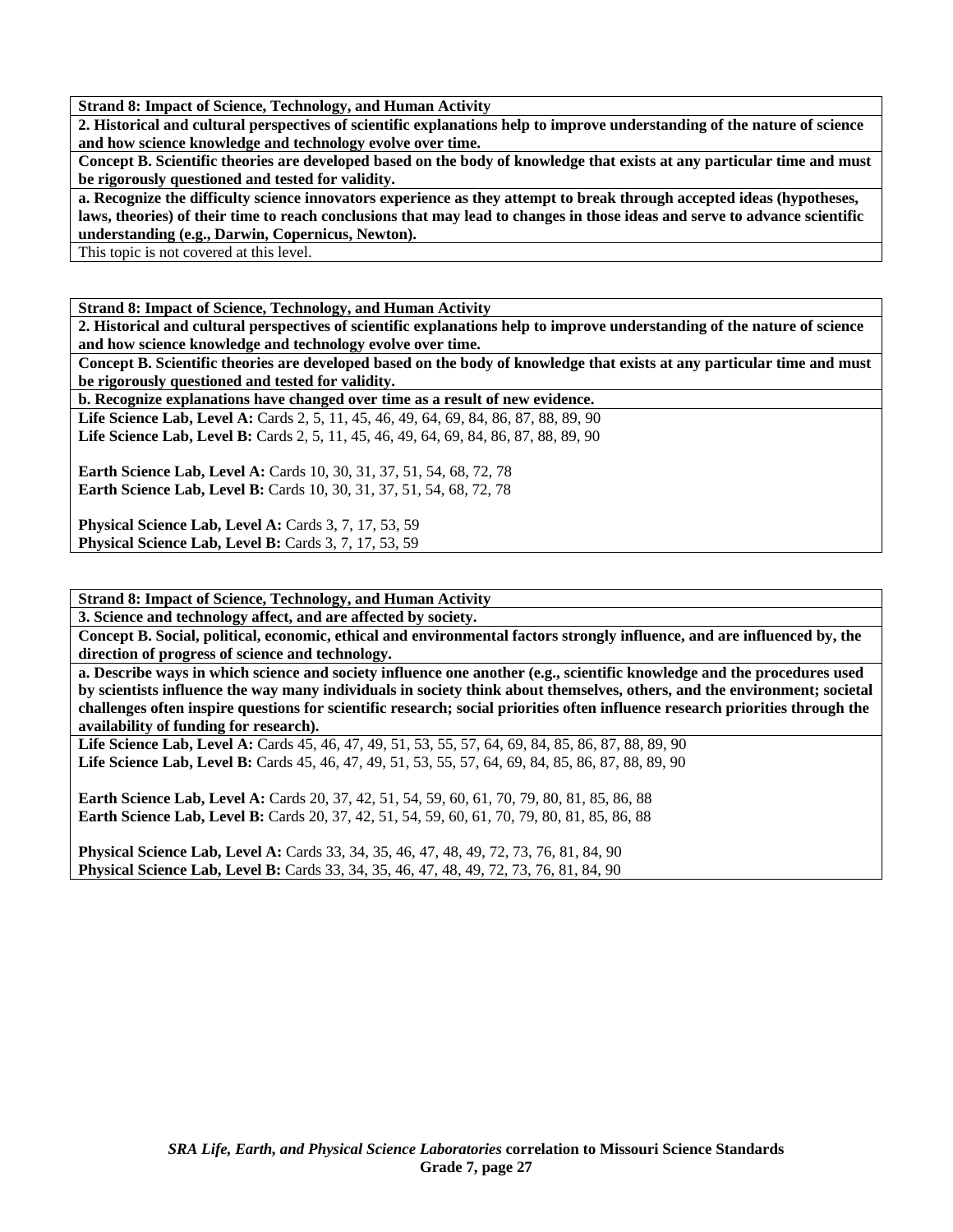**2. Historical and cultural perspectives of scientific explanations help to improve understanding of the nature of science and how science knowledge and technology evolve over time.** 

**Concept B. Scientific theories are developed based on the body of knowledge that exists at any particular time and must be rigorously questioned and tested for validity.** 

**a. Recognize the difficulty science innovators experience as they attempt to break through accepted ideas (hypotheses, laws, theories) of their time to reach conclusions that may lead to changes in those ideas and serve to advance scientific understanding (e.g., Darwin, Copernicus, Newton).** 

This topic is not covered at this level.

**Strand 8: Impact of Science, Technology, and Human Activity** 

**2. Historical and cultural perspectives of scientific explanations help to improve understanding of the nature of science and how science knowledge and technology evolve over time.** 

**Concept B. Scientific theories are developed based on the body of knowledge that exists at any particular time and must be rigorously questioned and tested for validity.** 

**b. Recognize explanations have changed over time as a result of new evidence.** 

Life Science Lab, Level A: Cards 2, 5, 11, 45, 46, 49, 64, 69, 84, 86, 87, 88, 89, 90 Life Science Lab, Level B: Cards 2, 5, 11, 45, 46, 49, 64, 69, 84, 86, 87, 88, 89, 90

**Earth Science Lab, Level A:** Cards 10, 30, 31, 37, 51, 54, 68, 72, 78 **Earth Science Lab, Level B:** Cards 10, 30, 31, 37, 51, 54, 68, 72, 78

**Physical Science Lab, Level A: Cards 3, 7, 17, 53, 59 Physical Science Lab, Level B:** Cards 3, 7, 17, 53, 59

**Strand 8: Impact of Science, Technology, and Human Activity** 

**3. Science and technology affect, and are affected by society.** 

**Concept B. Social, political, economic, ethical and environmental factors strongly influence, and are influenced by, the direction of progress of science and technology.** 

**a. Describe ways in which science and society influence one another (e.g., scientific knowledge and the procedures used by scientists influence the way many individuals in society think about themselves, others, and the environment; societal challenges often inspire questions for scientific research; social priorities often influence research priorities through the availability of funding for research).** 

Life Science Lab, Level A: Cards 45, 46, 47, 49, 51, 53, 55, 57, 64, 69, 84, 85, 86, 87, 88, 89, 90 **Life Science Lab, Level B:** Cards 45, 46, 47, 49, 51, 53, 55, 57, 64, 69, 84, 85, 86, 87, 88, 89, 90

**Earth Science Lab, Level A:** Cards 20, 37, 42, 51, 54, 59, 60, 61, 70, 79, 80, 81, 85, 86, 88 **Earth Science Lab, Level B:** Cards 20, 37, 42, 51, 54, 59, 60, 61, 70, 79, 80, 81, 85, 86, 88

**Physical Science Lab, Level A:** Cards 33, 34, 35, 46, 47, 48, 49, 72, 73, 76, 81, 84, 90 **Physical Science Lab, Level B:** Cards 33, 34, 35, 46, 47, 48, 49, 72, 73, 76, 81, 84, 90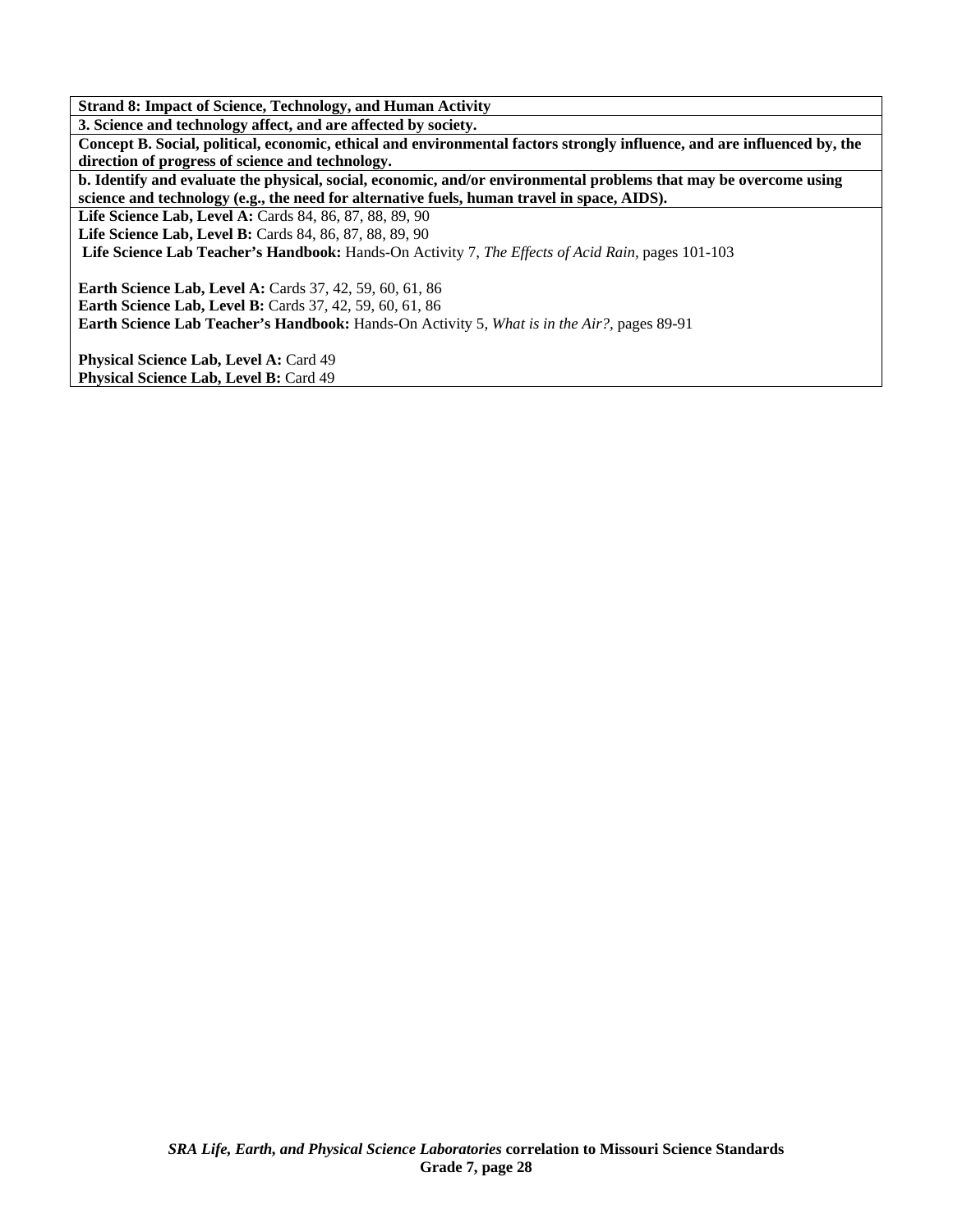**Strand 8: Impact of Science, Technology, and Human Activity 3. Science and technology affect, and are affected by society. Concept B. Social, political, economic, ethical and environmental factors strongly influence, and are influenced by, the direction of progress of science and technology. b. Identify and evaluate the physical, social, economic, and/or environmental problems that may be overcome using science and technology (e.g., the need for alternative fuels, human travel in space, AIDS). Life Science Lab, Level A:** Cards 84, 86, 87, 88, 89, 90 **Life Science Lab, Level B:** Cards 84, 86, 87, 88, 89, 90 **Life Science Lab Teacher's Handbook:** Hands-On Activity 7, *The Effects of Acid Rain,* pages 101-103 **Earth Science Lab, Level A: Cards 37, 42, 59, 60, 61, 86 Earth Science Lab, Level B:** Cards 37, 42, 59, 60, 61, 86 **Earth Science Lab Teacher's Handbook:** Hands-On Activity 5, *What is in the Air?,* pages 89-91 Physical Science Lab, Level A: Card 49 Physical Science Lab, Level B: Card 49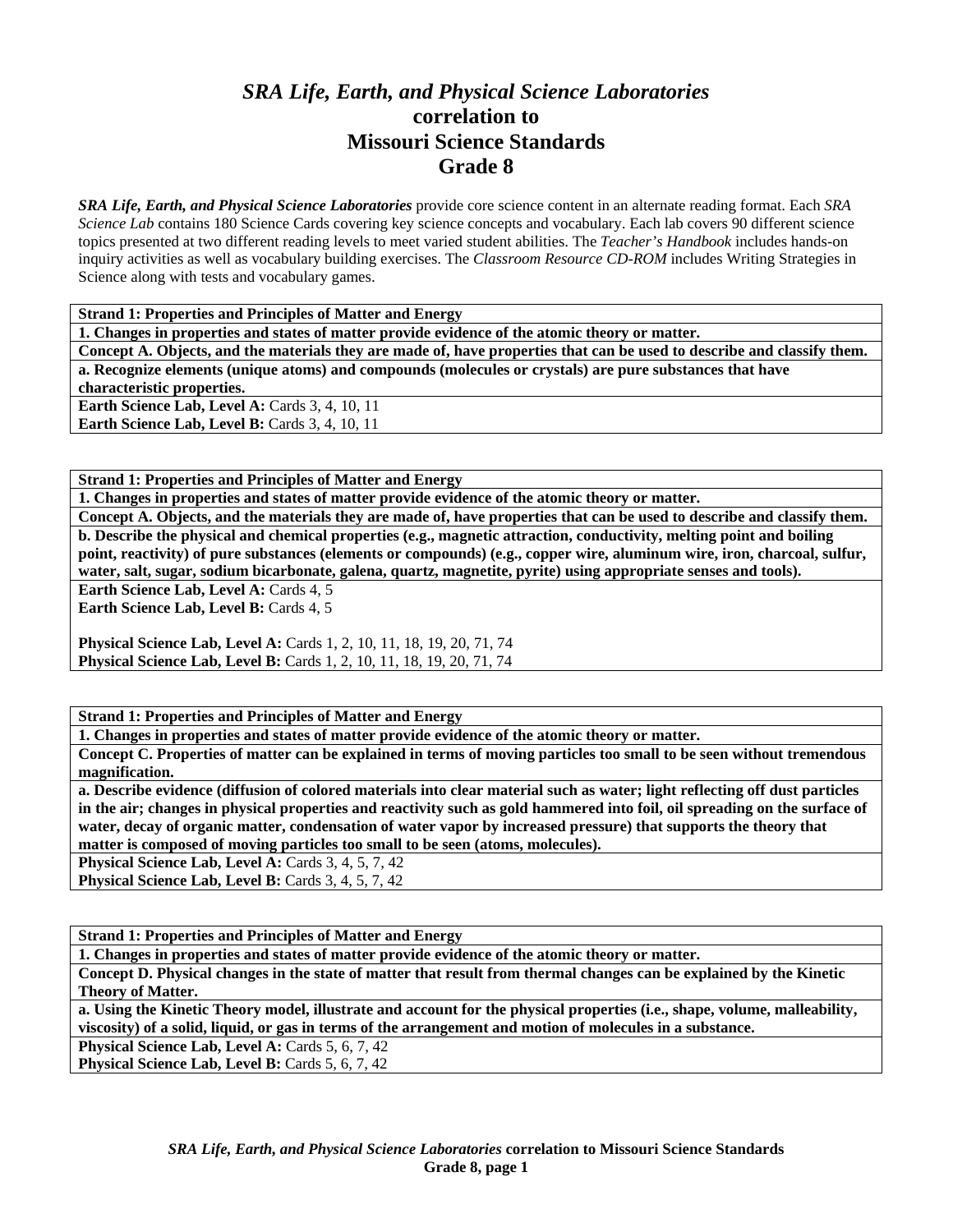# *SRA Life, Earth, and Physical Science Laboratories*  **correlation to Missouri Science Standards Grade 8**

*SRA Life, Earth, and Physical Science Laboratories* provide core science content in an alternate reading format. Each *SRA Science Lab* contains 180 Science Cards covering key science concepts and vocabulary. Each lab covers 90 different science topics presented at two different reading levels to meet varied student abilities. The *Teacher's Handbook* includes hands-on inquiry activities as well as vocabulary building exercises. The *Classroom Resource CD-ROM* includes Writing Strategies in Science along with tests and vocabulary games.

**Strand 1: Properties and Principles of Matter and Energy** 

**1. Changes in properties and states of matter provide evidence of the atomic theory or matter.** 

**Concept A. Objects, and the materials they are made of, have properties that can be used to describe and classify them. a. Recognize elements (unique atoms) and compounds (molecules or crystals) are pure substances that have characteristic properties. Earth Science Lab, Level A: Cards 3, 4, 10, 11** 

**Earth Science Lab, Level B: Cards 3, 4, 10, 11** 

**Strand 1: Properties and Principles of Matter and Energy** 

**1. Changes in properties and states of matter provide evidence of the atomic theory or matter.** 

**Concept A. Objects, and the materials they are made of, have properties that can be used to describe and classify them. b. Describe the physical and chemical properties (e.g., magnetic attraction, conductivity, melting point and boiling point, reactivity) of pure substances (elements or compounds) (e.g., copper wire, aluminum wire, iron, charcoal, sulfur, water, salt, sugar, sodium bicarbonate, galena, quartz, magnetite, pyrite) using appropriate senses and tools).** 

Earth Science Lab, Level A: Cards 4, 5

**Earth Science Lab, Level B: Cards 4, 5** 

**Physical Science Lab, Level A: Cards 1, 2, 10, 11, 18, 19, 20, 71, 74 Physical Science Lab, Level B:** Cards 1, 2, 10, 11, 18, 19, 20, 71, 74

**Strand 1: Properties and Principles of Matter and Energy** 

**1. Changes in properties and states of matter provide evidence of the atomic theory or matter.** 

**Concept C. Properties of matter can be explained in terms of moving particles too small to be seen without tremendous magnification.** 

**a. Describe evidence (diffusion of colored materials into clear material such as water; light reflecting off dust particles in the air; changes in physical properties and reactivity such as gold hammered into foil, oil spreading on the surface of water, decay of organic matter, condensation of water vapor by increased pressure) that supports the theory that matter is composed of moving particles too small to be seen (atoms, molecules).** 

**Physical Science Lab, Level A: Cards 3, 4, 5, 7, 42** 

Physical Science Lab, Level B: Cards 3, 4, 5, 7, 42

**Strand 1: Properties and Principles of Matter and Energy** 

**1. Changes in properties and states of matter provide evidence of the atomic theory or matter.** 

**Concept D. Physical changes in the state of matter that result from thermal changes can be explained by the Kinetic Theory of Matter.** 

**a. Using the Kinetic Theory model, illustrate and account for the physical properties (i.e., shape, volume, malleability, viscosity) of a solid, liquid, or gas in terms of the arrangement and motion of molecules in a substance.** 

Physical Science Lab, Level A: Cards 5, 6, 7, 42

Physical Science Lab, Level B: Cards 5, 6, 7, 42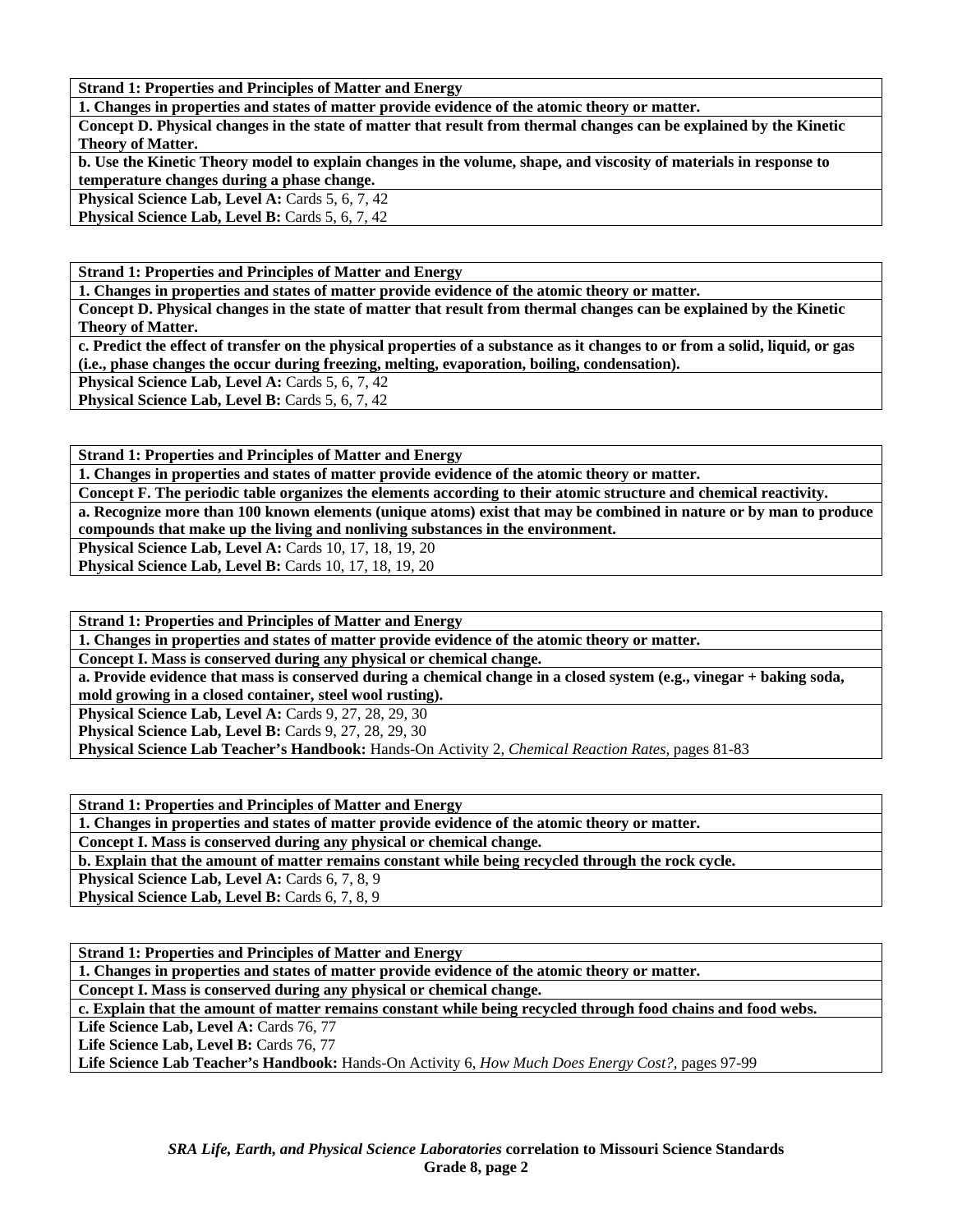**Strand 1: Properties and Principles of Matter and Energy** 

**1. Changes in properties and states of matter provide evidence of the atomic theory or matter.** 

**Concept D. Physical changes in the state of matter that result from thermal changes can be explained by the Kinetic Theory of Matter.** 

**b. Use the Kinetic Theory model to explain changes in the volume, shape, and viscosity of materials in response to temperature changes during a phase change.** 

Physical Science Lab, Level A: Cards 5, 6, 7, 42

**Physical Science Lab, Level B: Cards 5, 6, 7, 42** 

**Strand 1: Properties and Principles of Matter and Energy** 

**1. Changes in properties and states of matter provide evidence of the atomic theory or matter.** 

**Concept D. Physical changes in the state of matter that result from thermal changes can be explained by the Kinetic Theory of Matter.** 

**c. Predict the effect of transfer on the physical properties of a substance as it changes to or from a solid, liquid, or gas (i.e., phase changes the occur during freezing, melting, evaporation, boiling, condensation).** 

**Physical Science Lab, Level A: Cards 5, 6, 7, 42** 

**Physical Science Lab, Level B: Cards 5, 6, 7, 42** 

**Strand 1: Properties and Principles of Matter and Energy** 

**1. Changes in properties and states of matter provide evidence of the atomic theory or matter.** 

**Concept F. The periodic table organizes the elements according to their atomic structure and chemical reactivity.** 

**a. Recognize more than 100 known elements (unique atoms) exist that may be combined in nature or by man to produce compounds that make up the living and nonliving substances in the environment.** 

**Physical Science Lab, Level A: Cards 10, 17, 18, 19, 20** 

**Physical Science Lab, Level B:** Cards 10, 17, 18, 19, 20

**Strand 1: Properties and Principles of Matter and Energy** 

**1. Changes in properties and states of matter provide evidence of the atomic theory or matter.** 

**Concept I. Mass is conserved during any physical or chemical change.** 

**a. Provide evidence that mass is conserved during a chemical change in a closed system (e.g., vinegar + baking soda, mold growing in a closed container, steel wool rusting).** 

**Physical Science Lab, Level A: Cards 9, 27, 28, 29, 30** 

**Physical Science Lab, Level B: Cards 9, 27, 28, 29, 30** 

**Physical Science Lab Teacher's Handbook:** Hands-On Activity 2, *Chemical Reaction Rates,* pages 81-83

**Strand 1: Properties and Principles of Matter and Energy** 

**1. Changes in properties and states of matter provide evidence of the atomic theory or matter.** 

**Concept I. Mass is conserved during any physical or chemical change.** 

**b. Explain that the amount of matter remains constant while being recycled through the rock cycle.** 

**Physical Science Lab, Level A: Cards 6, 7, 8, 9** 

Physical Science Lab, Level B: Cards 6, 7, 8, 9

**Strand 1: Properties and Principles of Matter and Energy** 

**1. Changes in properties and states of matter provide evidence of the atomic theory or matter.** 

**Concept I. Mass is conserved during any physical or chemical change.** 

**c. Explain that the amount of matter remains constant while being recycled through food chains and food webs.** 

Life Science Lab, Level A: Cards 76, 77

Life Science Lab, Level B: Cards 76, 77

**Life Science Lab Teacher's Handbook:** Hands-On Activity 6, *How Much Does Energy Cost?,* pages 97-99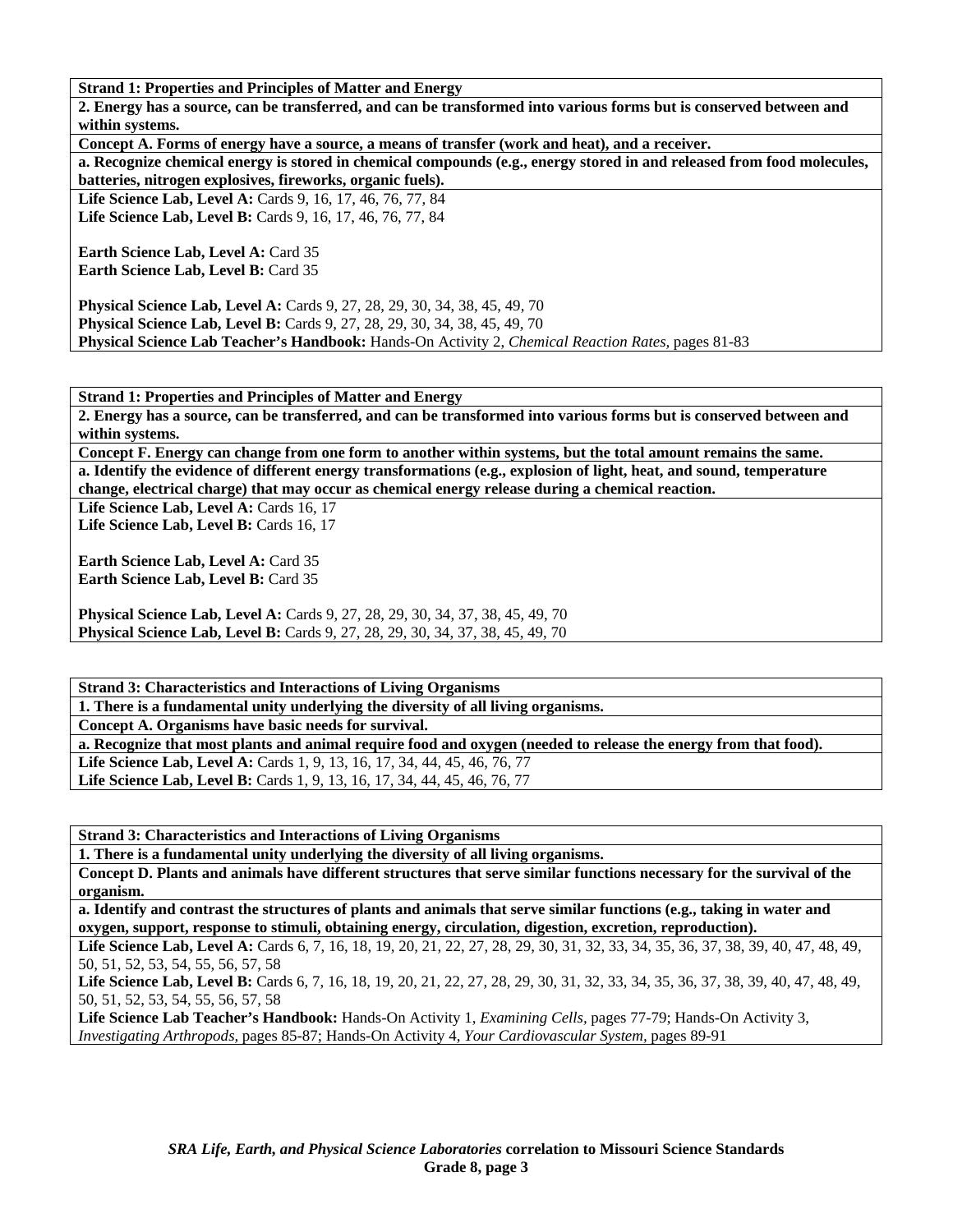**Strand 1: Properties and Principles of Matter and Energy** 

**2. Energy has a source, can be transferred, and can be transformed into various forms but is conserved between and within systems.** 

**Concept A. Forms of energy have a source, a means of transfer (work and heat), and a receiver.** 

**a. Recognize chemical energy is stored in chemical compounds (e.g., energy stored in and released from food molecules, batteries, nitrogen explosives, fireworks, organic fuels).** 

**Life Science Lab, Level A:** Cards 9, 16, 17, 46, 76, 77, 84 **Life Science Lab, Level B:** Cards 9, 16, 17, 46, 76, 77, 84

**Earth Science Lab, Level A: Card 35 Earth Science Lab, Level B: Card 35** 

**Physical Science Lab, Level A:** Cards 9, 27, 28, 29, 30, 34, 38, 45, 49, 70 **Physical Science Lab, Level B:** Cards 9, 27, 28, 29, 30, 34, 38, 45, 49, 70 **Physical Science Lab Teacher's Handbook:** Hands-On Activity 2, *Chemical Reaction Rates,* pages 81-83

**Strand 1: Properties and Principles of Matter and Energy** 

**2. Energy has a source, can be transferred, and can be transformed into various forms but is conserved between and within systems.** 

**Concept F. Energy can change from one form to another within systems, but the total amount remains the same. a. Identify the evidence of different energy transformations (e.g., explosion of light, heat, and sound, temperature change, electrical charge) that may occur as chemical energy release during a chemical reaction.** 

Life Science Lab, Level A: Cards 16, 17 Life Science Lab, Level B: Cards 16, 17

**Earth Science Lab, Level A: Card 35 Earth Science Lab, Level B:** Card 35

**Physical Science Lab, Level A:** Cards 9, 27, 28, 29, 30, 34, 37, 38, 45, 49, 70 **Physical Science Lab, Level B:** Cards 9, 27, 28, 29, 30, 34, 37, 38, 45, 49, 70

**Strand 3: Characteristics and Interactions of Living Organisms 1. There is a fundamental unity underlying the diversity of all living organisms. Concept A. Organisms have basic needs for survival. a. Recognize that most plants and animal require food and oxygen (needed to release the energy from that food).**  Life Science Lab, Level A: Cards 1, 9, 13, 16, 17, 34, 44, 45, 46, 76, 77 Life Science Lab, Level B: Cards 1, 9, 13, 16, 17, 34, 44, 45, 46, 76, 77

**Strand 3: Characteristics and Interactions of Living Organisms** 

**1. There is a fundamental unity underlying the diversity of all living organisms.** 

**Concept D. Plants and animals have different structures that serve similar functions necessary for the survival of the organism.** 

**a. Identify and contrast the structures of plants and animals that serve similar functions (e.g., taking in water and oxygen, support, response to stimuli, obtaining energy, circulation, digestion, excretion, reproduction).** 

Life Science Lab, Level A: Cards 6, 7, 16, 18, 19, 20, 21, 22, 27, 28, 29, 30, 31, 32, 33, 34, 35, 36, 37, 38, 39, 40, 47, 48, 49, 50, 51, 52, 53, 54, 55, 56, 57, 58

Life Science Lab, Level B: Cards 6, 7, 16, 18, 19, 20, 21, 22, 27, 28, 29, 30, 31, 32, 33, 34, 35, 36, 37, 38, 39, 40, 47, 48, 49, 50, 51, 52, 53, 54, 55, 56, 57, 58

**Life Science Lab Teacher's Handbook:** Hands-On Activity 1, *Examining Cells,* pages 77-79; Hands-On Activity 3, *Investigating Arthropods,* pages 85-87; Hands-On Activity 4, *Your Cardiovascular System,* pages 89-91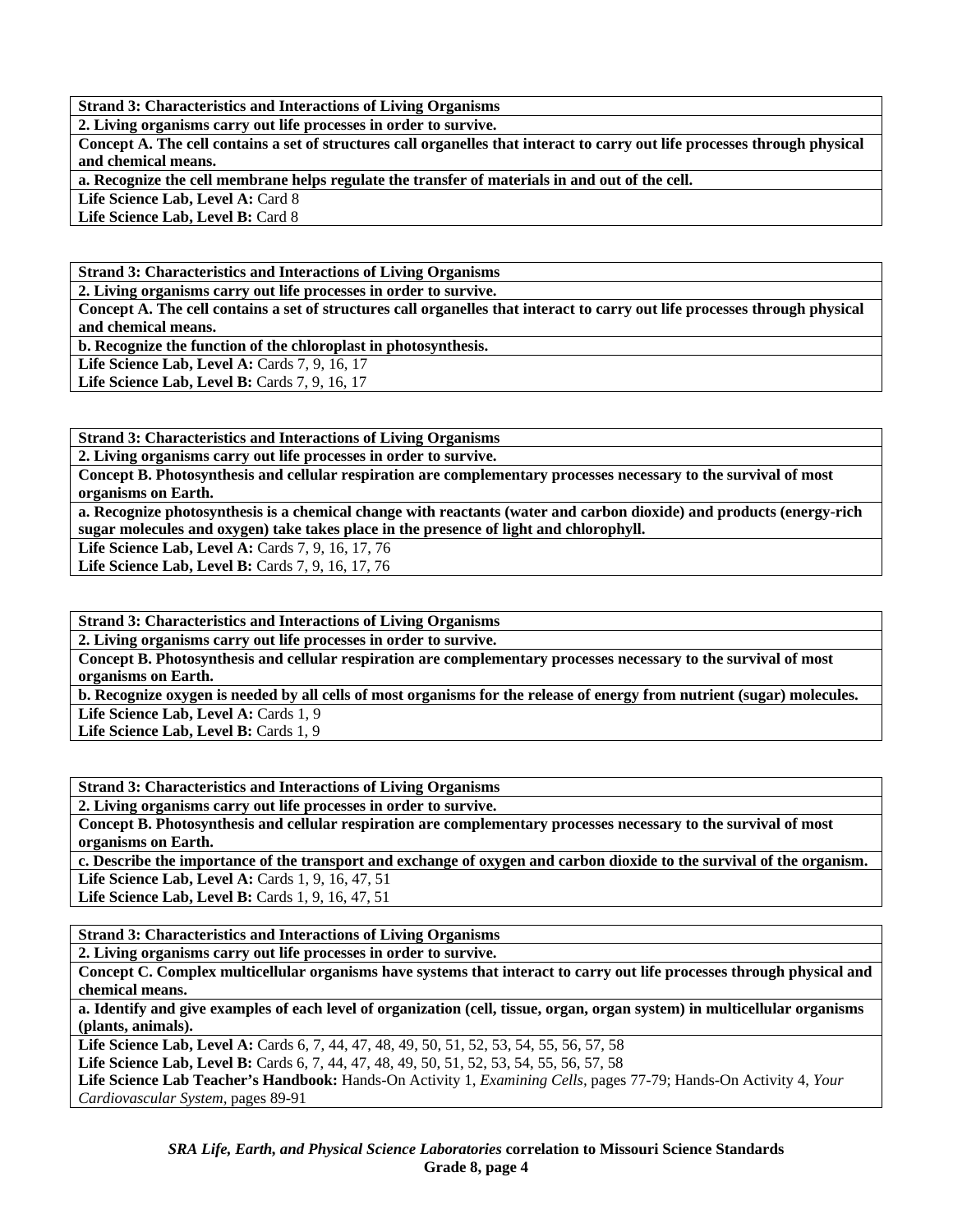**2. Living organisms carry out life processes in order to survive.** 

**Concept A. The cell contains a set of structures call organelles that interact to carry out life processes through physical and chemical means.** 

**a. Recognize the cell membrane helps regulate the transfer of materials in and out of the cell.** 

Life Science Lab, Level A: Card 8

Life Science Lab, Level B: Card 8

**Strand 3: Characteristics and Interactions of Living Organisms** 

**2. Living organisms carry out life processes in order to survive.** 

**Concept A. The cell contains a set of structures call organelles that interact to carry out life processes through physical and chemical means.** 

**b. Recognize the function of the chloroplast in photosynthesis.** 

Life Science Lab, Level A: Cards 7, 9, 16, 17 **Life Science Lab, Level B: Cards 7, 9, 16, 17** 

**Strand 3: Characteristics and Interactions of Living Organisms** 

**2. Living organisms carry out life processes in order to survive.** 

**Concept B. Photosynthesis and cellular respiration are complementary processes necessary to the survival of most organisms on Earth.** 

**a. Recognize photosynthesis is a chemical change with reactants (water and carbon dioxide) and products (energy-rich sugar molecules and oxygen) take takes place in the presence of light and chlorophyll.** 

Life Science Lab, Level A: Cards 7, 9, 16, 17, 76

**Life Science Lab, Level B: Cards 7, 9, 16, 17, 76** 

**Strand 3: Characteristics and Interactions of Living Organisms** 

**2. Living organisms carry out life processes in order to survive.** 

**Concept B. Photosynthesis and cellular respiration are complementary processes necessary to the survival of most organisms on Earth.** 

**b. Recognize oxygen is needed by all cells of most organisms for the release of energy from nutrient (sugar) molecules.**  Life Science Lab, Level A: Cards 1, 9

Life Science Lab, Level B: Cards 1, 9

**Strand 3: Characteristics and Interactions of Living Organisms** 

**2. Living organisms carry out life processes in order to survive.** 

**Concept B. Photosynthesis and cellular respiration are complementary processes necessary to the survival of most organisms on Earth.** 

**c. Describe the importance of the transport and exchange of oxygen and carbon dioxide to the survival of the organism. Life Science Lab, Level A: Cards 1, 9, 16, 47, 51** 

**Life Science Lab, Level B: Cards 1, 9, 16, 47, 51** 

**Strand 3: Characteristics and Interactions of Living Organisms** 

**2. Living organisms carry out life processes in order to survive.** 

**Concept C. Complex multicellular organisms have systems that interact to carry out life processes through physical and chemical means.** 

**a. Identify and give examples of each level of organization (cell, tissue, organ, organ system) in multicellular organisms (plants, animals).** 

Life Science Lab, Level A: Cards 6, 7, 44, 47, 48, 49, 50, 51, 52, 53, 54, 55, 56, 57, 58

Life Science Lab, Level B: Cards 6, 7, 44, 47, 48, 49, 50, 51, 52, 53, 54, 55, 56, 57, 58

**Life Science Lab Teacher's Handbook:** Hands-On Activity 1, *Examining Cells,* pages 77-79; Hands-On Activity 4, *Your Cardiovascular System,* pages 89-91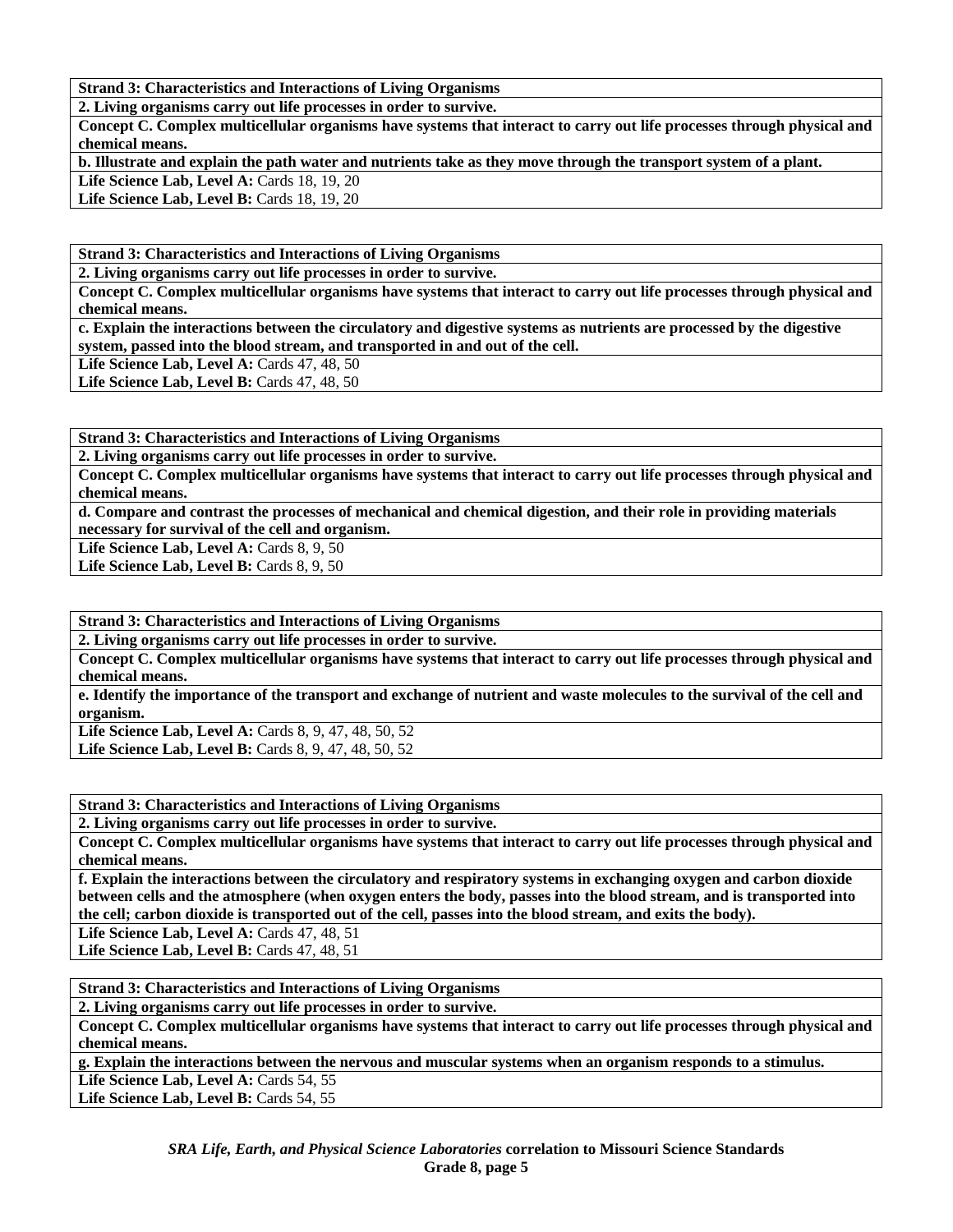**2. Living organisms carry out life processes in order to survive.** 

**Concept C. Complex multicellular organisms have systems that interact to carry out life processes through physical and chemical means.** 

**b. Illustrate and explain the path water and nutrients take as they move through the transport system of a plant. Life Science Lab, Level A: Cards 18, 19, 20** 

**Life Science Lab, Level B: Cards 18, 19, 20** 

**Strand 3: Characteristics and Interactions of Living Organisms** 

**2. Living organisms carry out life processes in order to survive.** 

**Concept C. Complex multicellular organisms have systems that interact to carry out life processes through physical and chemical means.** 

**c. Explain the interactions between the circulatory and digestive systems as nutrients are processed by the digestive system, passed into the blood stream, and transported in and out of the cell.** 

**Life Science Lab, Level A: Cards 47, 48, 50** 

**Life Science Lab, Level B: Cards 47, 48, 50** 

**Strand 3: Characteristics and Interactions of Living Organisms** 

**2. Living organisms carry out life processes in order to survive.** 

**Concept C. Complex multicellular organisms have systems that interact to carry out life processes through physical and chemical means.** 

**d. Compare and contrast the processes of mechanical and chemical digestion, and their role in providing materials necessary for survival of the cell and organism.** 

Life Science Lab, Level A: Cards 8, 9, 50

Life Science Lab, Level B: Cards 8, 9, 50

**Strand 3: Characteristics and Interactions of Living Organisms** 

**2. Living organisms carry out life processes in order to survive.** 

**Concept C. Complex multicellular organisms have systems that interact to carry out life processes through physical and chemical means.** 

**e. Identify the importance of the transport and exchange of nutrient and waste molecules to the survival of the cell and organism.** 

**Life Science Lab, Level A:** Cards 8, 9, 47, 48, 50, 52

**Life Science Lab, Level B:** Cards 8, 9, 47, 48, 50, 52

**Strand 3: Characteristics and Interactions of Living Organisms** 

**2. Living organisms carry out life processes in order to survive.** 

**Concept C. Complex multicellular organisms have systems that interact to carry out life processes through physical and chemical means.** 

**f. Explain the interactions between the circulatory and respiratory systems in exchanging oxygen and carbon dioxide between cells and the atmosphere (when oxygen enters the body, passes into the blood stream, and is transported into the cell; carbon dioxide is transported out of the cell, passes into the blood stream, and exits the body).** 

**Life Science Lab, Level A: Cards 47, 48, 51** 

**Life Science Lab, Level B: Cards 47, 48, 51** 

**Strand 3: Characteristics and Interactions of Living Organisms** 

**2. Living organisms carry out life processes in order to survive.** 

**Concept C. Complex multicellular organisms have systems that interact to carry out life processes through physical and chemical means.** 

**g. Explain the interactions between the nervous and muscular systems when an organism responds to a stimulus.** 

Life Science Lab, Level A: Cards 54, 55 Life Science Lab, Level B: Cards 54, 55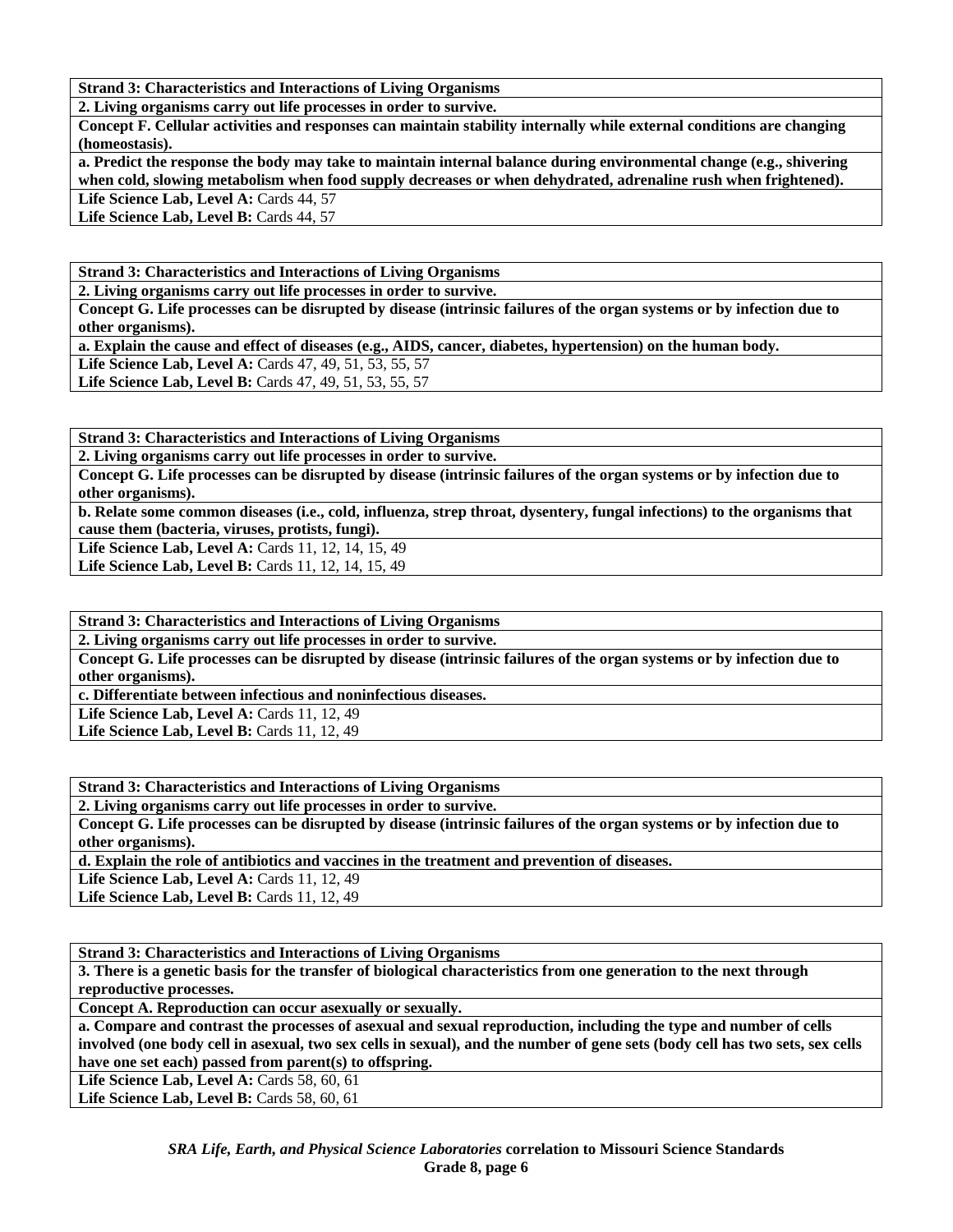**2. Living organisms carry out life processes in order to survive.** 

**Concept F. Cellular activities and responses can maintain stability internally while external conditions are changing (homeostasis).** 

**a. Predict the response the body may take to maintain internal balance during environmental change (e.g., shivering when cold, slowing metabolism when food supply decreases or when dehydrated, adrenaline rush when frightened).** 

Life Science Lab, Level A: Cards 44, 57

Life Science Lab, Level B: Cards 44, 57

**Strand 3: Characteristics and Interactions of Living Organisms** 

**2. Living organisms carry out life processes in order to survive.** 

**Concept G. Life processes can be disrupted by disease (intrinsic failures of the organ systems or by infection due to other organisms).** 

**a. Explain the cause and effect of diseases (e.g., AIDS, cancer, diabetes, hypertension) on the human body.** 

Life Science Lab, Level A: Cards 47, 49, 51, 53, 55, 57

**Life Science Lab, Level B:** Cards 47, 49, 51, 53, 55, 57

**Strand 3: Characteristics and Interactions of Living Organisms** 

**2. Living organisms carry out life processes in order to survive.** 

**Concept G. Life processes can be disrupted by disease (intrinsic failures of the organ systems or by infection due to other organisms).** 

**b. Relate some common diseases (i.e., cold, influenza, strep throat, dysentery, fungal infections) to the organisms that cause them (bacteria, viruses, protists, fungi).** 

Life Science Lab, Level A: Cards 11, 12, 14, 15, 49

Life Science Lab, Level B: Cards 11, 12, 14, 15, 49

**Strand 3: Characteristics and Interactions of Living Organisms** 

**2. Living organisms carry out life processes in order to survive.** 

**Concept G. Life processes can be disrupted by disease (intrinsic failures of the organ systems or by infection due to other organisms).** 

**c. Differentiate between infectious and noninfectious diseases.** 

**Life Science Lab, Level A: Cards 11, 12, 49** 

**Life Science Lab, Level B:** Cards 11, 12, 49

**Strand 3: Characteristics and Interactions of Living Organisms** 

**2. Living organisms carry out life processes in order to survive.** 

**Concept G. Life processes can be disrupted by disease (intrinsic failures of the organ systems or by infection due to other organisms).** 

**d. Explain the role of antibiotics and vaccines in the treatment and prevention of diseases.** 

**Life Science Lab, Level A: Cards 11, 12, 49** 

**Life Science Lab, Level B: Cards 11, 12, 49** 

**Strand 3: Characteristics and Interactions of Living Organisms** 

**3. There is a genetic basis for the transfer of biological characteristics from one generation to the next through reproductive processes.** 

**Concept A. Reproduction can occur asexually or sexually.** 

**a. Compare and contrast the processes of asexual and sexual reproduction, including the type and number of cells involved (one body cell in asexual, two sex cells in sexual), and the number of gene sets (body cell has two sets, sex cells have one set each) passed from parent(s) to offspring.** 

**Life Science Lab, Level A: Cards 58, 60, 61** 

Life Science Lab, Level B: Cards 58, 60, 61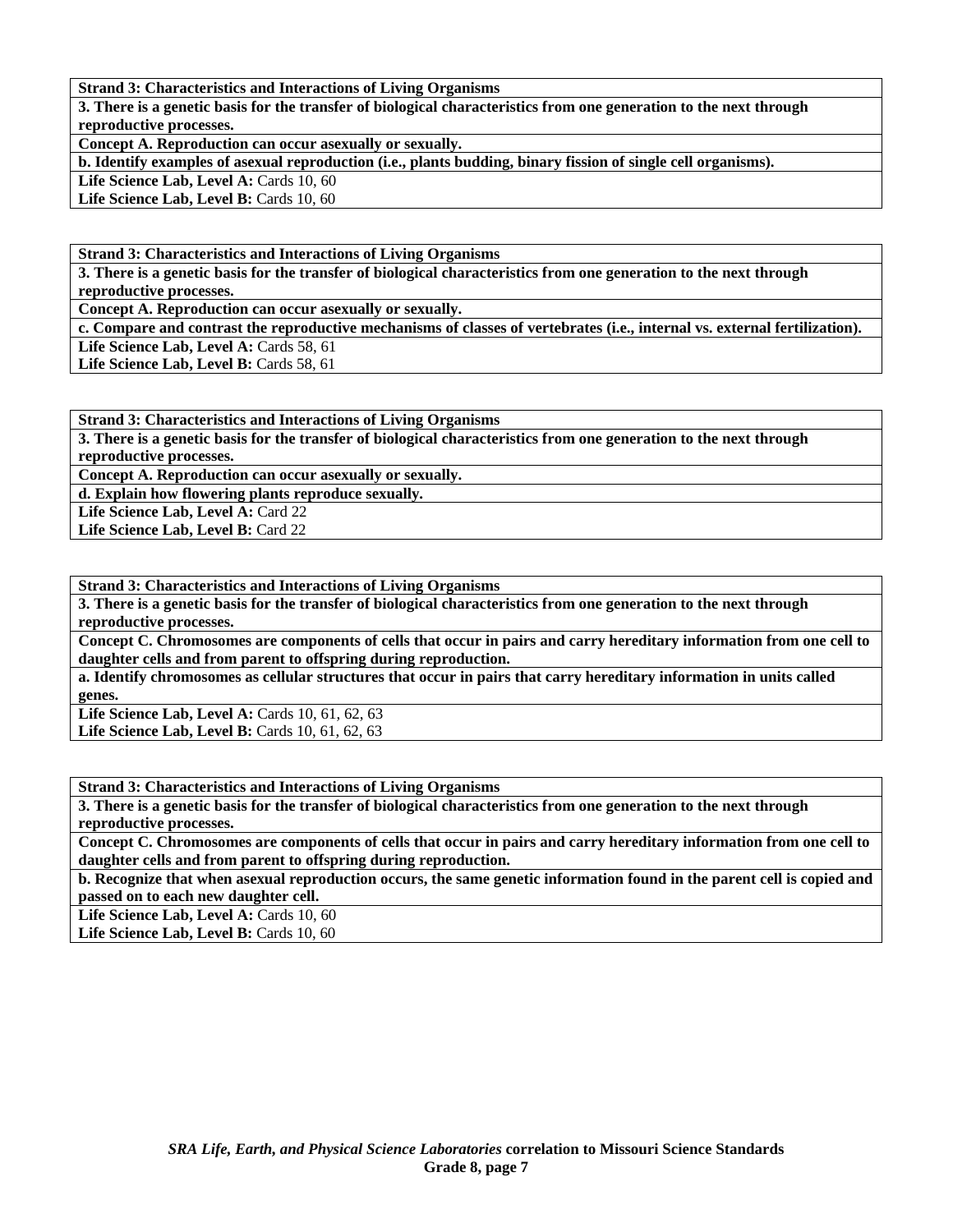**3. There is a genetic basis for the transfer of biological characteristics from one generation to the next through reproductive processes.** 

**Concept A. Reproduction can occur asexually or sexually.** 

**b. Identify examples of asexual reproduction (i.e., plants budding, binary fission of single cell organisms).** 

Life Science Lab, Level A: Cards 10, 60

Life Science Lab, Level B: Cards 10, 60

**Strand 3: Characteristics and Interactions of Living Organisms** 

**3. There is a genetic basis for the transfer of biological characteristics from one generation to the next through reproductive processes.** 

**Concept A. Reproduction can occur asexually or sexually.** 

**c. Compare and contrast the reproductive mechanisms of classes of vertebrates (i.e., internal vs. external fertilization).**  Life Science Lab, Level A: Cards 58, 61

Life Science Lab, Level B: Cards 58, 61

**Strand 3: Characteristics and Interactions of Living Organisms** 

**3. There is a genetic basis for the transfer of biological characteristics from one generation to the next through reproductive processes.** 

**Concept A. Reproduction can occur asexually or sexually.** 

**d. Explain how flowering plants reproduce sexually.** 

Life Science Lab, Level A: Card 22

Life Science Lab, Level B: Card 22

**Strand 3: Characteristics and Interactions of Living Organisms** 

**3. There is a genetic basis for the transfer of biological characteristics from one generation to the next through reproductive processes.** 

**Concept C. Chromosomes are components of cells that occur in pairs and carry hereditary information from one cell to daughter cells and from parent to offspring during reproduction.** 

**a. Identify chromosomes as cellular structures that occur in pairs that carry hereditary information in units called genes.** 

**Life Science Lab, Level A: Cards 10, 61, 62, 63 Life Science Lab, Level B:** Cards 10, 61, 62, 63

**Strand 3: Characteristics and Interactions of Living Organisms** 

**3. There is a genetic basis for the transfer of biological characteristics from one generation to the next through reproductive processes.** 

**Concept C. Chromosomes are components of cells that occur in pairs and carry hereditary information from one cell to daughter cells and from parent to offspring during reproduction.** 

**b. Recognize that when asexual reproduction occurs, the same genetic information found in the parent cell is copied and passed on to each new daughter cell.** 

Life Science Lab, Level A: Cards 10, 60

Life Science Lab, Level B: Cards 10, 60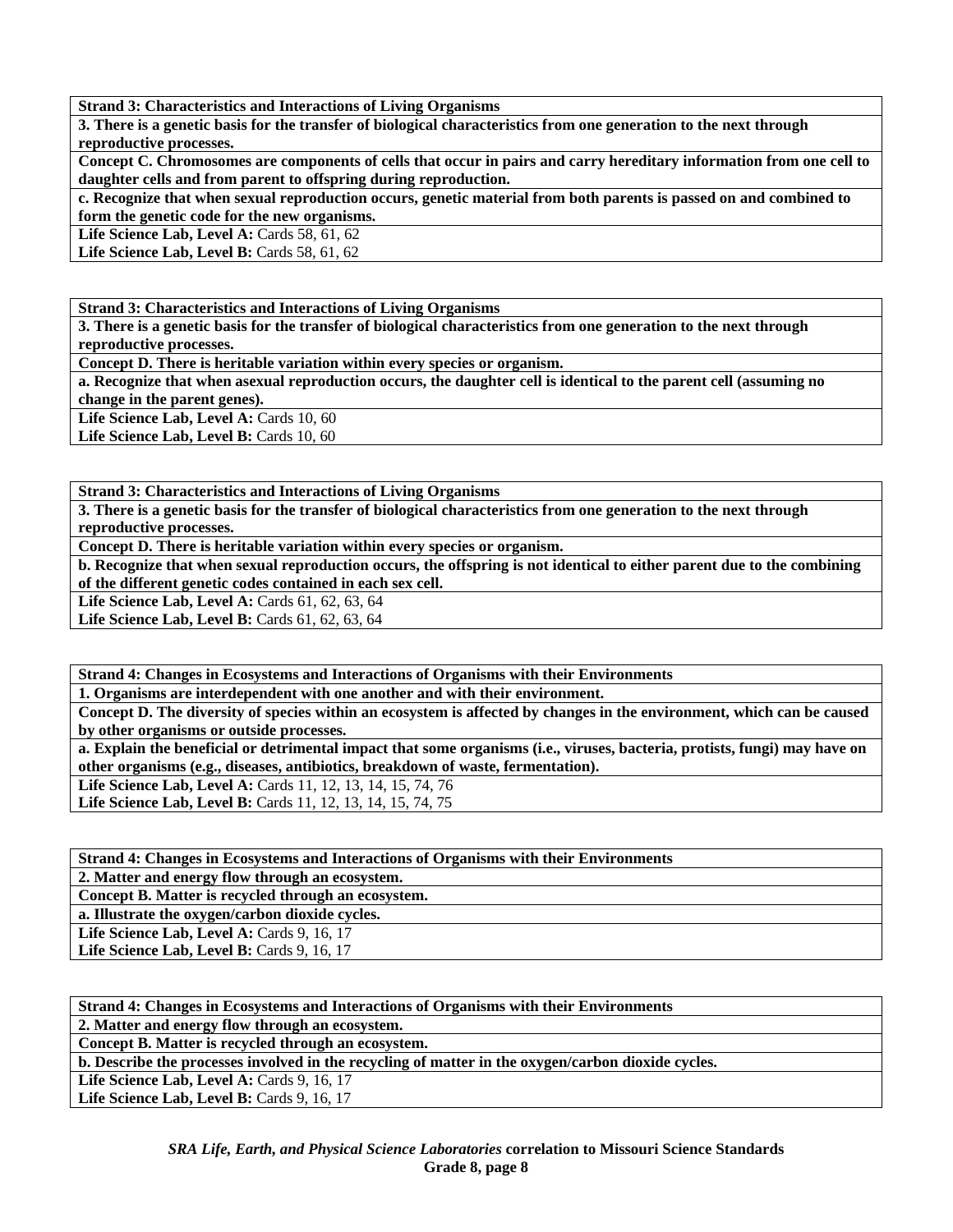**3. There is a genetic basis for the transfer of biological characteristics from one generation to the next through reproductive processes.** 

**Concept C. Chromosomes are components of cells that occur in pairs and carry hereditary information from one cell to daughter cells and from parent to offspring during reproduction.** 

**c. Recognize that when sexual reproduction occurs, genetic material from both parents is passed on and combined to form the genetic code for the new organisms.** 

**Life Science Lab, Level A: Cards 58, 61, 62** 

**Life Science Lab, Level B: Cards 58, 61, 62** 

**Strand 3: Characteristics and Interactions of Living Organisms** 

**3. There is a genetic basis for the transfer of biological characteristics from one generation to the next through reproductive processes.** 

**Concept D. There is heritable variation within every species or organism.** 

**a. Recognize that when asexual reproduction occurs, the daughter cell is identical to the parent cell (assuming no change in the parent genes).** 

Life Science Lab, Level A: Cards 10, 60

Life Science Lab, Level B: Cards 10, 60

**Strand 3: Characteristics and Interactions of Living Organisms** 

**3. There is a genetic basis for the transfer of biological characteristics from one generation to the next through reproductive processes.** 

**Concept D. There is heritable variation within every species or organism.** 

**b. Recognize that when sexual reproduction occurs, the offspring is not identical to either parent due to the combining of the different genetic codes contained in each sex cell.** 

**Life Science Lab, Level A: Cards 61, 62, 63, 64** 

**Life Science Lab, Level B:** Cards 61, 62, 63, 64

**Strand 4: Changes in Ecosystems and Interactions of Organisms with their Environments** 

**1. Organisms are interdependent with one another and with their environment.** 

**Concept D. The diversity of species within an ecosystem is affected by changes in the environment, which can be caused by other organisms or outside processes.** 

**a. Explain the beneficial or detrimental impact that some organisms (i.e., viruses, bacteria, protists, fungi) may have on other organisms (e.g., diseases, antibiotics, breakdown of waste, fermentation).** 

Life Science Lab, Level A: Cards 11, 12, 13, 14, 15, 74, 76 Life Science Lab, Level B: Cards 11, 12, 13, 14, 15, 74, 75

**Strand 4: Changes in Ecosystems and Interactions of Organisms with their Environments** 

**2. Matter and energy flow through an ecosystem.** 

**Concept B. Matter is recycled through an ecosystem.** 

**a. Illustrate the oxygen/carbon dioxide cycles.** 

Life Science Lab, Level A: Cards 9, 16, 17

Life Science Lab, Level B: Cards 9, 16, 17

**Strand 4: Changes in Ecosystems and Interactions of Organisms with their Environments** 

**2. Matter and energy flow through an ecosystem.** 

**Concept B. Matter is recycled through an ecosystem.** 

**b. Describe the processes involved in the recycling of matter in the oxygen/carbon dioxide cycles.** 

Life Science Lab, Level A: Cards 9, 16, 17

Life Science Lab, Level B: Cards 9, 16, 17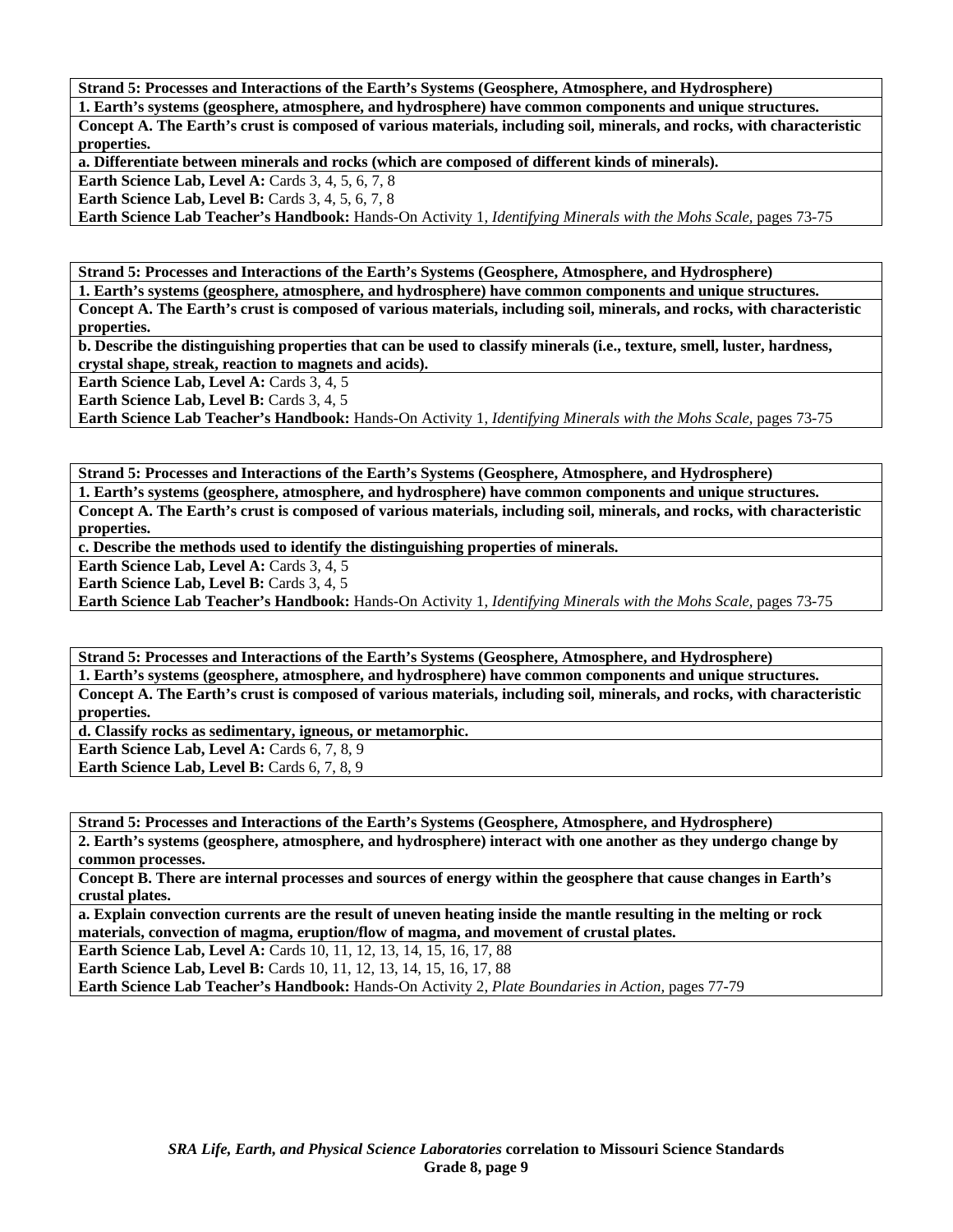**Strand 5: Processes and Interactions of the Earth's Systems (Geosphere, Atmosphere, and Hydrosphere)** 

**1. Earth's systems (geosphere, atmosphere, and hydrosphere) have common components and unique structures. Concept A. The Earth's crust is composed of various materials, including soil, minerals, and rocks, with characteristic properties.** 

**a. Differentiate between minerals and rocks (which are composed of different kinds of minerals).** 

**Earth Science Lab, Level A: Cards 3, 4, 5, 6, 7, 8** 

**Earth Science Lab, Level B:** Cards 3, 4, 5, 6, 7, 8

**Earth Science Lab Teacher's Handbook:** Hands-On Activity 1, *Identifying Minerals with the Mohs Scale,* pages 73-75

**Strand 5: Processes and Interactions of the Earth's Systems (Geosphere, Atmosphere, and Hydrosphere)** 

**1. Earth's systems (geosphere, atmosphere, and hydrosphere) have common components and unique structures. Concept A. The Earth's crust is composed of various materials, including soil, minerals, and rocks, with characteristic properties.** 

**b. Describe the distinguishing properties that can be used to classify minerals (i.e., texture, smell, luster, hardness, crystal shape, streak, reaction to magnets and acids).** 

**Earth Science Lab, Level A: Cards 3, 4, 5** 

**Earth Science Lab, Level B: Cards 3, 4, 5** 

**Earth Science Lab Teacher's Handbook:** Hands-On Activity 1, *Identifying Minerals with the Mohs Scale,* pages 73-75

**Strand 5: Processes and Interactions of the Earth's Systems (Geosphere, Atmosphere, and Hydrosphere) 1. Earth's systems (geosphere, atmosphere, and hydrosphere) have common components and unique structures. Concept A. The Earth's crust is composed of various materials, including soil, minerals, and rocks, with characteristic properties.** 

**c. Describe the methods used to identify the distinguishing properties of minerals.** 

Earth Science Lab, Level A: Cards 3, 4, 5

Earth Science Lab, Level B: Cards 3, 4, 5

**Earth Science Lab Teacher's Handbook:** Hands-On Activity 1, *Identifying Minerals with the Mohs Scale,* pages 73-75

**Strand 5: Processes and Interactions of the Earth's Systems (Geosphere, Atmosphere, and Hydrosphere) 1. Earth's systems (geosphere, atmosphere, and hydrosphere) have common components and unique structures. Concept A. The Earth's crust is composed of various materials, including soil, minerals, and rocks, with characteristic properties.** 

**d. Classify rocks as sedimentary, igneous, or metamorphic.** 

Earth Science Lab, Level A: Cards 6, 7, 8, 9

**Earth Science Lab, Level B:** Cards 6, 7, 8, 9

**Strand 5: Processes and Interactions of the Earth's Systems (Geosphere, Atmosphere, and Hydrosphere) 2. Earth's systems (geosphere, atmosphere, and hydrosphere) interact with one another as they undergo change by common processes.** 

**Concept B. There are internal processes and sources of energy within the geosphere that cause changes in Earth's crustal plates.** 

**a. Explain convection currents are the result of uneven heating inside the mantle resulting in the melting or rock materials, convection of magma, eruption/flow of magma, and movement of crustal plates.** 

**Earth Science Lab, Level A: Cards 10, 11, 12, 13, 14, 15, 16, 17, 88** 

**Earth Science Lab, Level B:** Cards 10, 11, 12, 13, 14, 15, 16, 17, 88

**Earth Science Lab Teacher's Handbook:** Hands-On Activity 2, *Plate Boundaries in Action,* pages 77-79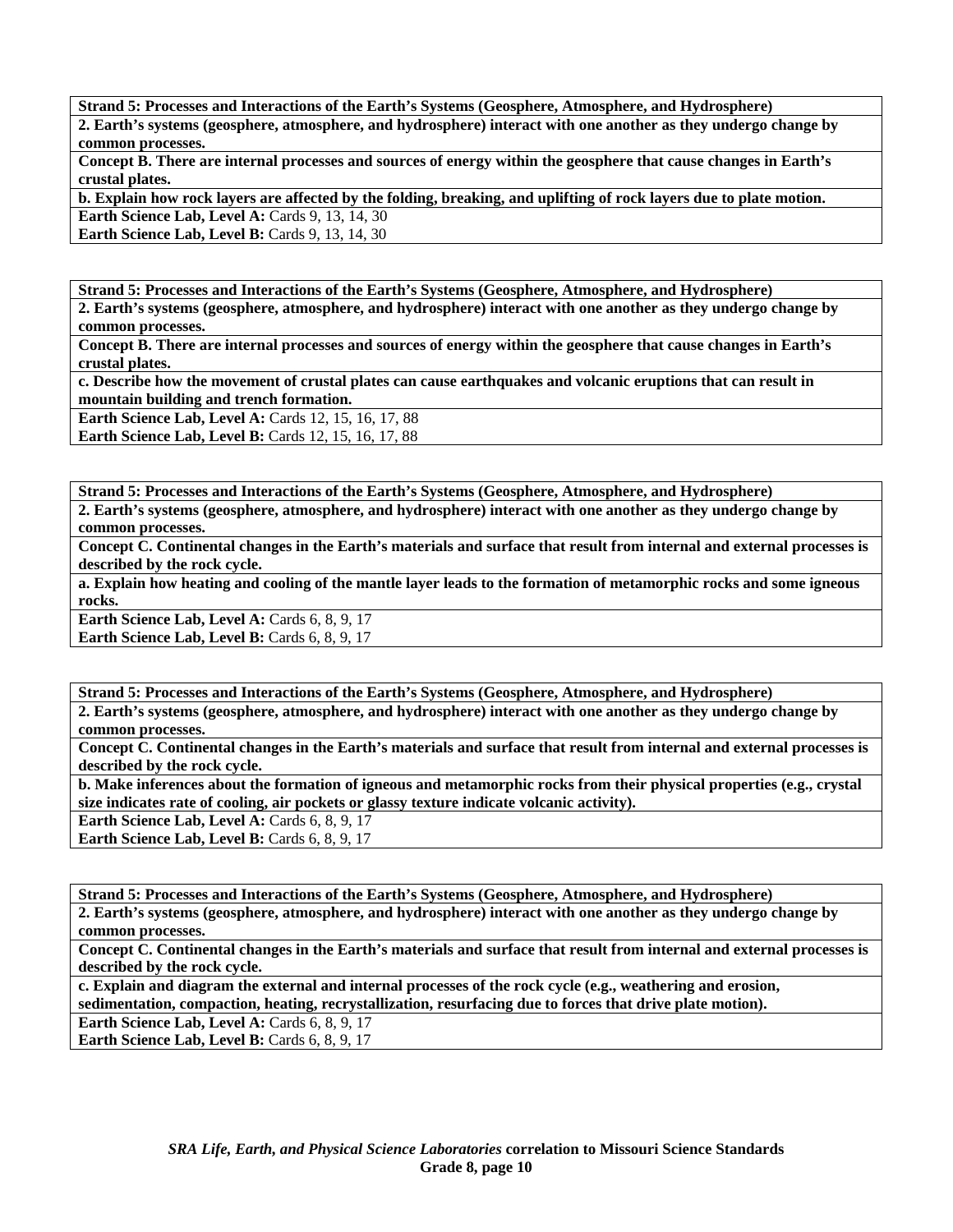**Strand 5: Processes and Interactions of the Earth's Systems (Geosphere, Atmosphere, and Hydrosphere)** 

**2. Earth's systems (geosphere, atmosphere, and hydrosphere) interact with one another as they undergo change by common processes.** 

**Concept B. There are internal processes and sources of energy within the geosphere that cause changes in Earth's crustal plates.** 

**b. Explain how rock layers are affected by the folding, breaking, and uplifting of rock layers due to plate motion.** 

**Earth Science Lab, Level A: Cards 9, 13, 14, 30** 

**Earth Science Lab, Level B: Cards 9, 13, 14, 30** 

**Strand 5: Processes and Interactions of the Earth's Systems (Geosphere, Atmosphere, and Hydrosphere)** 

**2. Earth's systems (geosphere, atmosphere, and hydrosphere) interact with one another as they undergo change by common processes.** 

**Concept B. There are internal processes and sources of energy within the geosphere that cause changes in Earth's crustal plates.** 

**c. Describe how the movement of crustal plates can cause earthquakes and volcanic eruptions that can result in mountain building and trench formation.** 

**Earth Science Lab, Level A: Cards 12, 15, 16, 17, 88** 

**Earth Science Lab, Level B: Cards 12, 15, 16, 17, 88** 

**Strand 5: Processes and Interactions of the Earth's Systems (Geosphere, Atmosphere, and Hydrosphere)** 

**2. Earth's systems (geosphere, atmosphere, and hydrosphere) interact with one another as they undergo change by common processes.** 

**Concept C. Continental changes in the Earth's materials and surface that result from internal and external processes is described by the rock cycle.** 

**a. Explain how heating and cooling of the mantle layer leads to the formation of metamorphic rocks and some igneous rocks.** 

Earth Science Lab, Level A: Cards 6, 8, 9, 17 **Earth Science Lab, Level B: Cards 6, 8, 9, 17** 

**Strand 5: Processes and Interactions of the Earth's Systems (Geosphere, Atmosphere, and Hydrosphere) 2. Earth's systems (geosphere, atmosphere, and hydrosphere) interact with one another as they undergo change by common processes.** 

**Concept C. Continental changes in the Earth's materials and surface that result from internal and external processes is described by the rock cycle.** 

**b. Make inferences about the formation of igneous and metamorphic rocks from their physical properties (e.g., crystal size indicates rate of cooling, air pockets or glassy texture indicate volcanic activity).** 

**Earth Science Lab, Level A: Cards 6, 8, 9, 17 Earth Science Lab, Level B: Cards 6, 8, 9, 17** 

**Strand 5: Processes and Interactions of the Earth's Systems (Geosphere, Atmosphere, and Hydrosphere)** 

**2. Earth's systems (geosphere, atmosphere, and hydrosphere) interact with one another as they undergo change by common processes.** 

**Concept C. Continental changes in the Earth's materials and surface that result from internal and external processes is described by the rock cycle.** 

**c. Explain and diagram the external and internal processes of the rock cycle (e.g., weathering and erosion, sedimentation, compaction, heating, recrystallization, resurfacing due to forces that drive plate motion).** 

**Earth Science Lab, Level A: Cards 6, 8, 9, 17** 

**Earth Science Lab, Level B: Cards 6, 8, 9, 17**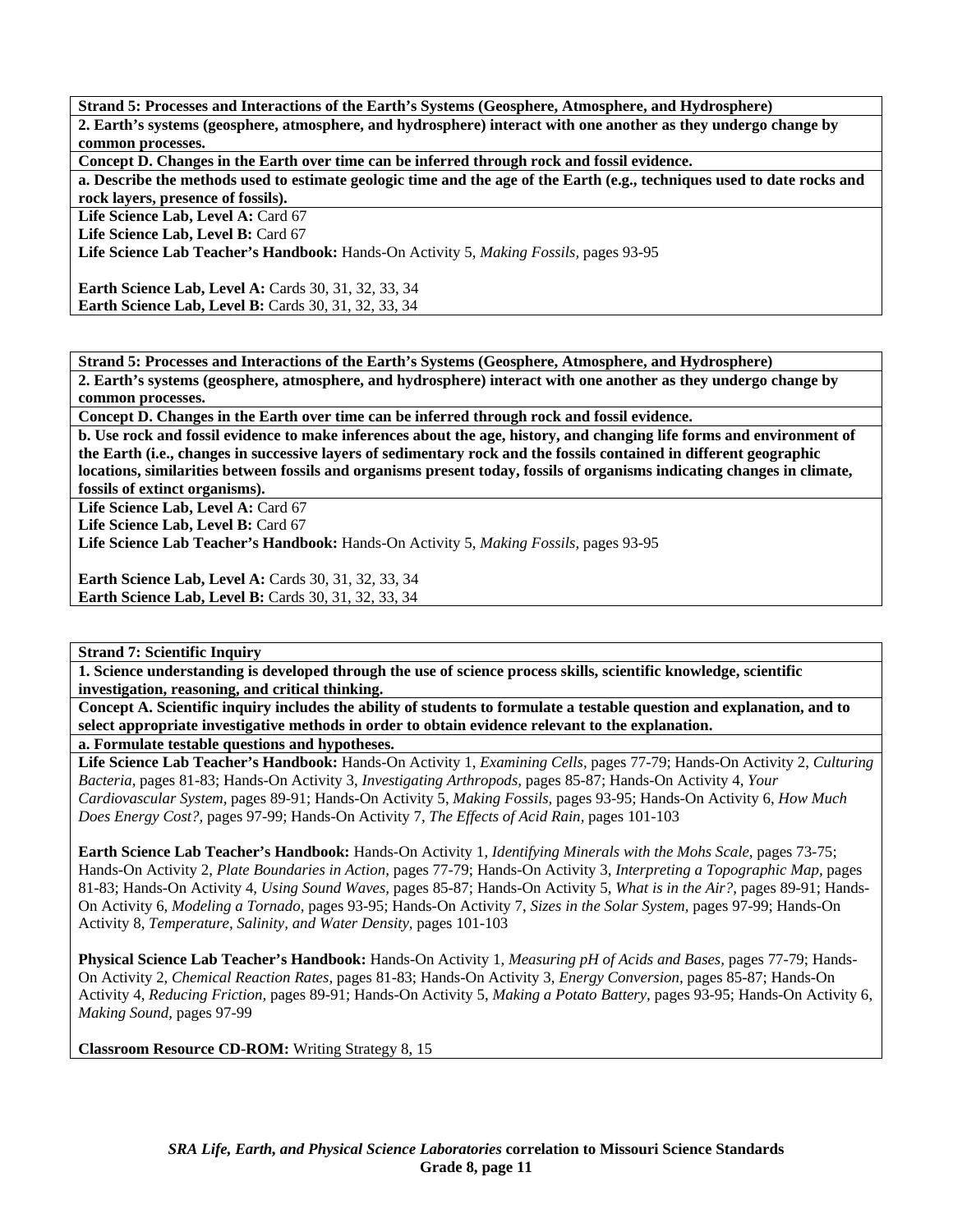**Strand 5: Processes and Interactions of the Earth's Systems (Geosphere, Atmosphere, and Hydrosphere) 2. Earth's systems (geosphere, atmosphere, and hydrosphere) interact with one another as they undergo change by common processes.** 

**Concept D. Changes in the Earth over time can be inferred through rock and fossil evidence.** 

**a. Describe the methods used to estimate geologic time and the age of the Earth (e.g., techniques used to date rocks and rock layers, presence of fossils).** 

Life Science Lab, Level A: Card 67

Life Science Lab, Level B: Card 67

**Life Science Lab Teacher's Handbook:** Hands-On Activity 5, *Making Fossils,* pages 93-95

**Earth Science Lab, Level A: Cards 30, 31, 32, 33, 34 Earth Science Lab, Level B: Cards 30, 31, 32, 33, 34** 

**Strand 5: Processes and Interactions of the Earth's Systems (Geosphere, Atmosphere, and Hydrosphere) 2. Earth's systems (geosphere, atmosphere, and hydrosphere) interact with one another as they undergo change by common processes.** 

**Concept D. Changes in the Earth over time can be inferred through rock and fossil evidence.** 

**b. Use rock and fossil evidence to make inferences about the age, history, and changing life forms and environment of the Earth (i.e., changes in successive layers of sedimentary rock and the fossils contained in different geographic locations, similarities between fossils and organisms present today, fossils of organisms indicating changes in climate, fossils of extinct organisms).** 

Life Science Lab, Level A: Card 67

Life Science Lab, Level B: Card 67

**Life Science Lab Teacher's Handbook:** Hands-On Activity 5, *Making Fossils,* pages 93-95

**Earth Science Lab, Level A: Cards 30, 31, 32, 33, 34 Earth Science Lab, Level B: Cards 30, 31, 32, 33, 34** 

**Strand 7: Scientific Inquiry** 

**1. Science understanding is developed through the use of science process skills, scientific knowledge, scientific investigation, reasoning, and critical thinking.** 

**Concept A. Scientific inquiry includes the ability of students to formulate a testable question and explanation, and to select appropriate investigative methods in order to obtain evidence relevant to the explanation.** 

**a. Formulate testable questions and hypotheses.** 

**Life Science Lab Teacher's Handbook:** Hands-On Activity 1, *Examining Cells,* pages 77-79; Hands-On Activity 2, *Culturing Bacteria,* pages 81-83; Hands-On Activity 3, *Investigating Arthropods,* pages 85-87; Hands-On Activity 4, *Your Cardiovascular System,* pages 89-91; Hands-On Activity 5, *Making Fossils,* pages 93-95; Hands-On Activity 6, *How Much Does Energy Cost?,* pages 97-99; Hands-On Activity 7, *The Effects of Acid Rain,* pages 101-103

**Earth Science Lab Teacher's Handbook:** Hands-On Activity 1, *Identifying Minerals with the Mohs Scale,* pages 73-75; Hands-On Activity 2, *Plate Boundaries in Action,* pages 77-79; Hands-On Activity 3, *Interpreting a Topographic Map,* pages 81-83; Hands-On Activity 4, *Using Sound Waves,* pages 85-87; Hands-On Activity 5, *What is in the Air?,* pages 89-91; Hands-On Activity 6, *Modeling a Tornado,* pages 93-95; Hands-On Activity 7, *Sizes in the Solar System,* pages 97-99; Hands-On Activity 8, *Temperature, Salinity, and Water Density,* pages 101-103

**Physical Science Lab Teacher's Handbook:** Hands-On Activity 1, *Measuring pH of Acids and Bases,* pages 77-79; Hands-On Activity 2, *Chemical Reaction Rates,* pages 81-83; Hands-On Activity 3, *Energy Conversion,* pages 85-87; Hands-On Activity 4, *Reducing Friction,* pages 89-91; Hands-On Activity 5, *Making a Potato Battery,* pages 93-95; Hands-On Activity 6, *Making Sound,* pages 97-99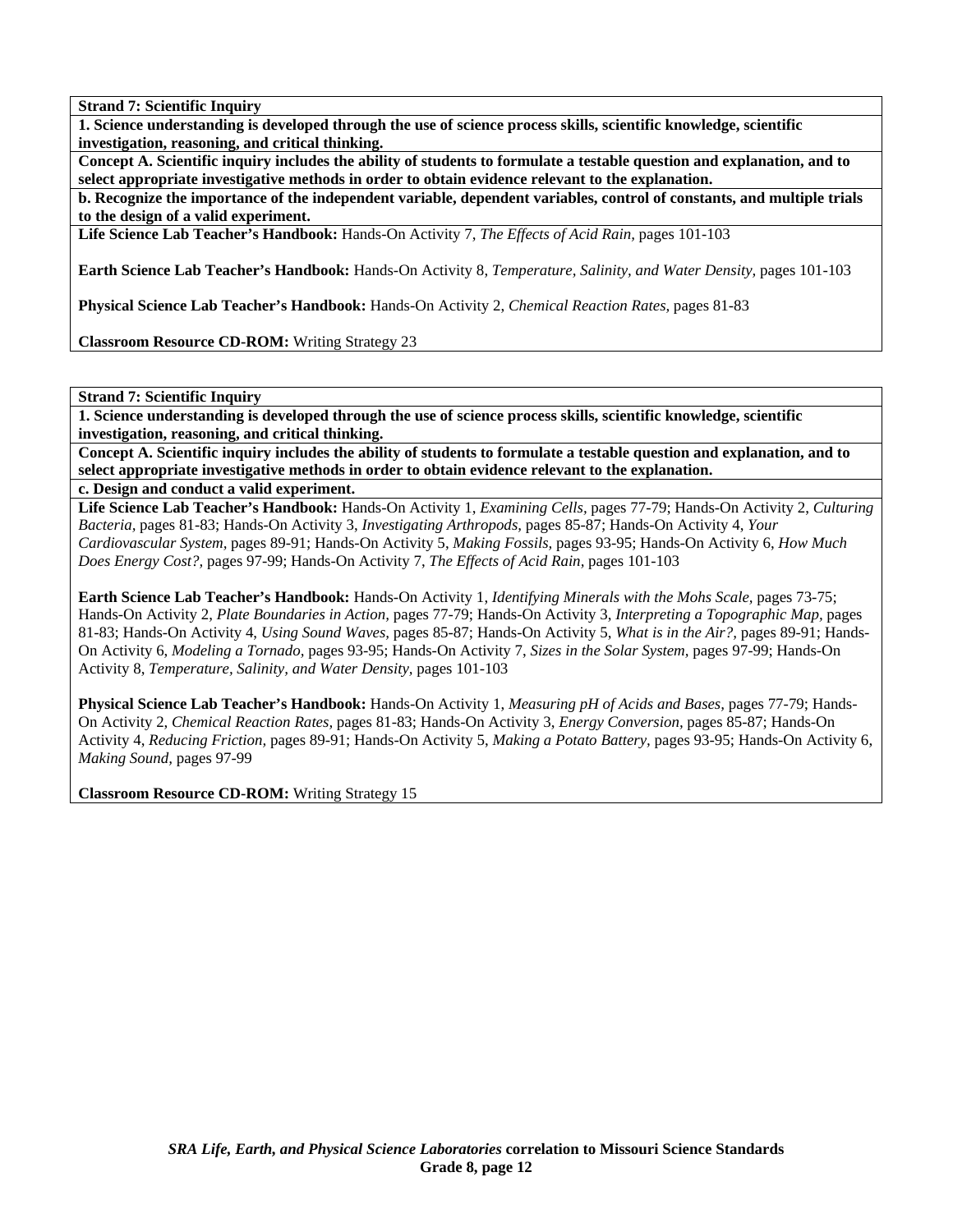**1. Science understanding is developed through the use of science process skills, scientific knowledge, scientific investigation, reasoning, and critical thinking.** 

**Concept A. Scientific inquiry includes the ability of students to formulate a testable question and explanation, and to select appropriate investigative methods in order to obtain evidence relevant to the explanation.** 

**b. Recognize the importance of the independent variable, dependent variables, control of constants, and multiple trials to the design of a valid experiment.** 

**Life Science Lab Teacher's Handbook:** Hands-On Activity 7, *The Effects of Acid Rain,* pages 101-103

**Earth Science Lab Teacher's Handbook:** Hands-On Activity 8, *Temperature, Salinity, and Water Density,* pages 101-103

**Physical Science Lab Teacher's Handbook:** Hands-On Activity 2, *Chemical Reaction Rates,* pages 81-83

**Classroom Resource CD-ROM:** Writing Strategy 23

**Strand 7: Scientific Inquiry** 

**1. Science understanding is developed through the use of science process skills, scientific knowledge, scientific investigation, reasoning, and critical thinking.** 

**Concept A. Scientific inquiry includes the ability of students to formulate a testable question and explanation, and to select appropriate investigative methods in order to obtain evidence relevant to the explanation.** 

**c. Design and conduct a valid experiment.** 

**Life Science Lab Teacher's Handbook:** Hands-On Activity 1, *Examining Cells,* pages 77-79; Hands-On Activity 2, *Culturing Bacteria,* pages 81-83; Hands-On Activity 3, *Investigating Arthropods,* pages 85-87; Hands-On Activity 4, *Your Cardiovascular System,* pages 89-91; Hands-On Activity 5, *Making Fossils,* pages 93-95; Hands-On Activity 6, *How Much Does Energy Cost?,* pages 97-99; Hands-On Activity 7, *The Effects of Acid Rain,* pages 101-103

**Earth Science Lab Teacher's Handbook:** Hands-On Activity 1, *Identifying Minerals with the Mohs Scale,* pages 73-75; Hands-On Activity 2, *Plate Boundaries in Action,* pages 77-79; Hands-On Activity 3, *Interpreting a Topographic Map,* pages 81-83; Hands-On Activity 4, *Using Sound Waves,* pages 85-87; Hands-On Activity 5, *What is in the Air?,* pages 89-91; Hands-On Activity 6, *Modeling a Tornado,* pages 93-95; Hands-On Activity 7, *Sizes in the Solar System,* pages 97-99; Hands-On Activity 8, *Temperature, Salinity, and Water Density,* pages 101-103

**Physical Science Lab Teacher's Handbook:** Hands-On Activity 1, *Measuring pH of Acids and Bases,* pages 77-79; Hands-On Activity 2, *Chemical Reaction Rates,* pages 81-83; Hands-On Activity 3, *Energy Conversion,* pages 85-87; Hands-On Activity 4, *Reducing Friction,* pages 89-91; Hands-On Activity 5, *Making a Potato Battery,* pages 93-95; Hands-On Activity 6, *Making Sound,* pages 97-99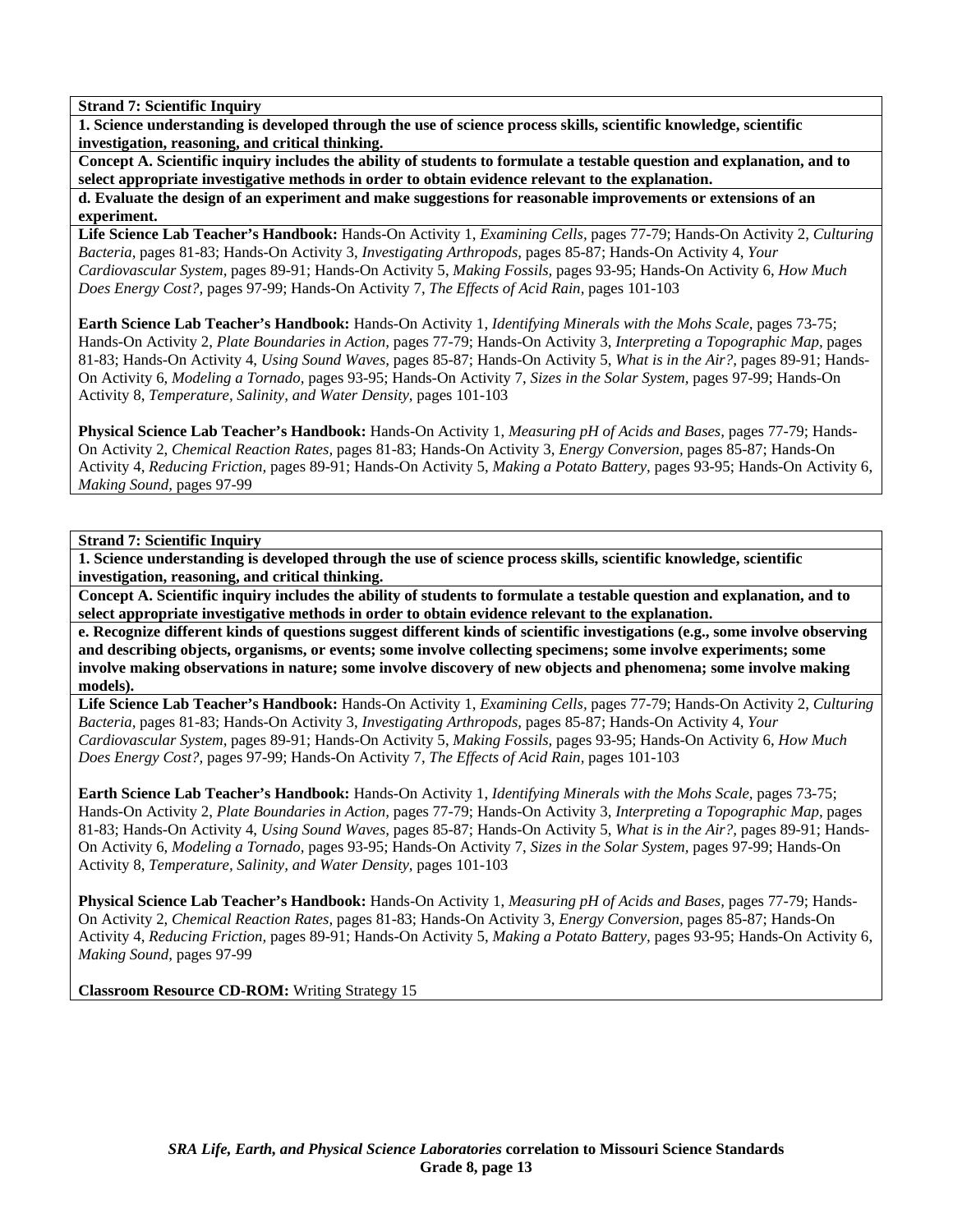**1. Science understanding is developed through the use of science process skills, scientific knowledge, scientific investigation, reasoning, and critical thinking.** 

**Concept A. Scientific inquiry includes the ability of students to formulate a testable question and explanation, and to select appropriate investigative methods in order to obtain evidence relevant to the explanation.** 

**d. Evaluate the design of an experiment and make suggestions for reasonable improvements or extensions of an experiment.** 

**Life Science Lab Teacher's Handbook:** Hands-On Activity 1, *Examining Cells,* pages 77-79; Hands-On Activity 2, *Culturing Bacteria,* pages 81-83; Hands-On Activity 3, *Investigating Arthropods,* pages 85-87; Hands-On Activity 4, *Your Cardiovascular System,* pages 89-91; Hands-On Activity 5, *Making Fossils,* pages 93-95; Hands-On Activity 6, *How Much Does Energy Cost?,* pages 97-99; Hands-On Activity 7, *The Effects of Acid Rain,* pages 101-103

**Earth Science Lab Teacher's Handbook:** Hands-On Activity 1, *Identifying Minerals with the Mohs Scale,* pages 73-75; Hands-On Activity 2, *Plate Boundaries in Action,* pages 77-79; Hands-On Activity 3, *Interpreting a Topographic Map,* pages 81-83; Hands-On Activity 4, *Using Sound Waves,* pages 85-87; Hands-On Activity 5, *What is in the Air?,* pages 89-91; Hands-On Activity 6, *Modeling a Tornado,* pages 93-95; Hands-On Activity 7, *Sizes in the Solar System,* pages 97-99; Hands-On Activity 8, *Temperature, Salinity, and Water Density,* pages 101-103

**Physical Science Lab Teacher's Handbook:** Hands-On Activity 1, *Measuring pH of Acids and Bases,* pages 77-79; Hands-On Activity 2, *Chemical Reaction Rates,* pages 81-83; Hands-On Activity 3, *Energy Conversion,* pages 85-87; Hands-On Activity 4, *Reducing Friction,* pages 89-91; Hands-On Activity 5, *Making a Potato Battery,* pages 93-95; Hands-On Activity 6, *Making Sound,* pages 97-99

**Strand 7: Scientific Inquiry** 

**1. Science understanding is developed through the use of science process skills, scientific knowledge, scientific investigation, reasoning, and critical thinking.** 

**Concept A. Scientific inquiry includes the ability of students to formulate a testable question and explanation, and to select appropriate investigative methods in order to obtain evidence relevant to the explanation.** 

**e. Recognize different kinds of questions suggest different kinds of scientific investigations (e.g., some involve observing and describing objects, organisms, or events; some involve collecting specimens; some involve experiments; some involve making observations in nature; some involve discovery of new objects and phenomena; some involve making models).** 

**Life Science Lab Teacher's Handbook:** Hands-On Activity 1, *Examining Cells,* pages 77-79; Hands-On Activity 2, *Culturing Bacteria,* pages 81-83; Hands-On Activity 3, *Investigating Arthropods,* pages 85-87; Hands-On Activity 4, *Your Cardiovascular System,* pages 89-91; Hands-On Activity 5, *Making Fossils,* pages 93-95; Hands-On Activity 6, *How Much Does Energy Cost?,* pages 97-99; Hands-On Activity 7, *The Effects of Acid Rain,* pages 101-103

**Earth Science Lab Teacher's Handbook:** Hands-On Activity 1, *Identifying Minerals with the Mohs Scale,* pages 73-75; Hands-On Activity 2, *Plate Boundaries in Action,* pages 77-79; Hands-On Activity 3, *Interpreting a Topographic Map,* pages 81-83; Hands-On Activity 4, *Using Sound Waves,* pages 85-87; Hands-On Activity 5, *What is in the Air?,* pages 89-91; Hands-On Activity 6, *Modeling a Tornado,* pages 93-95; Hands-On Activity 7, *Sizes in the Solar System,* pages 97-99; Hands-On Activity 8, *Temperature, Salinity, and Water Density,* pages 101-103

**Physical Science Lab Teacher's Handbook:** Hands-On Activity 1, *Measuring pH of Acids and Bases,* pages 77-79; Hands-On Activity 2, *Chemical Reaction Rates,* pages 81-83; Hands-On Activity 3, *Energy Conversion,* pages 85-87; Hands-On Activity 4, *Reducing Friction,* pages 89-91; Hands-On Activity 5, *Making a Potato Battery,* pages 93-95; Hands-On Activity 6, *Making Sound,* pages 97-99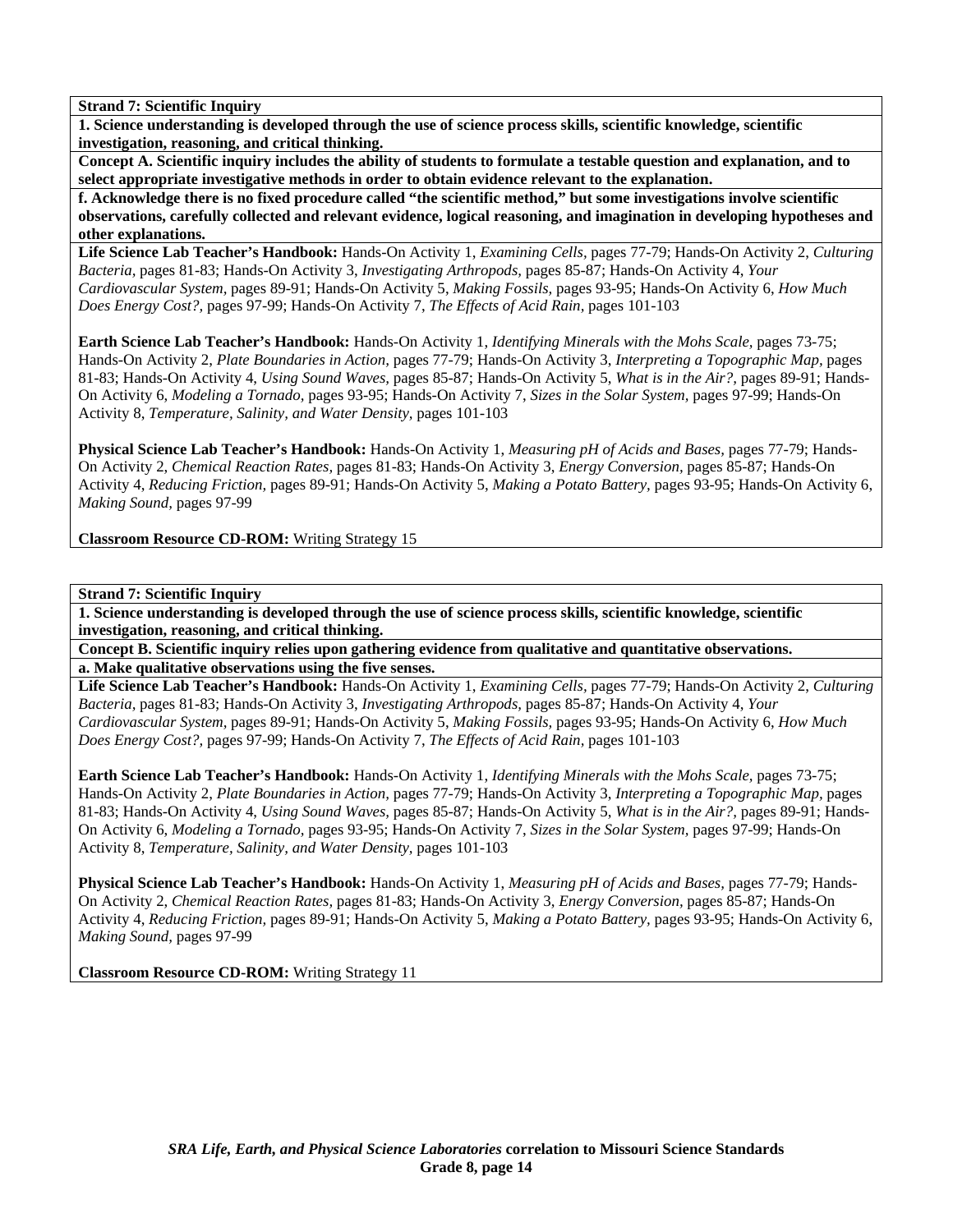**1. Science understanding is developed through the use of science process skills, scientific knowledge, scientific investigation, reasoning, and critical thinking.** 

**Concept A. Scientific inquiry includes the ability of students to formulate a testable question and explanation, and to select appropriate investigative methods in order to obtain evidence relevant to the explanation.** 

**f. Acknowledge there is no fixed procedure called "the scientific method," but some investigations involve scientific observations, carefully collected and relevant evidence, logical reasoning, and imagination in developing hypotheses and other explanations.** 

**Life Science Lab Teacher's Handbook:** Hands-On Activity 1, *Examining Cells,* pages 77-79; Hands-On Activity 2, *Culturing Bacteria,* pages 81-83; Hands-On Activity 3, *Investigating Arthropods,* pages 85-87; Hands-On Activity 4, *Your Cardiovascular System,* pages 89-91; Hands-On Activity 5, *Making Fossils,* pages 93-95; Hands-On Activity 6, *How Much Does Energy Cost?,* pages 97-99; Hands-On Activity 7, *The Effects of Acid Rain,* pages 101-103

**Earth Science Lab Teacher's Handbook:** Hands-On Activity 1, *Identifying Minerals with the Mohs Scale,* pages 73-75; Hands-On Activity 2, *Plate Boundaries in Action,* pages 77-79; Hands-On Activity 3, *Interpreting a Topographic Map,* pages 81-83; Hands-On Activity 4, *Using Sound Waves,* pages 85-87; Hands-On Activity 5, *What is in the Air?,* pages 89-91; Hands-On Activity 6, *Modeling a Tornado,* pages 93-95; Hands-On Activity 7, *Sizes in the Solar System,* pages 97-99; Hands-On Activity 8, *Temperature, Salinity, and Water Density,* pages 101-103

**Physical Science Lab Teacher's Handbook:** Hands-On Activity 1, *Measuring pH of Acids and Bases,* pages 77-79; Hands-On Activity 2, *Chemical Reaction Rates,* pages 81-83; Hands-On Activity 3, *Energy Conversion,* pages 85-87; Hands-On Activity 4, *Reducing Friction,* pages 89-91; Hands-On Activity 5, *Making a Potato Battery,* pages 93-95; Hands-On Activity 6, *Making Sound,* pages 97-99

**Classroom Resource CD-ROM:** Writing Strategy 15

**Strand 7: Scientific Inquiry** 

**1. Science understanding is developed through the use of science process skills, scientific knowledge, scientific investigation, reasoning, and critical thinking.** 

**Concept B. Scientific inquiry relies upon gathering evidence from qualitative and quantitative observations. a. Make qualitative observations using the five senses.** 

**Life Science Lab Teacher's Handbook:** Hands-On Activity 1, *Examining Cells,* pages 77-79; Hands-On Activity 2, *Culturing Bacteria,* pages 81-83; Hands-On Activity 3, *Investigating Arthropods,* pages 85-87; Hands-On Activity 4, *Your Cardiovascular System,* pages 89-91; Hands-On Activity 5, *Making Fossils,* pages 93-95; Hands-On Activity 6, *How Much Does Energy Cost?,* pages 97-99; Hands-On Activity 7, *The Effects of Acid Rain,* pages 101-103

**Earth Science Lab Teacher's Handbook:** Hands-On Activity 1, *Identifying Minerals with the Mohs Scale,* pages 73-75; Hands-On Activity 2, *Plate Boundaries in Action,* pages 77-79; Hands-On Activity 3, *Interpreting a Topographic Map,* pages 81-83; Hands-On Activity 4, *Using Sound Waves,* pages 85-87; Hands-On Activity 5, *What is in the Air?,* pages 89-91; Hands-On Activity 6, *Modeling a Tornado,* pages 93-95; Hands-On Activity 7, *Sizes in the Solar System,* pages 97-99; Hands-On Activity 8, *Temperature, Salinity, and Water Density,* pages 101-103

**Physical Science Lab Teacher's Handbook:** Hands-On Activity 1, *Measuring pH of Acids and Bases,* pages 77-79; Hands-On Activity 2, *Chemical Reaction Rates,* pages 81-83; Hands-On Activity 3, *Energy Conversion,* pages 85-87; Hands-On Activity 4, *Reducing Friction,* pages 89-91; Hands-On Activity 5, *Making a Potato Battery,* pages 93-95; Hands-On Activity 6, *Making Sound,* pages 97-99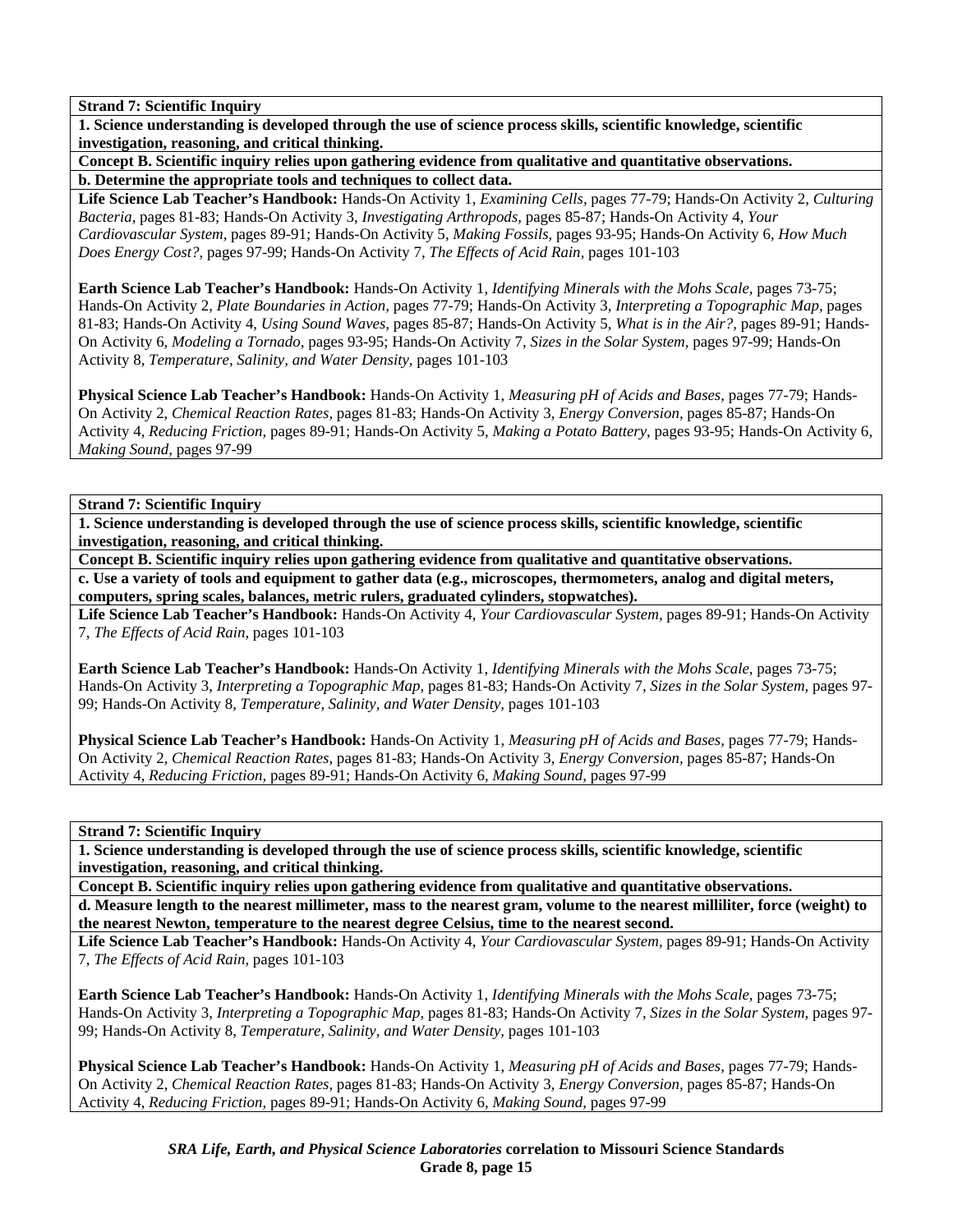**1. Science understanding is developed through the use of science process skills, scientific knowledge, scientific investigation, reasoning, and critical thinking.** 

**Concept B. Scientific inquiry relies upon gathering evidence from qualitative and quantitative observations. b. Determine the appropriate tools and techniques to collect data.** 

**Life Science Lab Teacher's Handbook:** Hands-On Activity 1, *Examining Cells,* pages 77-79; Hands-On Activity 2, *Culturing Bacteria,* pages 81-83; Hands-On Activity 3, *Investigating Arthropods,* pages 85-87; Hands-On Activity 4, *Your Cardiovascular System,* pages 89-91; Hands-On Activity 5, *Making Fossils,* pages 93-95; Hands-On Activity 6, *How Much Does Energy Cost?,* pages 97-99; Hands-On Activity 7, *The Effects of Acid Rain,* pages 101-103

**Earth Science Lab Teacher's Handbook:** Hands-On Activity 1, *Identifying Minerals with the Mohs Scale,* pages 73-75; Hands-On Activity 2, *Plate Boundaries in Action,* pages 77-79; Hands-On Activity 3, *Interpreting a Topographic Map,* pages 81-83; Hands-On Activity 4, *Using Sound Waves,* pages 85-87; Hands-On Activity 5, *What is in the Air?,* pages 89-91; Hands-On Activity 6, *Modeling a Tornado,* pages 93-95; Hands-On Activity 7, *Sizes in the Solar System,* pages 97-99; Hands-On Activity 8, *Temperature, Salinity, and Water Density,* pages 101-103

**Physical Science Lab Teacher's Handbook:** Hands-On Activity 1, *Measuring pH of Acids and Bases,* pages 77-79; Hands-On Activity 2, *Chemical Reaction Rates,* pages 81-83; Hands-On Activity 3, *Energy Conversion,* pages 85-87; Hands-On Activity 4, *Reducing Friction,* pages 89-91; Hands-On Activity 5, *Making a Potato Battery,* pages 93-95; Hands-On Activity 6, *Making Sound,* pages 97-99

**Strand 7: Scientific Inquiry** 

**1. Science understanding is developed through the use of science process skills, scientific knowledge, scientific investigation, reasoning, and critical thinking.** 

**Concept B. Scientific inquiry relies upon gathering evidence from qualitative and quantitative observations.** 

**c. Use a variety of tools and equipment to gather data (e.g., microscopes, thermometers, analog and digital meters, computers, spring scales, balances, metric rulers, graduated cylinders, stopwatches).** 

**Life Science Lab Teacher's Handbook:** Hands-On Activity 4, *Your Cardiovascular System,* pages 89-91; Hands-On Activity 7, *The Effects of Acid Rain,* pages 101-103

**Earth Science Lab Teacher's Handbook:** Hands-On Activity 1, *Identifying Minerals with the Mohs Scale,* pages 73-75; Hands-On Activity 3, *Interpreting a Topographic Map,* pages 81-83; Hands-On Activity 7, *Sizes in the Solar System,* pages 97- 99; Hands-On Activity 8, *Temperature, Salinity, and Water Density,* pages 101-103

**Physical Science Lab Teacher's Handbook:** Hands-On Activity 1, *Measuring pH of Acids and Bases,* pages 77-79; Hands-On Activity 2, *Chemical Reaction Rates,* pages 81-83; Hands-On Activity 3, *Energy Conversion,* pages 85-87; Hands-On Activity 4, *Reducing Friction,* pages 89-91; Hands-On Activity 6, *Making Sound,* pages 97-99

**Strand 7: Scientific Inquiry** 

**1. Science understanding is developed through the use of science process skills, scientific knowledge, scientific investigation, reasoning, and critical thinking.** 

**Concept B. Scientific inquiry relies upon gathering evidence from qualitative and quantitative observations. d. Measure length to the nearest millimeter, mass to the nearest gram, volume to the nearest milliliter, force (weight) to** 

**the nearest Newton, temperature to the nearest degree Celsius, time to the nearest second.** 

**Life Science Lab Teacher's Handbook:** Hands-On Activity 4, *Your Cardiovascular System,* pages 89-91; Hands-On Activity 7, *The Effects of Acid Rain,* pages 101-103

**Earth Science Lab Teacher's Handbook:** Hands-On Activity 1, *Identifying Minerals with the Mohs Scale,* pages 73-75; Hands-On Activity 3, *Interpreting a Topographic Map,* pages 81-83; Hands-On Activity 7, *Sizes in the Solar System,* pages 97- 99; Hands-On Activity 8, *Temperature, Salinity, and Water Density,* pages 101-103

**Physical Science Lab Teacher's Handbook:** Hands-On Activity 1, *Measuring pH of Acids and Bases,* pages 77-79; Hands-On Activity 2, *Chemical Reaction Rates,* pages 81-83; Hands-On Activity 3, *Energy Conversion,* pages 85-87; Hands-On Activity 4, *Reducing Friction,* pages 89-91; Hands-On Activity 6, *Making Sound,* pages 97-99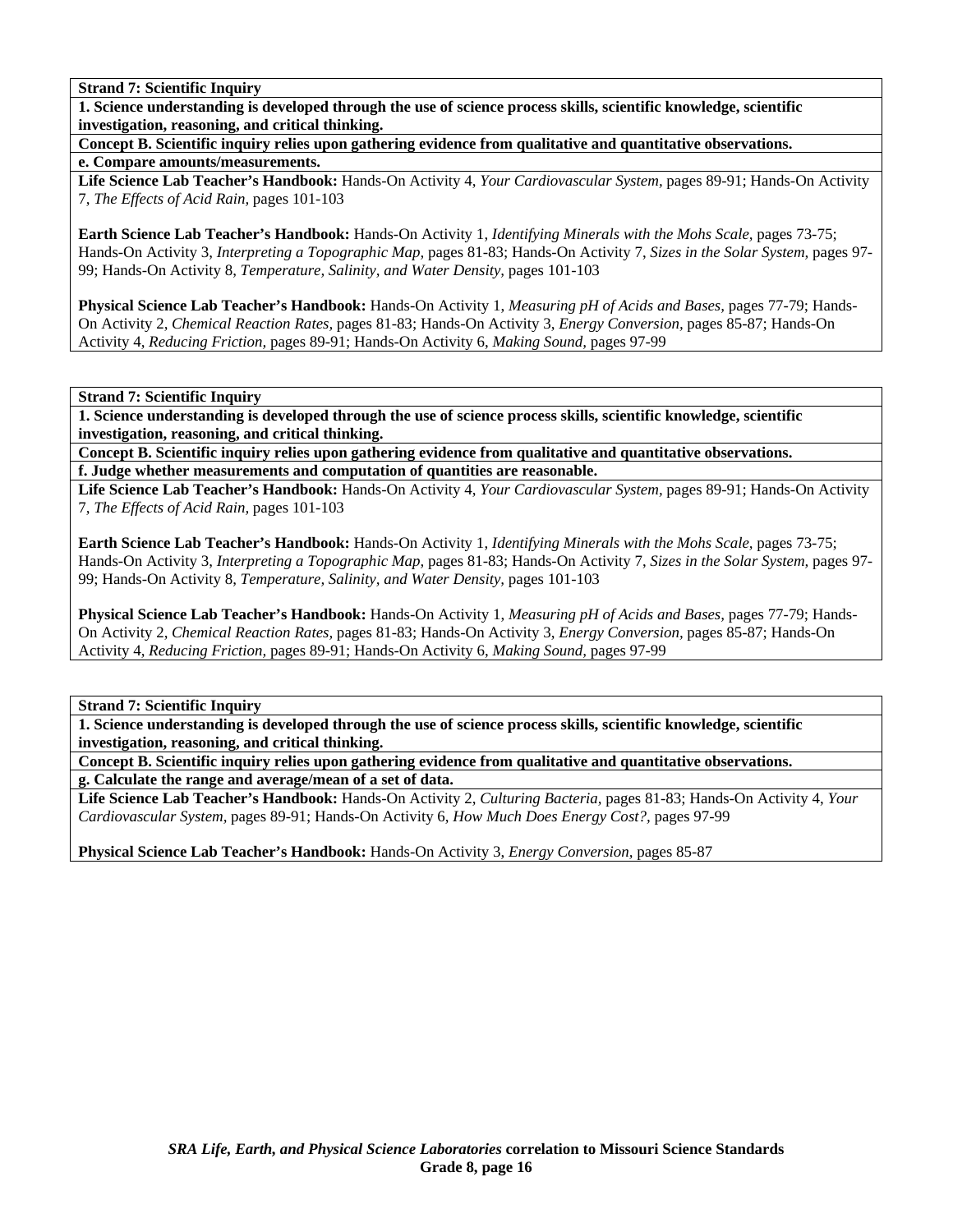**1. Science understanding is developed through the use of science process skills, scientific knowledge, scientific investigation, reasoning, and critical thinking.** 

**Concept B. Scientific inquiry relies upon gathering evidence from qualitative and quantitative observations. e. Compare amounts/measurements.** 

**Life Science Lab Teacher's Handbook:** Hands-On Activity 4, *Your Cardiovascular System,* pages 89-91; Hands-On Activity 7, *The Effects of Acid Rain,* pages 101-103

**Earth Science Lab Teacher's Handbook:** Hands-On Activity 1, *Identifying Minerals with the Mohs Scale,* pages 73-75; Hands-On Activity 3, *Interpreting a Topographic Map,* pages 81-83; Hands-On Activity 7, *Sizes in the Solar System,* pages 97- 99; Hands-On Activity 8, *Temperature, Salinity, and Water Density,* pages 101-103

**Physical Science Lab Teacher's Handbook:** Hands-On Activity 1, *Measuring pH of Acids and Bases,* pages 77-79; Hands-On Activity 2, *Chemical Reaction Rates,* pages 81-83; Hands-On Activity 3, *Energy Conversion,* pages 85-87; Hands-On Activity 4, *Reducing Friction,* pages 89-91; Hands-On Activity 6, *Making Sound,* pages 97-99

**Strand 7: Scientific Inquiry** 

**1. Science understanding is developed through the use of science process skills, scientific knowledge, scientific investigation, reasoning, and critical thinking.** 

**Concept B. Scientific inquiry relies upon gathering evidence from qualitative and quantitative observations. f. Judge whether measurements and computation of quantities are reasonable.** 

**Life Science Lab Teacher's Handbook:** Hands-On Activity 4, *Your Cardiovascular System,* pages 89-91; Hands-On Activity 7, *The Effects of Acid Rain,* pages 101-103

**Earth Science Lab Teacher's Handbook:** Hands-On Activity 1, *Identifying Minerals with the Mohs Scale,* pages 73-75; Hands-On Activity 3, *Interpreting a Topographic Map,* pages 81-83; Hands-On Activity 7, *Sizes in the Solar System,* pages 97- 99; Hands-On Activity 8, *Temperature, Salinity, and Water Density,* pages 101-103

**Physical Science Lab Teacher's Handbook:** Hands-On Activity 1, *Measuring pH of Acids and Bases,* pages 77-79; Hands-On Activity 2, *Chemical Reaction Rates,* pages 81-83; Hands-On Activity 3, *Energy Conversion,* pages 85-87; Hands-On Activity 4, *Reducing Friction,* pages 89-91; Hands-On Activity 6, *Making Sound,* pages 97-99

**Strand 7: Scientific Inquiry** 

**1. Science understanding is developed through the use of science process skills, scientific knowledge, scientific investigation, reasoning, and critical thinking.** 

**Concept B. Scientific inquiry relies upon gathering evidence from qualitative and quantitative observations. g. Calculate the range and average/mean of a set of data.** 

**Life Science Lab Teacher's Handbook:** Hands-On Activity 2, *Culturing Bacteria,* pages 81-83; Hands-On Activity 4, *Your Cardiovascular System,* pages 89-91; Hands-On Activity 6, *How Much Does Energy Cost?,* pages 97-99

**Physical Science Lab Teacher's Handbook:** Hands-On Activity 3, *Energy Conversion,* pages 85-87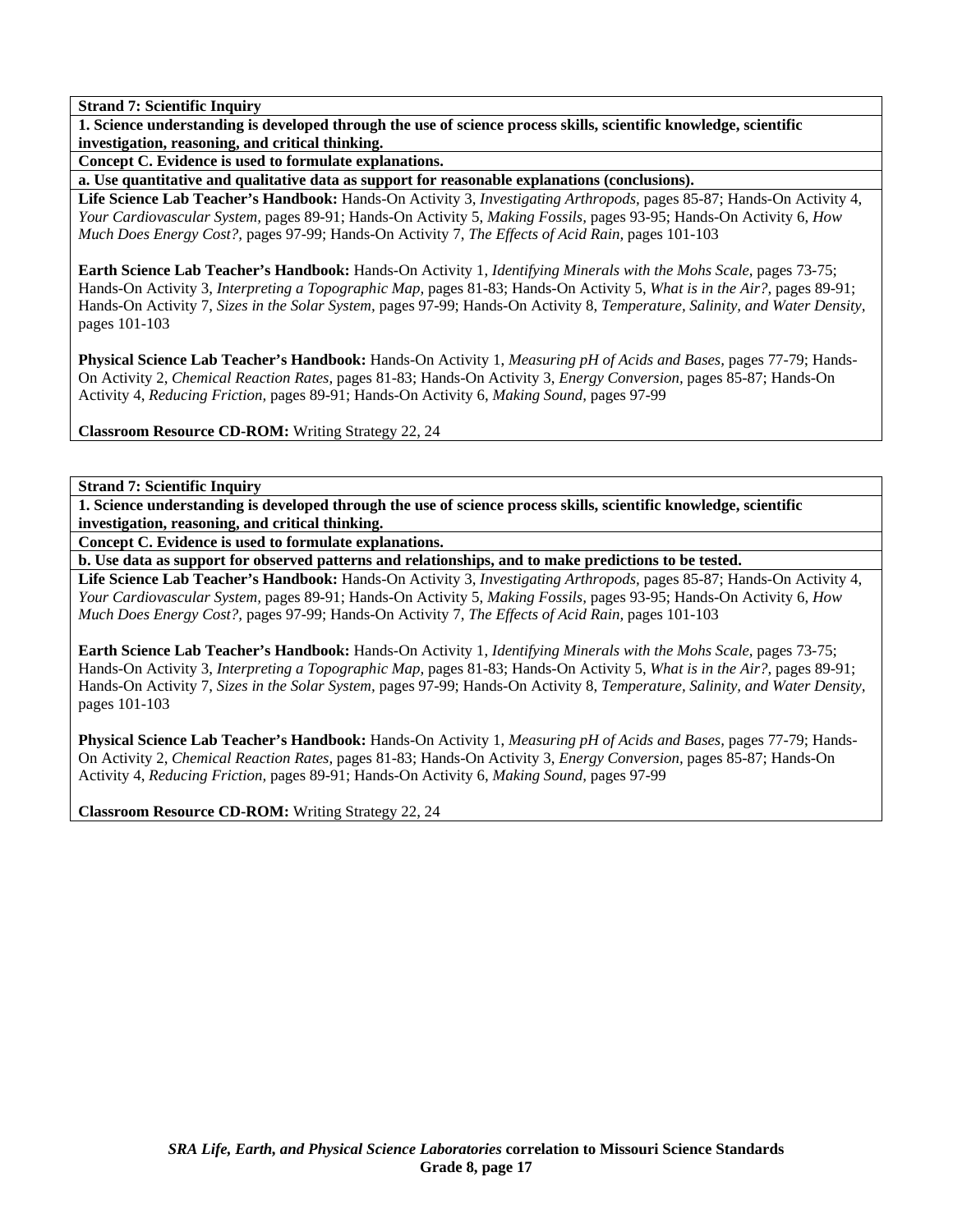**1. Science understanding is developed through the use of science process skills, scientific knowledge, scientific investigation, reasoning, and critical thinking.** 

**Concept C. Evidence is used to formulate explanations.** 

**a. Use quantitative and qualitative data as support for reasonable explanations (conclusions).** 

**Life Science Lab Teacher's Handbook:** Hands-On Activity 3, *Investigating Arthropods,* pages 85-87; Hands-On Activity 4, *Your Cardiovascular System,* pages 89-91; Hands-On Activity 5, *Making Fossils,* pages 93-95; Hands-On Activity 6, *How Much Does Energy Cost?,* pages 97-99; Hands-On Activity 7, *The Effects of Acid Rain,* pages 101-103

**Earth Science Lab Teacher's Handbook:** Hands-On Activity 1, *Identifying Minerals with the Mohs Scale,* pages 73-75; Hands-On Activity 3, *Interpreting a Topographic Map,* pages 81-83; Hands-On Activity 5, *What is in the Air?,* pages 89-91; Hands-On Activity 7, *Sizes in the Solar System,* pages 97-99; Hands-On Activity 8, *Temperature, Salinity, and Water Density,* pages 101-103

**Physical Science Lab Teacher's Handbook:** Hands-On Activity 1, *Measuring pH of Acids and Bases,* pages 77-79; Hands-On Activity 2, *Chemical Reaction Rates,* pages 81-83; Hands-On Activity 3, *Energy Conversion,* pages 85-87; Hands-On Activity 4, *Reducing Friction,* pages 89-91; Hands-On Activity 6, *Making Sound,* pages 97-99

**Classroom Resource CD-ROM:** Writing Strategy 22, 24

**Strand 7: Scientific Inquiry** 

**1. Science understanding is developed through the use of science process skills, scientific knowledge, scientific investigation, reasoning, and critical thinking.** 

**Concept C. Evidence is used to formulate explanations.** 

**b. Use data as support for observed patterns and relationships, and to make predictions to be tested.** 

**Life Science Lab Teacher's Handbook:** Hands-On Activity 3, *Investigating Arthropods,* pages 85-87; Hands-On Activity 4, *Your Cardiovascular System,* pages 89-91; Hands-On Activity 5, *Making Fossils,* pages 93-95; Hands-On Activity 6, *How Much Does Energy Cost?,* pages 97-99; Hands-On Activity 7, *The Effects of Acid Rain,* pages 101-103

**Earth Science Lab Teacher's Handbook:** Hands-On Activity 1, *Identifying Minerals with the Mohs Scale,* pages 73-75; Hands-On Activity 3, *Interpreting a Topographic Map,* pages 81-83; Hands-On Activity 5, *What is in the Air?,* pages 89-91; Hands-On Activity 7, *Sizes in the Solar System,* pages 97-99; Hands-On Activity 8, *Temperature, Salinity, and Water Density,* pages 101-103

**Physical Science Lab Teacher's Handbook:** Hands-On Activity 1, *Measuring pH of Acids and Bases,* pages 77-79; Hands-On Activity 2, *Chemical Reaction Rates,* pages 81-83; Hands-On Activity 3, *Energy Conversion,* pages 85-87; Hands-On Activity 4, *Reducing Friction,* pages 89-91; Hands-On Activity 6, *Making Sound,* pages 97-99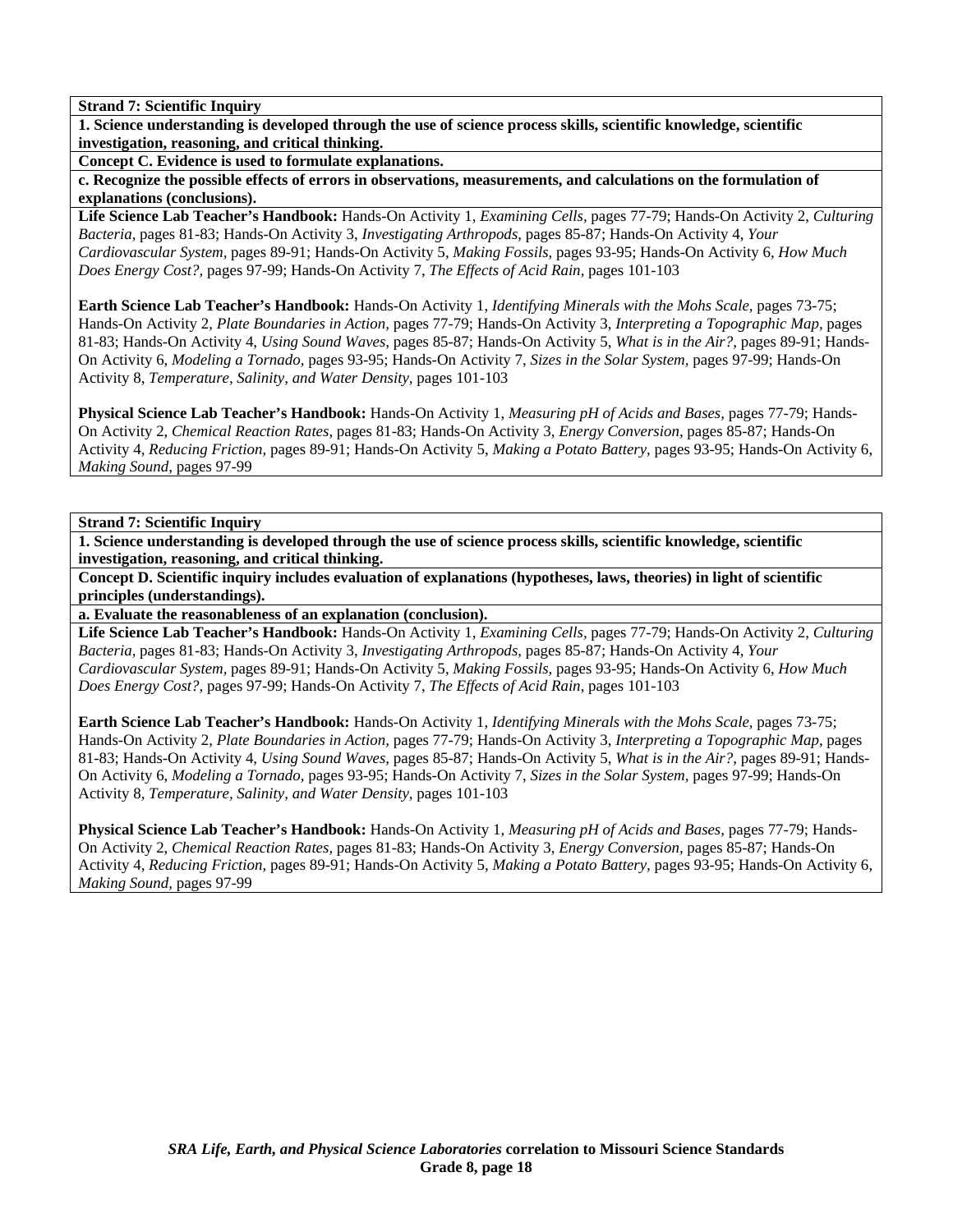**1. Science understanding is developed through the use of science process skills, scientific knowledge, scientific investigation, reasoning, and critical thinking.** 

**Concept C. Evidence is used to formulate explanations.** 

**c. Recognize the possible effects of errors in observations, measurements, and calculations on the formulation of explanations (conclusions).** 

**Life Science Lab Teacher's Handbook:** Hands-On Activity 1, *Examining Cells,* pages 77-79; Hands-On Activity 2, *Culturing Bacteria,* pages 81-83; Hands-On Activity 3, *Investigating Arthropods,* pages 85-87; Hands-On Activity 4, *Your Cardiovascular System,* pages 89-91; Hands-On Activity 5, *Making Fossils,* pages 93-95; Hands-On Activity 6, *How Much Does Energy Cost?,* pages 97-99; Hands-On Activity 7, *The Effects of Acid Rain,* pages 101-103

**Earth Science Lab Teacher's Handbook:** Hands-On Activity 1, *Identifying Minerals with the Mohs Scale,* pages 73-75; Hands-On Activity 2, *Plate Boundaries in Action,* pages 77-79; Hands-On Activity 3, *Interpreting a Topographic Map,* pages 81-83; Hands-On Activity 4, *Using Sound Waves,* pages 85-87; Hands-On Activity 5, *What is in the Air?,* pages 89-91; Hands-On Activity 6, *Modeling a Tornado,* pages 93-95; Hands-On Activity 7, *Sizes in the Solar System,* pages 97-99; Hands-On Activity 8, *Temperature, Salinity, and Water Density,* pages 101-103

**Physical Science Lab Teacher's Handbook:** Hands-On Activity 1, *Measuring pH of Acids and Bases,* pages 77-79; Hands-On Activity 2, *Chemical Reaction Rates,* pages 81-83; Hands-On Activity 3, *Energy Conversion,* pages 85-87; Hands-On Activity 4, *Reducing Friction,* pages 89-91; Hands-On Activity 5, *Making a Potato Battery,* pages 93-95; Hands-On Activity 6, *Making Sound,* pages 97-99

## **Strand 7: Scientific Inquiry**

**1. Science understanding is developed through the use of science process skills, scientific knowledge, scientific investigation, reasoning, and critical thinking.** 

**Concept D. Scientific inquiry includes evaluation of explanations (hypotheses, laws, theories) in light of scientific principles (understandings).** 

**a. Evaluate the reasonableness of an explanation (conclusion).** 

**Life Science Lab Teacher's Handbook:** Hands-On Activity 1, *Examining Cells,* pages 77-79; Hands-On Activity 2, *Culturing Bacteria,* pages 81-83; Hands-On Activity 3, *Investigating Arthropods,* pages 85-87; Hands-On Activity 4, *Your Cardiovascular System,* pages 89-91; Hands-On Activity 5, *Making Fossils,* pages 93-95; Hands-On Activity 6, *How Much Does Energy Cost?,* pages 97-99; Hands-On Activity 7, *The Effects of Acid Rain,* pages 101-103

**Earth Science Lab Teacher's Handbook:** Hands-On Activity 1, *Identifying Minerals with the Mohs Scale,* pages 73-75; Hands-On Activity 2, *Plate Boundaries in Action,* pages 77-79; Hands-On Activity 3, *Interpreting a Topographic Map,* pages 81-83; Hands-On Activity 4, *Using Sound Waves,* pages 85-87; Hands-On Activity 5, *What is in the Air?,* pages 89-91; Hands-On Activity 6, *Modeling a Tornado,* pages 93-95; Hands-On Activity 7, *Sizes in the Solar System,* pages 97-99; Hands-On Activity 8, *Temperature, Salinity, and Water Density,* pages 101-103

**Physical Science Lab Teacher's Handbook:** Hands-On Activity 1, *Measuring pH of Acids and Bases,* pages 77-79; Hands-On Activity 2, *Chemical Reaction Rates,* pages 81-83; Hands-On Activity 3, *Energy Conversion,* pages 85-87; Hands-On Activity 4, *Reducing Friction,* pages 89-91; Hands-On Activity 5, *Making a Potato Battery,* pages 93-95; Hands-On Activity 6, *Making Sound,* pages 97-99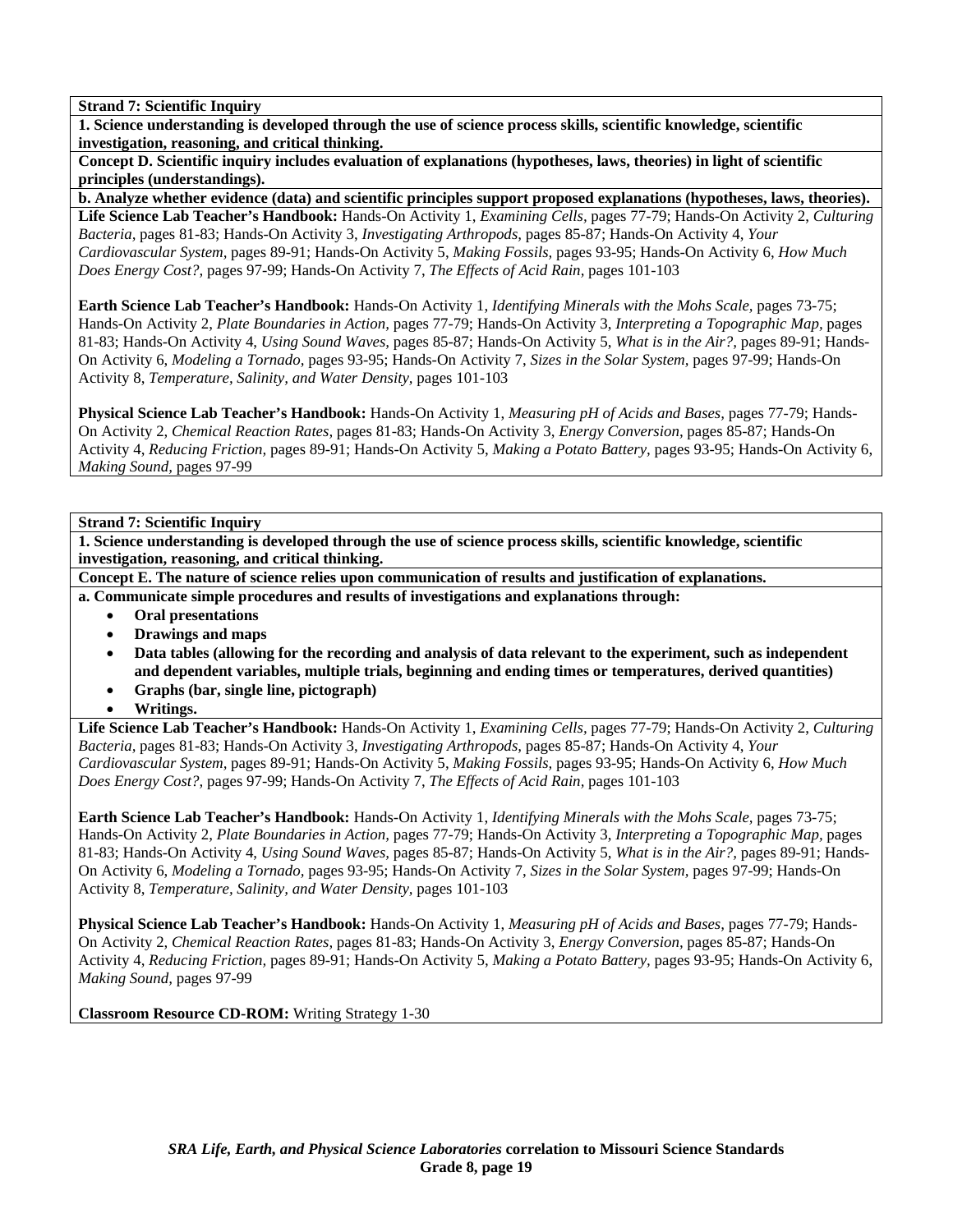**1. Science understanding is developed through the use of science process skills, scientific knowledge, scientific investigation, reasoning, and critical thinking.** 

**Concept D. Scientific inquiry includes evaluation of explanations (hypotheses, laws, theories) in light of scientific principles (understandings).** 

**b. Analyze whether evidence (data) and scientific principles support proposed explanations (hypotheses, laws, theories).** 

**Life Science Lab Teacher's Handbook:** Hands-On Activity 1, *Examining Cells,* pages 77-79; Hands-On Activity 2, *Culturing Bacteria,* pages 81-83; Hands-On Activity 3, *Investigating Arthropods,* pages 85-87; Hands-On Activity 4, *Your Cardiovascular System,* pages 89-91; Hands-On Activity 5, *Making Fossils,* pages 93-95; Hands-On Activity 6, *How Much Does Energy Cost?,* pages 97-99; Hands-On Activity 7, *The Effects of Acid Rain,* pages 101-103

**Earth Science Lab Teacher's Handbook:** Hands-On Activity 1, *Identifying Minerals with the Mohs Scale,* pages 73-75; Hands-On Activity 2, *Plate Boundaries in Action,* pages 77-79; Hands-On Activity 3, *Interpreting a Topographic Map,* pages 81-83; Hands-On Activity 4, *Using Sound Waves,* pages 85-87; Hands-On Activity 5, *What is in the Air?,* pages 89-91; Hands-On Activity 6, *Modeling a Tornado,* pages 93-95; Hands-On Activity 7, *Sizes in the Solar System,* pages 97-99; Hands-On Activity 8, *Temperature, Salinity, and Water Density,* pages 101-103

**Physical Science Lab Teacher's Handbook:** Hands-On Activity 1, *Measuring pH of Acids and Bases,* pages 77-79; Hands-On Activity 2, *Chemical Reaction Rates,* pages 81-83; Hands-On Activity 3, *Energy Conversion,* pages 85-87; Hands-On Activity 4, *Reducing Friction,* pages 89-91; Hands-On Activity 5, *Making a Potato Battery,* pages 93-95; Hands-On Activity 6, *Making Sound,* pages 97-99

# **Strand 7: Scientific Inquiry**

**1. Science understanding is developed through the use of science process skills, scientific knowledge, scientific investigation, reasoning, and critical thinking.** 

**Concept E. The nature of science relies upon communication of results and justification of explanations.** 

**a. Communicate simple procedures and results of investigations and explanations through:** 

- **Oral presentations**
- **Drawings and maps**
- **Data tables (allowing for the recording and analysis of data relevant to the experiment, such as independent and dependent variables, multiple trials, beginning and ending times or temperatures, derived quantities)**
- **Graphs (bar, single line, pictograph)**
- **Writings.**

**Life Science Lab Teacher's Handbook:** Hands-On Activity 1, *Examining Cells,* pages 77-79; Hands-On Activity 2, *Culturing Bacteria,* pages 81-83; Hands-On Activity 3, *Investigating Arthropods,* pages 85-87; Hands-On Activity 4, *Your Cardiovascular System,* pages 89-91; Hands-On Activity 5, *Making Fossils,* pages 93-95; Hands-On Activity 6, *How Much Does Energy Cost?,* pages 97-99; Hands-On Activity 7, *The Effects of Acid Rain,* pages 101-103

**Earth Science Lab Teacher's Handbook:** Hands-On Activity 1, *Identifying Minerals with the Mohs Scale,* pages 73-75; Hands-On Activity 2, *Plate Boundaries in Action,* pages 77-79; Hands-On Activity 3, *Interpreting a Topographic Map,* pages 81-83; Hands-On Activity 4, *Using Sound Waves,* pages 85-87; Hands-On Activity 5, *What is in the Air?,* pages 89-91; Hands-On Activity 6, *Modeling a Tornado,* pages 93-95; Hands-On Activity 7, *Sizes in the Solar System,* pages 97-99; Hands-On Activity 8, *Temperature, Salinity, and Water Density,* pages 101-103

**Physical Science Lab Teacher's Handbook:** Hands-On Activity 1, *Measuring pH of Acids and Bases,* pages 77-79; Hands-On Activity 2, *Chemical Reaction Rates,* pages 81-83; Hands-On Activity 3, *Energy Conversion,* pages 85-87; Hands-On Activity 4, *Reducing Friction,* pages 89-91; Hands-On Activity 5, *Making a Potato Battery,* pages 93-95; Hands-On Activity 6, *Making Sound,* pages 97-99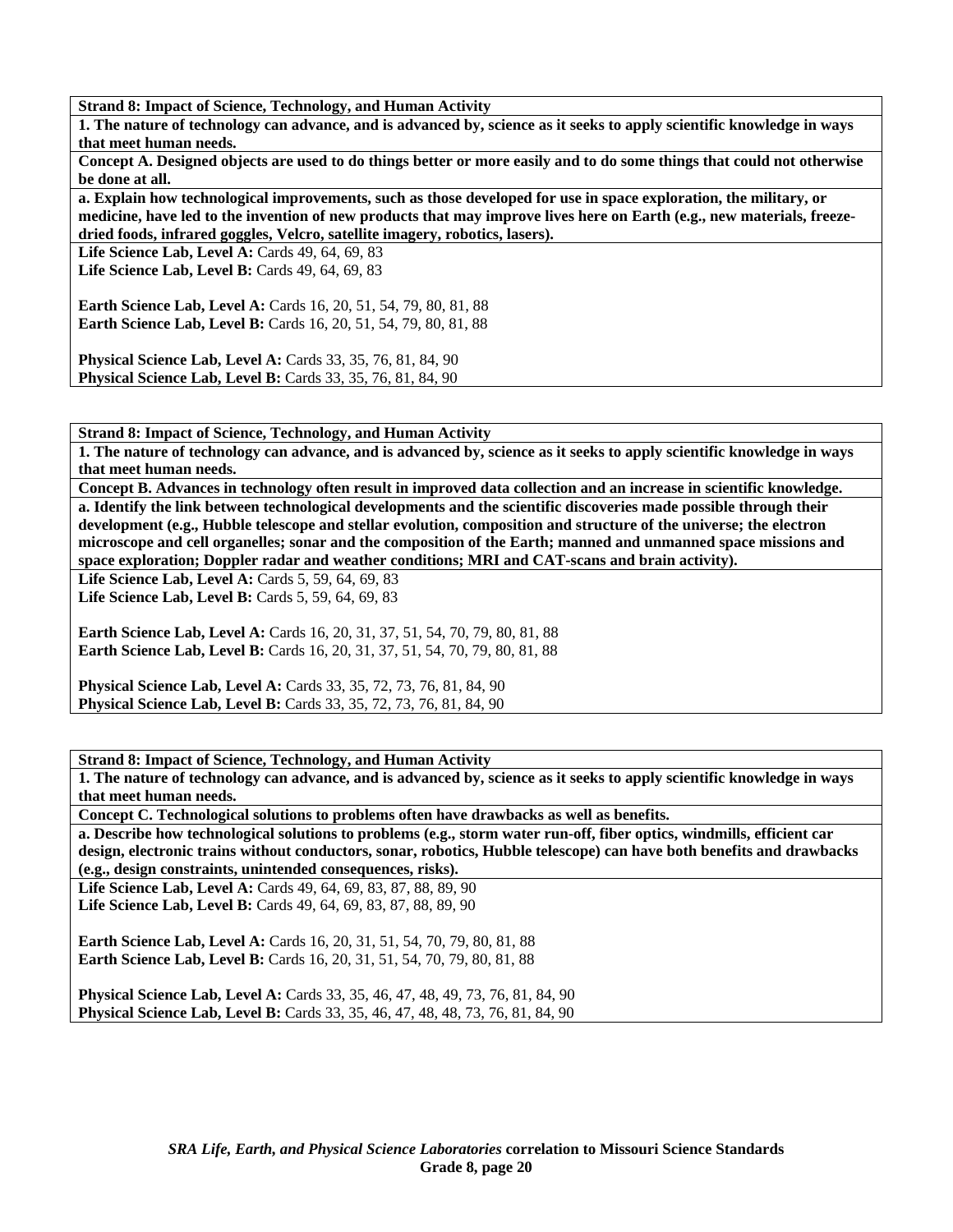**1. The nature of technology can advance, and is advanced by, science as it seeks to apply scientific knowledge in ways that meet human needs.** 

**Concept A. Designed objects are used to do things better or more easily and to do some things that could not otherwise be done at all.** 

**a. Explain how technological improvements, such as those developed for use in space exploration, the military, or medicine, have led to the invention of new products that may improve lives here on Earth (e.g., new materials, freezedried foods, infrared goggles, Velcro, satellite imagery, robotics, lasers).** 

Life Science Lab, Level A: Cards 49, 64, 69, 83 **Life Science Lab, Level B:** Cards 49, 64, 69, 83

**Earth Science Lab, Level A:** Cards 16, 20, 51, 54, 79, 80, 81, 88 **Earth Science Lab, Level B:** Cards 16, 20, 51, 54, 79, 80, 81, 88

**Physical Science Lab, Level A: Cards 33, 35, 76, 81, 84, 90 Physical Science Lab, Level B:** Cards 33, 35, 76, 81, 84, 90

**Strand 8: Impact of Science, Technology, and Human Activity** 

**1. The nature of technology can advance, and is advanced by, science as it seeks to apply scientific knowledge in ways that meet human needs.** 

**Concept B. Advances in technology often result in improved data collection and an increase in scientific knowledge. a. Identify the link between technological developments and the scientific discoveries made possible through their development (e.g., Hubble telescope and stellar evolution, composition and structure of the universe; the electron microscope and cell organelles; sonar and the composition of the Earth; manned and unmanned space missions and space exploration; Doppler radar and weather conditions; MRI and CAT-scans and brain activity).** 

**Life Science Lab, Level A: Cards 5, 59, 64, 69, 83** 

**Life Science Lab, Level B: Cards 5, 59, 64, 69, 83** 

**Earth Science Lab, Level A: Cards 16, 20, 31, 37, 51, 54, 70, 79, 80, 81, 88 Earth Science Lab, Level B:** Cards 16, 20, 31, 37, 51, 54, 70, 79, 80, 81, 88

**Physical Science Lab, Level A: Cards 33, 35, 72, 73, 76, 81, 84, 90 Physical Science Lab, Level B:** Cards 33, 35, 72, 73, 76, 81, 84, 90

**Strand 8: Impact of Science, Technology, and Human Activity** 

**1. The nature of technology can advance, and is advanced by, science as it seeks to apply scientific knowledge in ways that meet human needs.** 

**Concept C. Technological solutions to problems often have drawbacks as well as benefits.** 

**a. Describe how technological solutions to problems (e.g., storm water run-off, fiber optics, windmills, efficient car design, electronic trains without conductors, sonar, robotics, Hubble telescope) can have both benefits and drawbacks (e.g., design constraints, unintended consequences, risks).** 

**Life Science Lab, Level A:** Cards 49, 64, 69, 83, 87, 88, 89, 90 **Life Science Lab, Level B:** Cards 49, 64, 69, 83, 87, 88, 89, 90

**Earth Science Lab, Level A: Cards 16, 20, 31, 51, 54, 70, 79, 80, 81, 88 Earth Science Lab, Level B:** Cards 16, 20, 31, 51, 54, 70, 79, 80, 81, 88

**Physical Science Lab, Level A: Cards 33, 35, 46, 47, 48, 49, 73, 76, 81, 84, 90 Physical Science Lab, Level B:** Cards 33, 35, 46, 47, 48, 48, 73, 76, 81, 84, 90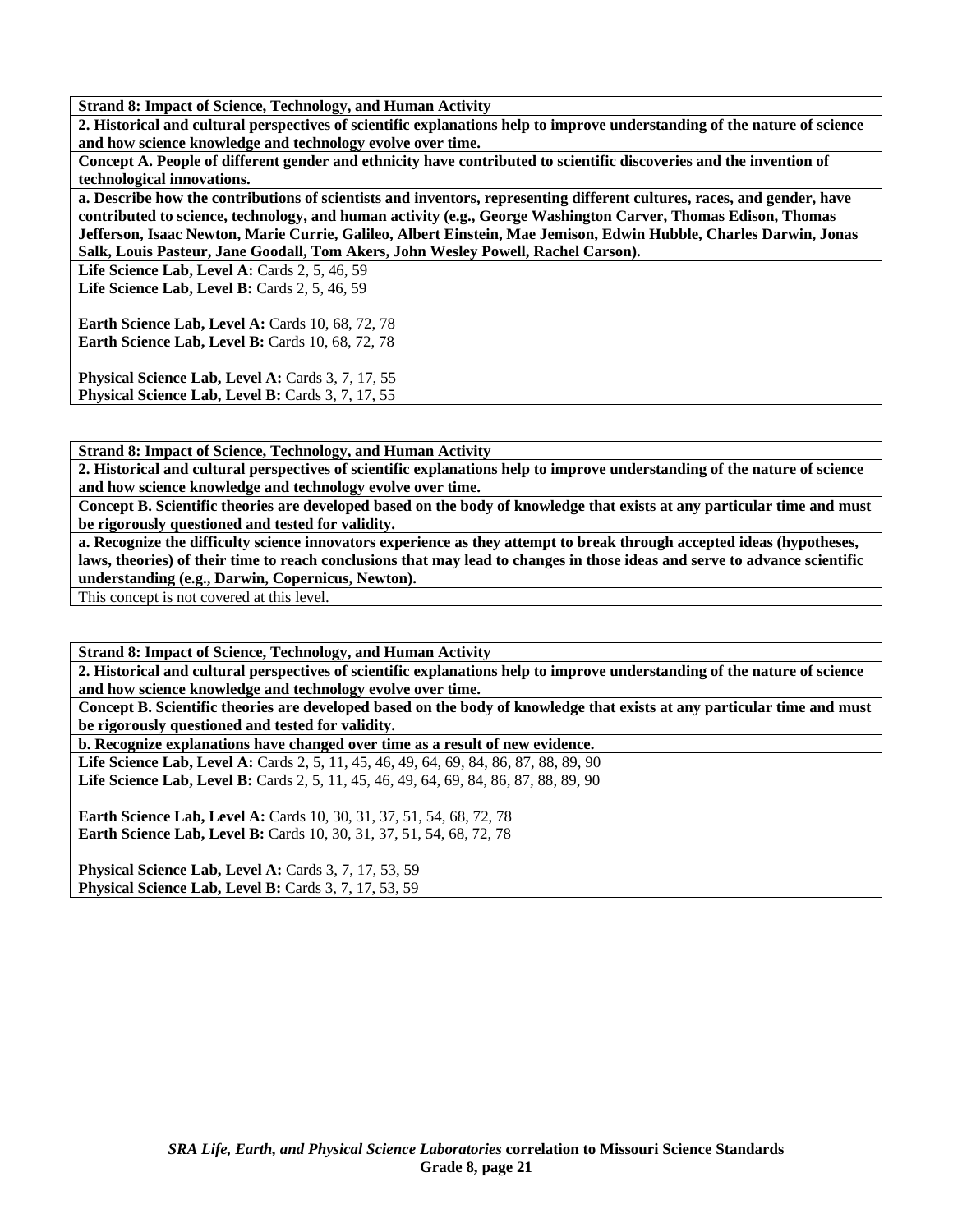**2. Historical and cultural perspectives of scientific explanations help to improve understanding of the nature of science and how science knowledge and technology evolve over time.** 

**Concept A. People of different gender and ethnicity have contributed to scientific discoveries and the invention of technological innovations.** 

**a. Describe how the contributions of scientists and inventors, representing different cultures, races, and gender, have contributed to science, technology, and human activity (e.g., George Washington Carver, Thomas Edison, Thomas Jefferson, Isaac Newton, Marie Currie, Galileo, Albert Einstein, Mae Jemison, Edwin Hubble, Charles Darwin, Jonas Salk, Louis Pasteur, Jane Goodall, Tom Akers, John Wesley Powell, Rachel Carson).** 

**Life Science Lab, Level A:** Cards 2, 5, 46, 59 Life Science Lab, Level B: Cards 2, 5, 46, 59

**Earth Science Lab, Level A: Cards 10, 68, 72, 78 Earth Science Lab, Level B: Cards 10, 68, 72, 78** 

Physical Science Lab, Level A: Cards 3, 7, 17, 55 Physical Science Lab, Level B: Cards 3, 7, 17, 55

**Strand 8: Impact of Science, Technology, and Human Activity** 

**2. Historical and cultural perspectives of scientific explanations help to improve understanding of the nature of science and how science knowledge and technology evolve over time.** 

**Concept B. Scientific theories are developed based on the body of knowledge that exists at any particular time and must be rigorously questioned and tested for validity.** 

**a. Recognize the difficulty science innovators experience as they attempt to break through accepted ideas (hypotheses, laws, theories) of their time to reach conclusions that may lead to changes in those ideas and serve to advance scientific understanding (e.g., Darwin, Copernicus, Newton).** 

This concept is not covered at this level.

**Strand 8: Impact of Science, Technology, and Human Activity** 

**2. Historical and cultural perspectives of scientific explanations help to improve understanding of the nature of science and how science knowledge and technology evolve over time.** 

**Concept B. Scientific theories are developed based on the body of knowledge that exists at any particular time and must be rigorously questioned and tested for validity.** 

**b. Recognize explanations have changed over time as a result of new evidence.** 

Life Science Lab, Level A: Cards 2, 5, 11, 45, 46, 49, 64, 69, 84, 86, 87, 88, 89, 90 Life Science Lab, Level B: Cards 2, 5, 11, 45, 46, 49, 64, 69, 84, 86, 87, 88, 89, 90

**Earth Science Lab, Level A: Cards 10, 30, 31, 37, 51, 54, 68, 72, 78 Earth Science Lab, Level B:** Cards 10, 30, 31, 37, 51, 54, 68, 72, 78

**Physical Science Lab, Level A: Cards 3, 7, 17, 53, 59 Physical Science Lab, Level B: Cards 3, 7, 17, 53, 59**